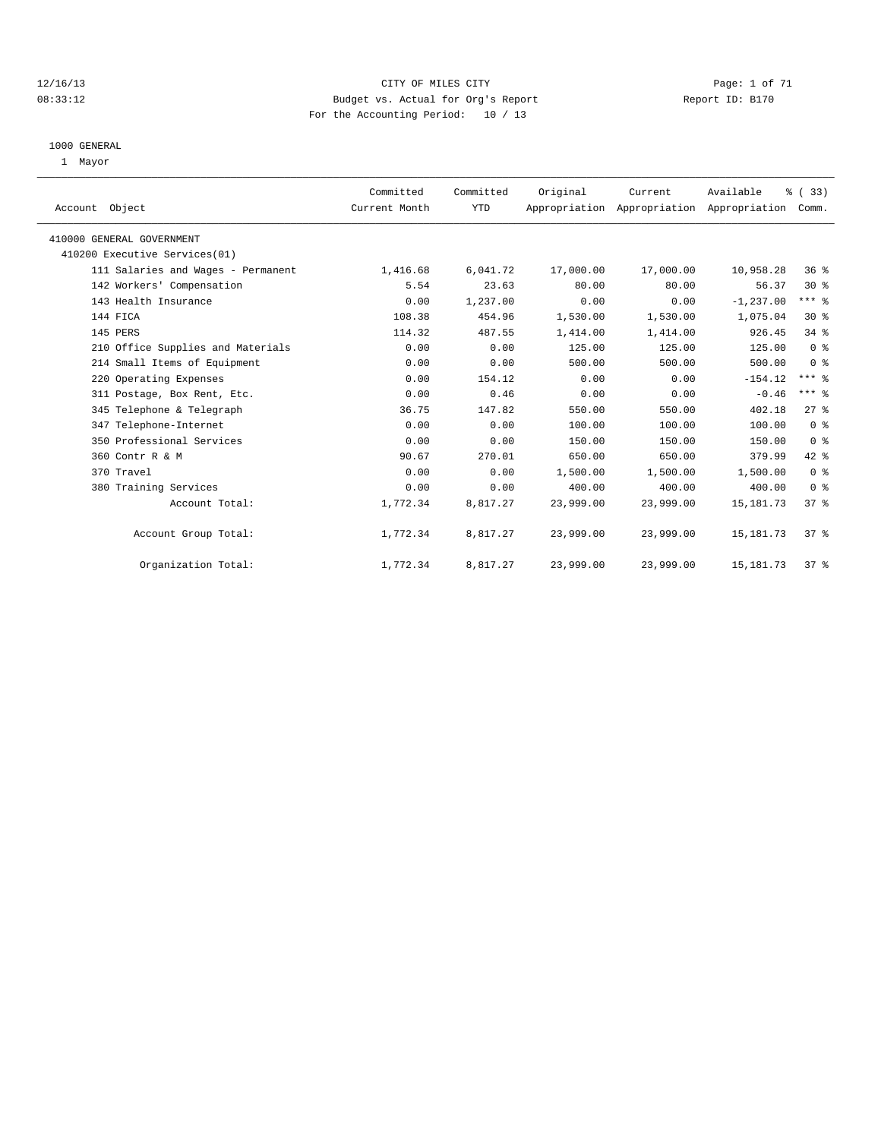#### 12/16/13 CITY OF MILES CITY Page: 1 of 71 08:33:12 Budget vs. Actual for Org's Report Changer Report ID: B170 For the Accounting Period: 10 / 13

#### 1000 GENERAL

1 Mayor

|                                    | Committed     | Committed  | Original  | Current   | Available                                 | % (33)         |  |
|------------------------------------|---------------|------------|-----------|-----------|-------------------------------------------|----------------|--|
| Account Object                     | Current Month | <b>YTD</b> |           |           | Appropriation Appropriation Appropriation | Comm.          |  |
| 410000 GENERAL GOVERNMENT          |               |            |           |           |                                           |                |  |
| 410200 Executive Services(01)      |               |            |           |           |                                           |                |  |
| 111 Salaries and Wages - Permanent | 1,416.68      | 6,041.72   | 17,000.00 | 17,000.00 | 10,958.28                                 | $36*$          |  |
| 142 Workers' Compensation          | 5.54          | 23.63      | 80.00     | 80.00     | 56.37                                     | $30*$          |  |
| 143 Health Insurance               | 0.00          | 1,237.00   | 0.00      | 0.00      | $-1, 237.00$                              | $***$ $%$      |  |
| 144 FICA                           | 108.38        | 454.96     | 1,530.00  | 1,530.00  | 1,075.04                                  | $30*$          |  |
| 145 PERS                           | 114.32        | 487.55     | 1,414.00  | 1,414.00  | 926.45                                    | 34.8           |  |
| 210 Office Supplies and Materials  | 0.00          | 0.00       | 125.00    | 125.00    | 125.00                                    | 0 <sup>8</sup> |  |
| 214 Small Items of Equipment       | 0.00          | 0.00       | 500.00    | 500.00    | 500.00                                    | 0 <sup>8</sup> |  |
| 220 Operating Expenses             | 0.00          | 154.12     | 0.00      | 0.00      | $-154.12$                                 | $***$ $%$      |  |
| 311 Postage, Box Rent, Etc.        | 0.00          | 0.46       | 0.00      | 0.00      | $-0.46$                                   | $***$ $%$      |  |
| 345 Telephone & Telegraph          | 36.75         | 147.82     | 550.00    | 550.00    | 402.18                                    | $27$ $%$       |  |
| 347 Telephone-Internet             | 0.00          | 0.00       | 100.00    | 100.00    | 100.00                                    | 0 <sup>8</sup> |  |
| 350 Professional Services          | 0.00          | 0.00       | 150.00    | 150.00    | 150.00                                    | 0 <sup>8</sup> |  |
| 360 Contr R & M                    | 90.67         | 270.01     | 650.00    | 650.00    | 379.99                                    | 42 %           |  |
| 370 Travel                         | 0.00          | 0.00       | 1,500.00  | 1,500.00  | 1,500.00                                  | 0 <sup>8</sup> |  |
| 380 Training Services              | 0.00          | 0.00       | 400.00    | 400.00    | 400.00                                    | 0 <sup>8</sup> |  |
| Account Total:                     | 1,772.34      | 8,817.27   | 23,999.00 | 23,999.00 | 15, 181. 73                               | 37%            |  |
| Account Group Total:               | 1,772.34      | 8,817.27   | 23,999.00 | 23,999.00 | 15, 181. 73                               | $37*$          |  |
| Organization Total:                | 1,772.34      | 8,817.27   | 23,999.00 | 23,999.00 | 15, 181. 73                               | 37%            |  |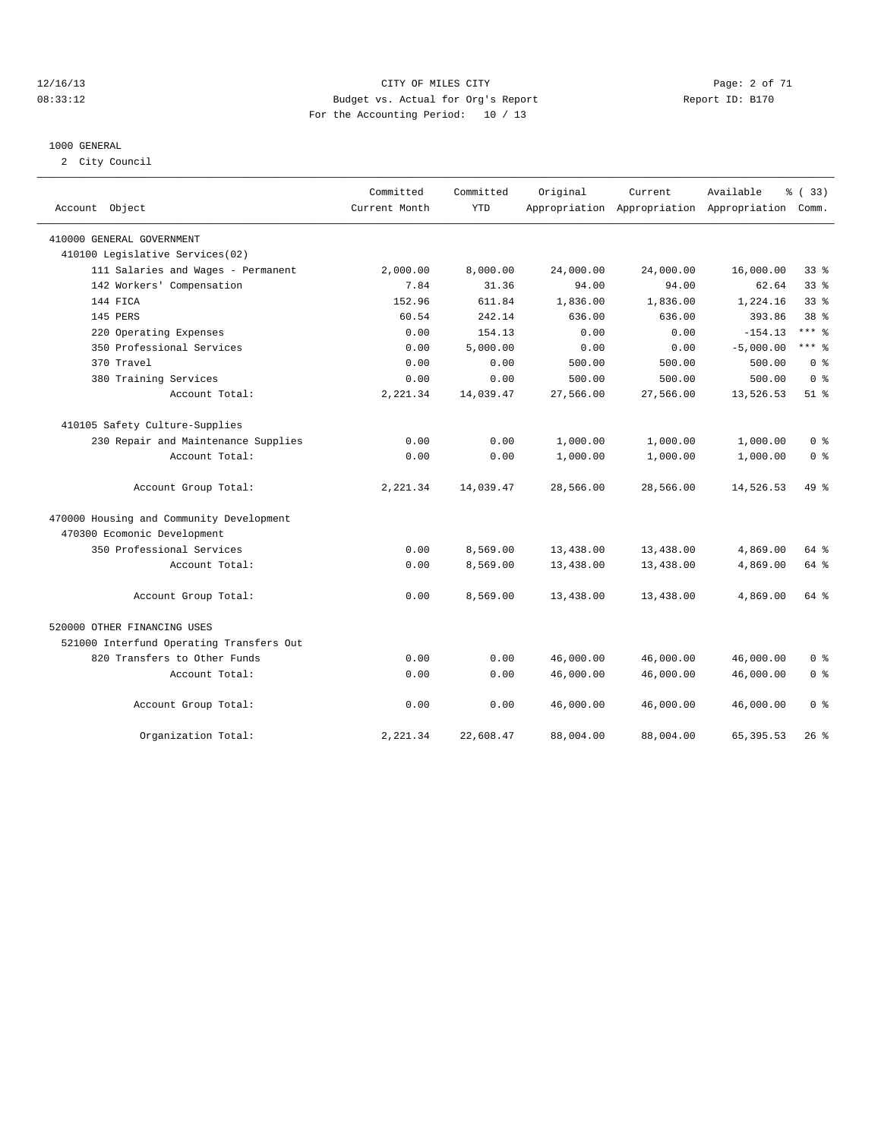#### 12/16/13 CITY OF MILES CITY Page: 2 of 71 08:33:12 Budget vs. Actual for Org's Report Changer Report ID: B170 For the Accounting Period: 10 / 13

#### 1000 GENERAL

2 City Council

| Account Object                           | Committed<br>Current Month | Committed<br><b>YTD</b> | Original  | Current   | Available<br>Appropriation Appropriation Appropriation | <sub>ර</sub> ි (33)<br>Comm. |
|------------------------------------------|----------------------------|-------------------------|-----------|-----------|--------------------------------------------------------|------------------------------|
| 410000 GENERAL GOVERNMENT                |                            |                         |           |           |                                                        |                              |
| 410100 Legislative Services(02)          |                            |                         |           |           |                                                        |                              |
| 111 Salaries and Wages - Permanent       | 2,000.00                   | 8,000.00                | 24,000.00 | 24,000.00 | 16,000.00                                              | 33 <sup>8</sup>              |
| 142 Workers' Compensation                | 7.84                       | 31.36                   | 94.00     | 94.00     | 62.64                                                  | 33 <sup>8</sup>              |
| 144 FTCA                                 | 152.96                     | 611.84                  | 1,836.00  | 1,836.00  | 1,224.16                                               | $33$ $%$                     |
| 145 PERS                                 | 60.54                      | 242.14                  | 636.00    | 636.00    | 393.86                                                 | 38 <sup>8</sup>              |
| 220 Operating Expenses                   | 0.00                       | 154.13                  | 0.00      | 0.00      | $-154.13$                                              | $***$ 8                      |
| 350 Professional Services                | 0.00                       | 5,000.00                | 0.00      | 0.00      | $-5,000.00$                                            | $***$ 8                      |
| 370 Travel                               | 0.00                       | 0.00                    | 500.00    | 500.00    | 500.00                                                 | 0 <sup>8</sup>               |
| 380 Training Services                    | 0.00                       | 0.00                    | 500.00    | 500.00    | 500.00                                                 | 0 <sup>8</sup>               |
| Account Total:                           | 2,221.34                   | 14,039.47               | 27,566.00 | 27,566.00 | 13,526.53                                              | $51$ $%$                     |
| 410105 Safety Culture-Supplies           |                            |                         |           |           |                                                        |                              |
| 230 Repair and Maintenance Supplies      | 0.00                       | 0.00                    | 1,000.00  | 1,000.00  | 1,000.00                                               | 0 <sup>8</sup>               |
| Account Total:                           | 0.00                       | 0.00                    | 1,000.00  | 1,000.00  | 1,000.00                                               | 0 <sup>8</sup>               |
| Account Group Total:                     | 2,221.34                   | 14,039.47               | 28,566.00 | 28,566.00 | 14,526.53                                              | 49 %                         |
| 470000 Housing and Community Development |                            |                         |           |           |                                                        |                              |
| 470300 Ecomonic Development              |                            |                         |           |           |                                                        |                              |
| 350 Professional Services                | 0.00                       | 8,569.00                | 13,438.00 | 13,438.00 | 4,869.00                                               | 64 %                         |
| Account Total:                           | 0.00                       | 8,569.00                | 13,438.00 | 13,438.00 | 4,869.00                                               | 64 %                         |
| Account Group Total:                     | 0.00                       | 8,569.00                | 13,438.00 | 13,438.00 | 4,869.00                                               | 64 %                         |
| 520000 OTHER FINANCING USES              |                            |                         |           |           |                                                        |                              |
| 521000 Interfund Operating Transfers Out |                            |                         |           |           |                                                        |                              |
| 820 Transfers to Other Funds             | 0.00                       | 0.00                    | 46,000.00 | 46,000.00 | 46,000.00                                              | 0 <sup>8</sup>               |
| Account Total:                           | 0.00                       | 0.00                    | 46,000.00 | 46,000.00 | 46,000.00                                              | 0 <sup>8</sup>               |
| Account Group Total:                     | 0.00                       | 0.00                    | 46,000.00 | 46,000.00 | 46,000.00                                              | 0 <sup>8</sup>               |
| Organization Total:                      | 2,221.34                   | 22,608.47               | 88,004.00 | 88,004.00 | 65, 395.53                                             | $26$ %                       |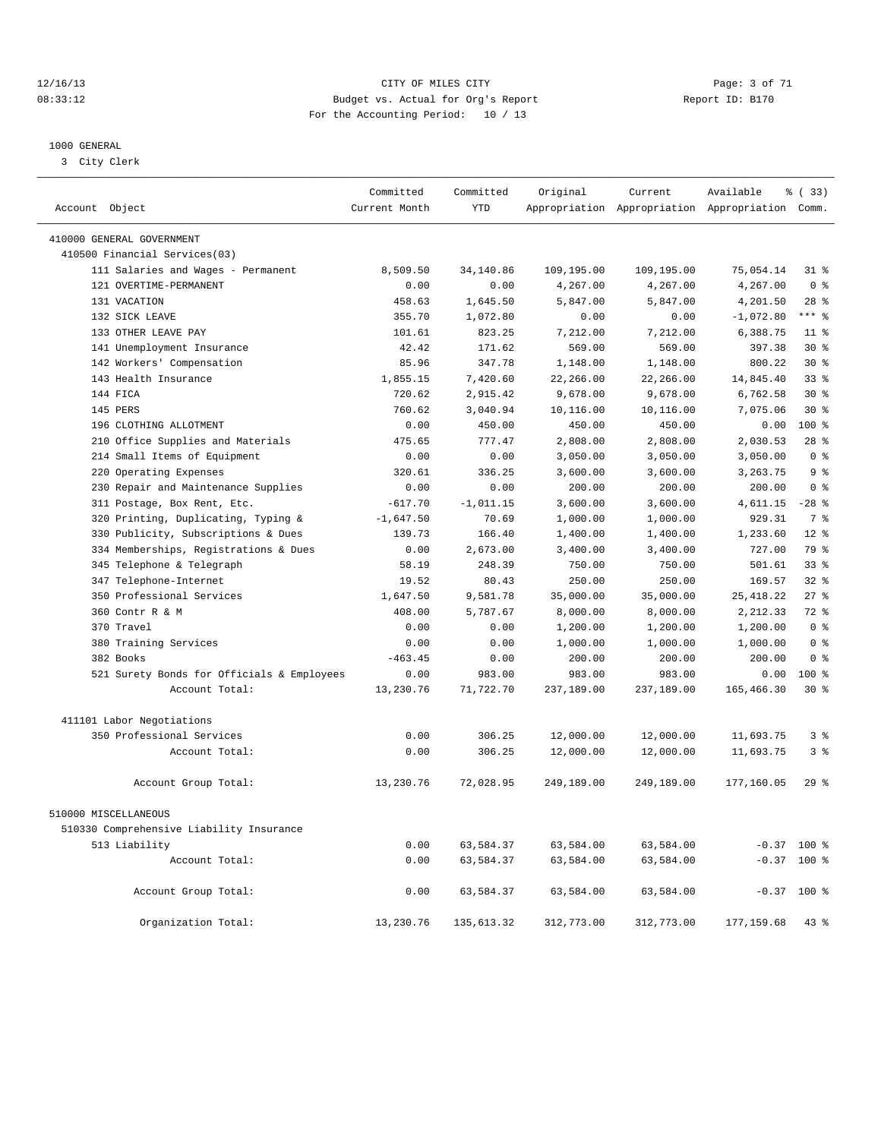#### 12/16/13 CITY OF MILES CITY Page: 3 of 71 08:33:12 Budget vs. Actual for Org's Report Changer Report ID: B170 For the Accounting Period: 10 / 13

————————————————————————————————————————————————————————————————————————————————————————————————————————————————————————————————————

#### 1000 GENERAL

3 City Clerk

|                                            | Committed     | Committed   | Original   | Current                                         | Available   | % (33)          |
|--------------------------------------------|---------------|-------------|------------|-------------------------------------------------|-------------|-----------------|
| Account Object                             | Current Month | <b>YTD</b>  |            | Appropriation Appropriation Appropriation Comm. |             |                 |
| 410000 GENERAL GOVERNMENT                  |               |             |            |                                                 |             |                 |
| 410500 Financial Services(03)              |               |             |            |                                                 |             |                 |
| 111 Salaries and Wages - Permanent         | 8,509.50      | 34,140.86   | 109,195.00 | 109,195.00                                      | 75,054.14   | $31$ %          |
| 121 OVERTIME-PERMANENT                     | 0.00          | 0.00        | 4,267.00   | 4,267.00                                        | 4,267.00    | 0 <sup>8</sup>  |
| 131 VACATION                               | 458.63        | 1,645.50    | 5,847.00   | 5,847.00                                        | 4,201.50    | $28$ %          |
| 132 SICK LEAVE                             | 355.70        | 1,072.80    | 0.00       | 0.00                                            | $-1,072.80$ | $***$ $%$       |
| 133 OTHER LEAVE PAY                        | 101.61        | 823.25      | 7,212.00   | 7,212.00                                        | 6,388.75    | $11$ %          |
| 141 Unemployment Insurance                 | 42.42         | 171.62      | 569.00     | 569.00                                          | 397.38      | $30*$           |
| 142 Workers' Compensation                  | 85.96         | 347.78      | 1,148.00   | 1,148.00                                        | 800.22      | $30*$           |
| 143 Health Insurance                       | 1,855.15      | 7,420.60    | 22,266.00  | 22,266.00                                       | 14,845.40   | 33 <sup>8</sup> |
| 144 FICA                                   | 720.62        | 2,915.42    | 9,678.00   | 9,678.00                                        | 6,762.58    | $30*$           |
| 145 PERS                                   | 760.62        | 3,040.94    | 10,116.00  | 10,116.00                                       | 7,075.06    | $30*$           |
| 196 CLOTHING ALLOTMENT                     | 0.00          | 450.00      | 450.00     | 450.00                                          | 0.00        | 100 %           |
| 210 Office Supplies and Materials          | 475.65        | 777.47      | 2,808.00   | 2,808.00                                        | 2,030.53    | 28%             |
| 214 Small Items of Equipment               | 0.00          | 0.00        | 3,050.00   | 3,050.00                                        | 3,050.00    | 0 <sup>8</sup>  |
| 220 Operating Expenses                     | 320.61        | 336.25      | 3,600.00   | 3,600.00                                        | 3,263.75    | 9 <sub>8</sub>  |
| 230 Repair and Maintenance Supplies        | 0.00          | 0.00        | 200.00     | 200.00                                          | 200.00      | 0 <sup>8</sup>  |
| 311 Postage, Box Rent, Etc.                | $-617.70$     | $-1,011.15$ | 3,600.00   | 3,600.00                                        | 4,611.15    | $-28$ %         |
| 320 Printing, Duplicating, Typing &        | $-1,647.50$   | 70.69       | 1,000.00   | 1,000.00                                        | 929.31      | 7 <sup>8</sup>  |
| 330 Publicity, Subscriptions & Dues        | 139.73        | 166.40      | 1,400.00   | 1,400.00                                        | 1,233.60    | $12*$           |
| 334 Memberships, Registrations & Dues      | 0.00          | 2,673.00    | 3,400.00   | 3,400.00                                        | 727.00      | 79 %            |
| 345 Telephone & Telegraph                  | 58.19         | 248.39      | 750.00     | 750.00                                          | 501.61      | 33 <sup>8</sup> |
| 347 Telephone-Internet                     | 19.52         | 80.43       | 250.00     | 250.00                                          | 169.57      | $32*$           |
| 350 Professional Services                  | 1,647.50      | 9,581.78    | 35,000.00  | 35,000.00                                       | 25, 418.22  | 27%             |
| 360 Contr R & M                            | 408.00        | 5,787.67    | 8,000.00   | 8,000.00                                        | 2,212.33    | 72 %            |
| 370 Travel                                 | 0.00          | 0.00        | 1,200.00   | 1,200.00                                        | 1,200.00    | 0 <sup>8</sup>  |
| 380 Training Services                      | 0.00          | 0.00        | 1,000.00   | 1,000.00                                        | 1,000.00    | 0 <sup>8</sup>  |
| 382 Books                                  | $-463.45$     | 0.00        | 200.00     | 200.00                                          | 200.00      | 0 <sup>8</sup>  |
| 521 Surety Bonds for Officials & Employees | 0.00          | 983.00      | 983.00     | 983.00                                          | 0.00        | $100*$          |
| Account Total:                             | 13,230.76     | 71,722.70   | 237,189.00 | 237,189.00                                      | 165,466.30  | $30*$           |
| 411101 Labor Negotiations                  |               |             |            |                                                 |             |                 |
| 350 Professional Services                  | 0.00          | 306.25      | 12,000.00  | 12,000.00                                       | 11,693.75   | 3%              |
| Account Total:                             | 0.00          | 306.25      | 12,000.00  | 12,000.00                                       | 11,693.75   | 3 <sup>8</sup>  |
| Account Group Total:                       | 13,230.76     | 72,028.95   | 249,189.00 | 249,189.00                                      | 177,160.05  | 29%             |
| 510000 MISCELLANEOUS                       |               |             |            |                                                 |             |                 |
| 510330 Comprehensive Liability Insurance   |               |             |            |                                                 |             |                 |
| 513 Liability                              | 0.00          | 63,584.37   | 63,584.00  | 63,584.00                                       |             | $-0.37$ 100 %   |
| Account Total:                             | 0.00          | 63,584.37   | 63,584.00  | 63,584.00                                       |             | $-0.37$ 100 %   |
| Account Group Total:                       | 0.00          | 63,584.37   | 63,584.00  | 63,584.00                                       |             | $-0.37$ 100 %   |
| Organization Total:                        | 13,230.76     | 135, 613.32 | 312,773.00 | 312,773.00                                      | 177, 159.68 | 43%             |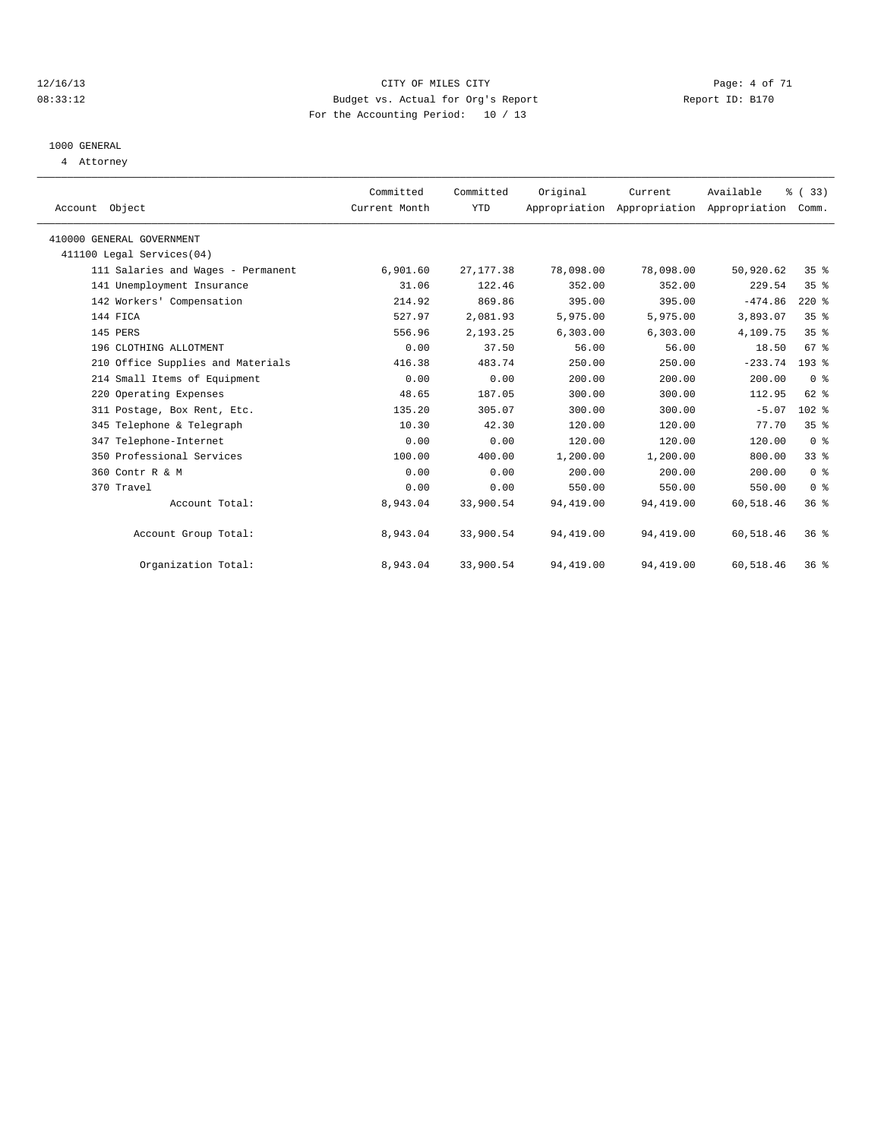#### 12/16/13 CITY OF MILES CITY Page: 4 of 71 08:33:12 Budget vs. Actual for Org's Report Changer Report ID: B170 For the Accounting Period: 10 / 13

# 1000 GENERAL

4 Attorney

| Account Object                     | Committed<br>Current Month | Committed<br>YTD | Original   | Current    | Available<br>Appropriation Appropriation Appropriation | % (33)<br>Comm. |  |
|------------------------------------|----------------------------|------------------|------------|------------|--------------------------------------------------------|-----------------|--|
|                                    |                            |                  |            |            |                                                        |                 |  |
| 410000 GENERAL GOVERNMENT          |                            |                  |            |            |                                                        |                 |  |
| 411100 Legal Services (04)         |                            |                  |            |            |                                                        |                 |  |
| 111 Salaries and Wages - Permanent | 6,901.60                   | 27, 177.38       | 78,098.00  | 78,098.00  | 50,920.62                                              | 35%             |  |
| 141 Unemployment Insurance         | 31.06                      | 122.46           | 352.00     | 352.00     | 229.54                                                 | 35%             |  |
| 142 Workers' Compensation          | 214.92                     | 869.86           | 395.00     | 395.00     | $-474.86$                                              | $220*$          |  |
| 144 FICA                           | 527.97                     | 2,081.93         | 5,975.00   | 5,975.00   | 3,893.07                                               | 35%             |  |
| 145 PERS                           | 556.96                     | 2,193.25         | 6, 303.00  | 6,303.00   | 4,109.75                                               | 35%             |  |
| 196 CLOTHING ALLOTMENT             | 0.00                       | 37.50            | 56.00      | 56.00      | 18.50                                                  | 67 <sup>8</sup> |  |
| 210 Office Supplies and Materials  | 416.38                     | 483.74           | 250.00     | 250.00     | $-233.74$                                              | $193$ $%$       |  |
| 214 Small Items of Equipment       | 0.00                       | 0.00             | 200.00     | 200.00     | 200.00                                                 | 0 <sup>8</sup>  |  |
| 220 Operating Expenses             | 48.65                      | 187.05           | 300.00     | 300.00     | 112.95                                                 | 62 %            |  |
| 311 Postage, Box Rent, Etc.        | 135.20                     | 305.07           | 300.00     | 300.00     | $-5.07$                                                | 102 %           |  |
| 345 Telephone & Telegraph          | 10.30                      | 42.30            | 120.00     | 120.00     | 77.70                                                  | 35 <sup>8</sup> |  |
| 347 Telephone-Internet             | 0.00                       | 0.00             | 120.00     | 120.00     | 120.00                                                 | 0 <sup>8</sup>  |  |
| 350 Professional Services          | 100.00                     | 400.00           | 1,200.00   | 1,200.00   | 800.00                                                 | 33%             |  |
| 360 Contr R & M                    | 0.00                       | 0.00             | 200.00     | 200.00     | 200.00                                                 | 0 <sup>8</sup>  |  |
| 370 Travel                         | 0.00                       | 0.00             | 550.00     | 550.00     | 550.00                                                 | 0 <sup>8</sup>  |  |
| Account Total:                     | 8,943.04                   | 33,900.54        | 94,419.00  | 94,419.00  | 60,518.46                                              | $36*$           |  |
| Account Group Total:               | 8,943.04                   | 33,900.54        | 94,419.00  | 94,419.00  | 60,518.46                                              | $36*$           |  |
| Organization Total:                | 8,943.04                   | 33,900.54        | 94, 419.00 | 94, 419.00 | 60,518.46                                              | 36%             |  |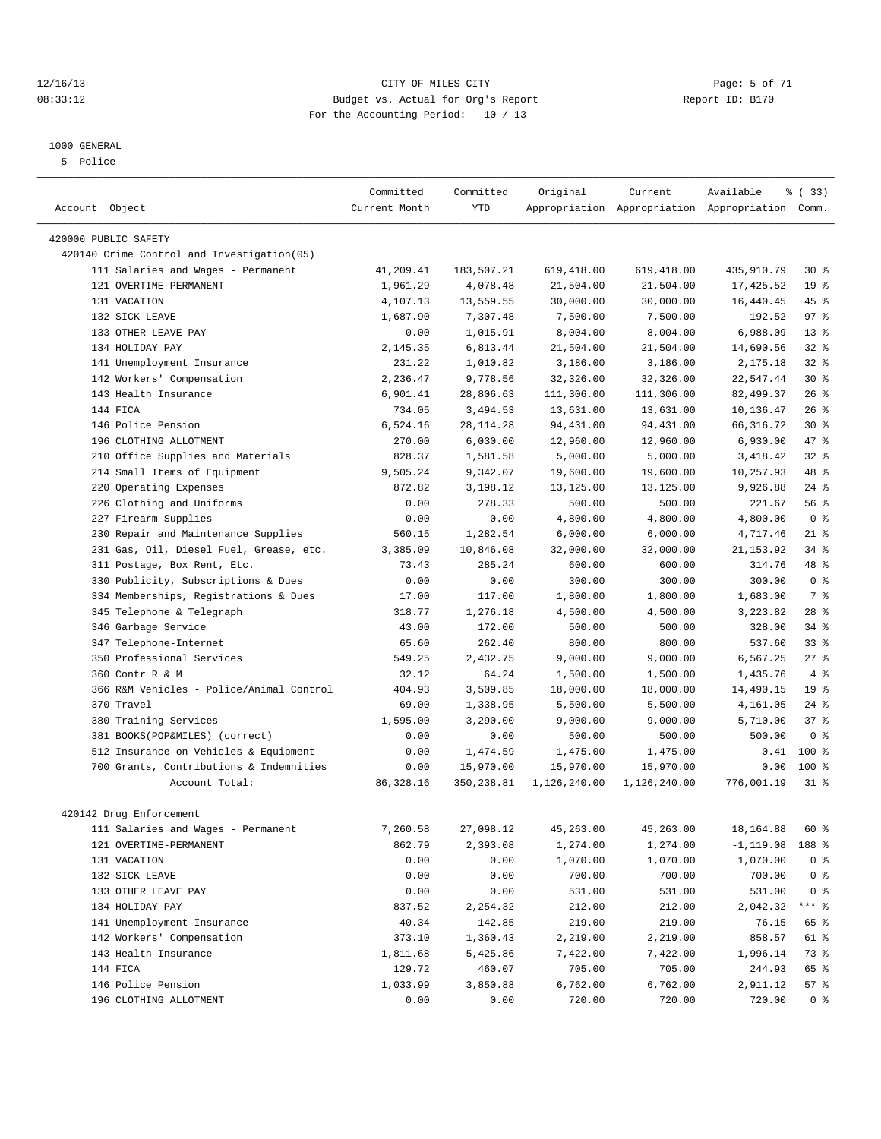#### 12/16/13 CITY OF MILES CITY Page: 5 of 71 08:33:12 Budget vs. Actual for Org's Report Changer Report ID: B170 For the Accounting Period: 10 / 13

#### 1000 GENERAL

5 Police

|                                             | Committed     | Committed   | Original             | Current      | Available                                       | % (33)          |
|---------------------------------------------|---------------|-------------|----------------------|--------------|-------------------------------------------------|-----------------|
| Account Object                              | Current Month | <b>YTD</b>  |                      |              | Appropriation Appropriation Appropriation Comm. |                 |
| 420000 PUBLIC SAFETY                        |               |             |                      |              |                                                 |                 |
| 420140 Crime Control and Investigation (05) |               |             |                      |              |                                                 |                 |
| 111 Salaries and Wages - Permanent          | 41,209.41     | 183,507.21  | 619, 418.00          | 619, 418.00  | 435,910.79                                      | $30*$           |
| 121 OVERTIME-PERMANENT                      | 1,961.29      | 4,078.48    | 21,504.00            | 21,504.00    | 17,425.52                                       | 19 <sup>°</sup> |
| 131 VACATION                                | 4,107.13      | 13,559.55   | 30,000.00            | 30,000.00    | 16,440.45                                       | 45 %            |
| 132 SICK LEAVE                              | 1,687.90      | 7,307.48    | 7,500.00             | 7,500.00     | 192.52                                          | 97 <sup>8</sup> |
| 133 OTHER LEAVE PAY                         | 0.00          | 1,015.91    | 8,004.00             | 8,004.00     | 6,988.09                                        | $13*$           |
| 134 HOLIDAY PAY                             | 2, 145, 35    | 6,813.44    | 21,504.00            | 21,504.00    | 14,690.56                                       | $32$ $%$        |
| 141 Unemployment Insurance                  | 231.22        | 1,010.82    | 3,186.00             | 3,186.00     | 2,175.18                                        | $32$ $%$        |
| 142 Workers' Compensation                   | 2,236.47      | 9,778.56    | 32,326.00            | 32,326.00    | 22,547.44                                       | $30*$           |
| 143 Health Insurance                        | 6,901.41      | 28,806.63   | 111,306.00           | 111,306.00   | 82, 499.37                                      | $26$ %          |
| 144 FICA                                    | 734.05        | 3,494.53    | 13,631.00            | 13,631.00    | 10,136.47                                       | $26$ %          |
| 146 Police Pension                          | 6,524.16      | 28, 114. 28 | 94,431.00            | 94,431.00    | 66, 316.72                                      | $30*$           |
| 196 CLOTHING ALLOTMENT                      | 270.00        | 6,030.00    | 12,960.00            | 12,960.00    | 6,930.00                                        | 47 %            |
| Office Supplies and Materials<br>210        | 828.37        | 1,581.58    | 5,000.00             | 5,000.00     | 3,418.42                                        | $32$ $%$        |
| 214 Small Items of Equipment                | 9,505.24      | 9,342.07    | 19,600.00            | 19,600.00    | 10,257.93                                       | 48 %            |
| 220 Operating Expenses                      | 872.82        | 3,198.12    | 13,125.00            | 13,125.00    | 9,926.88                                        | $24$ %          |
| 226 Clothing and Uniforms                   | 0.00          | 278.33      | 500.00               | 500.00       | 221.67                                          | 56%             |
| 227 Firearm Supplies                        | 0.00          | 0.00        | 4,800.00             | 4,800.00     | 4,800.00                                        | 0 <sup>8</sup>  |
| Repair and Maintenance Supplies<br>230      | 560.15        | 1,282.54    | 6,000.00             | 6,000.00     | 4,717.46                                        | $21$ %          |
| 231 Gas, Oil, Diesel Fuel, Grease, etc.     | 3,385.09      | 10,846.08   | 32,000.00            | 32,000.00    | 21, 153.92                                      | $34$ $%$        |
| 311 Postage, Box Rent, Etc.                 | 73.43         | 285.24      | 600.00               | 600.00       | 314.76                                          | 48 %            |
| 330 Publicity, Subscriptions & Dues         | 0.00          | 0.00        | 300.00               | 300.00       | 300.00                                          | 0 <sup>8</sup>  |
| 334 Memberships, Registrations & Dues       | 17.00         | 117.00      | 1,800.00             | 1,800.00     | 1,683.00                                        | 7 %             |
| Telephone & Telegraph<br>345                | 318.77        | 1,276.18    | 4,500.00             | 4,500.00     | 3, 223.82                                       | $28$ %          |
| 346 Garbage Service                         | 43.00         | 172.00      | 500.00               | 500.00       | 328.00                                          | $34$ $%$        |
| 347 Telephone-Internet                      | 65.60         | 262.40      | 800.00               | 800.00       | 537.60                                          | 33%             |
| 350 Professional Services                   | 549.25        | 2,432.75    | 9,000.00             | 9,000.00     | 6,567.25                                        | $27$ %          |
| 360 Contr R & M                             | 32.12         | 64.24       | 1,500.00             | 1,500.00     | 1,435.76                                        | 4%              |
| 366 R&M Vehicles - Police/Animal Control    | 404.93        | 3,509.85    | 18,000.00            | 18,000.00    | 14,490.15                                       | 19 <sup>8</sup> |
| 370 Travel                                  | 69.00         | 1,338.95    | 5,500.00             | 5,500.00     | 4,161.05                                        | $24$ %          |
| 380 Training Services                       | 1,595.00      | 3,290.00    | 9,000.00             | 9,000.00     | 5,710.00                                        | 37%             |
| 381 BOOKS(POP&MILES) (correct)              | 0.00          | 0.00        | 500.00               | 500.00       | 500.00                                          | 0 <sup>8</sup>  |
| 512 Insurance on Vehicles & Equipment       | 0.00          | 1,474.59    | 1,475.00             | 1,475.00     | 0.41                                            | 100 %           |
| 700 Grants, Contributions & Indemnities     | 0.00          | 15,970.00   | 15,970.00            | 15,970.00    | 0.00                                            | $100*$          |
| Account Total:                              | 86,328.16     | 350,238.81  | 1,126,240.00         | 1,126,240.00 | 776,001.19                                      | $31$ %          |
|                                             |               |             |                      |              |                                                 |                 |
| 420142 Drug Enforcement                     |               |             |                      |              |                                                 |                 |
| 111 Salaries and Wages - Permanent          | 7,260.58      | 27,098.12   | 45,263.00            | 45,263.00    | 18,164.88                                       | 60 %            |
| 121 OVERTIME-PERMANENT                      | 862.79        | 2,393.08    | 1,274.00             | 1,274.00     | $-1, 119.08$                                    | 188 %           |
| 131 VACATION                                | 0.00          | 0.00        | 1,070.00             | 1,070.00     | 1,070.00                                        | 0 <sup>8</sup>  |
| 132 SICK LEAVE                              | 0.00          | 0.00        | 700.00               | 700.00       | 700.00                                          | 0 <sup>8</sup>  |
| 133 OTHER LEAVE PAY                         | 0.00          | 0.00        | 531.00               | 531.00       | 531.00                                          | 0 <sup>8</sup>  |
| 134 HOLIDAY PAY                             | 837.52        | 2,254.32    | 212.00               | 212.00       | $-2,042.32$                                     | *** 응           |
| 141 Unemployment Insurance                  | 40.34         | 142.85      | 219.00               | 219.00       | 76.15                                           |                 |
| 142 Workers' Compensation                   | 373.10        | 1,360.43    |                      | 2,219.00     | 858.57                                          | 65 %<br>61 %    |
| 143 Health Insurance                        | 1,811.68      | 5,425.86    | 2,219.00<br>7,422.00 | 7,422.00     | 1,996.14                                        | 73 %            |
| 144 FICA                                    | 129.72        | 460.07      | 705.00               | 705.00       | 244.93                                          | 65 %            |
| 146 Police Pension                          | 1,033.99      | 3,850.88    | 6,762.00             | 6,762.00     | 2,911.12                                        | 57%             |
| 196 CLOTHING ALLOTMENT                      | 0.00          | 0.00        | 720.00               | 720.00       | 720.00                                          | 0 <sup>8</sup>  |
|                                             |               |             |                      |              |                                                 |                 |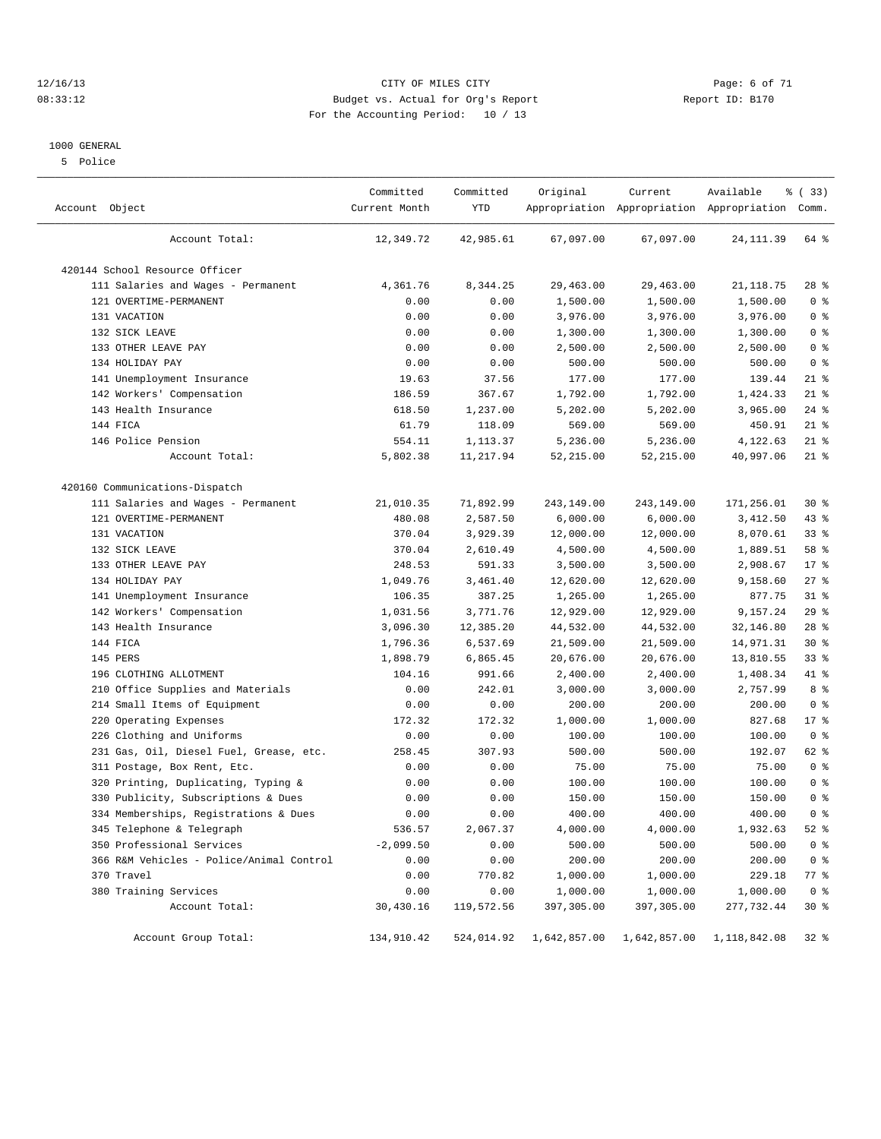#### 12/16/13 CITY OF MILES CITY Page: 6 of 71 08:33:12 Budget vs. Actual for Org's Report Changer Report ID: B170 For the Accounting Period: 10 / 13

#### 1000 GENERAL

5 Police

| Account Object                           | Committed<br>Current Month | Committed<br>YTD | Original     | Current      | Available<br>Appropriation Appropriation Appropriation Comm. | % (33)         |
|------------------------------------------|----------------------------|------------------|--------------|--------------|--------------------------------------------------------------|----------------|
| Account Total:                           | 12,349.72                  | 42,985.61        | 67,097.00    | 67,097.00    | 24, 111.39                                                   | 64 %           |
| 420144 School Resource Officer           |                            |                  |              |              |                                                              |                |
| 111 Salaries and Wages - Permanent       | 4,361.76                   | 8,344.25         | 29,463.00    | 29,463.00    | 21, 118.75                                                   | $28$ %         |
| 121 OVERTIME-PERMANENT                   | 0.00                       | 0.00             | 1,500.00     | 1,500.00     | 1,500.00                                                     | 0 <sup>8</sup> |
| 131 VACATION                             | 0.00                       | 0.00             | 3,976.00     | 3,976.00     | 3,976.00                                                     | 0 <sup>8</sup> |
| 132 SICK LEAVE                           | 0.00                       | 0.00             | 1,300.00     | 1,300.00     | 1,300.00                                                     | 0 <sup>8</sup> |
| 133 OTHER LEAVE PAY                      | 0.00                       | 0.00             | 2,500.00     | 2,500.00     | 2,500.00                                                     | 0 <sup>8</sup> |
| 134 HOLIDAY PAY                          | 0.00                       | 0.00             | 500.00       | 500.00       | 500.00                                                       | 0 <sup>8</sup> |
| 141 Unemployment Insurance               | 19.63                      | 37.56            | 177.00       | 177.00       | 139.44                                                       | $21$ %         |
| 142 Workers' Compensation                | 186.59                     | 367.67           | 1,792.00     | 1,792.00     | 1,424.33                                                     | $21$ %         |
| 143 Health Insurance                     | 618.50                     | 1,237.00         | 5,202.00     | 5,202.00     | 3,965.00                                                     | $24$ %         |
| 144 FICA                                 | 61.79                      | 118.09           | 569.00       | 569.00       | 450.91                                                       | $21$ %         |
| 146 Police Pension                       | 554.11                     | 1,113.37         | 5,236.00     | 5,236.00     | 4,122.63                                                     | $21$ %         |
| Account Total:                           | 5,802.38                   | 11,217.94        | 52,215.00    | 52, 215.00   | 40,997.06                                                    | $21$ %         |
| 420160 Communications-Dispatch           |                            |                  |              |              |                                                              |                |
| 111 Salaries and Wages - Permanent       | 21,010.35                  | 71,892.99        | 243,149.00   | 243,149.00   | 171,256.01                                                   | $30*$          |
| 121 OVERTIME-PERMANENT                   | 480.08                     | 2,587.50         | 6,000.00     | 6,000.00     | 3,412.50                                                     | 43 %           |
| 131 VACATION                             | 370.04                     | 3,929.39         | 12,000.00    | 12,000.00    | 8,070.61                                                     | 33%            |
| 132 SICK LEAVE                           | 370.04                     | 2,610.49         | 4,500.00     | 4,500.00     | 1,889.51                                                     | 58 %           |
| 133 OTHER LEAVE PAY                      | 248.53                     | 591.33           | 3,500.00     | 3,500.00     | 2,908.67                                                     | $17*$          |
| 134 HOLIDAY PAY                          | 1,049.76                   | 3,461.40         | 12,620.00    | 12,620.00    | 9,158.60                                                     | $27$ %         |
| 141 Unemployment Insurance               | 106.35                     | 387.25           | 1,265.00     | 1,265.00     | 877.75                                                       | $31$ %         |
| 142 Workers' Compensation                | 1,031.56                   | 3,771.76         | 12,929.00    | 12,929.00    | 9,157.24                                                     | 29%            |
| 143 Health Insurance                     | 3,096.30                   | 12,385.20        | 44,532.00    | 44,532.00    | 32,146.80                                                    | $28$ %         |
| 144 FICA                                 | 1,796.36                   | 6,537.69         | 21,509.00    | 21,509.00    | 14,971.31                                                    | $30*$          |
| 145 PERS                                 | 1,898.79                   | 6,865.45         | 20,676.00    | 20,676.00    | 13,810.55                                                    | 33%            |
| 196 CLOTHING ALLOTMENT                   | 104.16                     | 991.66           | 2,400.00     | 2,400.00     | 1,408.34                                                     | 41 %           |
| Office Supplies and Materials<br>210     | 0.00                       | 242.01           | 3,000.00     | 3,000.00     | 2,757.99                                                     | 8 %            |
| 214 Small Items of Equipment             | 0.00                       | 0.00             | 200.00       | 200.00       | 200.00                                                       | 0 <sup>8</sup> |
| 220 Operating Expenses                   | 172.32                     | 172.32           | 1,000.00     | 1,000.00     | 827.68                                                       | $17*$          |
| 226 Clothing and Uniforms                | 0.00                       | 0.00             | 100.00       | 100.00       | 100.00                                                       | 0 <sup>8</sup> |
| 231 Gas, Oil, Diesel Fuel, Grease, etc.  | 258.45                     | 307.93           | 500.00       | 500.00       | 192.07                                                       | 62 %           |
| 311 Postage, Box Rent, Etc.              | 0.00                       | 0.00             | 75.00        | 75.00        | 75.00                                                        | 0 <sup>8</sup> |
| 320 Printing, Duplicating, Typing &      | 0.00                       | 0.00             | 100.00       | 100.00       | 100.00                                                       | 0 <sup>8</sup> |
| 330 Publicity, Subscriptions & Dues      | 0.00                       | 0.00             | 150.00       | 150.00       | 150.00                                                       | 0 <sup>°</sup> |
| 334 Memberships, Registrations & Dues    | 0.00                       | 0.00             | 400.00       | 400.00       | 400.00                                                       | 0 <sup>8</sup> |
| 345 Telephone & Telegraph                | 536.57                     | 2,067.37         | 4,000.00     | 4,000.00     | 1,932.63                                                     | $52$ $%$       |
| 350 Professional Services                | $-2,099.50$                | 0.00             | 500.00       | 500.00       | 500.00                                                       | 0 <sup>8</sup> |
| 366 R&M Vehicles - Police/Animal Control | 0.00                       | 0.00             | 200.00       | 200.00       | 200.00                                                       | 0 <sup>8</sup> |
| 370 Travel                               | 0.00                       | 770.82           | 1,000.00     | 1,000.00     | 229.18                                                       | 77 %           |
| 380 Training Services                    | 0.00                       | 0.00             | 1,000.00     | 1,000.00     | 1,000.00                                                     | 0 <sup>8</sup> |
| Account Total:                           | 30,430.16                  | 119,572.56       | 397,305.00   | 397,305.00   | 277,732.44                                                   | $30*$          |
| Account Group Total:                     | 134,910.42                 | 524,014.92       | 1,642,857.00 | 1,642,857.00 | 1,118,842.08                                                 | 32 %           |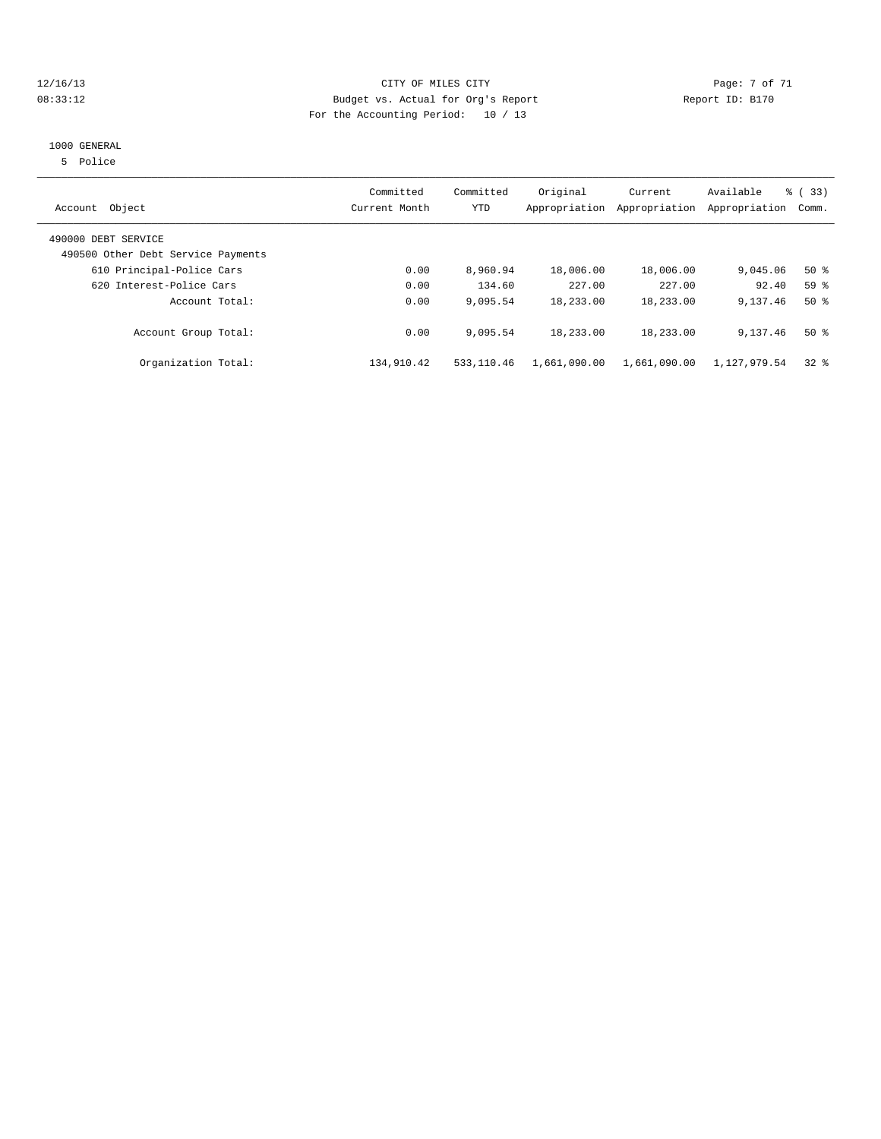#### 12/16/13 CITY OF MILES CITY Page: 7 of 71 08:33:12 Budget vs. Actual for Org's Report Changer Report ID: B170 For the Accounting Period: 10 / 13

#### 1000 GENERAL

5 Police

| Object<br>Account                                         | Committed<br>Current Month | Committed<br><b>YTD</b> | Original     | Current<br>Appropriation Appropriation | Available<br>Appropriation | % (33)<br>Comm. |
|-----------------------------------------------------------|----------------------------|-------------------------|--------------|----------------------------------------|----------------------------|-----------------|
| 490000 DEBT SERVICE<br>490500 Other Debt Service Payments |                            |                         |              |                                        |                            |                 |
| 610 Principal-Police Cars                                 | 0.00                       | 8,960.94                | 18,006.00    | 18,006.00                              | 9,045.06                   | $50*$           |
| 620 Interest-Police Cars                                  | 0.00                       | 134.60                  | 227.00       | 227.00                                 | 92.40                      | 59 <sub>8</sub> |
| Account Total:                                            | 0.00                       | 9,095.54                | 18,233.00    | 18,233.00                              | 9,137.46                   | $50*$           |
| Account Group Total:                                      | 0.00                       | 9,095.54                | 18,233.00    | 18,233.00                              | 9,137.46                   | $50*$           |
| Organization Total:                                       | 134,910.42                 | 533, 110.46             | 1,661,090.00 | 1,661,090.00                           | 1,127,979.54               | 328             |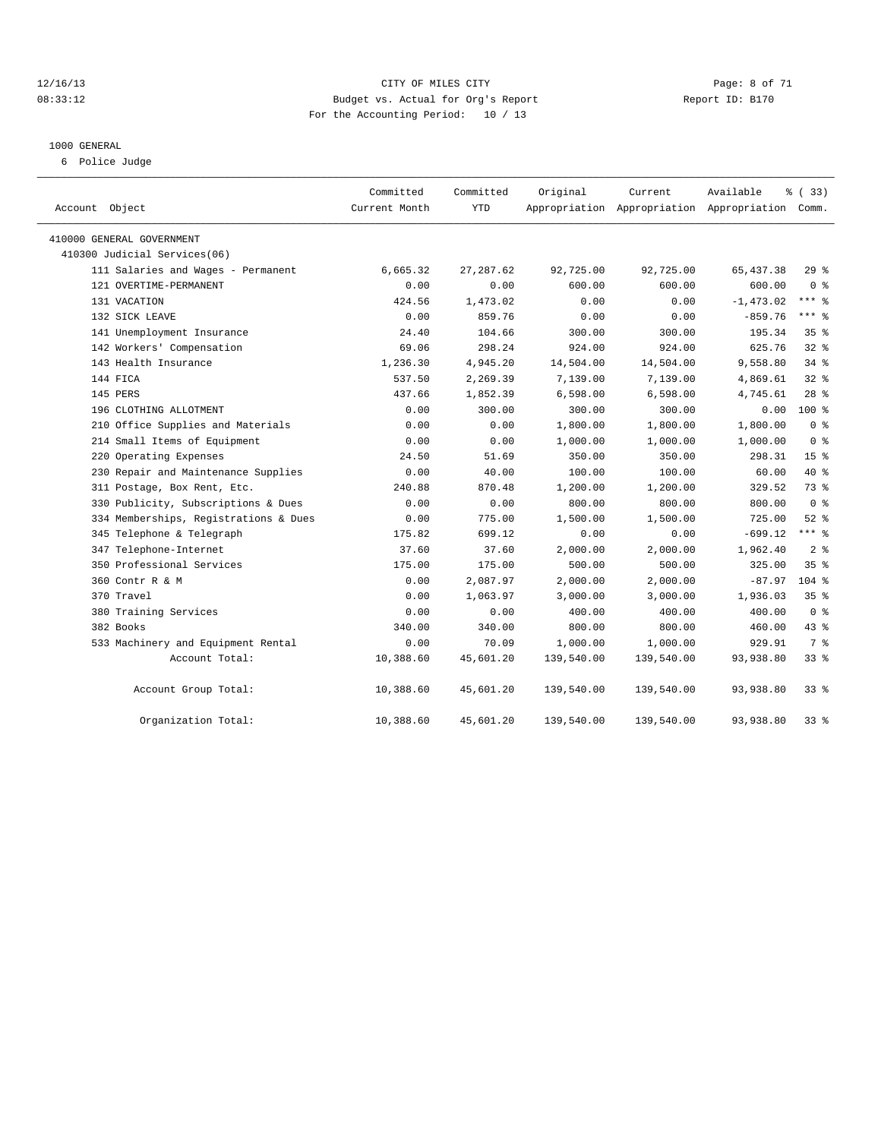#### 12/16/13 CITY OF MILES CITY Page: 8 of 71 08:33:12 Budget vs. Actual for Org's Report Changer Report ID: B170 For the Accounting Period: 10 / 13

#### 1000 GENERAL

6 Police Judge

|                                       | Committed     | Committed  | Original   | Current                                         | Available    | % (33)          |  |
|---------------------------------------|---------------|------------|------------|-------------------------------------------------|--------------|-----------------|--|
| Account Object                        | Current Month | <b>YTD</b> |            | Appropriation Appropriation Appropriation Comm. |              |                 |  |
| 410000 GENERAL GOVERNMENT             |               |            |            |                                                 |              |                 |  |
| 410300 Judicial Services(06)          |               |            |            |                                                 |              |                 |  |
| 111 Salaries and Wages - Permanent    | 6,665.32      | 27, 287.62 | 92,725.00  | 92,725.00                                       | 65, 437.38   | 29%             |  |
| 121 OVERTIME-PERMANENT                | 0.00          | 0.00       | 600.00     | 600.00                                          | 600.00       | 0 <sup>8</sup>  |  |
| 131 VACATION                          | 424.56        | 1,473.02   | 0.00       | 0.00                                            | $-1, 473.02$ | $***$ 8         |  |
| 132 SICK LEAVE                        | 0.00          | 859.76     | 0.00       | 0.00                                            | $-859.76$    | *** *           |  |
| 141 Unemployment Insurance            | 24.40         | 104.66     | 300.00     | 300.00                                          | 195.34       | 35 <sup>8</sup> |  |
| 142 Workers' Compensation             | 69.06         | 298.24     | 924.00     | 924.00                                          | 625.76       | $32$ $%$        |  |
| 143 Health Insurance                  | 1,236.30      | 4,945.20   | 14,504.00  | 14,504.00                                       | 9,558.80     | $34$ $%$        |  |
| 144 FICA                              | 537.50        | 2,269.39   | 7,139.00   | 7,139.00                                        | 4,869.61     | $32$ $%$        |  |
| 145 PERS                              | 437.66        | 1,852.39   | 6,598.00   | 6,598.00                                        | 4,745.61     | $28$ %          |  |
| 196 CLOTHING ALLOTMENT                | 0.00          | 300.00     | 300.00     | 300.00                                          | 0.00         | $100$ %         |  |
| 210 Office Supplies and Materials     | 0.00          | 0.00       | 1,800.00   | 1,800.00                                        | 1,800.00     | 0 <sup>8</sup>  |  |
| 214 Small Items of Equipment          | 0.00          | 0.00       | 1,000.00   | 1,000.00                                        | 1,000.00     | 0 <sup>8</sup>  |  |
| 220 Operating Expenses                | 24.50         | 51.69      | 350.00     | 350.00                                          | 298.31       | 15 <sup>°</sup> |  |
| 230 Repair and Maintenance Supplies   | 0.00          | 40.00      | 100.00     | 100.00                                          | 60.00        | 40 %            |  |
| 311 Postage, Box Rent, Etc.           | 240.88        | 870.48     | 1,200.00   | 1,200.00                                        | 329.52       | 73.8            |  |
| 330 Publicity, Subscriptions & Dues   | 0.00          | 0.00       | 800.00     | 800.00                                          | 800.00       | 0 <sup>8</sup>  |  |
| 334 Memberships, Registrations & Dues | 0.00          | 775.00     | 1,500.00   | 1,500.00                                        | 725.00       | $52$ $%$        |  |
| 345 Telephone & Telegraph             | 175.82        | 699.12     | 0.00       | 0.00                                            | $-699.12$    | $***$ $%$       |  |
| 347 Telephone-Internet                | 37.60         | 37.60      | 2,000.00   | 2,000.00                                        | 1,962.40     | 2 <sup>8</sup>  |  |
| 350 Professional Services             | 175.00        | 175.00     | 500.00     | 500.00                                          | 325.00       | 35 <sup>8</sup> |  |
| 360 Contr R & M                       | 0.00          | 2,087.97   | 2,000.00   | 2,000.00                                        | $-87.97$     | $104$ %         |  |
| 370 Travel                            | 0.00          | 1,063.97   | 3,000.00   | 3,000.00                                        | 1,936.03     | 35%             |  |
| 380 Training Services                 | 0.00          | 0.00       | 400.00     | 400.00                                          | 400.00       | 0 <sup>8</sup>  |  |
| 382 Books                             | 340.00        | 340.00     | 800.00     | 800.00                                          | 460.00       | $43$ $%$        |  |
| 533 Machinery and Equipment Rental    | 0.00          | 70.09      | 1,000.00   | 1,000.00                                        | 929.91       | 7 %             |  |
| Account Total:                        | 10,388.60     | 45,601.20  | 139,540.00 | 139,540.00                                      | 93,938.80    | $33*$           |  |
| Account Group Total:                  | 10,388.60     | 45,601.20  | 139,540.00 | 139,540.00                                      | 93,938.80    | $33*$           |  |
| Organization Total:                   | 10,388.60     | 45,601.20  | 139,540.00 | 139,540.00                                      | 93,938.80    | 33%             |  |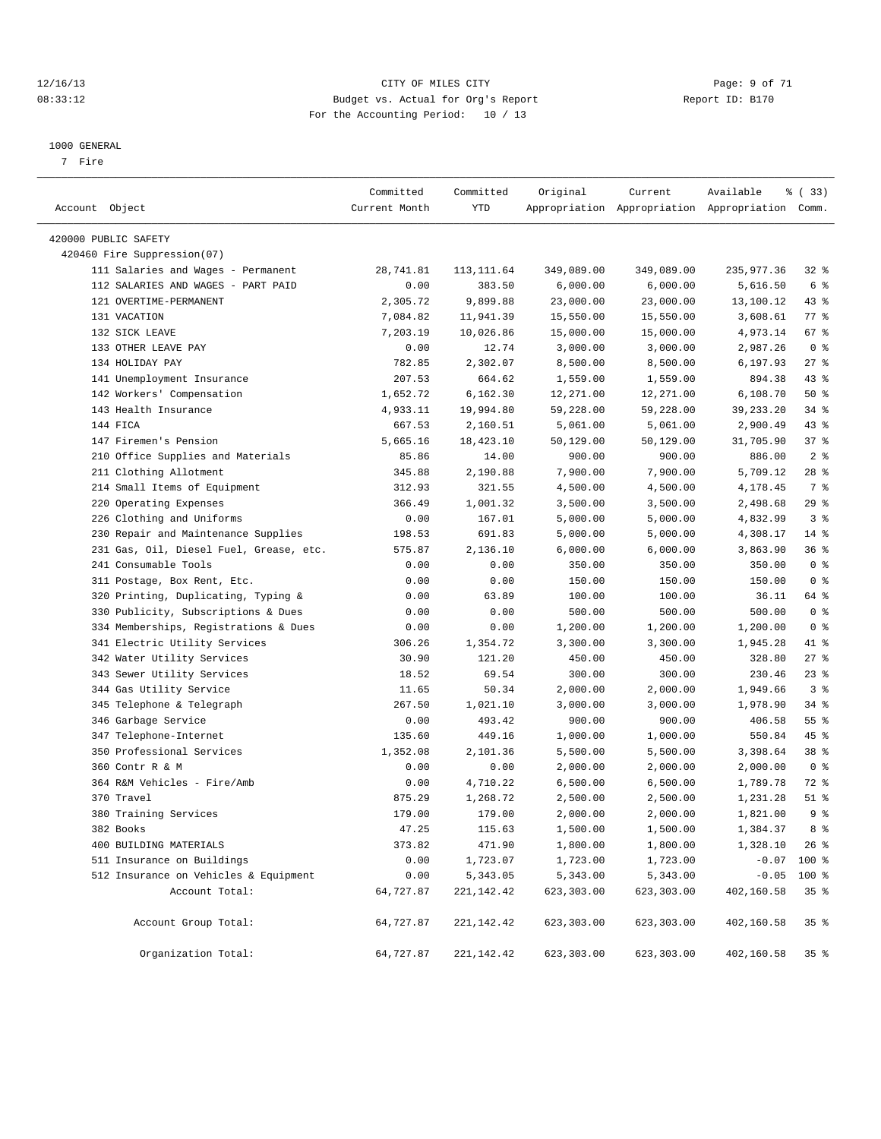#### 12/16/13 CITY OF MILES CITY Page: 9 of 71 08:33:12 Budget vs. Actual for Org's Report Changer Report ID: B170 For the Accounting Period: 10 / 13

————————————————————————————————————————————————————————————————————————————————————————————————————————————————————————————————————

#### 1000 GENERAL

7 Fire

|                                         | Committed     | Committed    | Original   | Current          | Available                                       | % (33)          |
|-----------------------------------------|---------------|--------------|------------|------------------|-------------------------------------------------|-----------------|
| Account Object                          | Current Month | YTD          |            |                  | Appropriation Appropriation Appropriation Comm. |                 |
| 420000 PUBLIC SAFETY                    |               |              |            |                  |                                                 |                 |
| 420460 Fire Suppression(07)             |               |              |            |                  |                                                 |                 |
| 111 Salaries and Wages - Permanent      | 28,741.81     | 113, 111.64  | 349,089.00 | 349,089.00       | 235,977.36                                      | $32$ $%$        |
| 112 SALARIES AND WAGES - PART PAID      | 0.00          | 383.50       | 6,000.00   | 6,000.00         | 5,616.50                                        | 6 %             |
| 121 OVERTIME-PERMANENT                  | 2,305.72      | 9,899.88     | 23,000.00  | 23,000.00        | 13,100.12                                       | $43$ %          |
| 131 VACATION                            | 7,084.82      | 11,941.39    | 15,550.00  | 15,550.00        | 3,608.61                                        | $77$ $%$        |
| 132 SICK LEAVE                          | 7,203.19      | 10,026.86    | 15,000.00  | 15,000.00        | 4,973.14                                        | 67%             |
| 133 OTHER LEAVE PAY                     | 0.00          | 12.74        | 3,000.00   | 3,000.00         | 2,987.26                                        | 0 <sup>8</sup>  |
| 134 HOLIDAY PAY                         | 782.85        | 2,302.07     | 8,500.00   | 8,500.00         | 6,197.93                                        | $27$ %          |
| 141 Unemployment Insurance              | 207.53        | 664.62       | 1,559.00   | 1,559.00         | 894.38                                          | 43 %            |
| 142 Workers' Compensation               | 1,652.72      | 6,162.30     | 12,271.00  | 12,271.00        | 6,108.70                                        | 50%             |
| 143 Health Insurance                    | 4,933.11      | 19,994.80    | 59,228.00  | 59,228.00        | 39, 233. 20                                     | $34$ $%$        |
| 144 FICA                                | 667.53        | 2,160.51     | 5,061.00   | 5,061.00         | 2,900.49                                        | $43$ %          |
| 147 Firemen's Pension                   | 5,665.16      | 18,423.10    | 50,129.00  | 50,129.00        | 31,705.90                                       | 37%             |
| 210 Office Supplies and Materials       | 85.86         | 14.00        | 900.00     | 900.00           | 886.00                                          | 2 <sup>8</sup>  |
| 211 Clothing Allotment                  | 345.88        | 2,190.88     | 7,900.00   | 7,900.00         | 5,709.12                                        | 28 %            |
| 214 Small Items of Equipment            | 312.93        | 321.55       | 4,500.00   | 4,500.00         | 4,178.45                                        | 7 %             |
| 220 Operating Expenses                  | 366.49        | 1,001.32     | 3,500.00   | 3,500.00         | 2,498.68                                        | 29%             |
| 226 Clothing and Uniforms               | 0.00          | 167.01       | 5,000.00   | 5,000.00         | 4,832.99                                        | 3%              |
| 230 Repair and Maintenance Supplies     | 198.53        | 691.83       | 5,000.00   | 5,000.00         | 4,308.17                                        | $14$ %          |
| 231 Gas, Oil, Diesel Fuel, Grease, etc. | 575.87        | 2,136.10     | 6,000.00   | 6,000.00         | 3,863.90                                        | 36%             |
| 241 Consumable Tools                    | 0.00          | 0.00         | 350.00     | 350.00           | 350.00                                          | 0 <sup>8</sup>  |
| 311 Postage, Box Rent, Etc.             | 0.00          | 0.00         | 150.00     | 150.00           | 150.00                                          | 0 <sup>8</sup>  |
| 320 Printing, Duplicating, Typing &     | 0.00          | 63.89        | 100.00     | 100.00           | 36.11                                           | 64 %            |
| 330 Publicity, Subscriptions & Dues     | 0.00          | 0.00         | 500.00     | 500.00           | 500.00                                          | 0 <sup>8</sup>  |
| 334 Memberships, Registrations & Dues   | 0.00          | 0.00         | 1,200.00   | 1,200.00         | 1,200.00                                        | 0 <sup>8</sup>  |
| 341 Electric Utility Services           | 306.26        | 1,354.72     | 3,300.00   | 3,300.00         | 1,945.28                                        | 41 %            |
| 342 Water Utility Services              | 30.90         | 121.20       | 450.00     | 450.00           | 328.80                                          | $27$ %          |
| 343 Sewer Utility Services              | 18.52         | 69.54        | 300.00     | 300.00           | 230.46                                          | $23$ $%$        |
| 344 Gas Utility Service                 | 11.65         | 50.34        | 2,000.00   | 2,000.00         | 1,949.66                                        | 3%              |
| 345 Telephone & Telegraph               | 267.50        | 1,021.10     | 3,000.00   | 3,000.00         | 1,978.90                                        | $34$ %          |
| 346 Garbage Service                     | 0.00          | 493.42       | 900.00     | 900.00           | 406.58                                          | $55$ $%$        |
| 347 Telephone-Internet                  | 135.60        | 449.16       | 1,000.00   | 1,000.00         | 550.84                                          | 45 %            |
| 350 Professional Services               | 1,352.08      | 2,101.36     | 5,500.00   | 5,500.00         | 3,398.64                                        | 38 <sup>8</sup> |
| 360 Contr R & M                         | 0.00          | 0.00         | 2,000.00   | 2,000.00         | 2,000.00                                        | 0 <sup>8</sup>  |
| 364 R&M Vehicles - Fire/Amb             | 0.00          | 4,710.22     | 6,500.00   | 6,500.00         | 1,789.78                                        | 72 %            |
| 370 Travel                              | 875.29        | 1,268.72     | 2,500.00   | 2,500.00         | 1,231.28                                        | $51$ %          |
| 380 Training Services                   | 179.00        | 179.00       | 2,000.00   | 2,000.00         | 1,821.00                                        | 9 <sub>8</sub>  |
| 382 Books                               | 47.25         | 115.63       | 1,500.00   | $1\,, 500\,.$ 00 | 1,384.37                                        | 8 %             |
| 400 BUILDING MATERIALS                  | 373.82        | 471.90       | 1,800.00   | 1,800.00         | 1,328.10                                        | $26$ %          |
| 511 Insurance on Buildings              | 0.00          | 1,723.07     | 1,723.00   | 1,723.00         | $-0.07$                                         | 100 %           |
| 512 Insurance on Vehicles & Equipment   | 0.00          | 5,343.05     | 5,343.00   | 5,343.00         | $-0.05$                                         | 100 %           |
| Account Total:                          | 64,727.87     | 221, 142. 42 | 623,303.00 | 623,303.00       | 402,160.58                                      | 35%             |
| Account Group Total:                    | 64,727.87     | 221,142.42   | 623,303.00 | 623,303.00       | 402,160.58                                      | 35%             |
| Organization Total:                     | 64,727.87     | 221, 142. 42 | 623,303.00 | 623,303.00       | 402,160.58                                      | $35*$           |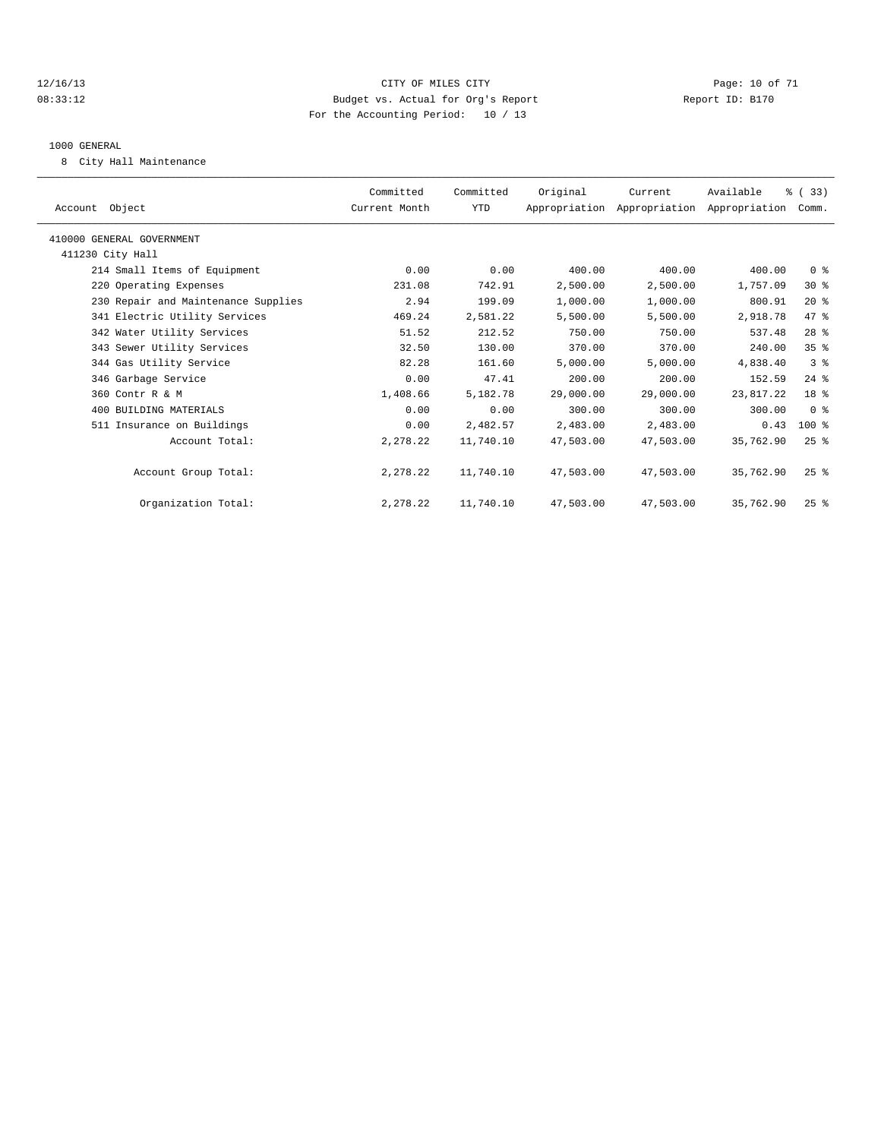#### 12/16/13 Page: 10 of 71 08:33:12 Budget vs. Actual for Org's Report Changer Report ID: B170 For the Accounting Period: 10 / 13

#### 1000 GENERAL

8 City Hall Maintenance

| Account Object                      | Committed<br>Current Month | Committed<br>YTD | Original  | Current<br>Appropriation Appropriation Appropriation Comm. | Available | % (33)             |  |
|-------------------------------------|----------------------------|------------------|-----------|------------------------------------------------------------|-----------|--------------------|--|
| 410000 GENERAL GOVERNMENT           |                            |                  |           |                                                            |           |                    |  |
| 411230 City Hall                    |                            |                  |           |                                                            |           |                    |  |
| 214 Small Items of Equipment        | 0.00                       | 0.00             | 400.00    | 400.00                                                     | 400.00    | 0 <sup>8</sup>     |  |
| 220 Operating Expenses              | 231.08                     | 742.91           | 2,500.00  | 2,500.00                                                   | 1,757.09  | $30*$              |  |
| 230 Repair and Maintenance Supplies | 2.94                       | 199.09           | 1,000.00  | 1,000.00                                                   | 800.91    | $20*$              |  |
| 341 Electric Utility Services       | 469.24                     | 2,581.22         | 5,500.00  | 5,500.00                                                   | 2,918.78  | 47.8               |  |
| 342 Water Utility Services          | 51.52                      | 212.52           | 750.00    | 750.00                                                     | 537.48    | 28 <sup>8</sup>    |  |
| 343 Sewer Utility Services          | 32.50                      | 130.00           | 370.00    | 370.00                                                     | 240.00    | 35 <sup>8</sup>    |  |
| 344 Gas Utility Service             | 82.28                      | 161.60           | 5,000.00  | 5,000.00                                                   | 4,838.40  | 3%                 |  |
| 346 Garbage Service                 | 0.00                       | 47.41            | 200.00    | 200.00                                                     | 152.59    | $24$ $%$           |  |
| 360 Contr R & M                     | 1,408.66                   | 5,182.78         | 29,000.00 | 29,000.00                                                  | 23,817.22 | 18 <sup>8</sup>    |  |
| 400 BUILDING MATERIALS              | 0.00                       | 0.00             | 300.00    | 300.00                                                     | 300.00    | 0 <sup>8</sup>     |  |
| 511 Insurance on Buildings          | 0.00                       | 2,482.57         | 2,483.00  | 2,483.00                                                   | 0.43      | $100*$             |  |
| Account Total:                      | 2,278.22                   | 11,740.10        | 47,503.00 | 47,503.00                                                  | 35,762.90 | $25$ $%$           |  |
| Account Group Total:                | 2,278.22                   | 11,740.10        | 47,503.00 | 47,503.00                                                  | 35,762.90 | $25$ $\frac{6}{3}$ |  |
| Organization Total:                 | 2,278.22                   | 11,740.10        | 47,503.00 | 47,503.00                                                  | 35,762.90 | $25$ $%$           |  |
|                                     |                            |                  |           |                                                            |           |                    |  |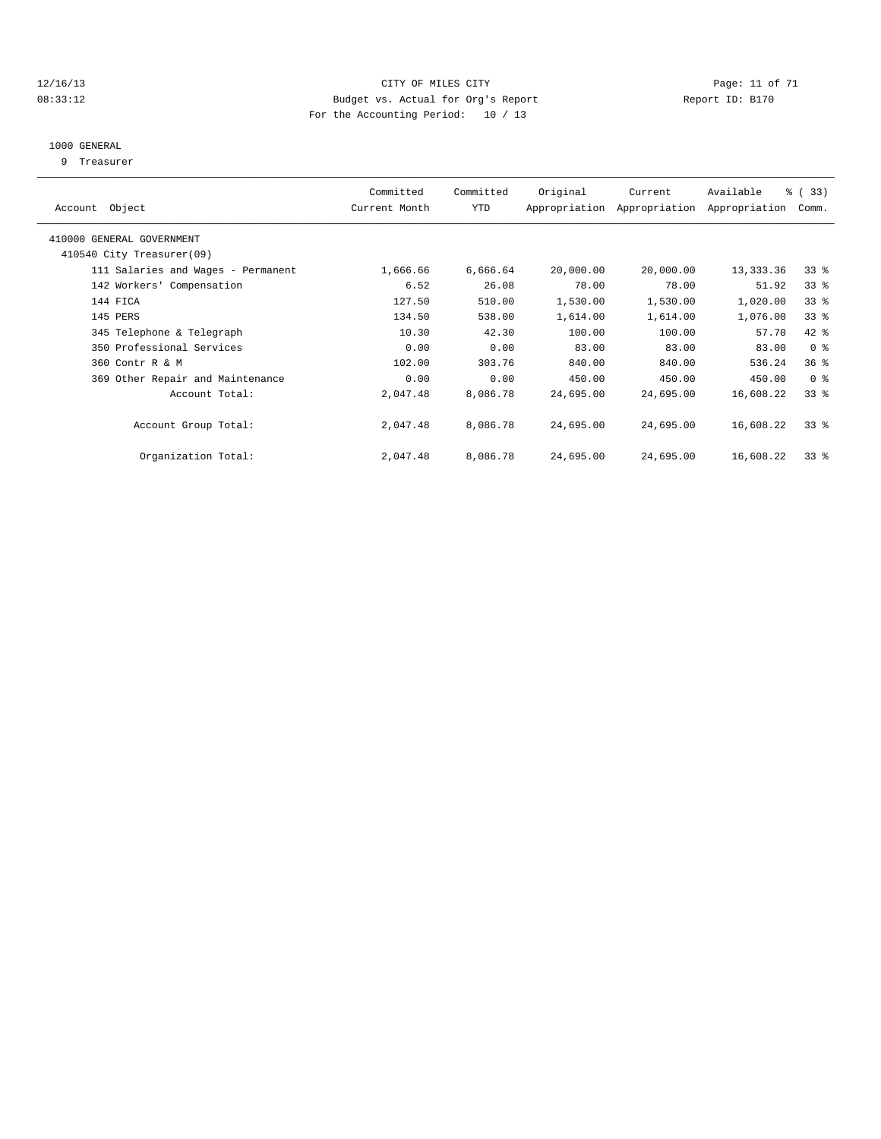#### 12/16/13 Page: 11 of 71 08:33:12 Budget vs. Actual for Org's Report Changer Report ID: B170 For the Accounting Period: 10 / 13

#### 1000 GENERAL

9 Treasurer

|                                    | Committed     | Committed | Original  | Current                     | Available     | % (33)          |
|------------------------------------|---------------|-----------|-----------|-----------------------------|---------------|-----------------|
| Account Object                     | Current Month | YTD       |           | Appropriation Appropriation | Appropriation | Comm.           |
| 410000 GENERAL GOVERNMENT          |               |           |           |                             |               |                 |
| 410540 City Treasurer(09)          |               |           |           |                             |               |                 |
| 111 Salaries and Wages - Permanent | 1,666.66      | 6,666.64  | 20,000.00 | 20,000.00                   | 13, 333.36    | $33*$           |
| 142 Workers' Compensation          | 6.52          | 26.08     | 78.00     | 78.00                       | 51.92         | 33 <sup>8</sup> |
| 144 FICA                           | 127.50        | 510.00    | 1,530.00  | 1,530.00                    | 1,020.00      | 33 <sup>8</sup> |
| 145 PERS                           | 134.50        | 538.00    | 1,614.00  | 1,614.00                    | 1,076.00      | 33 <sup>8</sup> |
| 345 Telephone & Telegraph          | 10.30         | 42.30     | 100.00    | 100.00                      | 57.70         | 42 %            |
| 350 Professional Services          | 0.00          | 0.00      | 83.00     | 83.00                       | 83.00         | 0 <sup>8</sup>  |
| 360 Contr R & M                    | 102.00        | 303.76    | 840.00    | 840.00                      | 536.24        | 36%             |
| 369 Other Repair and Maintenance   | 0.00          | 0.00      | 450.00    | 450.00                      | 450.00        | 0 <sup>8</sup>  |
| Account Total:                     | 2,047.48      | 8,086.78  | 24,695.00 | 24,695.00                   | 16,608.22     | 33 <sup>8</sup> |
| Account Group Total:               | 2,047.48      | 8,086.78  | 24,695.00 | 24,695.00                   | 16,608.22     | $33*$           |
| Organization Total:                | 2,047.48      | 8,086.78  | 24,695.00 | 24,695.00                   | 16,608.22     | 33 <sup>8</sup> |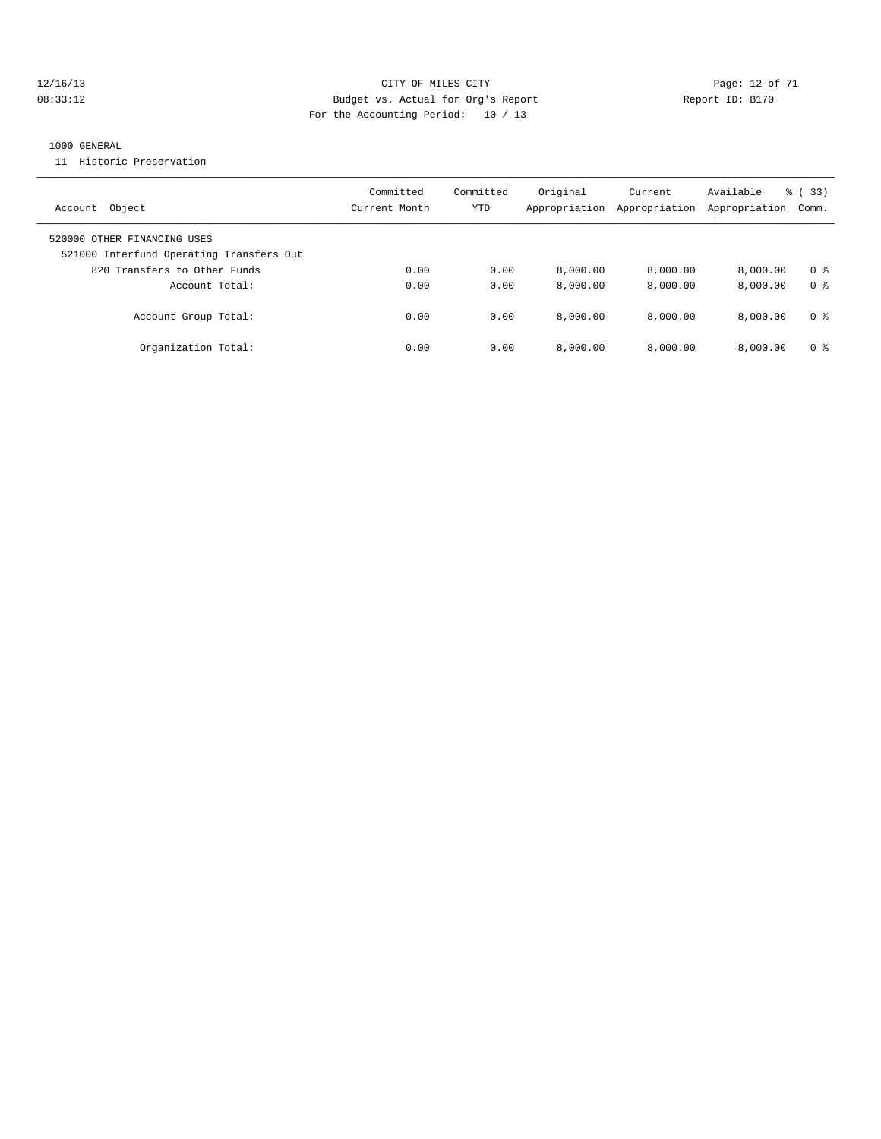#### 12/16/13 Page: 12 of 71 CITY OF MILES CITY Page: 12 of 71 08:33:12 **Budget vs. Actual for Org's Report Report ID: B170** For the Accounting Period: 10 / 13

#### 1000 GENERAL

11 Historic Preservation

| Object<br>Account                                                       | Committed<br>Current Month | Committed<br>YTD | Original<br>Appropriation | Current<br>Appropriation | Available<br>Appropriation | % (33)<br>Comm. |
|-------------------------------------------------------------------------|----------------------------|------------------|---------------------------|--------------------------|----------------------------|-----------------|
| 520000 OTHER FINANCING USES<br>521000 Interfund Operating Transfers Out |                            |                  |                           |                          |                            |                 |
| 820 Transfers to Other Funds                                            | 0.00                       | 0.00             | 8,000.00                  | 8,000.00                 | 8.000.00                   | 0 <sup>8</sup>  |
| Account Total:                                                          | 0.00                       | 0.00             | 8,000.00                  | 8,000.00                 | 8.000.00                   | 0 <sup>8</sup>  |
| Account Group Total:                                                    | 0.00                       | 0.00             | 8,000.00                  | 8.000.00                 | 8.000.00                   | 0 %             |
| Organization Total:                                                     | 0.00                       | 0.00             | 8,000.00                  | 8,000.00                 | 8.000.00                   | 0 <sup>8</sup>  |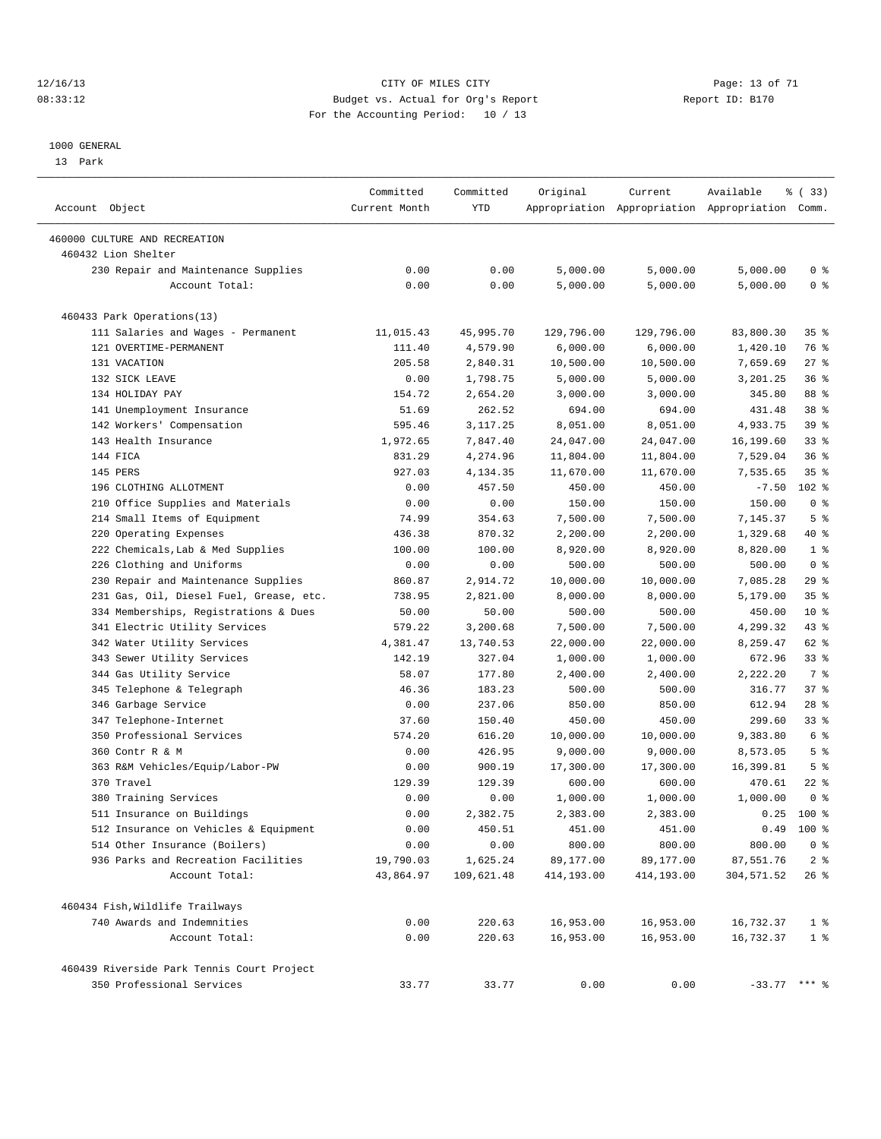#### 12/16/13 Page: 13 of 71 08:33:12 Budget vs. Actual for Org's Report Changer Report ID: B170 For the Accounting Period: 10 / 13

————————————————————————————————————————————————————————————————————————————————————————————————————————————————————————————————————

#### 1000 GENERAL

13 Park

| Account Object                             | Committed<br>Current Month | Committed<br>YTD | Original   | Current    | Available<br>Appropriation Appropriation Appropriation Comm. | १ (33)          |
|--------------------------------------------|----------------------------|------------------|------------|------------|--------------------------------------------------------------|-----------------|
| 460000 CULTURE AND RECREATION              |                            |                  |            |            |                                                              |                 |
| 460432 Lion Shelter                        |                            |                  |            |            |                                                              |                 |
| 230 Repair and Maintenance Supplies        | 0.00                       | 0.00             | 5,000.00   | 5,000.00   | 5,000.00                                                     | 0 <sup>8</sup>  |
| Account Total:                             | 0.00                       | 0.00             | 5,000.00   | 5,000.00   | 5,000.00                                                     | 0 <sup>8</sup>  |
| 460433 Park Operations(13)                 |                            |                  |            |            |                                                              |                 |
| 111 Salaries and Wages - Permanent         | 11,015.43                  | 45,995.70        | 129,796.00 | 129,796.00 | 83,800.30                                                    | 35 <sup>8</sup> |
| 121 OVERTIME-PERMANENT                     | 111.40                     | 4,579.90         | 6,000.00   | 6,000.00   | 1,420.10                                                     | 76 %            |
| 131 VACATION                               | 205.58                     | 2,840.31         | 10,500.00  | 10,500.00  | 7,659.69                                                     | $27$ %          |
| 132 SICK LEAVE                             | 0.00                       | 1,798.75         | 5,000.00   | 5,000.00   | 3,201.25                                                     | 36%             |
| 134 HOLIDAY PAY                            | 154.72                     | 2,654.20         | 3,000.00   | 3,000.00   | 345.80                                                       | 88 %            |
| 141 Unemployment Insurance                 | 51.69                      | 262.52           | 694.00     | 694.00     | 431.48                                                       | 38 %            |
| 142 Workers' Compensation                  | 595.46                     | 3,117.25         | 8,051.00   | 8,051.00   | 4,933.75                                                     | 39 %            |
| 143 Health Insurance                       | 1,972.65                   | 7,847.40         | 24,047.00  | 24,047.00  | 16,199.60                                                    | $33$ $%$        |
| 144 FICA                                   | 831.29                     | 4,274.96         | 11,804.00  | 11,804.00  | 7,529.04                                                     | 36%             |
| 145 PERS                                   | 927.03                     | 4,134.35         | 11,670.00  | 11,670.00  | 7,535.65                                                     | 35 <sup>8</sup> |
| 196 CLOTHING ALLOTMENT                     | 0.00                       | 457.50           | 450.00     | 450.00     | $-7.50$                                                      | $102$ %         |
| 210 Office Supplies and Materials          | 0.00                       | 0.00             | 150.00     | 150.00     | 150.00                                                       | 0 <sup>8</sup>  |
| 214 Small Items of Equipment               | 74.99                      | 354.63           | 7,500.00   | 7,500.00   | 7,145.37                                                     | 5 <sup>°</sup>  |
| 220 Operating Expenses                     | 436.38                     | 870.32           | 2,200.00   | 2,200.00   | 1,329.68                                                     | 40 %            |
| 222 Chemicals, Lab & Med Supplies          | 100.00                     | 100.00           | 8,920.00   | 8,920.00   | 8,820.00                                                     | 1 <sup>°</sup>  |
| 226 Clothing and Uniforms                  | 0.00                       | 0.00             | 500.00     | 500.00     | 500.00                                                       | 0 <sup>8</sup>  |
| 230 Repair and Maintenance Supplies        | 860.87                     | 2,914.72         | 10,000.00  | 10,000.00  | 7,085.28                                                     | 29%             |
| 231 Gas, Oil, Diesel Fuel, Grease, etc.    | 738.95                     | 2,821.00         | 8,000.00   | 8,000.00   | 5,179.00                                                     | 35 <sup>8</sup> |
| 334 Memberships, Registrations & Dues      | 50.00                      | 50.00            | 500.00     | 500.00     | 450.00                                                       | $10*$           |
| 341 Electric Utility Services              | 579.22                     | 3,200.68         | 7,500.00   | 7,500.00   | 4,299.32                                                     | 43 %            |
| 342 Water Utility Services                 | 4,381.47                   | 13,740.53        | 22,000.00  | 22,000.00  | 8,259.47                                                     | 62 %            |
| 343 Sewer Utility Services                 | 142.19                     | 327.04           | 1,000.00   | 1,000.00   | 672.96                                                       | $33$ $%$        |
| 344 Gas Utility Service                    | 58.07                      | 177.80           | 2,400.00   | 2,400.00   | 2,222.20                                                     | 7 %             |
| 345 Telephone & Telegraph                  | 46.36                      | 183.23           | 500.00     | 500.00     | 316.77                                                       | 37%             |
| 346 Garbage Service                        | 0.00                       | 237.06           | 850.00     | 850.00     | 612.94                                                       | $28$ %          |
| 347 Telephone-Internet                     | 37.60                      | 150.40           | 450.00     | 450.00     | 299.60                                                       | $33$ $%$        |
| 350 Professional Services                  | 574.20                     | 616.20           | 10,000.00  | 10,000.00  | 9,383.80                                                     | 6 %             |
| 360 Contr R & M                            | 0.00                       | 426.95           | 9,000.00   | 9,000.00   | 8,573.05                                                     | 5 <sup>°</sup>  |
| 363 R&M Vehicles/Equip/Labor-PW            | 0.00                       | 900.19           | 17,300.00  | 17,300.00  | 16,399.81                                                    | 5 <sup>°</sup>  |
| 370 Travel                                 | 129.39                     | 129.39           | 600.00     | 600.00     | 470.61                                                       | $22$ %          |
| 380 Training Services                      | 0.00                       | 0.00             | 1,000.00   | 1,000.00   | 1,000.00                                                     | 0 <sup>8</sup>  |
| 511 Insurance on Buildings                 | 0.00                       | 2,382.75         | 2,383.00   | 2,383.00   | 0.25                                                         | $100*$          |
| 512 Insurance on Vehicles & Equipment      | 0.00                       | 450.51           | 451.00     | 451.00     | 0.49                                                         | $100*$          |
| 514 Other Insurance (Boilers)              | 0.00                       | 0.00             | 800.00     | 800.00     | 800.00                                                       | 0 <sup>8</sup>  |
| 936 Parks and Recreation Facilities        | 19,790.03                  | 1,625.24         | 89,177.00  | 89,177.00  | 87,551.76                                                    | 2 <sup>8</sup>  |
| Account Total:                             | 43,864.97                  | 109,621.48       | 414,193.00 | 414,193.00 | 304,571.52                                                   | $26$ %          |
| 460434 Fish, Wildlife Trailways            |                            |                  |            |            |                                                              |                 |
| 740 Awards and Indemnities                 | 0.00                       | 220.63           | 16,953.00  | 16,953.00  | 16,732.37                                                    | 1 <sup>°</sup>  |
| Account Total:                             | 0.00                       | 220.63           | 16,953.00  | 16,953.00  | 16,732.37                                                    | 1 <sup>8</sup>  |
| 460439 Riverside Park Tennis Court Project |                            |                  |            |            |                                                              |                 |
| 350 Professional Services                  | 33.77                      | 33.77            | 0.00       | 0.00       | $-33.77$ *** %                                               |                 |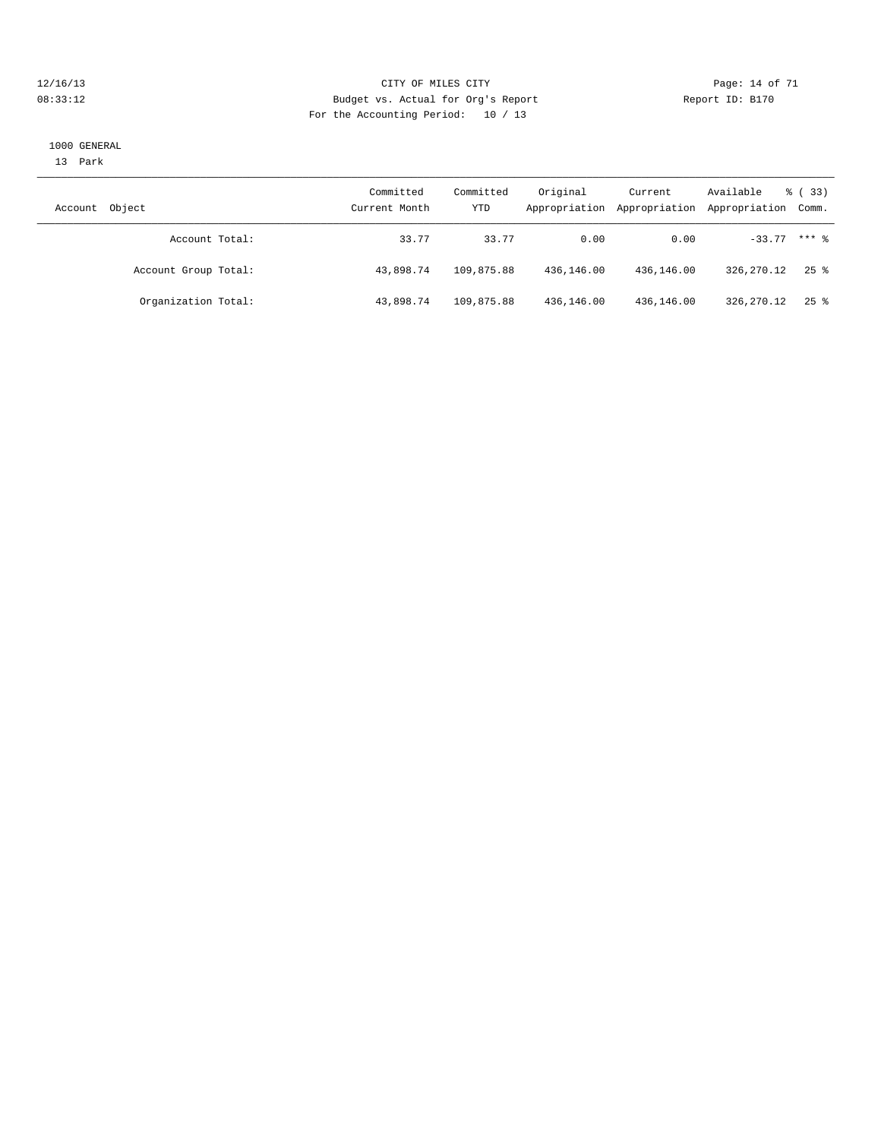#### 12/16/13 Page: 14 of 71 08:33:12 Budget vs. Actual for Org's Report Changer Report ID: B170 For the Accounting Period: 10 / 13

#### 1000 GENERAL

13 Park

| Object<br>Account    | Committed<br>Current Month | Committed<br>YTD | Original   | Current<br>Appropriation Appropriation | Available<br>Appropriation Comm. | <sub>ර</sub> ි (33) |
|----------------------|----------------------------|------------------|------------|----------------------------------------|----------------------------------|---------------------|
| Account Total:       | 33.77                      | 33.77            | 0.00       | 0.00                                   | $-33.77$ *** $%$                 |                     |
| Account Group Total: | 43,898.74                  | 109,875.88       | 436,146.00 | 436,146.00                             | 326, 270. 12                     | $25$ %              |
| Organization Total:  | 43,898.74                  | 109,875.88       | 436,146.00 | 436,146.00                             | 326,270.12                       | $25$ %              |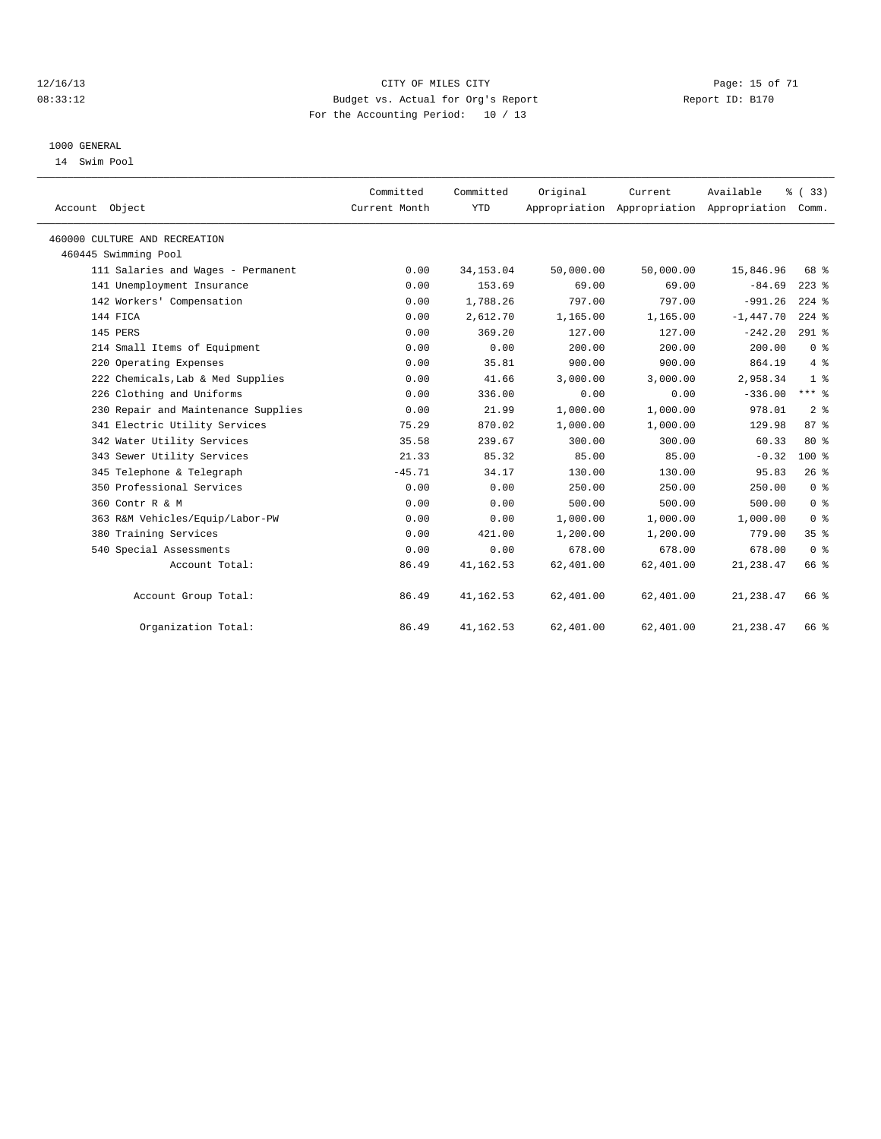#### 12/16/13 Page: 15 of 71 08:33:12 Budget vs. Actual for Org's Report Changer Report ID: B170 For the Accounting Period: 10 / 13

#### 1000 GENERAL

14 Swim Pool

| Account Object                      | Committed<br>Current Month | Committed<br><b>YTD</b> | Original  | Current   | Available<br>Appropriation Appropriation Appropriation Comm. | % (33)         |  |
|-------------------------------------|----------------------------|-------------------------|-----------|-----------|--------------------------------------------------------------|----------------|--|
| 460000 CULTURE AND RECREATION       |                            |                         |           |           |                                                              |                |  |
| 460445 Swimming Pool                |                            |                         |           |           |                                                              |                |  |
| 111 Salaries and Wages - Permanent  | 0.00                       | 34, 153.04              | 50,000.00 | 50,000.00 | 15,846.96                                                    | 68 %           |  |
| 141 Unemployment Insurance          | 0.00                       | 153.69                  | 69.00     | 69.00     | $-84.69$                                                     | $223$ %        |  |
| 142 Workers' Compensation           | 0.00                       | 1,788.26                | 797.00    | 797.00    | $-991.26$                                                    | $224$ $%$      |  |
| 144 FICA                            | 0.00                       | 2,612.70                | 1,165.00  | 1,165.00  | $-1,447.70$                                                  | $224$ $%$      |  |
| 145 PERS                            | 0.00                       | 369.20                  | 127.00    | 127.00    | $-242.20$                                                    | $291$ %        |  |
| 214 Small Items of Equipment        | 0.00                       | 0.00                    | 200.00    | 200.00    | 200.00                                                       | 0 <sup>8</sup> |  |
| 220 Operating Expenses              | 0.00                       | 35.81                   | 900.00    | 900.00    | 864.19                                                       | $4\degree$     |  |
| 222 Chemicals, Lab & Med Supplies   | 0.00                       | 41.66                   | 3.000.00  | 3,000.00  | 2,958.34                                                     | 1 <sup>8</sup> |  |
| 226 Clothing and Uniforms           | 0.00                       | 336.00                  | 0.00      | 0.00      | $-336.00$                                                    | $***$ 8        |  |
| 230 Repair and Maintenance Supplies | 0.00                       | 21.99                   | 1,000.00  | 1,000.00  | 978.01                                                       | 2 <sup>8</sup> |  |
| 341 Electric Utility Services       | 75.29                      | 870.02                  | 1,000.00  | 1,000.00  | 129.98                                                       | 87%            |  |
| 342 Water Utility Services          | 35.58                      | 239.67                  | 300.00    | 300.00    | 60.33                                                        | $80*$          |  |
| 343 Sewer Utility Services          | 21.33                      | 85.32                   | 85.00     | 85.00     | $-0.32$                                                      | $100*$         |  |
| 345 Telephone & Telegraph           | $-45.71$                   | 34.17                   | 130.00    | 130.00    | 95.83                                                        | 26%            |  |
| 350 Professional Services           | 0.00                       | 0.00                    | 250.00    | 250.00    | 250.00                                                       | 0 <sup>8</sup> |  |
| 360 Contr R & M                     | 0.00                       | 0.00                    | 500.00    | 500.00    | 500.00                                                       | 0 <sup>8</sup> |  |
| 363 R&M Vehicles/Equip/Labor-PW     | 0.00                       | 0.00                    | 1,000.00  | 1,000.00  | 1,000.00                                                     | 0 <sup>8</sup> |  |
| 380 Training Services               | 0.00                       | 421.00                  | 1,200.00  | 1,200.00  | 779.00                                                       | 35%            |  |
| 540 Special Assessments             | 0.00                       | 0.00                    | 678.00    | 678.00    | 678.00                                                       | 0 <sup>8</sup> |  |
| Account Total:                      | 86.49                      | 41, 162.53              | 62,401.00 | 62,401.00 | 21, 238.47                                                   | 66 %           |  |
| Account Group Total:                | 86.49                      | 41,162.53               | 62,401.00 | 62,401.00 | 21, 238.47                                                   | 66 %           |  |
| Organization Total:                 | 86.49                      | 41, 162.53              | 62,401.00 | 62,401.00 | 21, 238.47                                                   | 66 %           |  |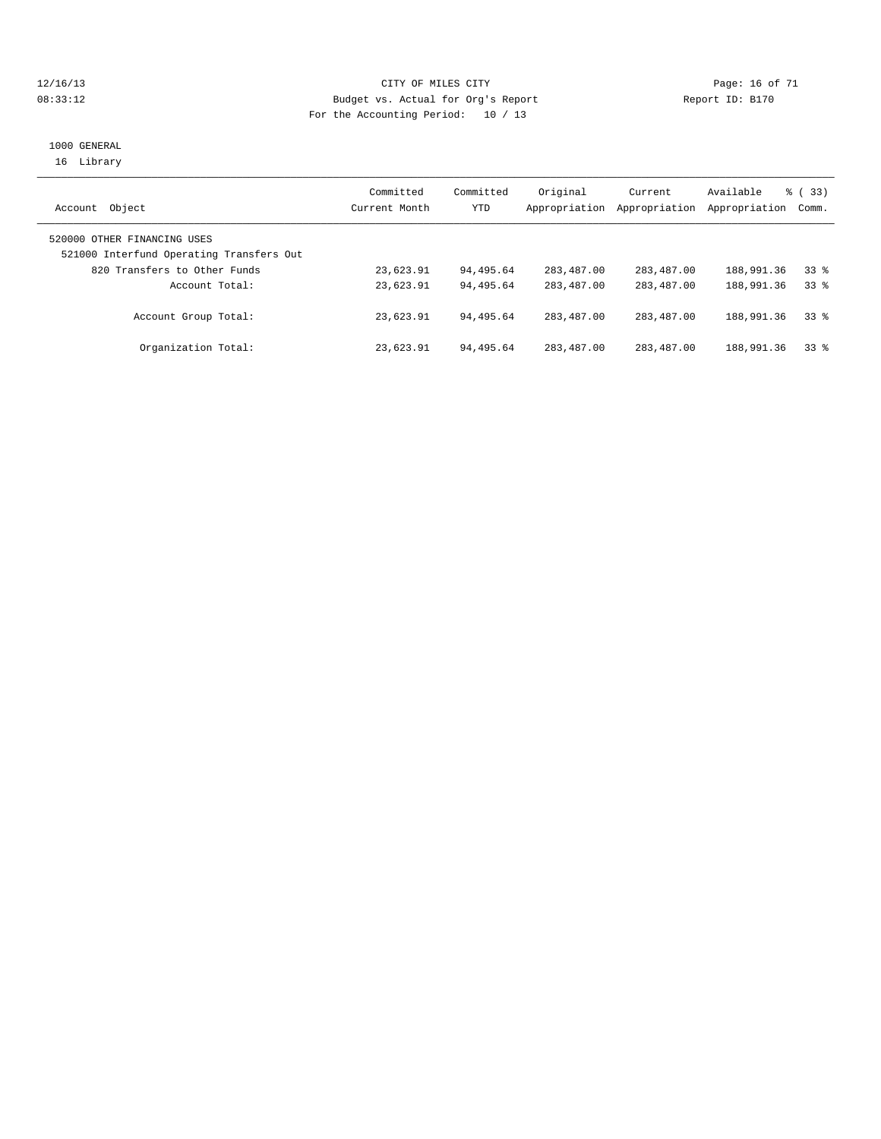#### 12/16/13 Page: 16 of 71 08:33:12 Budget vs. Actual for Org's Report Changer Report ID: B170 For the Accounting Period: 10 / 13

#### 1000 GENERAL 16 Library

| Object<br>Account                                                       | Committed<br>Current Month | Committed<br><b>YTD</b> | Original<br>Appropriation | Current<br>Appropriation | Available<br>Appropriation | % (33)<br>Comm. |
|-------------------------------------------------------------------------|----------------------------|-------------------------|---------------------------|--------------------------|----------------------------|-----------------|
| 520000 OTHER FINANCING USES<br>521000 Interfund Operating Transfers Out |                            |                         |                           |                          |                            |                 |
| 820 Transfers to Other Funds                                            | 23,623.91                  | 94,495.64               | 283,487.00                | 283,487.00               | 188,991.36                 | $33*$           |
| Account Total:                                                          | 23,623.91                  | 94,495.64               | 283, 487, 00              | 283,487.00               | 188,991.36                 | $33*$           |
| Account Group Total:                                                    | 23,623.91                  | 94,495.64               | 283,487.00                | 283, 487, 00             | 188,991.36                 | $33*$           |
| Organization Total:                                                     | 23,623.91                  | 94,495.64               | 283, 487, 00              | 283,487.00               | 188,991.36                 | $33*$           |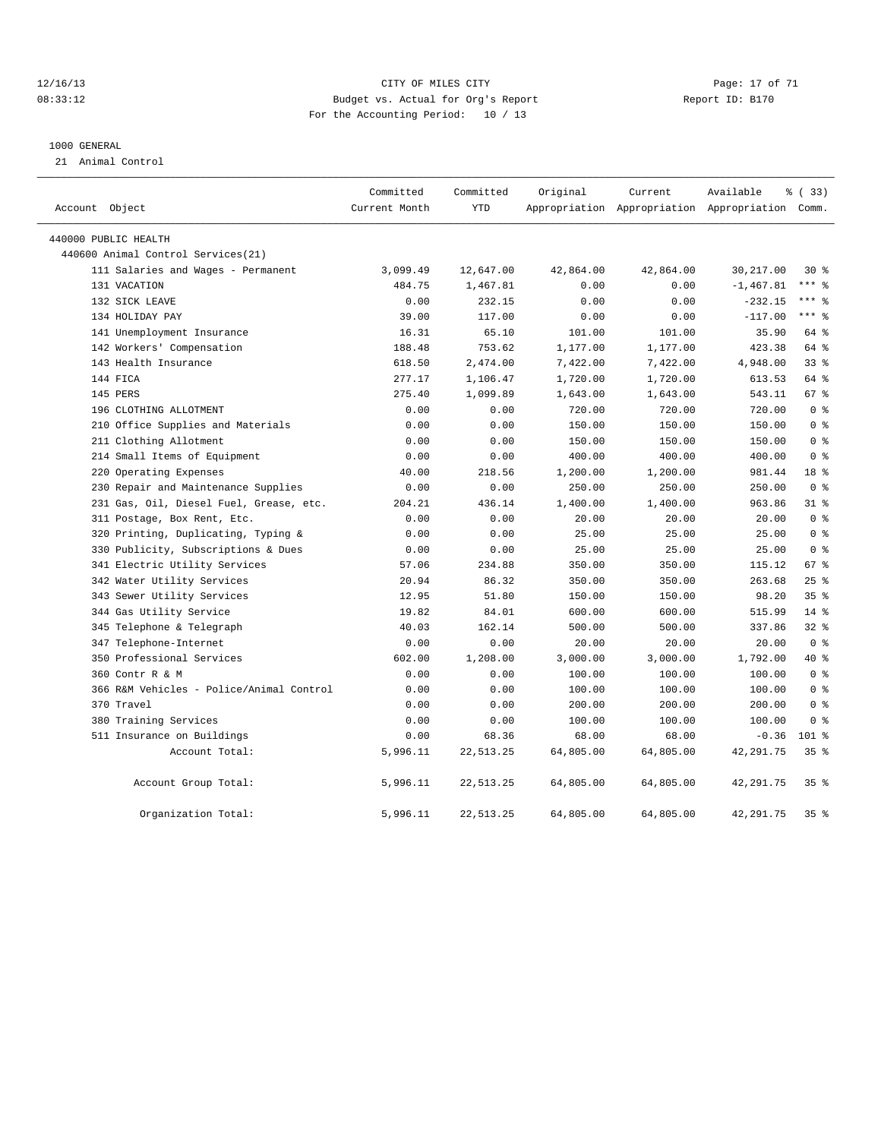#### 12/16/13 Page: 17 of 71 CHT CHE CITY CONTROLLER CITY PAGE: 17 of 71 08:33:12 Budget vs. Actual for Org's Report Report ID: B170 For the Accounting Period: 10 / 13

#### 1000 GENERAL

21 Animal Control

| Account Object                           | Committed<br>Current Month | Committed<br><b>YTD</b> | Original  | Current   | Available<br>Appropriation Appropriation Appropriation Comm. | % (33)          |
|------------------------------------------|----------------------------|-------------------------|-----------|-----------|--------------------------------------------------------------|-----------------|
|                                          |                            |                         |           |           |                                                              |                 |
| 440000 PUBLIC HEALTH                     |                            |                         |           |           |                                                              |                 |
| 440600 Animal Control Services (21)      |                            |                         |           |           |                                                              |                 |
| 111 Salaries and Wages - Permanent       | 3,099.49                   | 12,647.00               | 42,864.00 | 42,864.00 | 30,217.00                                                    | $30*$           |
| 131 VACATION                             | 484.75                     | 1,467.81                | 0.00      | 0.00      | $-1, 467.81$                                                 | *** 응           |
| 132 SICK LEAVE                           | 0.00                       | 232.15                  | 0.00      | 0.00      | $-232.15$                                                    | $***$ $%$       |
| 134 HOLIDAY PAY                          | 39.00                      | 117.00                  | 0.00      | 0.00      | $-117.00$                                                    | $***$ $-$       |
| 141 Unemployment Insurance               | 16.31                      | 65.10                   | 101.00    | 101.00    | 35.90                                                        | 64 %            |
| 142 Workers' Compensation                | 188.48                     | 753.62                  | 1,177.00  | 1,177.00  | 423.38                                                       | 64 %            |
| 143 Health Insurance                     | 618.50                     | 2,474.00                | 7,422.00  | 7,422.00  | 4,948.00                                                     | 33 <sup>8</sup> |
| 144 FICA                                 | 277.17                     | 1,106.47                | 1,720.00  | 1,720.00  | 613.53                                                       | 64 %            |
| 145 PERS                                 | 275.40                     | 1,099.89                | 1,643.00  | 1,643.00  | 543.11                                                       | 67 %            |
| 196 CLOTHING ALLOTMENT                   | 0.00                       | 0.00                    | 720.00    | 720.00    | 720.00                                                       | 0 <sup>8</sup>  |
| 210 Office Supplies and Materials        | 0.00                       | 0.00                    | 150.00    | 150.00    | 150.00                                                       | 0 <sup>8</sup>  |
| 211 Clothing Allotment                   | 0.00                       | 0.00                    | 150.00    | 150.00    | 150.00                                                       | 0 <sup>8</sup>  |
| 214 Small Items of Equipment             | 0.00                       | 0.00                    | 400.00    | 400.00    | 400.00                                                       | 0 <sup>8</sup>  |
| 220 Operating Expenses                   | 40.00                      | 218.56                  | 1,200.00  | 1,200.00  | 981.44                                                       | 18 %            |
| 230 Repair and Maintenance Supplies      | 0.00                       | 0.00                    | 250.00    | 250.00    | 250.00                                                       | 0 <sup>8</sup>  |
| 231 Gas, Oil, Diesel Fuel, Grease, etc.  | 204.21                     | 436.14                  | 1,400.00  | 1,400.00  | 963.86                                                       | $31$ %          |
| 311 Postage, Box Rent, Etc.              | 0.00                       | 0.00                    | 20.00     | 20.00     | 20.00                                                        | 0 <sup>8</sup>  |
| 320 Printing, Duplicating, Typing &      | 0.00                       | 0.00                    | 25.00     | 25.00     | 25.00                                                        | 0 <sup>8</sup>  |
| 330 Publicity, Subscriptions & Dues      | 0.00                       | 0.00                    | 25.00     | 25.00     | 25.00                                                        | 0 <sup>8</sup>  |
| 341 Electric Utility Services            | 57.06                      | 234.88                  | 350.00    | 350.00    | 115.12                                                       | 67 %            |
| 342 Water Utility Services               | 20.94                      | 86.32                   | 350.00    | 350.00    | 263.68                                                       | 25%             |
| 343 Sewer Utility Services               | 12.95                      | 51.80                   | 150.00    | 150.00    | 98.20                                                        | 35 <sup>8</sup> |
| 344 Gas Utility Service                  | 19.82                      | 84.01                   | 600.00    | 600.00    | 515.99                                                       | $14$ %          |
| 345 Telephone & Telegraph                | 40.03                      | 162.14                  | 500.00    | 500.00    | 337.86                                                       | 328             |
| 347 Telephone-Internet                   | 0.00                       | 0.00                    | 20.00     | 20.00     | 20.00                                                        | 0 <sup>8</sup>  |
| 350 Professional Services                | 602.00                     | 1,208.00                | 3,000.00  | 3,000.00  | 1,792.00                                                     | $40*$           |
| 360 Contr R & M                          | 0.00                       | 0.00                    | 100.00    | 100.00    | 100.00                                                       | 0 <sup>8</sup>  |
| 366 R&M Vehicles - Police/Animal Control | 0.00                       | 0.00                    | 100.00    | 100.00    | 100.00                                                       | 0 <sup>8</sup>  |
| 370 Travel                               | 0.00                       | 0.00                    | 200.00    | 200.00    | 200.00                                                       | 0 <sup>8</sup>  |
| 380 Training Services                    | 0.00                       | 0.00                    | 100.00    | 100.00    | 100.00                                                       | 0 <sup>8</sup>  |
| 511 Insurance on Buildings               | 0.00                       | 68.36                   | 68.00     | 68.00     | $-0.36$                                                      | $101$ %         |
| Account Total:                           | 5,996.11                   | 22, 513.25              | 64,805.00 | 64,805.00 | 42, 291.75                                                   | 35 <sup>8</sup> |
| Account Group Total:                     | 5,996.11                   | 22, 513.25              | 64,805.00 | 64,805.00 | 42, 291.75                                                   | 35 <sup>8</sup> |
| Organization Total:                      | 5,996.11                   | 22, 513.25              | 64,805.00 | 64,805.00 | 42, 291.75                                                   | 35 <sup>8</sup> |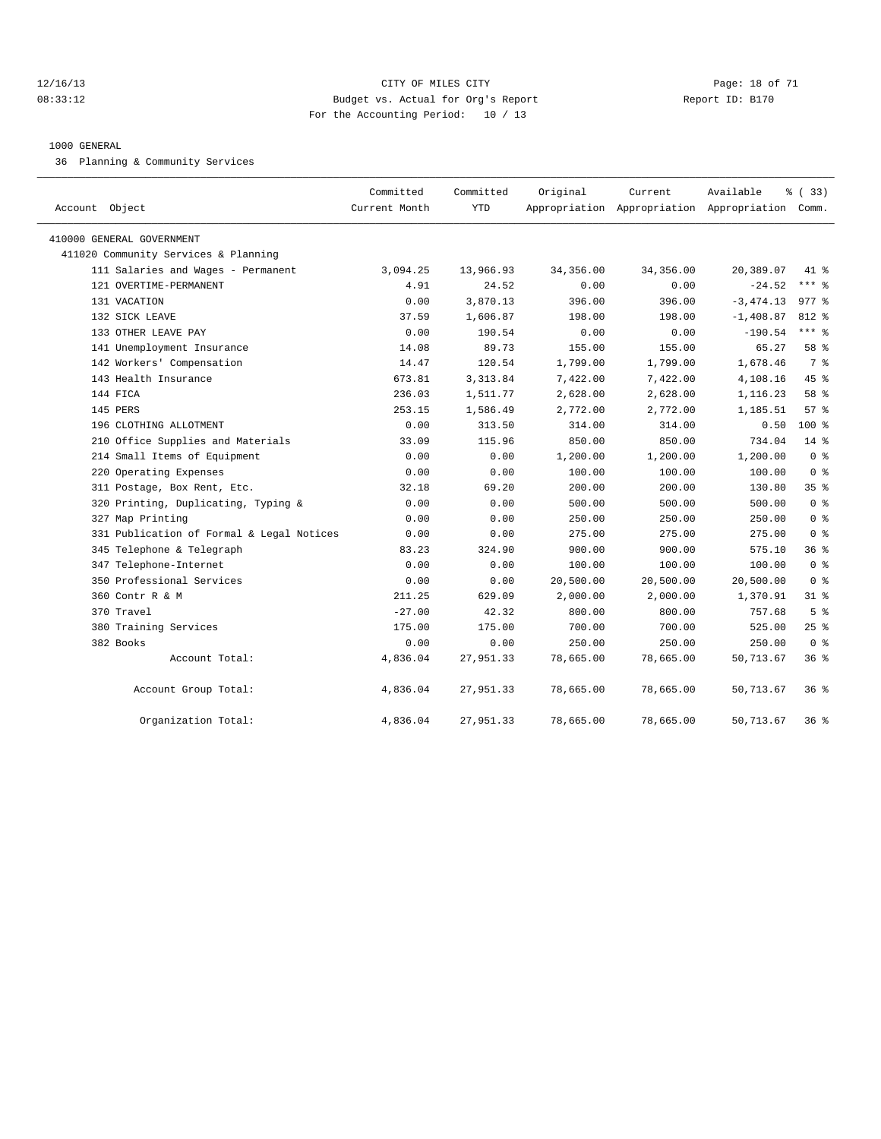#### 12/16/13 Page: 18 of 71 08:33:12 Budget vs. Actual for Org's Report Report ID: B170 For the Accounting Period: 10 / 13

#### 1000 GENERAL

36 Planning & Community Services

| Account Object                                                    | Committed<br>Current Month | Committed<br><b>YTD</b> | Original   | Current   | Available<br>Appropriation Appropriation Appropriation Comm. | % (33)          |
|-------------------------------------------------------------------|----------------------------|-------------------------|------------|-----------|--------------------------------------------------------------|-----------------|
|                                                                   |                            |                         |            |           |                                                              |                 |
| 410000 GENERAL GOVERNMENT<br>411020 Community Services & Planning |                            |                         |            |           |                                                              |                 |
| 111 Salaries and Wages - Permanent                                | 3,094.25                   | 13,966.93               | 34, 356.00 | 34,356.00 | 20,389.07                                                    | 41 %            |
| 121 OVERTIME-PERMANENT                                            | 4.91                       | 24.52                   | 0.00       | 0.00      | $-24.52$                                                     | $***$ $%$       |
| 131 VACATION                                                      | 0.00                       | 3,870.13                | 396.00     | 396.00    | $-3, 474.13$                                                 | $977$ $%$       |
| 132 SICK LEAVE                                                    | 37.59                      | 1,606.87                | 198.00     | 198.00    | $-1,408.87$                                                  | 812 %           |
| 133 OTHER LEAVE PAY                                               | 0.00                       | 190.54                  | 0.00       | 0.00      | $-190.54$                                                    | $***$ $_{8}$    |
| 141 Unemployment Insurance                                        | 14.08                      | 89.73                   | 155.00     | 155.00    | 65.27                                                        | 58 %            |
| 142 Workers' Compensation                                         | 14.47                      | 120.54                  | 1,799.00   | 1,799.00  | 1,678.46                                                     | 7 %             |
| 143 Health Insurance                                              | 673.81                     | 3, 313.84               | 7,422.00   | 7,422.00  | 4,108.16                                                     | 45%             |
| 144 FICA                                                          | 236.03                     | 1,511.77                | 2,628.00   | 2,628.00  | 1,116.23                                                     | 58 %            |
| 145 PERS                                                          | 253.15                     | 1,586.49                | 2,772.00   | 2,772.00  | 1,185.51                                                     | 57%             |
| 196 CLOTHING ALLOTMENT                                            | 0.00                       | 313.50                  | 314.00     | 314.00    | 0.50                                                         | 100 %           |
| 210 Office Supplies and Materials                                 | 33.09                      | 115.96                  | 850.00     | 850.00    | 734.04                                                       | $14*$           |
| 214 Small Items of Equipment                                      | 0.00                       | 0.00                    | 1,200.00   | 1,200.00  | 1,200.00                                                     | 0 <sup>8</sup>  |
| 220 Operating Expenses                                            | 0.00                       | 0.00                    | 100.00     | 100.00    | 100.00                                                       | 0 <sup>8</sup>  |
| 311 Postage, Box Rent, Etc.                                       | 32.18                      | 69.20                   | 200.00     | 200.00    | 130.80                                                       | 35 <sup>8</sup> |
| 320 Printing, Duplicating, Typing &                               | 0.00                       | 0.00                    | 500.00     | 500.00    | 500.00                                                       | 0 <sup>8</sup>  |
| 327 Map Printing                                                  | 0.00                       | 0.00                    | 250.00     | 250.00    | 250.00                                                       | 0 <sup>8</sup>  |
| 331 Publication of Formal & Legal Notices                         | 0.00                       | 0.00                    | 275.00     | 275.00    | 275.00                                                       | 0 <sup>8</sup>  |
| 345 Telephone & Telegraph                                         | 83.23                      | 324.90                  | 900.00     | 900.00    | 575.10                                                       | 36 <sup>8</sup> |
| 347 Telephone-Internet                                            | 0.00                       | 0.00                    | 100.00     | 100.00    | 100.00                                                       | 0 <sup>8</sup>  |
| 350 Professional Services                                         | 0.00                       | 0.00                    | 20,500.00  | 20,500.00 | 20,500.00                                                    | 0 <sup>8</sup>  |
| 360 Contr R & M                                                   | 211.25                     | 629.09                  | 2,000.00   | 2,000.00  | 1,370.91                                                     | $31$ $%$        |
| 370 Travel                                                        | $-27.00$                   | 42.32                   | 800.00     | 800.00    | 757.68                                                       | 5 <sup>°</sup>  |
| 380 Training Services                                             | 175.00                     | 175.00                  | 700.00     | 700.00    | 525.00                                                       | $25$ $%$        |
| 382 Books                                                         | 0.00                       | 0.00                    | 250.00     | 250.00    | 250.00                                                       | 0 <sup>8</sup>  |
| Account Total:                                                    | 4,836.04                   | 27,951.33               | 78,665.00  | 78,665.00 | 50,713.67                                                    | 36 %            |
| Account Group Total:                                              | 4,836.04                   | 27,951.33               | 78,665.00  | 78,665.00 | 50,713.67                                                    | 36%             |
| Organization Total:                                               | 4,836.04                   | 27,951.33               | 78,665.00  | 78,665.00 | 50,713.67                                                    | 36%             |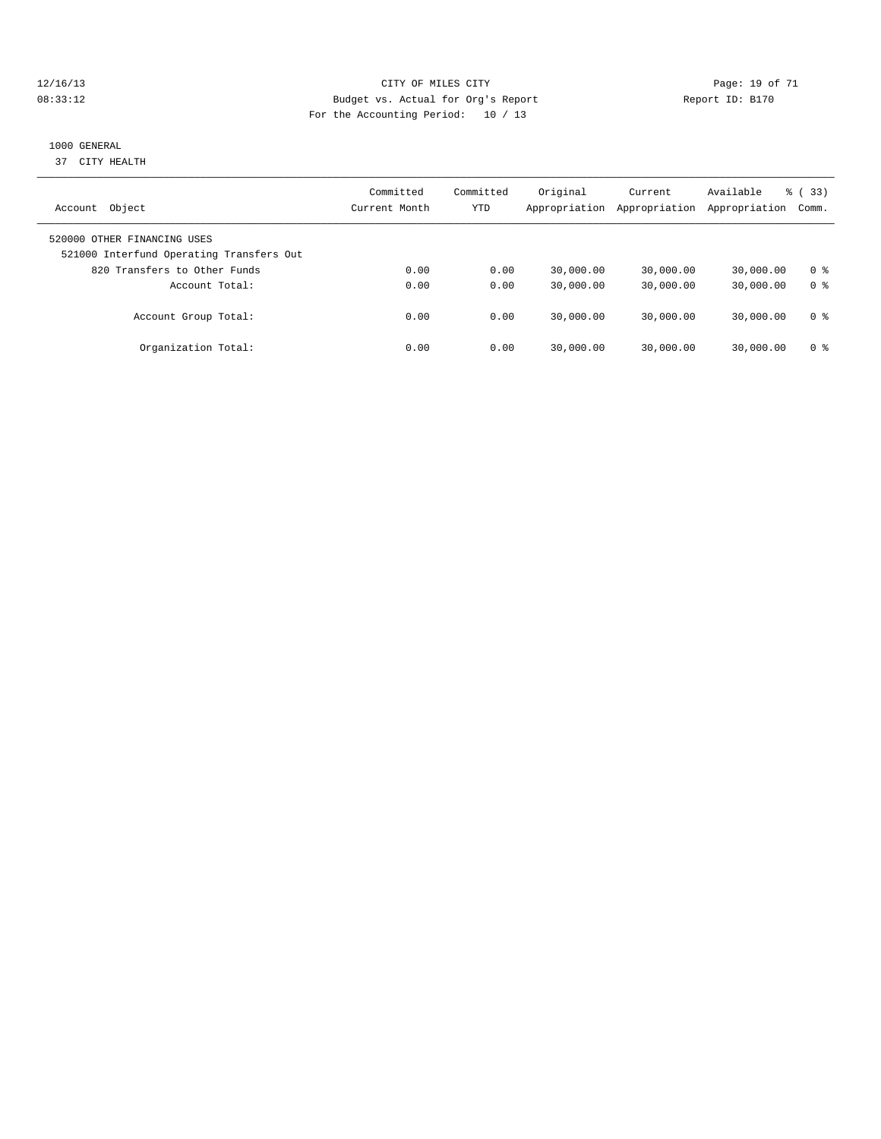#### 12/16/13 Page: 19 of 71 08:33:12 Budget vs. Actual for Org's Report Changer Report ID: B170 For the Accounting Period: 10 / 13

#### 1000 GENERAL

37 CITY HEALTH

| Object<br>Account                                                       | Committed<br>Current Month | Committed<br><b>YTD</b> | Original<br>Appropriation | Current<br>Appropriation | Available<br>Appropriation | % (33)<br>Comm.       |
|-------------------------------------------------------------------------|----------------------------|-------------------------|---------------------------|--------------------------|----------------------------|-----------------------|
| 520000 OTHER FINANCING USES<br>521000 Interfund Operating Transfers Out |                            |                         |                           |                          |                            |                       |
| 820 Transfers to Other Funds<br>Account Total:                          | 0.00<br>0.00               | 0.00<br>0.00            | 30,000.00<br>30,000.00    | 30,000.00<br>30,000.00   | 30,000.00<br>30,000.00     | 0 ક<br>0 <sup>8</sup> |
| Account Group Total:                                                    | 0.00                       | 0.00                    | 30,000.00                 | 30,000.00                | 30,000.00                  | 0 ક                   |
| Organization Total:                                                     | 0.00                       | 0.00                    | 30,000.00                 | 30,000.00                | 30,000.00                  | 0 ક                   |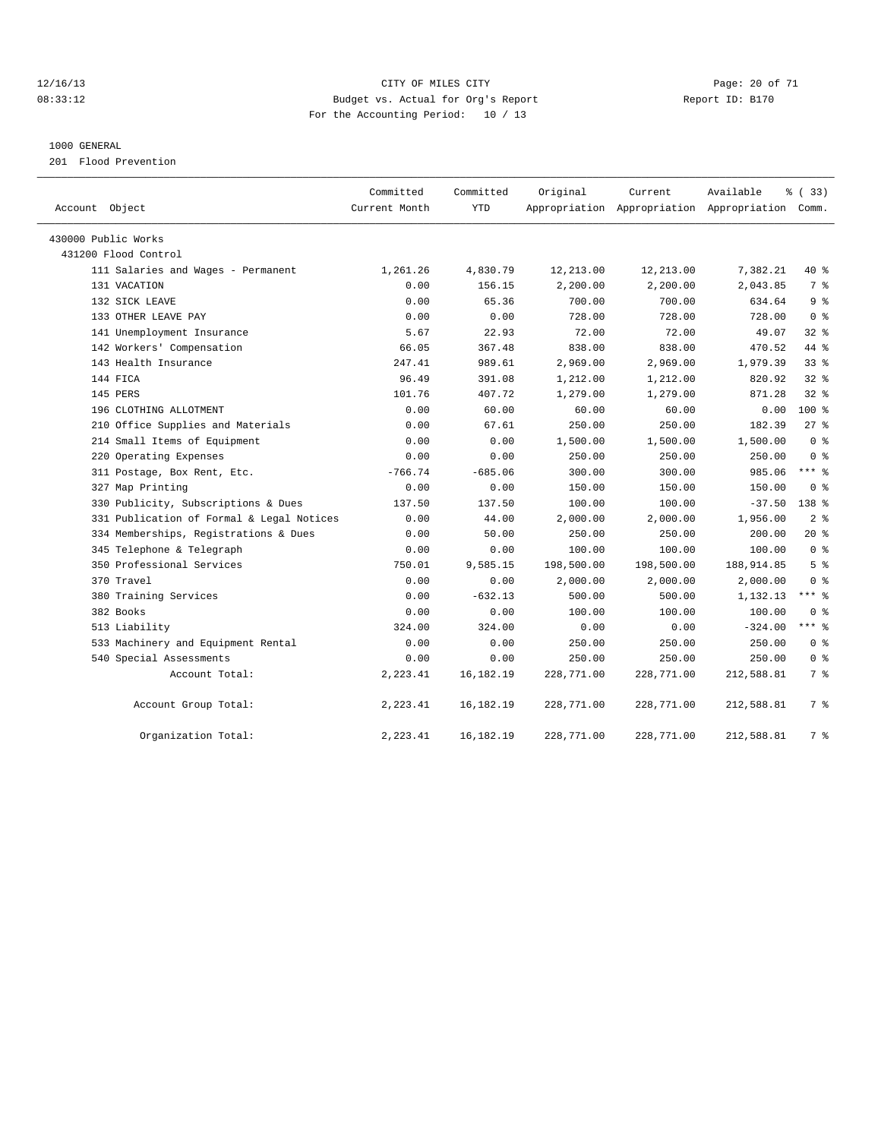#### 12/16/13 Page: 20 of 71 08:33:12 Budget vs. Actual for Org's Report Changer Report ID: B170 For the Accounting Period: 10 / 13

#### 1000 GENERAL

201 Flood Prevention

| Account Object                            | Committed<br>Current Month | Committed<br><b>YTD</b> | Original   | Current    | Available<br>Appropriation Appropriation Appropriation Comm. | % (33)          |
|-------------------------------------------|----------------------------|-------------------------|------------|------------|--------------------------------------------------------------|-----------------|
| 430000 Public Works                       |                            |                         |            |            |                                                              |                 |
| 431200 Flood Control                      |                            |                         |            |            |                                                              |                 |
| 111 Salaries and Wages - Permanent        | 1,261.26                   | 4,830.79                | 12,213.00  | 12,213.00  | 7,382.21                                                     | 40 %            |
| 131 VACATION                              | 0.00                       | 156.15                  | 2,200.00   | 2,200.00   | 2,043.85                                                     | 7 <sup>°</sup>  |
| 132 SICK LEAVE                            | 0.00                       | 65.36                   | 700.00     | 700.00     | 634.64                                                       | 9 <sup>8</sup>  |
| 133 OTHER LEAVE PAY                       | 0.00                       | 0.00                    | 728.00     | 728.00     | 728.00                                                       | 0 <sup>8</sup>  |
| 141 Unemployment Insurance                | 5.67                       | 22.93                   | 72.00      | 72.00      | 49.07                                                        | $32*$           |
| 142 Workers' Compensation                 | 66.05                      | 367.48                  | 838.00     | 838.00     | 470.52                                                       | 44 %            |
| 143 Health Insurance                      | 247.41                     | 989.61                  | 2,969.00   | 2,969.00   | 1,979.39                                                     | 33 <sup>8</sup> |
| 144 FICA                                  | 96.49                      | 391.08                  | 1,212.00   | 1,212.00   | 820.92                                                       | $32$ $%$        |
| 145 PERS                                  | 101.76                     | 407.72                  | 1,279.00   | 1,279.00   | 871.28                                                       | $32$ $%$        |
| 196 CLOTHING ALLOTMENT                    | 0.00                       | 60.00                   | 60.00      | 60.00      | 0.00                                                         | $100*$          |
| 210 Office Supplies and Materials         | 0.00                       | 67.61                   | 250.00     | 250.00     | 182.39                                                       | 27%             |
| 214 Small Items of Equipment              | 0.00                       | 0.00                    | 1,500.00   | 1,500.00   | 1,500.00                                                     | 0 <sup>8</sup>  |
| 220 Operating Expenses                    | 0.00                       | 0.00                    | 250.00     | 250.00     | 250.00                                                       | 0 <sup>8</sup>  |
| 311 Postage, Box Rent, Etc.               | $-766.74$                  | $-685.06$               | 300.00     | 300.00     | 985.06                                                       | $***$ $%$       |
| 327 Map Printing                          | 0.00                       | 0.00                    | 150.00     | 150.00     | 150.00                                                       | 0 <sup>8</sup>  |
| 330 Publicity, Subscriptions & Dues       | 137.50                     | 137.50                  | 100.00     | 100.00     | $-37.50$                                                     | 138 %           |
| 331 Publication of Formal & Legal Notices | 0.00                       | 44.00                   | 2,000.00   | 2,000.00   | 1,956.00                                                     | 2 <sup>8</sup>  |
| 334 Memberships, Registrations & Dues     | 0.00                       | 50.00                   | 250.00     | 250.00     | 200.00                                                       | $20*$           |
| 345 Telephone & Telegraph                 | 0.00                       | 0.00                    | 100.00     | 100.00     | 100.00                                                       | 0 <sup>8</sup>  |
| 350 Professional Services                 | 750.01                     | 9,585.15                | 198,500.00 | 198,500.00 | 188, 914.85                                                  | 5 <sup>8</sup>  |
| 370 Travel                                | 0.00                       | 0.00                    | 2,000.00   | 2,000.00   | 2,000.00                                                     | 0 <sup>8</sup>  |
| 380 Training Services                     | 0.00                       | $-632.13$               | 500.00     | 500.00     | 1,132.13                                                     | $***$ $=$       |
| 382 Books                                 | 0.00                       | 0.00                    | 100.00     | 100.00     | 100.00                                                       | 0 <sup>8</sup>  |
| 513 Liability                             | 324.00                     | 324.00                  | 0.00       | 0.00       | $-324.00$                                                    | $***$ $=$       |
| 533 Machinery and Equipment Rental        | 0.00                       | 0.00                    | 250.00     | 250.00     | 250.00                                                       | 0 <sup>8</sup>  |
| 540 Special Assessments                   | 0.00                       | 0.00                    | 250.00     | 250.00     | 250.00                                                       | 0 <sup>8</sup>  |
| Account Total:                            | 2,223.41                   | 16,182.19               | 228,771.00 | 228,771.00 | 212,588.81                                                   | 7 %             |
| Account Group Total:                      | 2,223.41                   | 16, 182. 19             | 228,771.00 | 228,771.00 | 212,588.81                                                   | 7 %             |
| Organization Total:                       | 2,223.41                   | 16,182.19               | 228,771.00 | 228,771.00 | 212,588.81                                                   | 7 %             |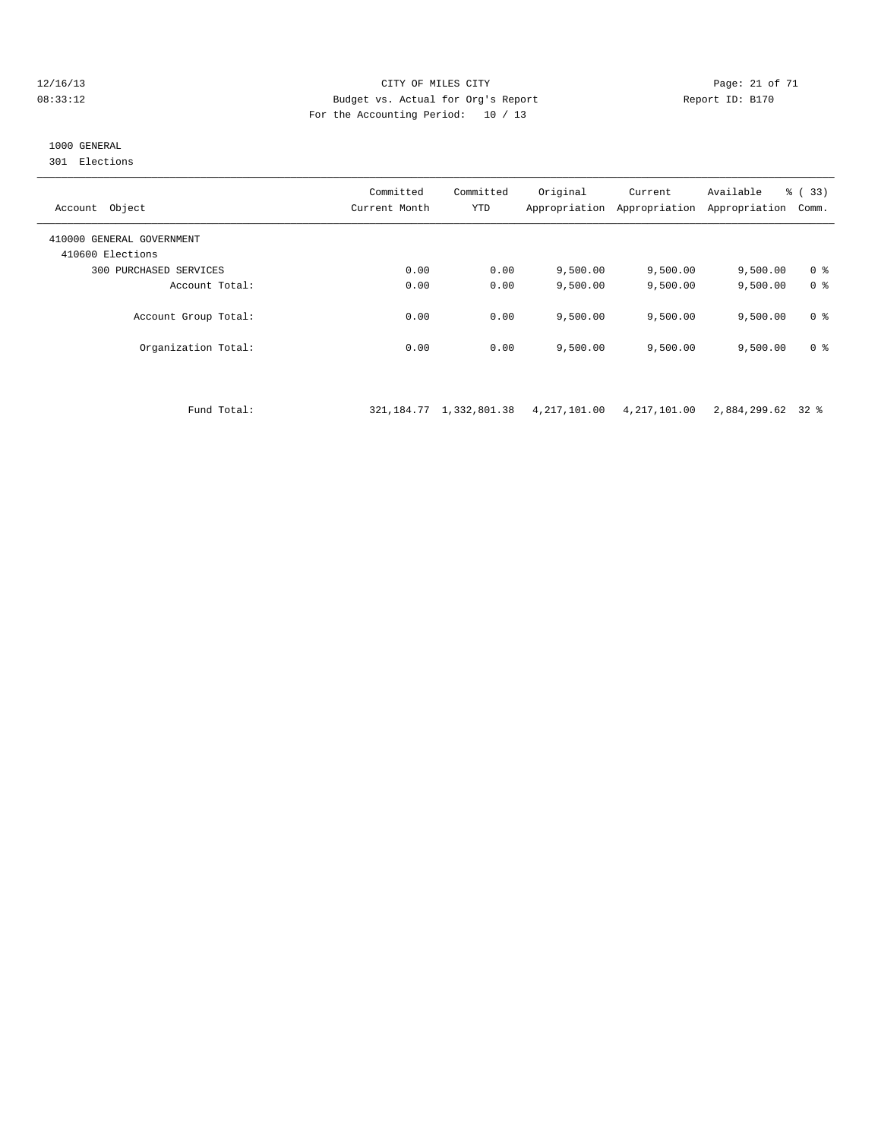#### 12/16/13 Page: 21 of 71 CITY OF MILES CITY CHANGES CONTROLLED PAGE: 21 of 71 08:33:12 Budget vs. Actual for Org's Report Report ID: B170 For the Accounting Period: 10 / 13

## 1000 GENERAL

301 Elections

| Object<br>Account                             | Committed<br>Current Month | Committed<br><b>YTD</b> | Original<br>Appropriation | Current<br>Appropriation | Available<br>Appropriation | % (33)<br>Comm. |
|-----------------------------------------------|----------------------------|-------------------------|---------------------------|--------------------------|----------------------------|-----------------|
| 410000 GENERAL GOVERNMENT<br>410600 Elections |                            |                         |                           |                          |                            |                 |
| 300 PURCHASED SERVICES                        | 0.00                       | 0.00                    | 9.500.00                  | 9,500.00                 | 9,500.00                   | 0 ક             |
| Account Total:                                | 0.00                       | 0.00                    | 9.500.00                  | 9.500.00                 | 9,500.00                   | 0 <sup>8</sup>  |
| Account Group Total:                          | 0.00                       | 0.00                    | 9.500.00                  | 9.500.00                 | 9,500.00                   | 0 <sup>8</sup>  |
| Organization Total:                           | 0.00                       | 0.00                    | 9.500.00                  | 9,500.00                 | 9,500.00                   | 0 <sup>8</sup>  |

Fund Total: 321,184.77 1,332,801.38 4,217,101.00 4,217,101.00 2,884,299.62 32 %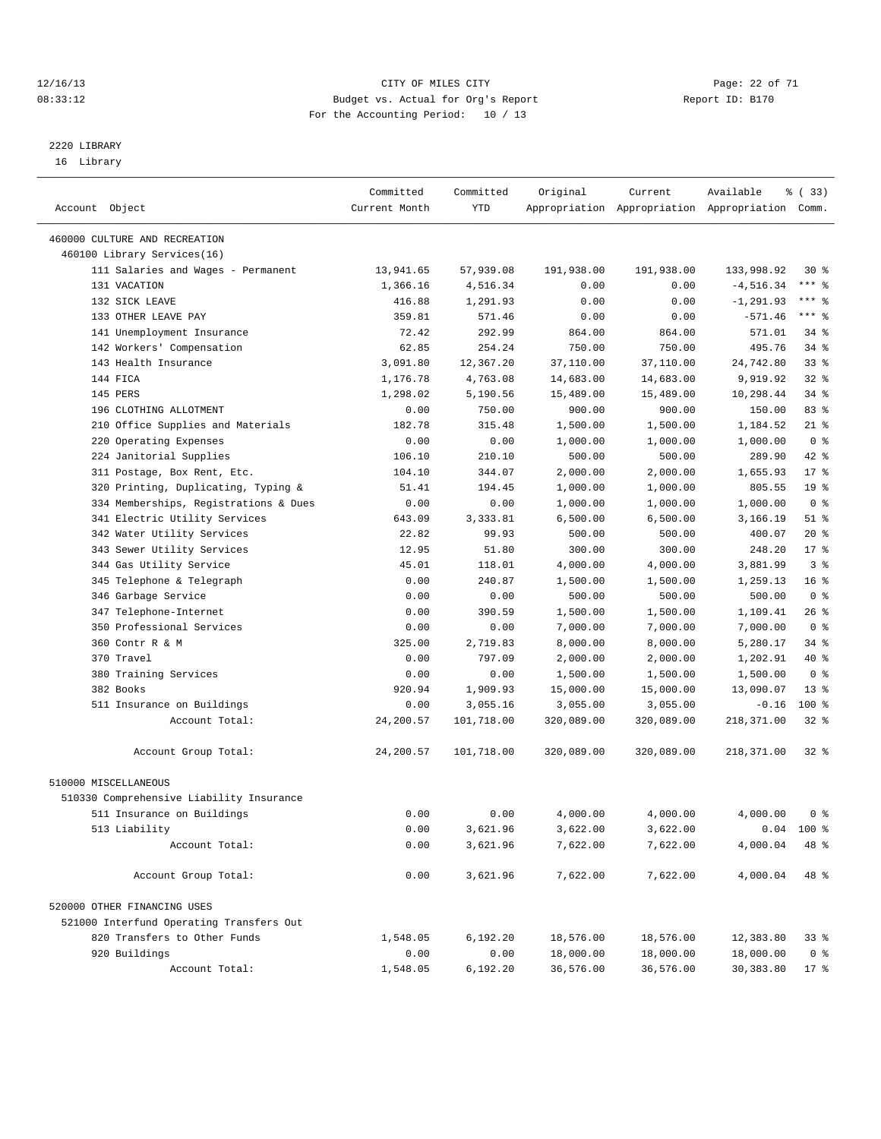#### 12/16/13 Page: 22 of 71 08:33:12 Budget vs. Actual for Org's Report Changer Report ID: B170 For the Accounting Period: 10 / 13

————————————————————————————————————————————————————————————————————————————————————————————————————————————————————————————————————

# 2220 LIBRARY

16 Library

|                                                   | Committed            | Committed             | Original         | Current        | Available                                       | <sub>है</sub> (33) |
|---------------------------------------------------|----------------------|-----------------------|------------------|----------------|-------------------------------------------------|--------------------|
| Account Object                                    | Current Month        | YTD                   |                  |                | Appropriation Appropriation Appropriation Comm. |                    |
| 460000 CULTURE AND RECREATION                     |                      |                       |                  |                |                                                 |                    |
| 460100 Library Services(16)                       |                      |                       |                  |                |                                                 |                    |
| 111 Salaries and Wages - Permanent                |                      |                       | 191,938.00       | 191,938.00     |                                                 | $30*$              |
| 131 VACATION                                      | 13,941.65            | 57,939.08             |                  |                | 133,998.92                                      | $***$ $-$          |
| 132 SICK LEAVE                                    | 1,366.16             | 4,516.34              | 0.00<br>0.00     | 0.00           | $-4,516.34$                                     | $***$ $-$          |
|                                                   | 416.88               | 1,291.93              |                  | 0.00           | $-1, 291.93$                                    | *** 응              |
| 133 OTHER LEAVE PAY<br>141 Unemployment Insurance | 359.81<br>72.42      | 571.46<br>292.99      | 0.00             | 0.00<br>864.00 | $-571.46$<br>571.01                             | 34 %               |
| 142 Workers' Compensation                         |                      |                       | 864.00<br>750.00 |                |                                                 | 34 %               |
| 143 Health Insurance                              | 62.85                | 254.24                |                  | 750.00         | 495.76                                          | $33$ $%$           |
| 144 FICA                                          | 3,091.80<br>1,176.78 | 12,367.20<br>4,763.08 | 37,110.00        | 37,110.00      | 24,742.80                                       | $32$ $%$           |
| 145 PERS                                          |                      |                       | 14,683.00        | 14,683.00      | 9,919.92                                        |                    |
| 196 CLOTHING ALLOTMENT                            | 1,298.02             | 5,190.56              | 15,489.00        | 15,489.00      | 10,298.44<br>150.00                             | $34$ $%$<br>83%    |
|                                                   | 0.00                 | 750.00                | 900.00           | 900.00         |                                                 |                    |
| 210 Office Supplies and Materials                 | 182.78               | 315.48                | 1,500.00         | 1,500.00       | 1,184.52                                        | $21$ %             |
| 220 Operating Expenses                            | 0.00                 | 0.00                  | 1,000.00         | 1,000.00       | 1,000.00                                        | 0 <sup>8</sup>     |
| 224 Janitorial Supplies                           | 106.10               | 210.10                | 500.00           | 500.00         | 289.90                                          | 42 %               |
| 311 Postage, Box Rent, Etc.                       | 104.10               | 344.07                | 2,000.00         | 2,000.00       | 1,655.93                                        | $17*$              |
| 320 Printing, Duplicating, Typing &               | 51.41                | 194.45                | 1,000.00         | 1,000.00       | 805.55                                          | 19 <sup>°</sup>    |
| 334 Memberships, Registrations & Dues             | 0.00                 | 0.00                  | 1,000.00         | 1,000.00       | 1,000.00                                        | 0 <sup>8</sup>     |
| 341 Electric Utility Services                     | 643.09               | 3,333.81              | 6,500.00         | 6,500.00       | 3,166.19                                        | $51$ %             |
| 342 Water Utility Services                        | 22.82                | 99.93                 | 500.00           | 500.00         | 400.07                                          | $20*$              |
| 343 Sewer Utility Services                        | 12.95                | 51.80                 | 300.00           | 300.00         | 248.20                                          | $17*$              |
| 344 Gas Utility Service                           | 45.01                | 118.01                | 4,000.00         | 4,000.00       | 3,881.99                                        | 3 <sup>8</sup>     |
| 345 Telephone & Telegraph                         | 0.00                 | 240.87                | 1,500.00         | 1,500.00       | 1,259.13                                        | 16 <sup>8</sup>    |
| 346 Garbage Service                               | 0.00                 | 0.00                  | 500.00           | 500.00         | 500.00                                          | 0 <sup>8</sup>     |
| 347 Telephone-Internet                            | 0.00                 | 390.59                | 1,500.00         | 1,500.00       | 1,109.41                                        | $26$ %             |
| 350 Professional Services                         | 0.00                 | 0.00                  | 7,000.00         | 7,000.00       | 7,000.00                                        | 0 <sup>8</sup>     |
| 360 Contr R & M                                   | 325.00               | 2,719.83              | 8,000.00         | 8,000.00       | 5,280.17                                        | $34$ $%$           |
| 370 Travel                                        | 0.00                 | 797.09                | 2,000.00         | 2,000.00       | 1,202.91                                        | 40 %               |
| 380 Training Services                             | 0.00                 | 0.00                  | 1,500.00         | 1,500.00       | 1,500.00                                        | 0 <sup>8</sup>     |
| 382 Books                                         | 920.94               | 1,909.93              | 15,000.00        | 15,000.00      | 13,090.07                                       | $13*$              |
| 511 Insurance on Buildings                        | 0.00                 | 3,055.16              | 3,055.00         | 3,055.00       | $-0.16$                                         | $100*$             |
| Account Total:                                    | 24,200.57            | 101,718.00            | 320,089.00       | 320,089.00     | 218,371.00                                      | $32$ $%$           |
| Account Group Total:                              | 24,200.57            | 101,718.00            | 320,089.00       | 320,089.00     | 218,371.00                                      | $32*$              |
| 510000 MISCELLANEOUS                              |                      |                       |                  |                |                                                 |                    |
| 510330 Comprehensive Liability Insurance          |                      |                       |                  |                |                                                 |                    |
| 511 Insurance on Buildings                        | 0.00                 | 0.00                  | 4,000.00         | 4,000.00       | 4,000.00                                        | 0 <sup>8</sup>     |
| 513 Liability                                     | 0.00                 | 3,621.96              | 3,622.00         | 3,622.00       |                                                 | $0.04$ 100 %       |
| Account Total:                                    | 0.00                 | 3,621.96              | 7,622.00         | 7,622.00       | 4,000.04                                        | 48 %               |
| Account Group Total:                              | 0.00                 | 3,621.96              | 7,622.00         | 7,622.00       | 4,000.04                                        | 48 %               |
| 520000 OTHER FINANCING USES                       |                      |                       |                  |                |                                                 |                    |
| 521000 Interfund Operating Transfers Out          |                      |                       |                  |                |                                                 |                    |
| 820 Transfers to Other Funds                      | 1,548.05             | 6,192.20              | 18,576.00        | 18,576.00      | 12,383.80                                       | 338                |
| 920 Buildings                                     | 0.00                 | 0.00                  | 18,000.00        | 18,000.00      | 18,000.00                                       | 0 <sup>8</sup>     |
| Account Total:                                    | 1,548.05             | 6,192.20              | 36,576.00        | 36,576.00      | 30, 383.80                                      | $17$ %             |
|                                                   |                      |                       |                  |                |                                                 |                    |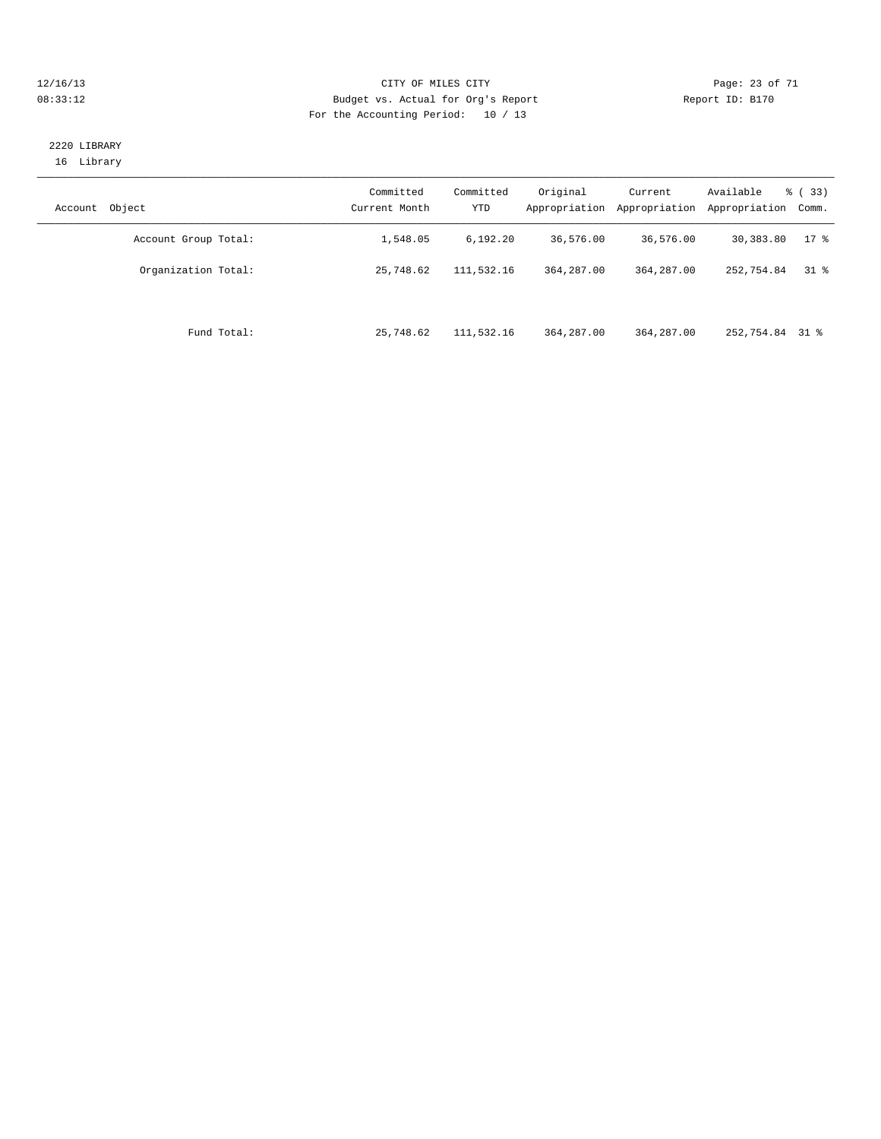#### 12/16/13 Page: 23 of 71 08:33:12 **Budget vs. Actual for Org's Report Report ID: B170** For the Accounting Period: 10 / 13

#### 2220 LIBRARY 16 Library

| Object<br>Account    | Committed<br>Current Month | Committed<br>YTD | Original<br>Appropriation | Current<br>Appropriation | Available<br>Appropriation | % (33)<br>Comm. |
|----------------------|----------------------------|------------------|---------------------------|--------------------------|----------------------------|-----------------|
| Account Group Total: | 1,548.05                   | 6,192.20         | 36,576.00                 | 36,576.00                | 30,383.80                  | $17*$           |
| Organization Total:  | 25,748.62                  | 111,532.16       | 364, 287, 00              | 364,287.00               | 252,754.84                 | 318             |
| Fund Total:          | 25,748.62                  | 111,532.16       | 364, 287, 00              | 364,287.00               | 252,754.84 31 %            |                 |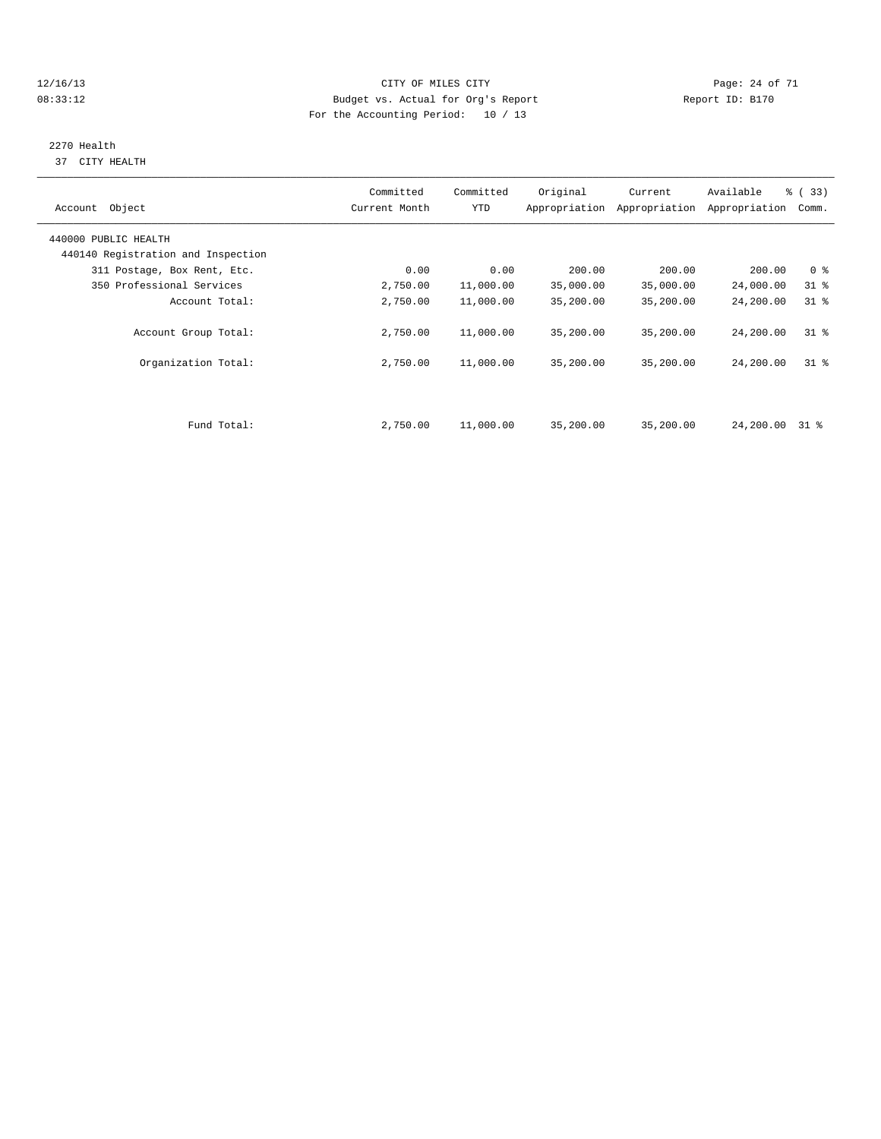#### 12/16/13 Page: 24 of 71 08:33:12 **Budget vs. Actual for Org's Report Report ID: B170** For the Accounting Period: 10 / 13

# 2270 Health

37 CITY HEALTH

| Account Object                     | Committed<br>Current Month | Committed<br><b>YTD</b> | Original  | Current<br>Appropriation Appropriation | Available<br>Appropriation | % ( 33 )<br>Comm. |
|------------------------------------|----------------------------|-------------------------|-----------|----------------------------------------|----------------------------|-------------------|
| 440000 PUBLIC HEALTH               |                            |                         |           |                                        |                            |                   |
| 440140 Registration and Inspection |                            |                         |           |                                        |                            |                   |
| 311 Postage, Box Rent, Etc.        | 0.00                       | 0.00                    | 200.00    | 200.00                                 | 200.00                     | 0 <sup>8</sup>    |
| 350 Professional Services          | 2,750.00                   | 11,000.00               | 35,000.00 | 35,000.00                              | 24,000.00                  | $31$ $%$          |
| Account Total:                     | 2,750.00                   | 11,000.00               | 35,200.00 | 35,200.00                              | 24,200.00                  | 31.8              |
| Account Group Total:               | 2,750.00                   | 11,000.00               | 35,200.00 | 35,200.00                              | 24,200.00                  | $31*$             |
| Organization Total:                | 2,750.00                   | 11,000.00               | 35,200.00 | 35,200.00                              | 24,200.00                  | 318               |
|                                    |                            |                         |           |                                        |                            |                   |
| Fund Total:                        | 2,750.00                   | 11,000.00               | 35,200.00 | 35,200.00                              | 24,200.00                  | 31 %              |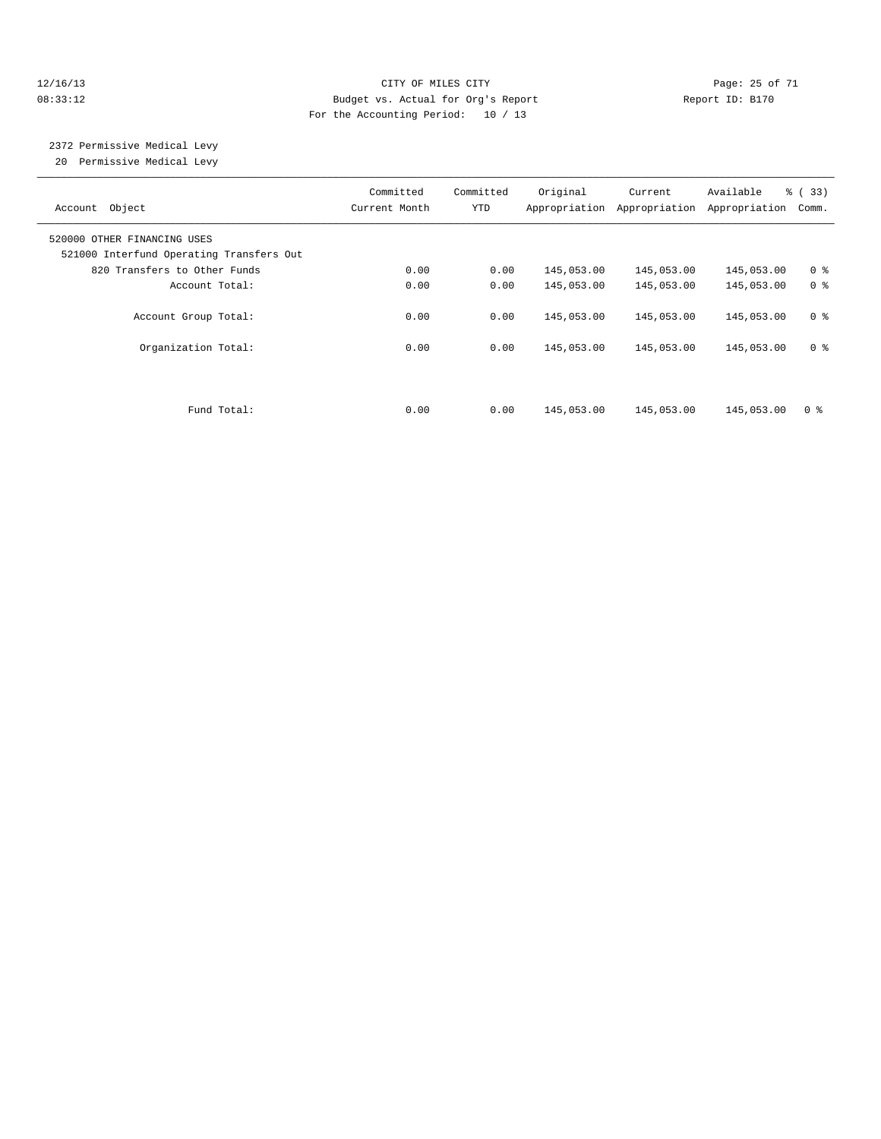#### 12/16/13 Page: 25 of 71 08:33:12 Budget vs. Actual for Org's Report Changer Report ID: B170 For the Accounting Period: 10 / 13

# 2372 Permissive Medical Levy

20 Permissive Medical Levy

| Account Object                                                          | Committed<br>Current Month | Committed<br>YTD | Original   | Current<br>Appropriation Appropriation | Available<br>Appropriation | $\frac{6}{6}$ (33)<br>Comm. |
|-------------------------------------------------------------------------|----------------------------|------------------|------------|----------------------------------------|----------------------------|-----------------------------|
| 520000 OTHER FINANCING USES<br>521000 Interfund Operating Transfers Out |                            |                  |            |                                        |                            |                             |
| 820 Transfers to Other Funds                                            | 0.00                       | 0.00             | 145,053.00 | 145,053.00                             | 145,053.00                 | 0 <sup>8</sup>              |
| Account Total:                                                          | 0.00                       | 0.00             | 145,053.00 | 145,053.00                             | 145,053.00                 | 0 <sup>8</sup>              |
| Account Group Total:                                                    | 0.00                       | 0.00             | 145,053.00 | 145,053.00                             | 145,053.00                 | 0 <sup>8</sup>              |
| Organization Total:                                                     | 0.00                       | 0.00             | 145,053.00 | 145,053.00                             | 145,053.00                 | 0 <sup>8</sup>              |
|                                                                         |                            |                  |            |                                        |                            |                             |
| Fund Total:                                                             | 0.00                       | 0.00             | 145,053.00 | 145,053.00                             | 145,053.00                 | 0 <sup>8</sup>              |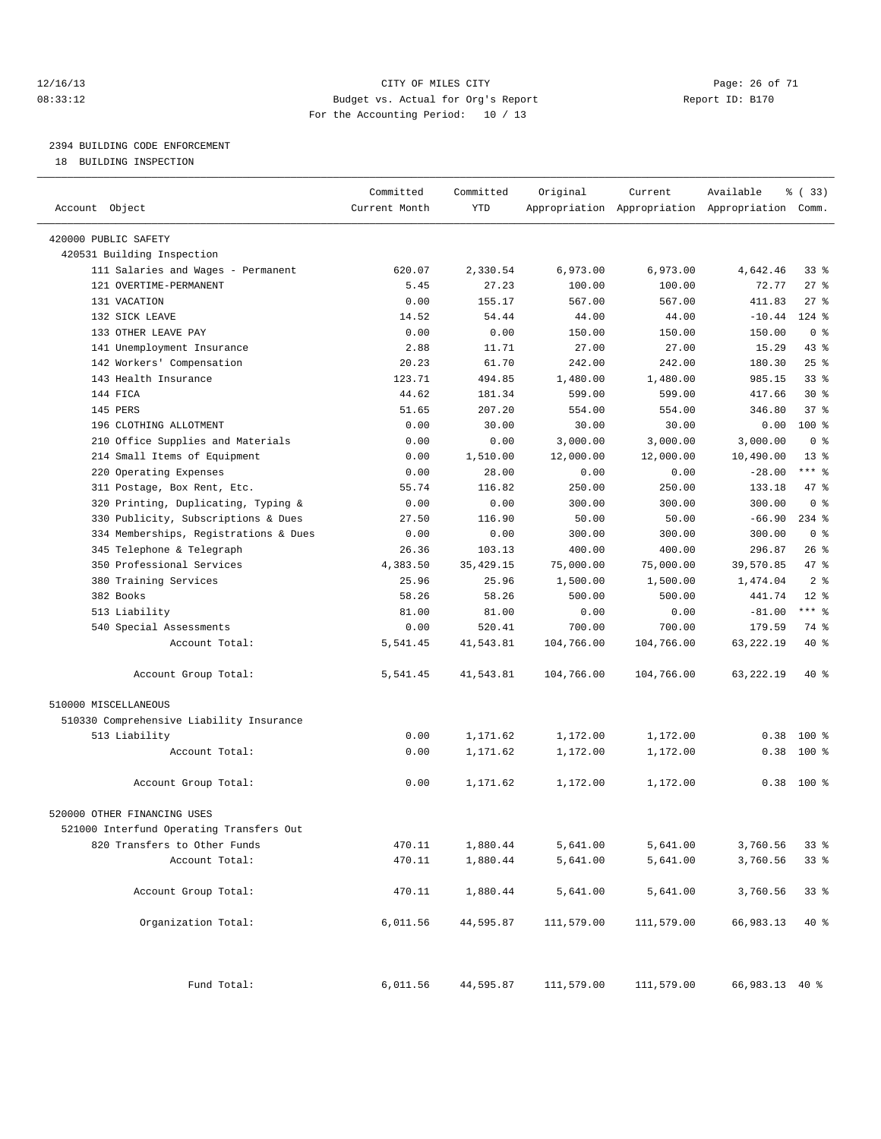#### 12/16/13 Page: 26 of 71 08:33:12 Budget vs. Actual for Org's Report Report ID: B170 For the Accounting Period: 10 / 13

————————————————————————————————————————————————————————————————————————————————————————————————————————————————————————————————————

# 2394 BUILDING CODE ENFORCEMENT

18 BUILDING INSPECTION

|                                          | Committed     | Committed   | Original   | Current    | Available                                       | १ (33)          |  |
|------------------------------------------|---------------|-------------|------------|------------|-------------------------------------------------|-----------------|--|
| Account Object                           | Current Month | YTD         |            |            | Appropriation Appropriation Appropriation Comm. |                 |  |
| 420000 PUBLIC SAFETY                     |               |             |            |            |                                                 |                 |  |
| 420531 Building Inspection               |               |             |            |            |                                                 |                 |  |
| 111 Salaries and Wages - Permanent       | 620.07        | 2,330.54    | 6,973.00   | 6,973.00   | 4,642.46                                        | 33%             |  |
| 121 OVERTIME-PERMANENT                   | 5.45          | 27.23       | 100.00     | 100.00     | 72.77                                           | $27$ %          |  |
| 131 VACATION                             | 0.00          | 155.17      | 567.00     | 567.00     | 411.83                                          | $27$ %          |  |
| 132 SICK LEAVE                           | 14.52         | 54.44       | 44.00      | 44.00      | $-10.44$                                        | $124$ %         |  |
| 133 OTHER LEAVE PAY                      | 0.00          | 0.00        | 150.00     | 150.00     | 150.00                                          | 0 <sup>8</sup>  |  |
| 141 Unemployment Insurance               | 2.88          | 11.71       | 27.00      | 27.00      | 15.29                                           | $43$ %          |  |
| 142 Workers' Compensation                | 20.23         | 61.70       | 242.00     | 242.00     | 180.30                                          | $25$ $%$        |  |
| 143 Health Insurance                     | 123.71        | 494.85      | 1,480.00   | 1,480.00   | 985.15                                          | 33%             |  |
| 144 FICA                                 | 44.62         | 181.34      | 599.00     | 599.00     | 417.66                                          | $30*$           |  |
| 145 PERS                                 | 51.65         | 207.20      | 554.00     | 554.00     | 346.80                                          | 37%             |  |
| 196 CLOTHING ALLOTMENT                   | 0.00          | 30.00       | 30.00      | 30.00      | 0.00                                            | $100*$          |  |
| 210 Office Supplies and Materials        | 0.00          | 0.00        | 3,000.00   | 3,000.00   | 3,000.00                                        | 0 <sup>8</sup>  |  |
| 214 Small Items of Equipment             | 0.00          | 1,510.00    | 12,000.00  | 12,000.00  | 10,490.00                                       | 13 <sup>°</sup> |  |
| 220 Operating Expenses                   | 0.00          | 28.00       | 0.00       | 0.00       | $-28.00$                                        | $***$ $-$       |  |
| 311 Postage, Box Rent, Etc.              | 55.74         | 116.82      | 250.00     | 250.00     | 133.18                                          | 47 %            |  |
| 320 Printing, Duplicating, Typing &      | 0.00          | 0.00        | 300.00     | 300.00     | 300.00                                          | 0 <sup>8</sup>  |  |
| 330 Publicity, Subscriptions & Dues      | 27.50         | 116.90      | 50.00      | 50.00      | $-66.90$                                        | $234$ $%$       |  |
| 334 Memberships, Registrations & Dues    | 0.00          | 0.00        | 300.00     | 300.00     | 300.00                                          | 0 <sup>8</sup>  |  |
| 345 Telephone & Telegraph                | 26.36         | 103.13      | 400.00     | 400.00     | 296.87                                          | $26$ %          |  |
| 350 Professional Services                | 4,383.50      | 35, 429. 15 | 75,000.00  | 75,000.00  | 39,570.85                                       | 47 %            |  |
| 380 Training Services                    | 25.96         | 25.96       | 1,500.00   | 1,500.00   | 1,474.04                                        | 2 <sup>8</sup>  |  |
| 382 Books                                | 58.26         | 58.26       | 500.00     | 500.00     | 441.74                                          | $12*$           |  |
| 513 Liability                            | 81.00         | 81.00       | 0.00       | 0.00       | $-81.00$                                        | *** %           |  |
| 540 Special Assessments                  | 0.00          | 520.41      | 700.00     | 700.00     | 179.59                                          | 74 %            |  |
| Account Total:                           | 5,541.45      | 41,543.81   | 104,766.00 | 104,766.00 | 63, 222. 19                                     | 40 %            |  |
| Account Group Total:                     | 5,541.45      | 41,543.81   | 104,766.00 | 104,766.00 | 63,222.19                                       | 40 %            |  |
|                                          |               |             |            |            |                                                 |                 |  |
| 510000 MISCELLANEOUS                     |               |             |            |            |                                                 |                 |  |
| 510330 Comprehensive Liability Insurance |               |             |            |            |                                                 |                 |  |
| 513 Liability                            | 0.00          | 1,171.62    | 1,172.00   | 1,172.00   | 0.38                                            | $100*$          |  |
| Account Total:                           | 0.00          | 1,171.62    | 1,172.00   | 1,172.00   | 0.38                                            | $100$ %         |  |
| Account Group Total:                     | 0.00          | 1,171.62    | 1,172.00   | 1,172.00   |                                                 | $0.38$ 100 %    |  |
| 520000 OTHER FINANCING USES              |               |             |            |            |                                                 |                 |  |
| 521000 Interfund Operating Transfers Out |               |             |            |            |                                                 |                 |  |
| 820 Transfers to Other Funds             | 470.11        | 1,880.44    | 5,641.00   | 5,641.00   | 3,760.56                                        | 33%             |  |
| Account Total:                           | 470.11        | 1,880.44    | 5,641.00   | 5,641.00   | 3,760.56                                        | 33%             |  |
| Account Group Total:                     | 470.11        | 1,880.44    | 5,641.00   | 5,641.00   | 3,760.56                                        | $33$ $%$        |  |
|                                          |               |             |            |            |                                                 |                 |  |
| Organization Total:                      | 6,011.56      | 44,595.87   | 111,579.00 | 111,579.00 | 66,983.13                                       | $40*$           |  |
| Fund Total:                              | 6,011.56      | 44,595.87   | 111,579.00 | 111,579.00 | 66,983.13 40 %                                  |                 |  |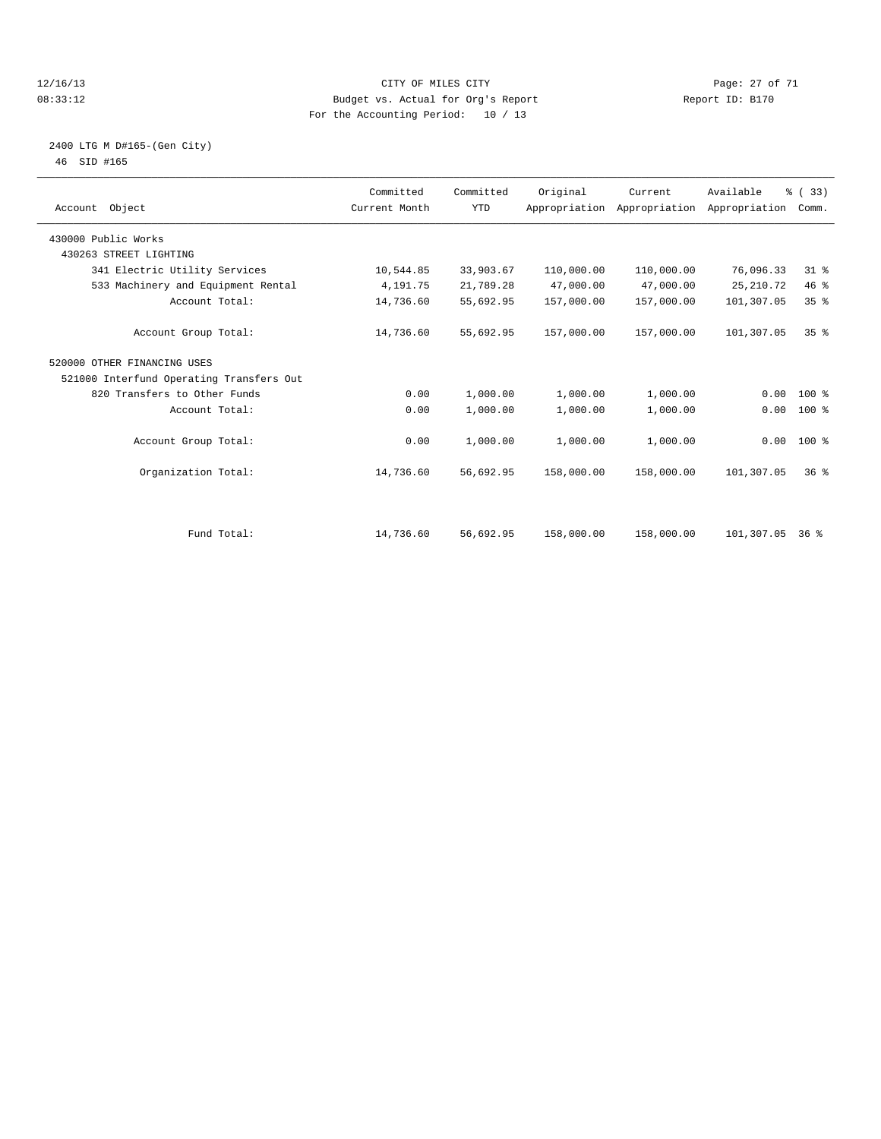#### 12/16/13 Page: 27 of 71 08:33:12 Budget vs. Actual for Org's Report Report ID: B170 For the Accounting Period: 10 / 13

#### 2400 LTG M D#165-(Gen City) 46 SID #165

| Account Object                           | Committed<br>Current Month | Committed<br><b>YTD</b> | Original   | Current<br>Appropriation Appropriation Appropriation | Available  | % (33)<br>Comm. |  |
|------------------------------------------|----------------------------|-------------------------|------------|------------------------------------------------------|------------|-----------------|--|
| 430000 Public Works                      |                            |                         |            |                                                      |            |                 |  |
| 430263 STREET LIGHTING                   |                            |                         |            |                                                      |            |                 |  |
| 341 Electric Utility Services            | 10,544.85                  | 33,903.67               | 110,000.00 | 110,000.00                                           | 76,096.33  | $31$ $%$        |  |
| 533 Machinery and Equipment Rental       | 4,191.75                   | 21,789.28               | 47,000.00  | 47,000.00                                            | 25, 210.72 | 46%             |  |
| Account Total:                           | 14,736.60                  | 55,692.95               | 157,000.00 | 157,000.00                                           | 101,307.05 | 35%             |  |
| Account Group Total:                     | 14,736.60                  | 55,692.95               | 157,000.00 | 157,000.00                                           | 101,307.05 | 35%             |  |
| 520000 OTHER FINANCING USES              |                            |                         |            |                                                      |            |                 |  |
| 521000 Interfund Operating Transfers Out |                            |                         |            |                                                      |            |                 |  |
| 820 Transfers to Other Funds             | 0.00                       | 1,000.00                | 1,000.00   | 1,000.00                                             | 0.00       | $100*$          |  |
| Account Total:                           | 0.00                       | 1,000.00                | 1,000.00   | 1,000.00                                             | 0.00       | 100 %           |  |
| Account Group Total:                     | 0.00                       | 1,000.00                | 1,000.00   | 1,000.00                                             |            | $0.00$ 100 %    |  |
| Organization Total:                      | 14,736.60                  | 56,692.95               | 158,000.00 | 158,000.00                                           | 101,307.05 | 36 <sup>8</sup> |  |
|                                          |                            |                         |            |                                                      |            |                 |  |
| Fund Total:                              | 14,736.60                  | 56,692.95               | 158,000.00 | 158,000.00                                           | 101,307.05 | 36 %            |  |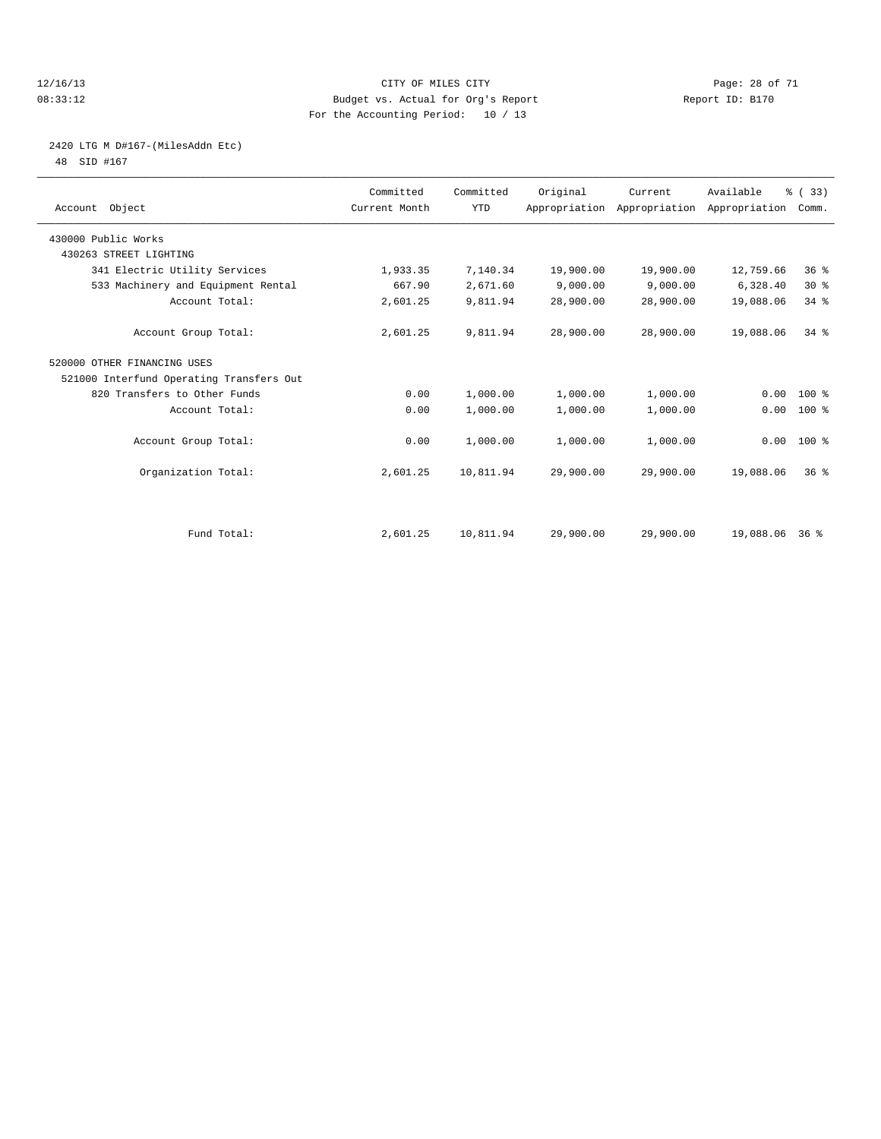#### 12/16/13 Page: 28 of 71 08:33:12 Budget vs. Actual for Org's Report Report ID: B170 For the Accounting Period: 10 / 13

# 2420 LTG M D#167-(MilesAddn Etc)

48 SID #167

| Account Object                           | Committed<br>Current Month | Committed<br><b>YTD</b> | Original  | Current<br>Appropriation Appropriation Appropriation | Available      | % (33)<br>Comm. |  |
|------------------------------------------|----------------------------|-------------------------|-----------|------------------------------------------------------|----------------|-----------------|--|
| 430000 Public Works                      |                            |                         |           |                                                      |                |                 |  |
| 430263 STREET LIGHTING                   |                            |                         |           |                                                      |                |                 |  |
| 341 Electric Utility Services            | 1,933.35                   | 7,140.34                | 19,900.00 | 19,900.00                                            | 12,759.66      | 36%             |  |
| 533 Machinery and Equipment Rental       | 667.90                     | 2,671.60                | 9,000.00  | 9,000.00                                             | 6,328.40       | $30*$           |  |
| Account Total:                           | 2,601.25                   | 9,811.94                | 28,900.00 | 28,900.00                                            | 19,088.06      | 34%             |  |
| Account Group Total:                     | 2,601.25                   | 9,811.94                | 28,900.00 | 28,900.00                                            | 19,088.06      | $34$ $%$        |  |
| 520000 OTHER FINANCING USES              |                            |                         |           |                                                      |                |                 |  |
| 521000 Interfund Operating Transfers Out |                            |                         |           |                                                      |                |                 |  |
| 820 Transfers to Other Funds             | 0.00                       | 1,000.00                | 1,000.00  | 1,000.00                                             | 0.00           | $100*$          |  |
| Account Total:                           | 0.00                       | 1,000.00                | 1,000.00  | 1,000.00                                             | 0.00           | 100 %           |  |
| Account Group Total:                     | 0.00                       | 1,000.00                | 1,000.00  | 1,000.00                                             | 0.00           | 100 %           |  |
| Organization Total:                      | 2,601.25                   | 10,811.94               | 29,900.00 | 29,900.00                                            | 19,088.06      | 36 <sup>8</sup> |  |
|                                          |                            |                         |           |                                                      |                |                 |  |
| Fund Total:                              | 2,601.25                   | 10,811.94               | 29,900.00 | 29,900.00                                            | 19,088.06 36 % |                 |  |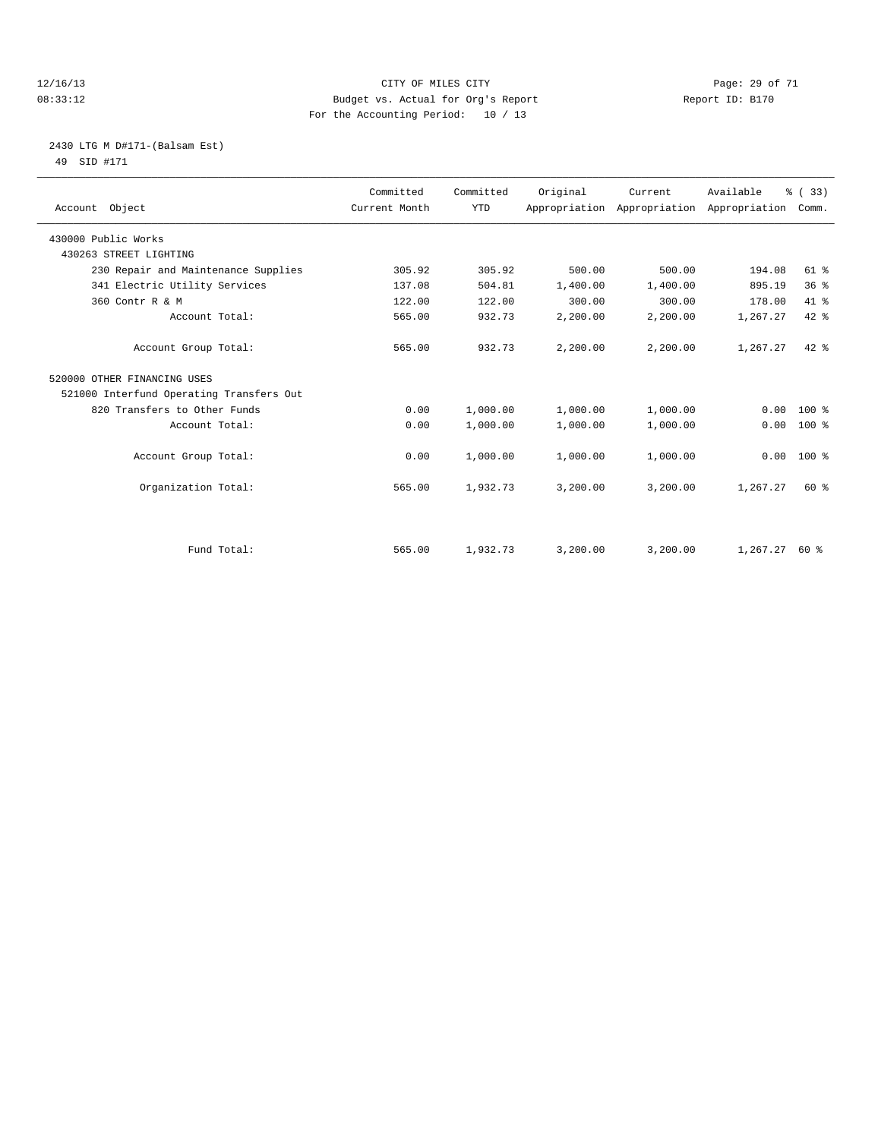#### 12/16/13 Page: 29 of 71 08:33:12 Budget vs. Actual for Org's Report Report ID: B170 For the Accounting Period: 10 / 13

# 2430 LTG M D#171-(Balsam Est)

49 SID #171

| Account Object                           | Committed<br>Current Month | Committed<br><b>YTD</b> | Original | Current<br>Appropriation Appropriation Appropriation | Available | % (33)<br>Comm. |  |
|------------------------------------------|----------------------------|-------------------------|----------|------------------------------------------------------|-----------|-----------------|--|
| 430000 Public Works                      |                            |                         |          |                                                      |           |                 |  |
| 430263 STREET LIGHTING                   |                            |                         |          |                                                      |           |                 |  |
| 230 Repair and Maintenance Supplies      | 305.92                     | 305.92                  | 500.00   | 500.00                                               | 194.08    | $61$ $%$        |  |
| 341 Electric Utility Services            | 137.08                     | 504.81                  | 1,400.00 | 1,400.00                                             | 895.19    | 36 <sup>8</sup> |  |
| 360 Contr R & M                          | 122.00                     | 122.00                  | 300.00   | 300.00                                               | 178.00    | 41.8            |  |
| Account Total:                           | 565.00                     | 932.73                  | 2,200.00 | 2,200.00                                             | 1,267.27  | 42 %            |  |
| Account Group Total:                     | 565.00                     | 932.73                  | 2,200.00 | 2,200.00                                             | 1,267.27  | $42*$           |  |
| 520000 OTHER FINANCING USES              |                            |                         |          |                                                      |           |                 |  |
| 521000 Interfund Operating Transfers Out |                            |                         |          |                                                      |           |                 |  |
| 820 Transfers to Other Funds             | 0.00                       | 1,000.00                | 1,000.00 | 1,000.00                                             | 0.00      | $100*$          |  |
| Account Total:                           | 0.00                       | 1,000.00                | 1,000.00 | 1,000.00                                             | 0.00      | 100 %           |  |
| Account Group Total:                     | 0.00                       | 1,000.00                | 1,000.00 | 1,000.00                                             | 0.00      | 100 %           |  |
| Organization Total:                      | 565.00                     | 1,932.73                | 3,200.00 | 3,200.00                                             | 1,267.27  | 60 %            |  |
|                                          |                            |                         |          |                                                      |           |                 |  |
| Fund Total:                              | 565.00                     | 1,932.73                | 3,200.00 | 3,200.00                                             | 1,267.27  | 60 %            |  |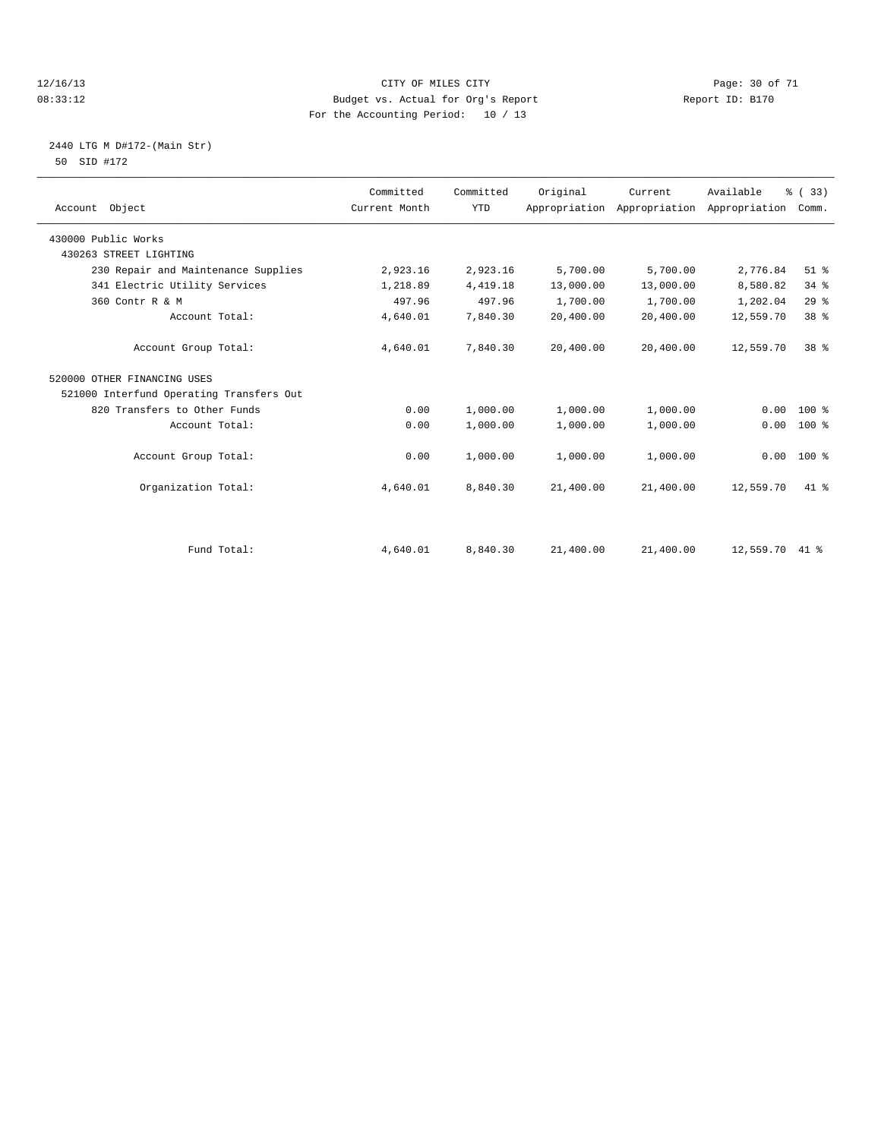#### 12/16/13 Page: 30 of 71 08:33:12 Budget vs. Actual for Org's Report Report ID: B170 For the Accounting Period: 10 / 13

#### 2440 LTG M D#172-(Main Str) 50 SID #172

| Account Object                           | Committed<br>Current Month | Committed<br><b>YTD</b> | Original  | Current<br>Appropriation Appropriation | Available<br>Appropriation | % (33)<br>Comm. |
|------------------------------------------|----------------------------|-------------------------|-----------|----------------------------------------|----------------------------|-----------------|
| 430000 Public Works                      |                            |                         |           |                                        |                            |                 |
| 430263 STREET LIGHTING                   |                            |                         |           |                                        |                            |                 |
| 230 Repair and Maintenance Supplies      | 2,923.16                   | 2,923.16                | 5,700.00  | 5,700.00                               | 2,776.84                   | $51$ %          |
| 341 Electric Utility Services            | 1,218.89                   | 4, 419.18               | 13,000.00 | 13,000.00                              | 8,580.82                   | 34%             |
| 360 Contr R & M                          | 497.96                     | 497.96                  | 1,700.00  | 1,700.00                               | 1,202.04                   | 29%             |
| Account Total:                           | 4,640.01                   | 7,840.30                | 20,400.00 | 20,400.00                              | 12,559.70                  | 38 %            |
| Account Group Total:                     | 4,640.01                   | 7,840.30                | 20,400.00 | 20,400.00                              | 12,559.70                  | 38 <sup>8</sup> |
| 520000 OTHER FINANCING USES              |                            |                         |           |                                        |                            |                 |
| 521000 Interfund Operating Transfers Out |                            |                         |           |                                        |                            |                 |
| 820 Transfers to Other Funds             | 0.00                       | 1,000.00                | 1,000.00  | 1,000.00                               | 0.00                       | $100*$          |
| Account Total:                           | 0.00                       | 1,000.00                | 1,000.00  | 1,000.00                               | 0.00                       | $100*$          |
| Account Group Total:                     | 0.00                       | 1,000.00                | 1,000.00  | 1,000.00                               | 0.00                       | $100*$          |
| Organization Total:                      | 4,640.01                   | 8,840.30                | 21,400.00 | 21,400.00                              | 12,559.70                  | 41.8            |
|                                          |                            |                         |           |                                        |                            |                 |
| Fund Total:                              | 4,640.01                   | 8,840.30                | 21,400.00 | 21,400.00                              | 12,559.70                  | $41*$           |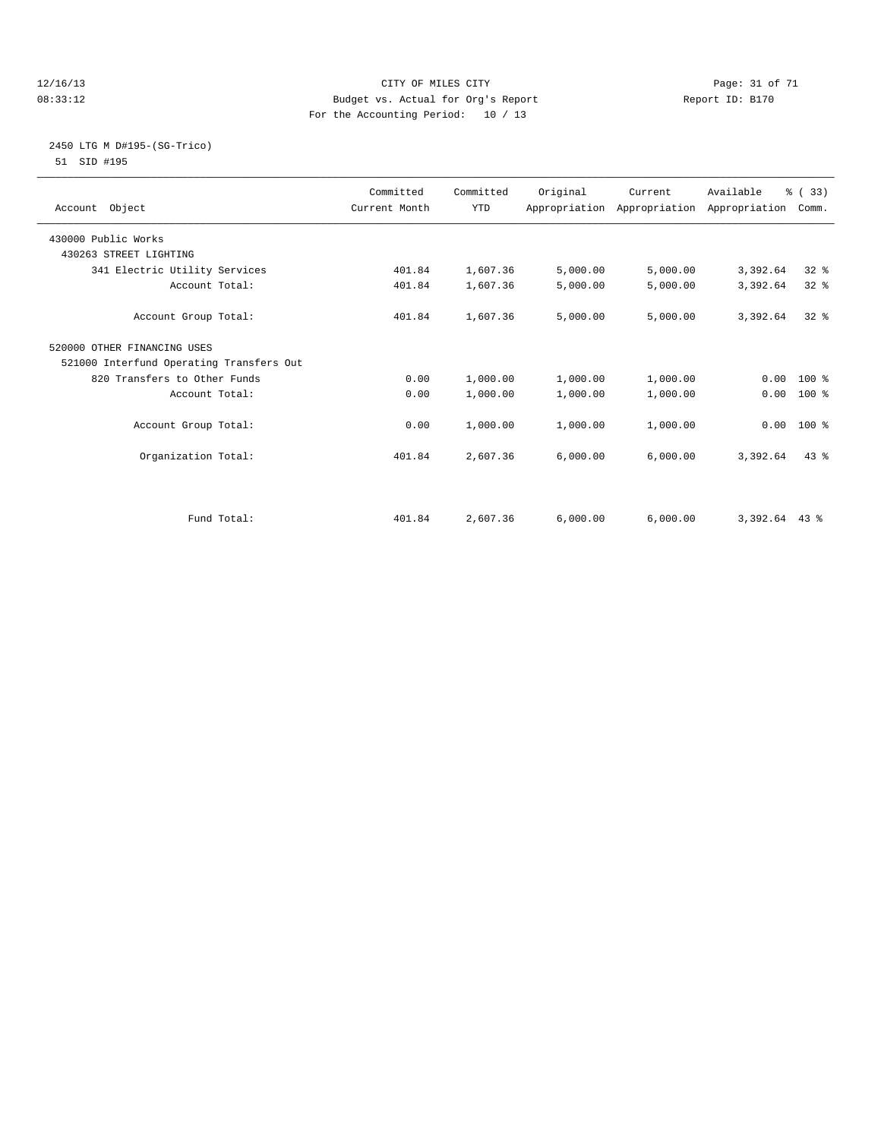#### 12/16/13 Page: 31 of 71 08:33:12 Budget vs. Actual for Org's Report Report ID: B170 For the Accounting Period: 10 / 13

#### 2450 LTG M D#195-(SG-Trico) 51 SID #195

| Account Object                           | Committed<br>Current Month | Committed<br><b>YTD</b> | Original | Current  | Available<br>Appropriation Appropriation Appropriation | % (33)<br>Comm. |  |
|------------------------------------------|----------------------------|-------------------------|----------|----------|--------------------------------------------------------|-----------------|--|
| 430000 Public Works                      |                            |                         |          |          |                                                        |                 |  |
| 430263 STREET LIGHTING                   |                            |                         |          |          |                                                        |                 |  |
| 341 Electric Utility Services            | 401.84                     | 1,607.36                | 5,000.00 | 5,000.00 | 3,392.64                                               | 32%             |  |
| Account Total:                           | 401.84                     | 1,607.36                | 5,000.00 | 5,000.00 | 3,392.64                                               | 32%             |  |
| Account Group Total:                     | 401.84                     | 1,607.36                | 5,000.00 | 5,000.00 | 3,392.64                                               | $32*$           |  |
| 520000 OTHER FINANCING USES              |                            |                         |          |          |                                                        |                 |  |
| 521000 Interfund Operating Transfers Out |                            |                         |          |          |                                                        |                 |  |
| 820 Transfers to Other Funds             | 0.00                       | 1,000.00                | 1,000.00 | 1,000.00 |                                                        | $0.00 100$ %    |  |
| Account Total:                           | 0.00                       | 1,000.00                | 1,000.00 | 1,000.00 | 0.00                                                   | 100 %           |  |
| Account Group Total:                     | 0.00                       | 1,000.00                | 1,000.00 | 1,000.00 |                                                        | $0.00$ 100 %    |  |
| Organization Total:                      | 401.84                     | 2,607.36                | 6,000.00 | 6,000.00 | 3,392.64                                               | 43.8            |  |
|                                          |                            |                         |          |          |                                                        |                 |  |
| Fund Total:                              | 401.84                     | 2,607.36                | 6,000.00 | 6,000.00 | $3,392.64$ 43 %                                        |                 |  |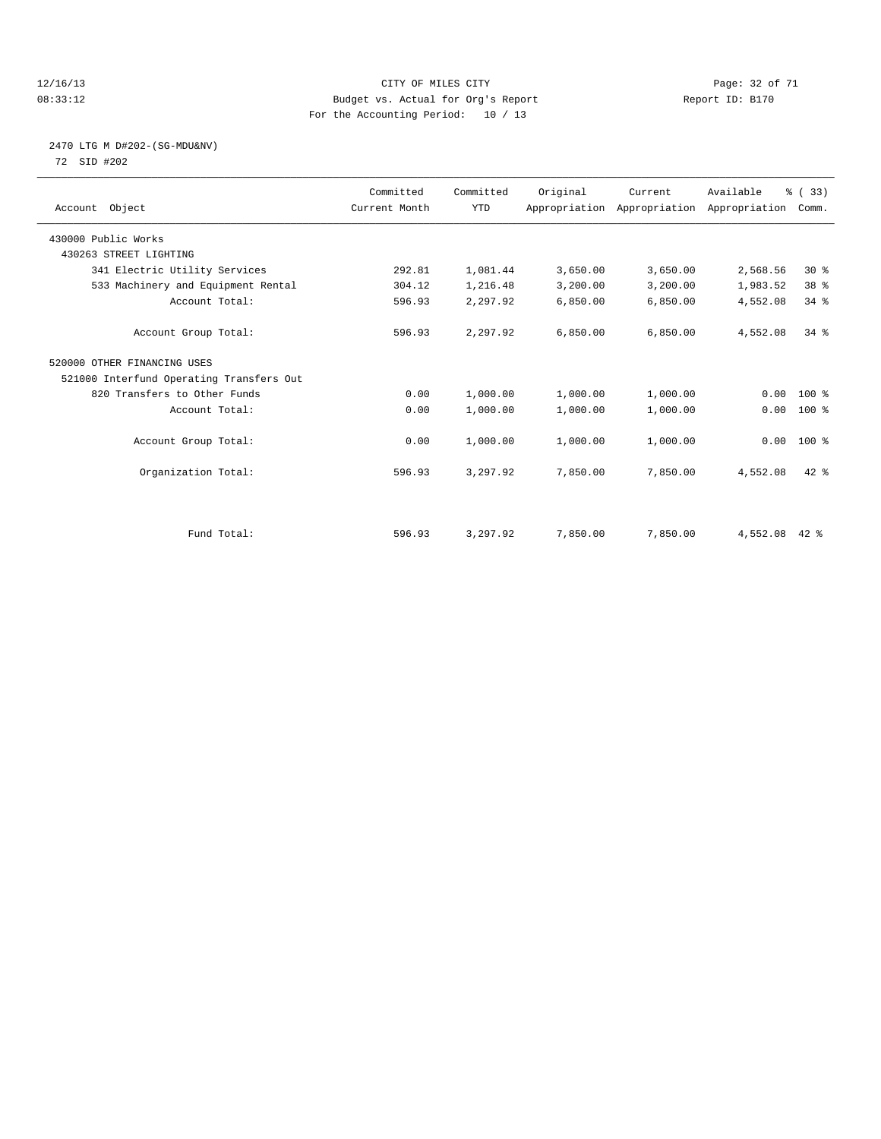#### 12/16/13 Page: 32 of 71 08:33:12 Budget vs. Actual for Org's Report Report ID: B170 For the Accounting Period: 10 / 13

#### 2470 LTG M D#202-(SG-MDU&NV) 72 SID #202

| Account Object                           | Committed<br>Current Month | Committed<br><b>YTD</b> | Original | Current<br>Appropriation Appropriation Appropriation | Available | % (33)<br>Comm. |  |
|------------------------------------------|----------------------------|-------------------------|----------|------------------------------------------------------|-----------|-----------------|--|
| 430000 Public Works                      |                            |                         |          |                                                      |           |                 |  |
| 430263 STREET LIGHTING                   |                            |                         |          |                                                      |           |                 |  |
| 341 Electric Utility Services            | 292.81                     | 1,081.44                | 3,650.00 | 3,650.00                                             | 2,568.56  | $30*$           |  |
| 533 Machinery and Equipment Rental       | 304.12                     | 1,216.48                | 3,200.00 | 3,200.00                                             | 1,983.52  | 38 %            |  |
| Account Total:                           | 596.93                     | 2,297.92                | 6,850.00 | 6,850.00                                             | 4,552.08  | 34.8            |  |
| Account Group Total:                     | 596.93                     | 2,297.92                | 6,850.00 | 6,850.00                                             | 4,552.08  | 34.8            |  |
| 520000 OTHER FINANCING USES              |                            |                         |          |                                                      |           |                 |  |
| 521000 Interfund Operating Transfers Out |                            |                         |          |                                                      |           |                 |  |
| 820 Transfers to Other Funds             | 0.00                       | 1,000.00                | 1,000.00 | 1,000.00                                             | 0.00      | $100*$          |  |
| Account Total:                           | 0.00                       | 1,000.00                | 1,000.00 | 1,000.00                                             | 0.00      | $100*$          |  |
| Account Group Total:                     | 0.00                       | 1,000.00                | 1,000.00 | 1,000.00                                             |           | $0.00$ 100 %    |  |
| Organization Total:                      | 596.93                     | 3,297.92                | 7,850.00 | 7,850.00                                             | 4,552.08  | $42*$           |  |
|                                          |                            |                         |          |                                                      |           |                 |  |
| Fund Total:                              | 596.93                     | 3,297.92                | 7,850.00 | 7,850.00                                             | 4,552.08  | $42$ %          |  |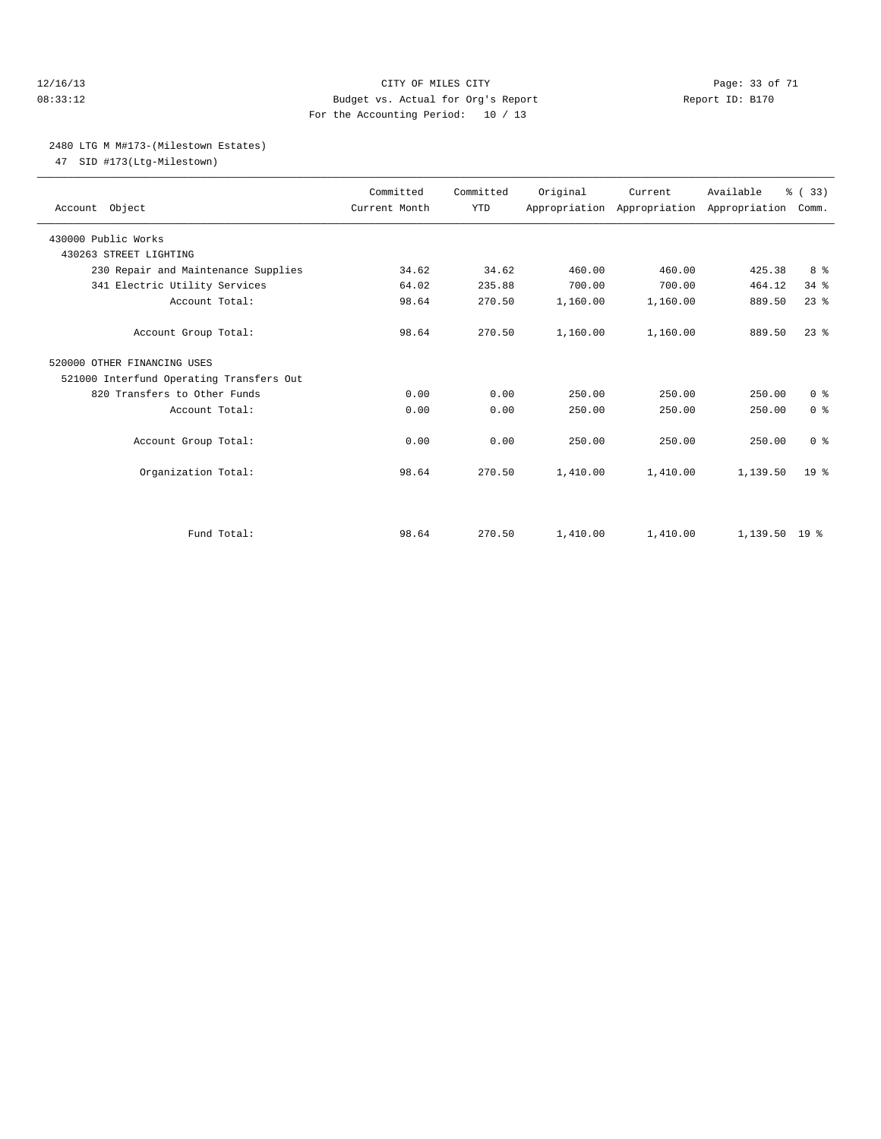#### 12/16/13 Page: 33 of 71 08:33:12 Budget vs. Actual for Org's Report Report ID: B170 For the Accounting Period: 10 / 13

#### 2480 LTG M M#173-(Milestown Estates)

47 SID #173(Ltg-Milestown)

| Account Object                           | Committed<br>Current Month | Committed<br><b>YTD</b> | Original | Current<br>Appropriation Appropriation Appropriation | Available       | % (33)<br>Comm. |  |
|------------------------------------------|----------------------------|-------------------------|----------|------------------------------------------------------|-----------------|-----------------|--|
| 430000 Public Works                      |                            |                         |          |                                                      |                 |                 |  |
| 430263 STREET LIGHTING                   |                            |                         |          |                                                      |                 |                 |  |
| 230 Repair and Maintenance Supplies      | 34.62                      | 34.62                   | 460.00   | 460.00                                               | 425.38          | 8 %             |  |
| 341 Electric Utility Services            | 64.02                      | 235.88                  | 700.00   | 700.00                                               | 464.12          | 34%             |  |
| Account Total:                           | 98.64                      | 270.50                  | 1,160.00 | 1,160.00                                             | 889.50          | $23$ $%$        |  |
| Account Group Total:                     | 98.64                      | 270.50                  | 1,160.00 | 1,160.00                                             | 889.50          | $23$ $%$        |  |
| 520000 OTHER FINANCING USES              |                            |                         |          |                                                      |                 |                 |  |
| 521000 Interfund Operating Transfers Out |                            |                         |          |                                                      |                 |                 |  |
| 820 Transfers to Other Funds             | 0.00                       | 0.00                    | 250.00   | 250.00                                               | 250.00          | 0 <sup>8</sup>  |  |
| Account Total:                           | 0.00                       | 0.00                    | 250.00   | 250.00                                               | 250.00          | 0 <sup>8</sup>  |  |
| Account Group Total:                     | 0.00                       | 0.00                    | 250.00   | 250.00                                               | 250.00          | 0 <sup>8</sup>  |  |
| Organization Total:                      | 98.64                      | 270.50                  | 1,410.00 | 1,410.00                                             | 1,139.50        | 19 <sup>°</sup> |  |
|                                          |                            |                         |          |                                                      |                 |                 |  |
| Fund Total:                              | 98.64                      | 270.50                  | 1,410.00 | 1,410.00                                             | $1,139.50$ 19 % |                 |  |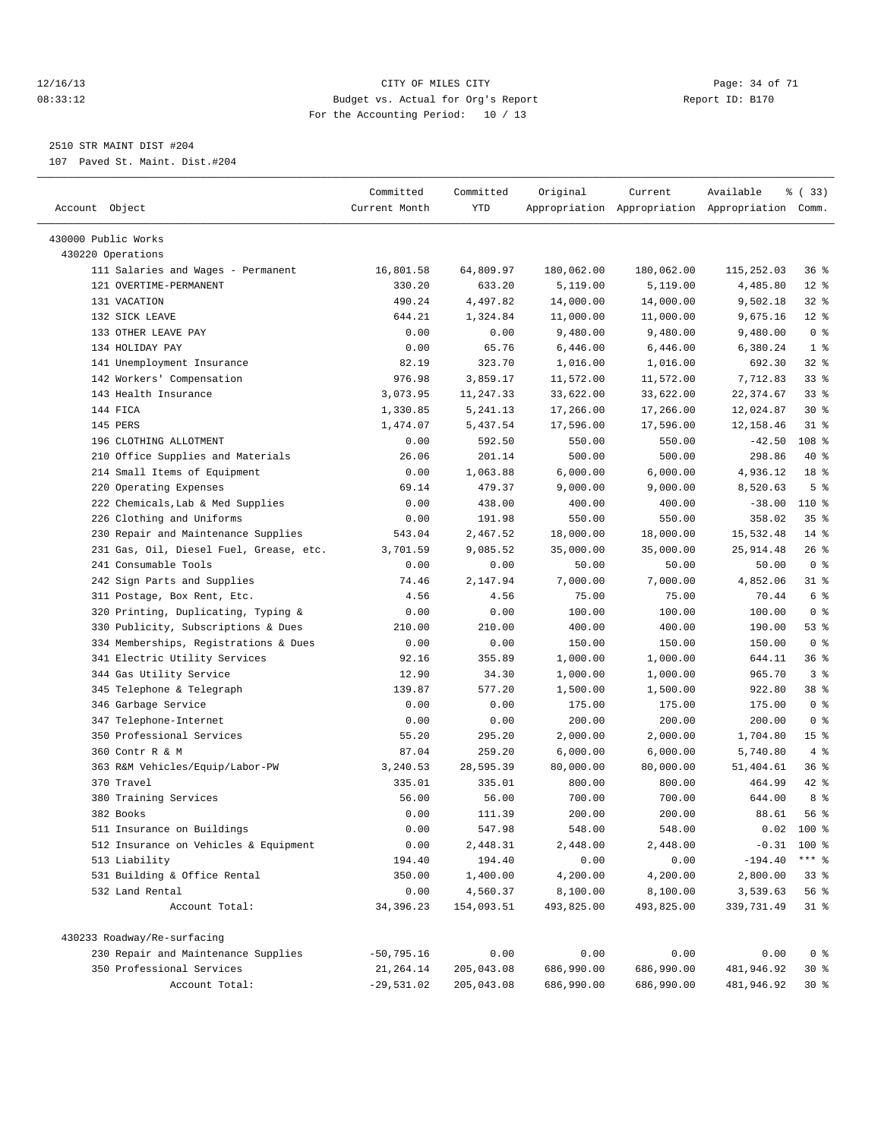#### 12/16/13 Page: 34 of 71 08:33:12 Budget vs. Actual for Org's Report Report ID: B170 For the Accounting Period: 10 / 13

————————————————————————————————————————————————————————————————————————————————————————————————————————————————————————————————————

2510 STR MAINT DIST #204

107 Paved St. Maint. Dist.#204

|                                                                                | Committed     | Committed  | Original   | Current                                         | Available            | % (33)          |
|--------------------------------------------------------------------------------|---------------|------------|------------|-------------------------------------------------|----------------------|-----------------|
| Account Object                                                                 | Current Month | YTD        |            | Appropriation Appropriation Appropriation Comm. |                      |                 |
|                                                                                |               |            |            |                                                 |                      |                 |
| 430000 Public Works<br>430220 Operations                                       |               |            |            |                                                 |                      |                 |
| 111 Salaries and Wages - Permanent                                             | 16,801.58     | 64,809.97  | 180,062.00 | 180,062.00                                      | 115,252.03           | 36%             |
| 121 OVERTIME-PERMANENT                                                         | 330.20        | 633.20     | 5,119.00   | 5,119.00                                        | 4,485.80             | $12*$           |
| 131 VACATION                                                                   | 490.24        | 4,497.82   | 14,000.00  | 14,000.00                                       | 9,502.18             | $32$ $%$        |
| 132 SICK LEAVE                                                                 | 644.21        | 1,324.84   | 11,000.00  | 11,000.00                                       | 9,675.16             | $12*$           |
| 133 OTHER LEAVE PAY                                                            | 0.00          | 0.00       | 9,480.00   | 9,480.00                                        | 9,480.00             | 0 <sup>8</sup>  |
| 134 HOLIDAY PAY                                                                | 0.00          | 65.76      | 6,446.00   | 6,446.00                                        | 6,380.24             | 1 <sup>8</sup>  |
| 141 Unemployment Insurance                                                     | 82.19         | 323.70     | 1,016.00   | 1,016.00                                        | 692.30               | $32$ $%$        |
| 142 Workers' Compensation                                                      | 976.98        | 3,859.17   | 11,572.00  | 11,572.00                                       | 7,712.83             | 338             |
| 143 Health Insurance                                                           | 3,073.95      | 11,247.33  | 33,622.00  | 33,622.00                                       | 22, 374.67           | $33$ $%$        |
| 144 FICA                                                                       | 1,330.85      | 5,241.13   | 17,266.00  | 17,266.00                                       | 12,024.87            | $30*$           |
| 145 PERS                                                                       | 1,474.07      | 5,437.54   | 17,596.00  | 17,596.00                                       | 12,158.46            | $31$ %          |
| 196 CLOTHING ALLOTMENT                                                         | 0.00          | 592.50     | 550.00     | 550.00                                          | $-42.50$             | 108 %           |
| 210 Office Supplies and Materials                                              | 26.06         | 201.14     | 500.00     | 500.00                                          | 298.86               | 40 %            |
|                                                                                | 0.00          | 1,063.88   | 6,000.00   | 6,000.00                                        |                      | 18 <sup>°</sup> |
| 214 Small Items of Equipment<br>220 Operating Expenses                         | 69.14         | 479.37     | 9,000.00   | 9,000.00                                        | 4,936.12<br>8,520.63 | 5 <sup>°</sup>  |
| 222 Chemicals, Lab & Med Supplies                                              | 0.00          | 438.00     | 400.00     | 400.00                                          | $-38.00$             | $110*$          |
| 226 Clothing and Uniforms                                                      | 0.00          | 191.98     |            | 550.00                                          | 358.02               | 35%             |
|                                                                                |               |            | 550.00     | 18,000.00                                       |                      |                 |
| 230 Repair and Maintenance Supplies<br>231 Gas, Oil, Diesel Fuel, Grease, etc. | 543.04        | 2,467.52   | 18,000.00  |                                                 | 15,532.48            | $14*$<br>$26$ % |
| 241 Consumable Tools                                                           | 3,701.59      | 9,085.52   | 35,000.00  | 35,000.00                                       | 25, 914.48           | 0 <sup>8</sup>  |
|                                                                                | 0.00          | 0.00       | 50.00      | 50.00                                           | 50.00                |                 |
| 242 Sign Parts and Supplies                                                    | 74.46         | 2,147.94   | 7,000.00   | 7,000.00                                        | 4,852.06             | $31$ %          |
| 311 Postage, Box Rent, Etc.                                                    | 4.56          | 4.56       | 75.00      | 75.00                                           | 70.44                | 6 <sup>°</sup>  |
| 320 Printing, Duplicating, Typing &                                            | 0.00          | 0.00       | 100.00     | 100.00                                          | 100.00               | 0 <sup>8</sup>  |
| 330 Publicity, Subscriptions & Dues                                            | 210.00        | 210.00     | 400.00     | 400.00                                          | 190.00               | 53 %            |
| 334 Memberships, Registrations & Dues                                          | 0.00          | 0.00       | 150.00     | 150.00                                          | 150.00               | 0 <sup>8</sup>  |
| 341 Electric Utility Services                                                  | 92.16         | 355.89     | 1,000.00   | 1,000.00                                        | 644.11               | 36%             |
| 344 Gas Utility Service                                                        | 12.90         | 34.30      | 1,000.00   | 1,000.00                                        | 965.70               | 3%              |
| 345 Telephone & Telegraph                                                      | 139.87        | 577.20     | 1,500.00   | 1,500.00                                        | 922.80               | 38 %            |
| 346 Garbage Service                                                            | 0.00          | 0.00       | 175.00     | 175.00                                          | 175.00               | 0 <sup>8</sup>  |
| 347 Telephone-Internet                                                         | 0.00          | 0.00       | 200.00     | 200.00                                          | 200.00               | 0 <sup>8</sup>  |
| 350 Professional Services                                                      | 55.20         | 295.20     | 2,000.00   | 2,000.00                                        | 1,704.80             | 15 <sup>°</sup> |
| 360 Contr R & M                                                                | 87.04         | 259.20     | 6,000.00   | 6,000.00                                        | 5,740.80             | 4%              |
| 363 R&M Vehicles/Equip/Labor-PW                                                | 3,240.53      | 28,595.39  | 80,000.00  | 80,000.00                                       | 51,404.61            | 36%             |
| 370 Travel                                                                     | 335.01        | 335.01     | 800.00     | 800.00                                          | 464.99               | 42 %            |
| 380 Training Services                                                          | 56.00         | 56.00      | 700.00     | 700.00                                          | 644.00               | 8 %             |
| 382 Books                                                                      | 0.00          | 111.39     | 200.00     | 200.00                                          | 88.61                | 56 %            |
| 511 Insurance on Buildings                                                     | 0.00          | 547.98     | 548.00     | 548.00                                          | 0.02                 | $100$ %         |
| 512 Insurance on Vehicles & Equipment                                          | 0.00          | 2,448.31   | 2,448.00   | 2,448.00                                        |                      | $-0.31$ 100 %   |
| 513 Liability                                                                  | 194.40        | 194.40     | 0.00       | 0.00                                            | $-194.40$            | $***$ $-$       |
| 531 Building & Office Rental                                                   | 350.00        | 1,400.00   | 4,200.00   | 4,200.00                                        | 2,800.00             | 33%             |
| 532 Land Rental                                                                | 0.00          | 4,560.37   | 8,100.00   | 8,100.00                                        | 3,539.63             | 56 %            |
| Account Total:                                                                 | 34, 396.23    | 154,093.51 | 493,825.00 | 493,825.00                                      | 339,731.49           | $31$ %          |
| 430233 Roadway/Re-surfacing                                                    |               |            |            |                                                 |                      |                 |
| 230 Repair and Maintenance Supplies                                            | $-50,795.16$  | 0.00       | 0.00       | 0.00                                            | 0.00                 | 0 <sup>8</sup>  |
| 350 Professional Services                                                      | 21, 264.14    | 205,043.08 | 686,990.00 | 686,990.00                                      | 481,946.92           | $30*$           |
| Account Total:                                                                 | $-29,531.02$  | 205,043.08 | 686,990.00 | 686,990.00                                      | 481,946.92           | 30 <sub>8</sub> |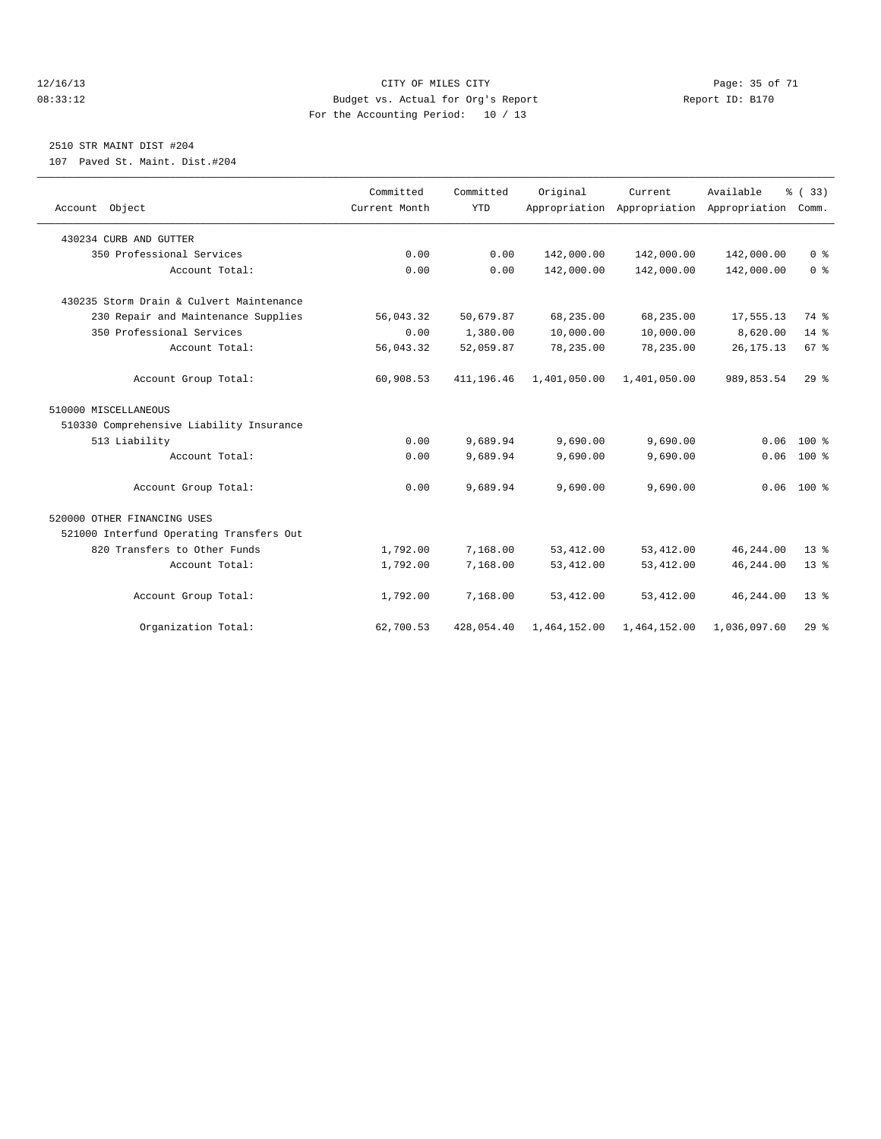#### 12/16/13 Page: 35 of 71 08:33:12 Budget vs. Actual for Org's Report Report ID: B170 For the Accounting Period: 10 / 13

### 2510 STR MAINT DIST #204

107 Paved St. Maint. Dist.#204

| Account Object                           | Committed<br>Current Month | Committed<br><b>YTD</b> | Original     | Current      | Available<br>Appropriation Appropriation Appropriation | % (33)<br>Comm. |  |
|------------------------------------------|----------------------------|-------------------------|--------------|--------------|--------------------------------------------------------|-----------------|--|
|                                          |                            |                         |              |              |                                                        |                 |  |
| 430234 CURB AND GUTTER                   |                            |                         |              |              |                                                        |                 |  |
| 350 Professional Services                | 0.00                       | 0.00                    | 142,000.00   | 142,000.00   | 142,000.00                                             | 0 <sup>8</sup>  |  |
| Account Total:                           | 0.00                       | 0.00                    | 142,000.00   | 142,000.00   | 142,000.00                                             | 0 <sup>8</sup>  |  |
| 430235 Storm Drain & Culvert Maintenance |                            |                         |              |              |                                                        |                 |  |
| 230 Repair and Maintenance Supplies      | 56,043.32                  | 50,679.87               | 68,235.00    | 68,235.00    | 17,555.13                                              | 74 %            |  |
| 350 Professional Services                | 0.00                       | 1,380.00                | 10,000.00    | 10,000.00    | 8,620.00                                               | $14*$           |  |
| Account Total:                           | 56,043.32                  | 52,059.87               | 78,235.00    | 78,235.00    | 26, 175. 13                                            | 67 %            |  |
| Account Group Total:                     | 60,908.53                  | 411, 196.46             | 1,401,050.00 | 1,401,050.00 | 989,853.54                                             | 29%             |  |
| 510000 MISCELLANEOUS                     |                            |                         |              |              |                                                        |                 |  |
| 510330 Comprehensive Liability Insurance |                            |                         |              |              |                                                        |                 |  |
| 513 Liability                            | 0.00                       | 9,689.94                | 9,690.00     | 9,690.00     | 0.06                                                   | $100*$          |  |
| Account Total:                           | 0.00                       | 9,689.94                | 9,690.00     | 9,690.00     | 0.06                                                   | 100 %           |  |
| Account Group Total:                     | 0.00                       | 9,689.94                | 9,690.00     | 9,690.00     |                                                        | $0.06$ 100 %    |  |
| 520000 OTHER FINANCING USES              |                            |                         |              |              |                                                        |                 |  |
| 521000 Interfund Operating Transfers Out |                            |                         |              |              |                                                        |                 |  |
| 820 Transfers to Other Funds             | 1,792.00                   | 7,168.00                | 53, 412.00   | 53, 412.00   | 46,244.00                                              | 13 <sup>°</sup> |  |
| Account Total:                           | 1,792.00                   | 7,168.00                | 53, 412.00   | 53, 412.00   | 46, 244.00                                             | 13 <sup>8</sup> |  |
| Account Group Total:                     | 1,792.00                   | 7,168.00                | 53, 412.00   | 53, 412.00   | 46,244.00                                              | $13*$           |  |
| Organization Total:                      | 62,700.53                  | 428,054.40              | 1,464,152.00 | 1,464,152.00 | 1,036,097.60                                           | $29*$           |  |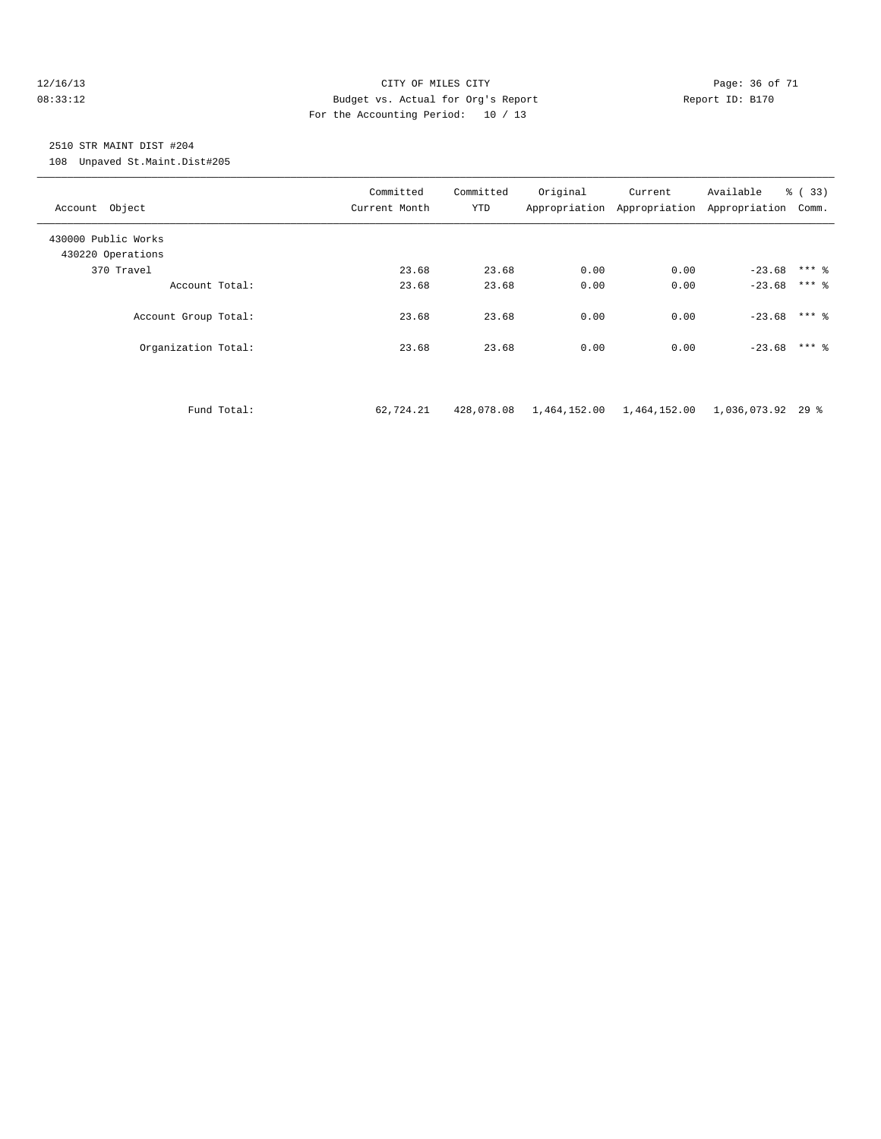#### 12/16/13 Page: 36 of 71 08:33:12 Budget vs. Actual for Org's Report Report ID: B170 For the Accounting Period: 10 / 13

# 2510 STR MAINT DIST #204

108 Unpaved St.Maint.Dist#205

| Account Object                           | Committed<br>Current Month | Committed<br>YTD | Original | Current<br>Appropriation Appropriation | Available<br>Appropriation | % (33)<br>Comm. |
|------------------------------------------|----------------------------|------------------|----------|----------------------------------------|----------------------------|-----------------|
| 430000 Public Works<br>430220 Operations |                            |                  |          |                                        |                            |                 |
| 370 Travel                               | 23.68                      | 23.68            | 0.00     | 0.00                                   | $-23.68$ *** \ \$          |                 |
| Account Total:                           | 23.68                      | 23.68            | 0.00     | 0.00                                   | $-23.68$ *** &             |                 |
| Account Group Total:                     | 23.68                      | 23.68            | 0.00     | 0.00                                   | $-23.68$ *** &             |                 |
| Organization Total:                      | 23.68                      | 23.68            | 0.00     | 0.00                                   | $-23.68$                   | $***$ 2         |
|                                          |                            |                  |          |                                        |                            |                 |

Fund Total: 62,724.21 428,078.08 1,464,152.00 1,464,152.00 1,036,073.92 29 %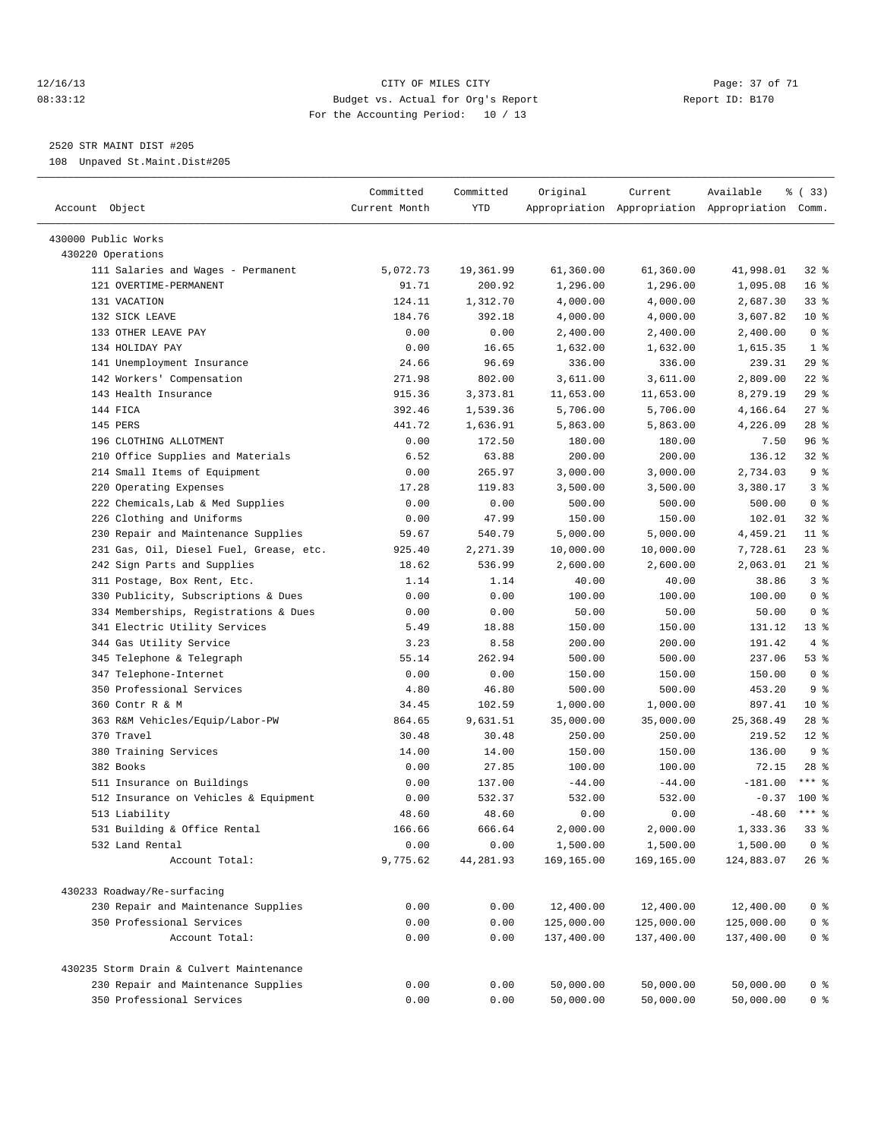#### 12/16/13 Page: 37 of 71 08:33:12 Budget vs. Actual for Org's Report Report ID: B170 For the Accounting Period: 10 / 13

————————————————————————————————————————————————————————————————————————————————————————————————————————————————————————————————————

2520 STR MAINT DIST #205

108 Unpaved St.Maint.Dist#205

|                                               | Committed     | Committed       | Original   | Current    | Available                                       | % (33)          |
|-----------------------------------------------|---------------|-----------------|------------|------------|-------------------------------------------------|-----------------|
| Account Object                                | Current Month | YTD             |            |            | Appropriation Appropriation Appropriation Comm. |                 |
| 430000 Public Works                           |               |                 |            |            |                                                 |                 |
| 430220 Operations                             |               |                 |            |            |                                                 |                 |
| 111 Salaries and Wages - Permanent            | 5,072.73      | 19,361.99       | 61,360.00  | 61,360.00  | 41,998.01                                       | $32$ $%$        |
| 121 OVERTIME-PERMANENT                        | 91.71         | 200.92          | 1,296.00   | 1,296.00   | 1,095.08                                        | 16 <sup>8</sup> |
| 131 VACATION                                  | 124.11        | 1,312.70        | 4,000.00   | 4,000.00   | 2,687.30                                        | $33$ $%$        |
| 132 SICK LEAVE                                | 184.76        | 392.18          | 4,000.00   | 4,000.00   | 3,607.82                                        | $10*$           |
| 133 OTHER LEAVE PAY                           | 0.00          | 0.00            | 2,400.00   | 2,400.00   | 2,400.00                                        | 0 <sup>8</sup>  |
| 134 HOLIDAY PAY                               | 0.00          | 16.65           | 1,632.00   | 1,632.00   | 1,615.35                                        | 1 <sup>8</sup>  |
| 141 Unemployment Insurance                    | 24.66         | 96.69           | 336.00     | 336.00     | 239.31                                          | $29$ %          |
| 142 Workers' Compensation                     | 271.98        | 802.00          | 3,611.00   | 3,611.00   | 2,809.00                                        | $22$ %          |
| 143 Health Insurance                          | 915.36        | 3,373.81        | 11,653.00  | 11,653.00  | 8,279.19                                        | $29$ %          |
| 144 FICA                                      | 392.46        | 1,539.36        | 5,706.00   | 5,706.00   | 4,166.64                                        | $27$ %          |
| 145 PERS                                      | 441.72        | 1,636.91        | 5,863.00   | 5,863.00   | 4,226.09                                        | $28$ %          |
| 196 CLOTHING ALLOTMENT                        | 0.00          | 172.50          | 180.00     | 180.00     | 7.50                                            | 96 %            |
| 210 Office Supplies and Materials             | 6.52          | 63.88           | 200.00     | 200.00     | 136.12                                          | 32 %            |
| 214 Small Items of Equipment                  | 0.00          | 265.97          | 3,000.00   | 3,000.00   | 2,734.03                                        | 9 <sup>°</sup>  |
| 220 Operating Expenses                        | 17.28         | 119.83          | 3,500.00   | 3,500.00   | 3,380.17                                        | 3 <sup>8</sup>  |
| 222 Chemicals, Lab & Med Supplies             | 0.00          | 0.00            | 500.00     | 500.00     | 500.00                                          | 0 <sup>8</sup>  |
| 226 Clothing and Uniforms                     | 0.00          | 47.99           | 150.00     | 150.00     | 102.01                                          | 32 %            |
| 230 Repair and Maintenance Supplies           | 59.67         | 540.79          | 5,000.00   | 5,000.00   | 4,459.21                                        | $11$ %          |
| 231 Gas, Oil, Diesel Fuel, Grease, etc.       | 925.40        | 2,271.39        | 10,000.00  | 10,000.00  | 7,728.61                                        | 23 %            |
| 242 Sign Parts and Supplies                   | 18.62         | 536.99          | 2,600.00   | 2,600.00   | 2,063.01                                        | 21 %            |
| 311 Postage, Box Rent, Etc.                   | 1.14          | 1.14            | 40.00      | 40.00      | 38.86                                           | 3%              |
| 330 Publicity, Subscriptions & Dues           | 0.00          | 0.00            | 100.00     | 100.00     | 100.00                                          | 0 <sup>8</sup>  |
| 334 Memberships, Registrations & Dues         | 0.00          | 0.00            | 50.00      | 50.00      | 50.00                                           | 0 <sup>8</sup>  |
| 341 Electric Utility Services                 | 5.49          | 18.88           | 150.00     | 150.00     | 131.12                                          | $13*$           |
| 344 Gas Utility Service                       | 3.23          | 8.58            | 200.00     | 200.00     | 191.42                                          | 4%              |
| 345 Telephone & Telegraph                     | 55.14         | 262.94          | 500.00     | 500.00     | 237.06                                          | 53%             |
| 347 Telephone-Internet                        | 0.00          | 0.00            | 150.00     | 150.00     | 150.00                                          | 0 <sup>8</sup>  |
| 350 Professional Services                     |               |                 |            |            |                                                 | 9 <sub>8</sub>  |
|                                               | 4.80          | 46.80           | 500.00     | 500.00     | 453.20                                          | $10*$           |
| 360 Contr R & M                               | 34.45         | 102.59          | 1,000.00   | 1,000.00   | 897.41                                          | $28$ %          |
| 363 R&M Vehicles/Equip/Labor-PW<br>370 Travel | 864.65        | 9,631.51        | 35,000.00  | 35,000.00  | 25,368.49                                       |                 |
|                                               | 30.48         | 30.48           | 250.00     | 250.00     | 219.52                                          | $12*$           |
| 380 Training Services                         | 14.00         | 14.00           | 150.00     | 150.00     | 136.00                                          | 9 <sub>8</sub>  |
| 382 Books                                     | 0.00          | 27.85           | 100.00     | 100.00     | 72.15                                           | $28$ %          |
| 511 Insurance on Buildings                    | 0.00          | 137.00          | $-44.00$   | $-44.00$   | $-181.00$                                       | $***$ $%$       |
| 512 Insurance on Vehicles & Equipment         | 0.00          | 532.37<br>48.60 | 532.00     | 532.00     | $-0.37$                                         | $100*$          |
| 513 Liability                                 | 48.60         |                 | 0.00       | 0.00       | $-48.60$                                        | $***$ $-$       |
| 531 Building & Office Rental                  | 166.66        | 666.64          | 2,000.00   | 2,000.00   | 1,333.36                                        | $33*$           |
| 532 Land Rental                               | 0.00          | 0.00            | 1,500.00   | 1,500.00   | 1,500.00                                        | 0 <sup>8</sup>  |
| Account Total:                                | 9,775.62      | 44,281.93       | 169,165.00 | 169,165.00 | 124,883.07                                      | $26$ %          |
| 430233 Roadway/Re-surfacing                   |               |                 |            |            |                                                 |                 |
| 230 Repair and Maintenance Supplies           | 0.00          | 0.00            | 12,400.00  | 12,400.00  | 12,400.00                                       | 0 <sup>8</sup>  |
| 350 Professional Services                     | 0.00          | 0.00            | 125,000.00 | 125,000.00 | 125,000.00                                      | $0$ %           |
| Account Total:                                | 0.00          | 0.00            | 137,400.00 | 137,400.00 | 137,400.00                                      | $0$ %           |
| 430235 Storm Drain & Culvert Maintenance      |               |                 |            |            |                                                 |                 |
| 230 Repair and Maintenance Supplies           | 0.00          | 0.00            | 50,000.00  | 50,000.00  | 50,000.00                                       | 0 <sup>8</sup>  |
| 350 Professional Services                     | 0.00          | 0.00            | 50,000.00  | 50,000.00  | 50,000.00                                       | 0 <sup>8</sup>  |
|                                               |               |                 |            |            |                                                 |                 |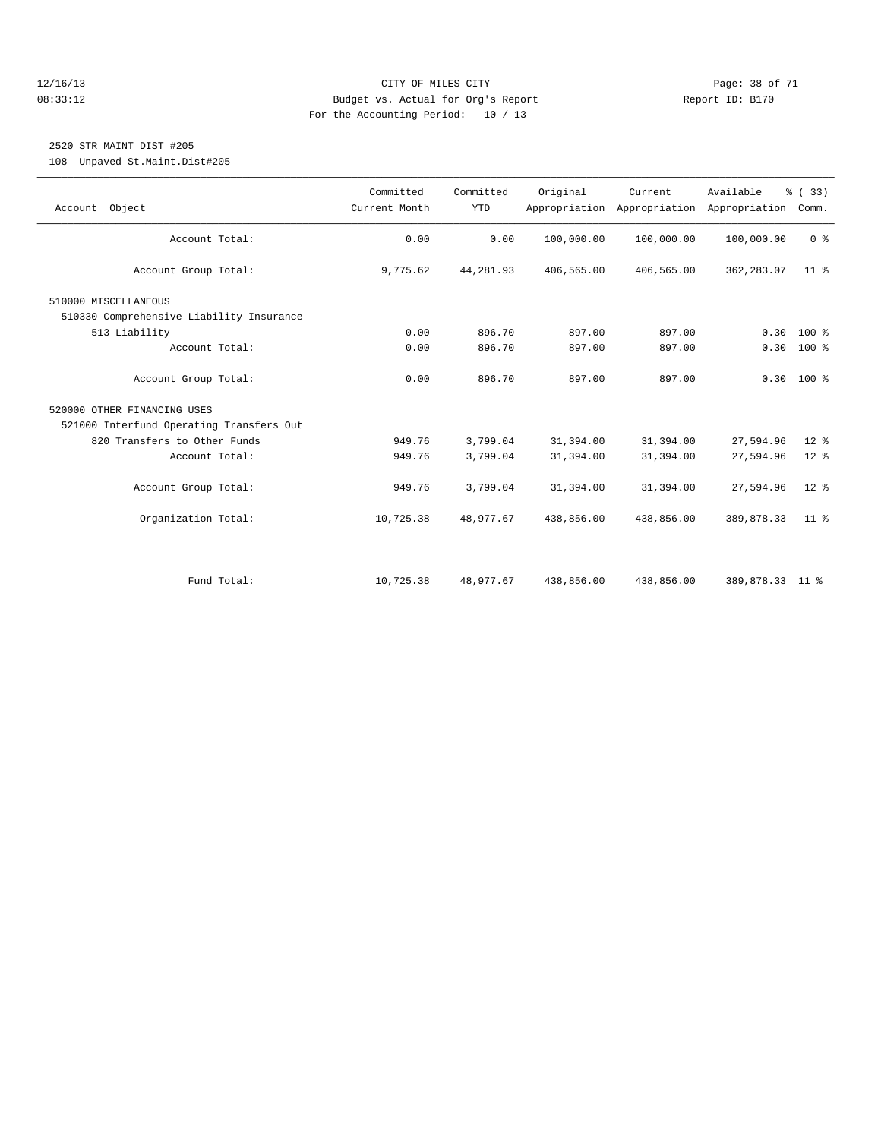#### 12/16/13 Page: 38 of 71 08:33:12 Budget vs. Actual for Org's Report Report ID: B170 For the Accounting Period: 10 / 13

# 2520 STR MAINT DIST #205

108 Unpaved St.Maint.Dist#205

| Account Object                           | Committed<br>Current Month | Committed<br><b>YTD</b> | Original   | Current<br>Appropriation Appropriation | Available<br>Appropriation | % (33)<br>Comm. |
|------------------------------------------|----------------------------|-------------------------|------------|----------------------------------------|----------------------------|-----------------|
|                                          |                            |                         |            |                                        |                            |                 |
| Account Total:                           | 0.00                       | 0.00                    | 100,000.00 | 100,000.00                             | 100,000.00                 | 0 <sup>8</sup>  |
| Account Group Total:                     | 9,775.62                   | 44,281.93               | 406,565.00 | 406,565.00                             | 362,283.07                 | 11 <sup>8</sup> |
| 510000 MISCELLANEOUS                     |                            |                         |            |                                        |                            |                 |
| 510330 Comprehensive Liability Insurance |                            |                         |            |                                        |                            |                 |
| 513 Liability                            | 0.00                       | 896.70                  | 897.00     | 897.00                                 | 0.30                       | $100*$          |
| Account Total:                           | 0.00                       | 896.70                  | 897.00     | 897.00                                 |                            | $0.30 100$ %    |
|                                          |                            |                         |            |                                        |                            |                 |
| Account Group Total:                     | 0.00                       | 896.70                  | 897.00     | 897.00                                 |                            | $0.30$ 100 %    |
| 520000 OTHER FINANCING USES              |                            |                         |            |                                        |                            |                 |
| 521000 Interfund Operating Transfers Out |                            |                         |            |                                        |                            |                 |
| 820 Transfers to Other Funds             | 949.76                     | 3,799.04                | 31,394.00  | 31,394.00                              | 27,594.96                  | $12*$           |
| Account Total:                           | 949.76                     | 3,799.04                | 31,394.00  | 31,394.00                              | 27,594.96                  | $12*$           |
|                                          |                            |                         |            |                                        |                            |                 |
| Account Group Total:                     | 949.76                     | 3,799.04                | 31,394.00  | 31,394.00                              | 27,594.96                  | $12*$           |
|                                          |                            |                         |            |                                        |                            |                 |
| Organization Total:                      | 10,725.38                  | 48,977.67               | 438,856.00 | 438,856.00                             | 389,878.33                 | 11 <sup>8</sup> |
|                                          |                            |                         |            |                                        |                            |                 |
|                                          |                            |                         |            |                                        |                            |                 |
|                                          |                            |                         |            |                                        |                            |                 |
| Fund Total:                              | 10,725.38                  | 48,977.67               | 438,856.00 | 438,856.00                             | 389,878.33 11 %            |                 |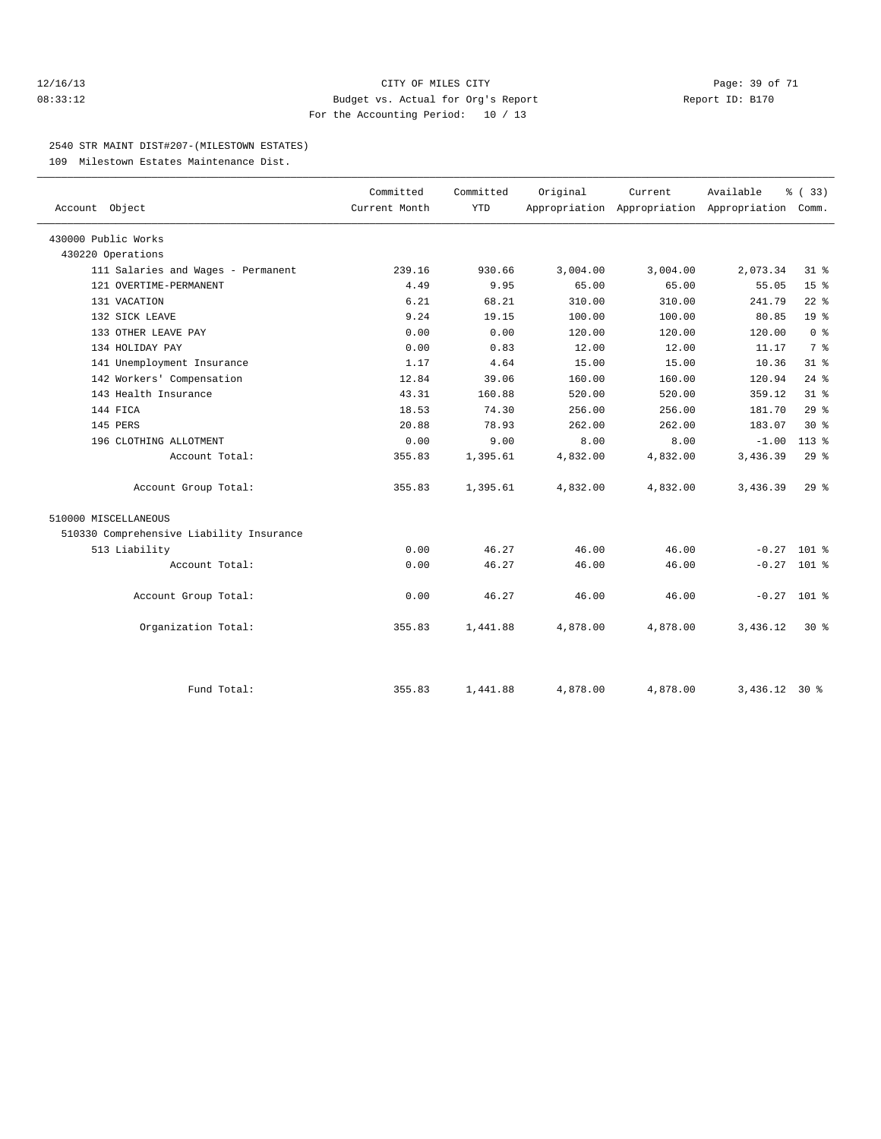#### 12/16/13 Page: 39 of 71 08:33:12 Budget vs. Actual for Org's Report Report ID: B170 For the Accounting Period: 10 / 13

#### 2540 STR MAINT DIST#207-(MILESTOWN ESTATES)

109 Milestown Estates Maintenance Dist.

| Account Object                           | Committed     | Committed  | Original | Current  | Available<br>Appropriation Appropriation Appropriation | % (33)          |  |
|------------------------------------------|---------------|------------|----------|----------|--------------------------------------------------------|-----------------|--|
|                                          | Current Month | <b>YTD</b> |          |          |                                                        | Comm.           |  |
| 430000 Public Works                      |               |            |          |          |                                                        |                 |  |
| 430220 Operations                        |               |            |          |          |                                                        |                 |  |
| 111 Salaries and Wages - Permanent       | 239.16        | 930.66     | 3,004.00 | 3,004.00 | 2,073.34                                               | 31.8            |  |
| 121 OVERTIME-PERMANENT                   | 4.49          | 9.95       | 65.00    | 65.00    | 55.05                                                  | 15 <sup>8</sup> |  |
| 131 VACATION                             | 6.21          | 68.21      | 310.00   | 310.00   | 241.79                                                 | $22$ $%$        |  |
| 132 SICK LEAVE                           | 9.24          | 19.15      | 100.00   | 100.00   | 80.85                                                  | 19 <sup>°</sup> |  |
| 133 OTHER LEAVE PAY                      | 0.00          | 0.00       | 120.00   | 120.00   | 120.00                                                 | 0 <sup>8</sup>  |  |
| 134 HOLIDAY PAY                          | 0.00          | 0.83       | 12.00    | 12.00    | 11.17                                                  | 7 <sup>°</sup>  |  |
| 141 Unemployment Insurance               | 1.17          | 4.64       | 15.00    | 15.00    | 10.36                                                  | 31.8            |  |
| 142 Workers' Compensation                | 12.84         | 39.06      | 160.00   | 160.00   | 120.94                                                 | $24$ $%$        |  |
| 143 Health Insurance                     | 43.31         | 160.88     | 520.00   | 520.00   | 359.12                                                 | 31.8            |  |
| 144 FICA                                 | 18.53         | 74.30      | 256.00   | 256.00   | 181.70                                                 | 29%             |  |
| 145 PERS                                 | 20.88         | 78.93      | 262.00   | 262.00   | 183.07                                                 | $30*$           |  |
| 196 CLOTHING ALLOTMENT                   | 0.00          | 9.00       | 8.00     | 8.00     | $-1.00$                                                | $113*$          |  |
| Account Total:                           | 355.83        | 1,395.61   | 4,832.00 | 4,832.00 | 3,436.39                                               | 29%             |  |
| Account Group Total:                     | 355.83        | 1,395.61   | 4,832.00 | 4,832.00 | 3,436.39                                               | $29*$           |  |
| 510000 MISCELLANEOUS                     |               |            |          |          |                                                        |                 |  |
| 510330 Comprehensive Liability Insurance |               |            |          |          |                                                        |                 |  |
| 513 Liability                            | 0.00          | 46.27      | 46.00    | 46.00    |                                                        | $-0.27$ 101 %   |  |
| Account Total:                           | 0.00          | 46.27      | 46.00    | 46.00    |                                                        | $-0.27$ 101 %   |  |
| Account Group Total:                     | 0.00          | 46.27      | 46.00    | 46.00    |                                                        | $-0.27$ 101 %   |  |
| Organization Total:                      | 355.83        | 1,441.88   | 4,878.00 | 4,878.00 | 3,436.12                                               | $30*$           |  |
|                                          |               |            |          |          |                                                        |                 |  |
| Fund Total:                              | 355.83        | 1,441.88   | 4,878.00 | 4,878.00 | $3,436.12$ 30 %                                        |                 |  |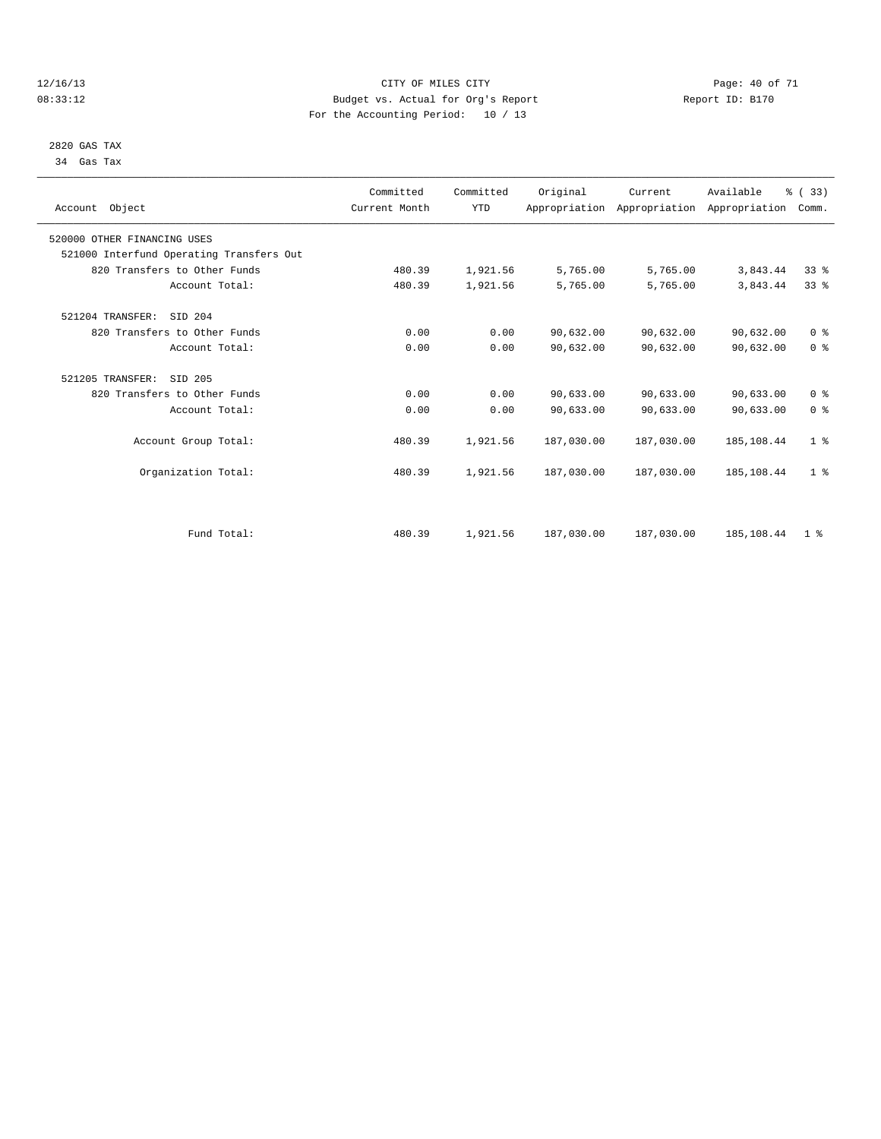#### 12/16/13 Page: 40 of 71 08:33:12 Budget vs. Actual for Org's Report Changer Report ID: B170 For the Accounting Period: 10 / 13

#### 2820 GAS TAX 34 Gas Tax

| Account Object                           | Committed<br>Current Month | Committed<br><b>YTD</b> | Original   | Current<br>Appropriation Appropriation Appropriation | Available  | % (33)<br>Comm. |  |
|------------------------------------------|----------------------------|-------------------------|------------|------------------------------------------------------|------------|-----------------|--|
| 520000 OTHER FINANCING USES              |                            |                         |            |                                                      |            |                 |  |
| 521000 Interfund Operating Transfers Out |                            |                         |            |                                                      |            |                 |  |
| 820 Transfers to Other Funds             | 480.39                     | 1,921.56                | 5,765.00   | 5,765.00                                             | 3,843.44   | 33%             |  |
| Account Total:                           | 480.39                     | 1,921.56                | 5,765.00   | 5,765.00                                             | 3,843.44   | 33 <sup>8</sup> |  |
| 521204 TRANSFER:<br>SID 204              |                            |                         |            |                                                      |            |                 |  |
| 820 Transfers to Other Funds             | 0.00                       | 0.00                    | 90,632.00  | 90,632.00                                            | 90,632.00  | 0 <sup>8</sup>  |  |
| Account Total:                           | 0.00                       | 0.00                    | 90,632.00  | 90,632.00                                            | 90,632.00  | 0 <sup>8</sup>  |  |
| 521205 TRANSFER:<br>SID 205              |                            |                         |            |                                                      |            |                 |  |
| 820 Transfers to Other Funds             | 0.00                       | 0.00                    | 90,633.00  | 90,633.00                                            | 90,633.00  | 0 <sup>8</sup>  |  |
| Account Total:                           | 0.00                       | 0.00                    | 90,633.00  | 90,633.00                                            | 90,633.00  | 0 <sup>8</sup>  |  |
| Account Group Total:                     | 480.39                     | 1,921.56                | 187,030.00 | 187,030.00                                           | 185,108.44 | 1 <sup>8</sup>  |  |
| Organization Total:                      | 480.39                     | 1,921.56                | 187,030.00 | 187,030.00                                           | 185,108.44 | 1 <sup>8</sup>  |  |
|                                          |                            |                         |            |                                                      |            |                 |  |
| Fund Total:                              | 480.39                     | 1,921.56                | 187,030.00 | 187,030.00                                           | 185,108.44 | 1 <sup>8</sup>  |  |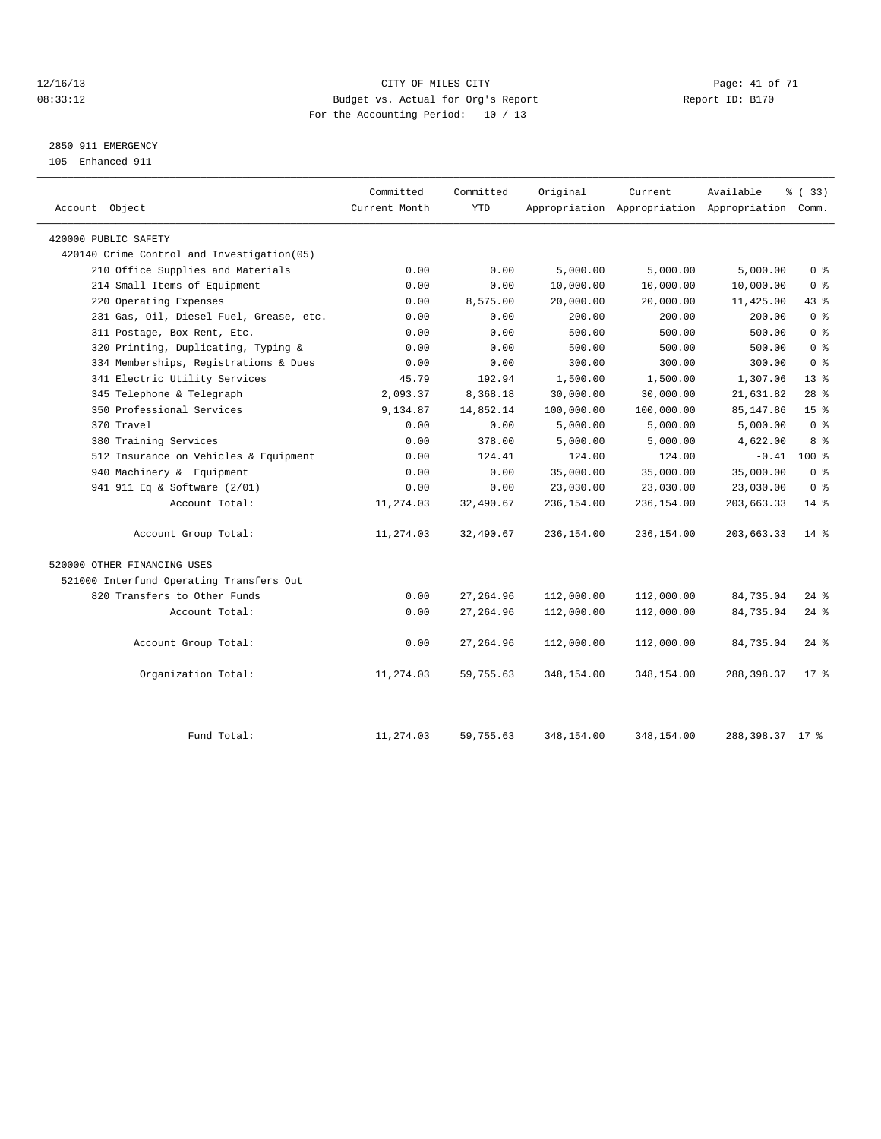#### 12/16/13 Page: 41 of 71 08:33:12 Budget vs. Actual for Org's Report Changer Report ID: B170 For the Accounting Period: 10 / 13

## 2850 911 EMERGENCY

105 Enhanced 911

| Account Object                             | Committed<br>Current Month | Committed<br><b>YTD</b> | Original   | Current    | Available<br>Appropriation Appropriation Appropriation Comm. | % (33)             |
|--------------------------------------------|----------------------------|-------------------------|------------|------------|--------------------------------------------------------------|--------------------|
| 420000 PUBLIC SAFETY                       |                            |                         |            |            |                                                              |                    |
| 420140 Crime Control and Investigation(05) |                            |                         |            |            |                                                              |                    |
| 210 Office Supplies and Materials          | 0.00                       | 0.00                    | 5,000.00   | 5,000.00   | 5,000.00                                                     | 0 <sup>8</sup>     |
| 214 Small Items of Equipment               | 0.00                       | 0.00                    | 10,000.00  | 10,000.00  | 10,000.00                                                    | 0 <sup>8</sup>     |
| 220 Operating Expenses                     | 0.00                       | 8,575.00                | 20,000.00  | 20,000.00  | 11,425.00                                                    | 43 %               |
| 231 Gas, Oil, Diesel Fuel, Grease, etc.    | 0.00                       | 0.00                    | 200.00     | 200.00     | 200.00                                                       | 0 <sup>8</sup>     |
| 311 Postage, Box Rent, Etc.                | 0.00                       | 0.00                    | 500.00     | 500.00     | 500.00                                                       | 0 <sup>8</sup>     |
| 320 Printing, Duplicating, Typing &        | 0.00                       | 0.00                    | 500.00     | 500.00     | 500.00                                                       | 0 <sup>8</sup>     |
| 334 Memberships, Registrations & Dues      | 0.00                       | 0.00                    | 300.00     | 300.00     | 300.00                                                       | 0 <sup>8</sup>     |
| 341 Electric Utility Services              | 45.79                      | 192.94                  | 1,500.00   | 1,500.00   | 1,307.06                                                     | $13*$              |
| 345 Telephone & Telegraph                  | 2,093.37                   | 8,368.18                | 30,000.00  | 30,000.00  | 21,631.82                                                    | $28$ %             |
| 350 Professional Services                  | 9,134.87                   | 14,852.14               | 100,000.00 | 100,000.00 | 85, 147.86                                                   | 15 <sup>8</sup>    |
| 370 Travel                                 | 0.00                       | 0.00                    | 5,000.00   | 5,000.00   | 5,000.00                                                     | 0 <sup>8</sup>     |
| 380 Training Services                      | 0.00                       | 378.00                  | 5,000.00   | 5,000.00   | 4,622.00                                                     | 8 %                |
| 512 Insurance on Vehicles & Equipment      | 0.00                       | 124.41                  | 124.00     | 124.00     | $-0.41$                                                      | $100*$             |
| 940 Machinery & Equipment                  | 0.00                       | 0.00                    | 35,000.00  | 35,000.00  | 35,000.00                                                    | 0 <sup>8</sup>     |
| 941 911 Eq & Software (2/01)               | 0.00                       | 0.00                    | 23,030.00  | 23,030.00  | 23,030.00                                                    | 0 <sup>8</sup>     |
| Account Total:                             | 11,274.03                  | 32,490.67               | 236,154.00 | 236,154.00 | 203,663.33                                                   | $14$ %             |
| Account Group Total:                       | 11,274.03                  | 32,490.67               | 236,154.00 | 236,154.00 | 203,663.33                                                   | $14*$              |
| 520000 OTHER FINANCING USES                |                            |                         |            |            |                                                              |                    |
| 521000 Interfund Operating Transfers Out   |                            |                         |            |            |                                                              |                    |
| 820 Transfers to Other Funds               | 0.00                       | 27, 264.96              | 112,000.00 | 112,000.00 | 84,735.04                                                    | $24$ $\frac{6}{5}$ |
| Account Total:                             | 0.00                       | 27, 264.96              | 112,000.00 | 112,000.00 | 84,735.04                                                    | $24$ %             |
| Account Group Total:                       | 0.00                       | 27, 264.96              | 112,000.00 | 112,000.00 | 84,735.04                                                    | $24$ $\frac{6}{5}$ |
| Organization Total:                        | 11,274.03                  | 59,755.63               | 348,154.00 | 348,154.00 | 288, 398.37                                                  | $17$ %             |
| Fund Total:                                | 11,274.03                  | 59,755.63               | 348,154.00 | 348,154.00 | 288, 398. 37 17 %                                            |                    |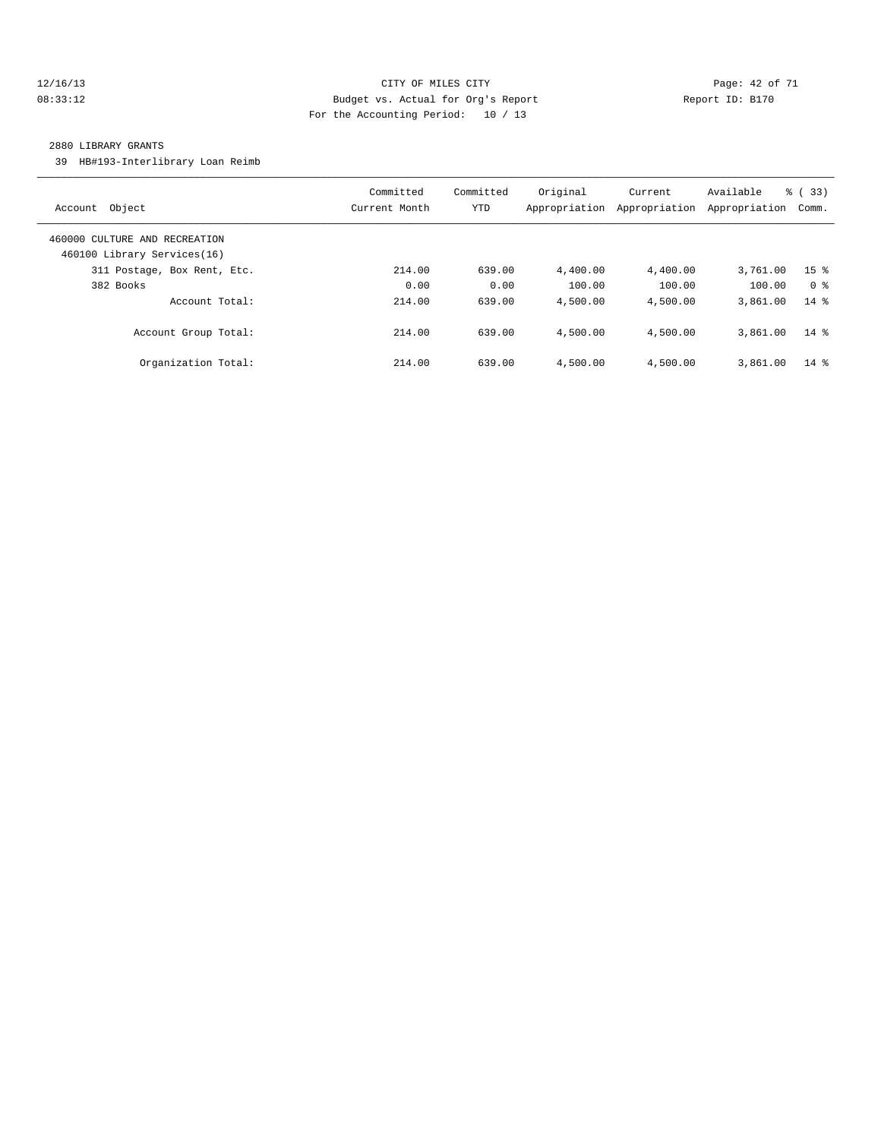#### 12/16/13 Page: 42 of 71 08:33:12 Budget vs. Actual for Org's Report Changer Report ID: B170 For the Accounting Period: 10 / 13

#### 2880 LIBRARY GRANTS

39 HB#193-Interlibrary Loan Reimb

| Object<br>Account                                            | Committed<br>Current Month | Committed<br><b>YTD</b> | Original<br>Appropriation | Current<br>Appropriation | Available<br>Appropriation | % (33)<br>Comm. |
|--------------------------------------------------------------|----------------------------|-------------------------|---------------------------|--------------------------|----------------------------|-----------------|
| 460000 CULTURE AND RECREATION<br>460100 Library Services(16) |                            |                         |                           |                          |                            |                 |
| 311 Postage, Box Rent, Etc.                                  | 214.00                     | 639.00                  | 4,400.00                  | 4,400.00                 | 3,761.00                   | 15 <sup>8</sup> |
| 382 Books                                                    | 0.00                       | 0.00                    | 100.00                    | 100.00                   | 100.00                     | 0 <sup>8</sup>  |
| Account Total:                                               | 214.00                     | 639.00                  | 4,500.00                  | 4,500.00                 | 3,861.00                   | $14*$           |
| Account Group Total:                                         | 214.00                     | 639.00                  | 4,500.00                  | 4,500.00                 | 3,861.00                   | $14*$           |
| Organization Total:                                          | 214.00                     | 639.00                  | 4,500.00                  | 4,500.00                 | 3,861.00                   | $14*$           |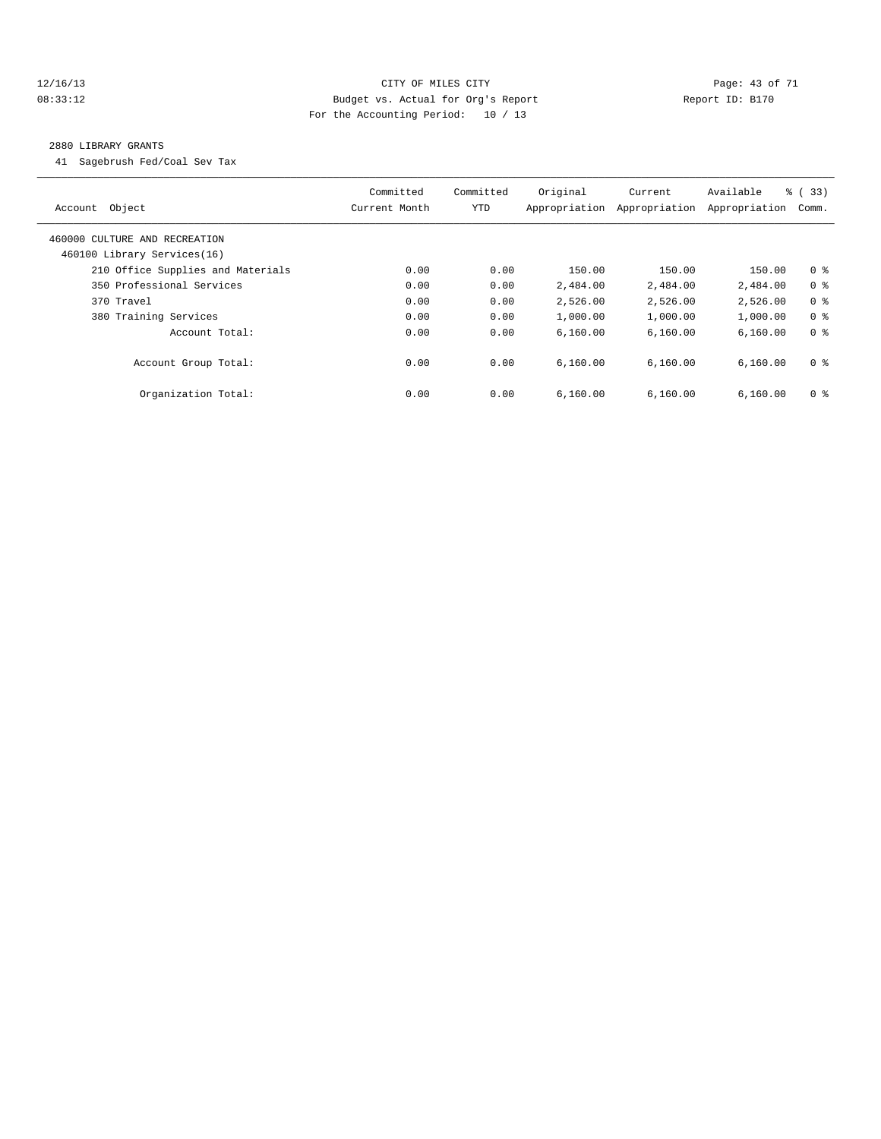#### 12/16/13 Page: 43 of 71 08:33:12 Budget vs. Actual for Org's Report Report ID: B170 For the Accounting Period: 10 / 13

#### 2880 LIBRARY GRANTS

41 Sagebrush Fed/Coal Sev Tax

| Object<br>Account                                            | Committed<br>Current Month | Committed<br>YTD | Original<br>Appropriation | Current<br>Appropriation | Available<br>Appropriation | % (33)<br>Comm. |
|--------------------------------------------------------------|----------------------------|------------------|---------------------------|--------------------------|----------------------------|-----------------|
| 460000 CULTURE AND RECREATION<br>460100 Library Services(16) |                            |                  |                           |                          |                            |                 |
| 210 Office Supplies and Materials                            | 0.00                       | 0.00             | 150.00                    | 150.00                   | 150.00                     | 0 <sup>8</sup>  |
| 350 Professional Services                                    | 0.00                       | 0.00             | 2,484.00                  | 2,484.00                 | 2,484.00                   | 0 <sup>8</sup>  |
| 370 Travel                                                   | 0.00                       | 0.00             | 2,526.00                  | 2,526.00                 | 2,526.00                   | 0 <sup>8</sup>  |
| 380 Training Services                                        | 0.00                       | 0.00             | 1,000.00                  | 1,000.00                 | 1,000.00                   | 0 <sup>8</sup>  |
| Account Total:                                               | 0.00                       | 0.00             | 6,160.00                  | 6,160.00                 | 6, 160.00                  | 0 <sup>8</sup>  |
| Account Group Total:                                         | 0.00                       | 0.00             | 6.160.00                  | 6.160.00                 | 6,160.00                   | 0 <sup>8</sup>  |
| Organization Total:                                          | 0.00                       | 0.00             | 6.160.00                  | 6.160.00                 | 6,160.00                   | 0 <sup>8</sup>  |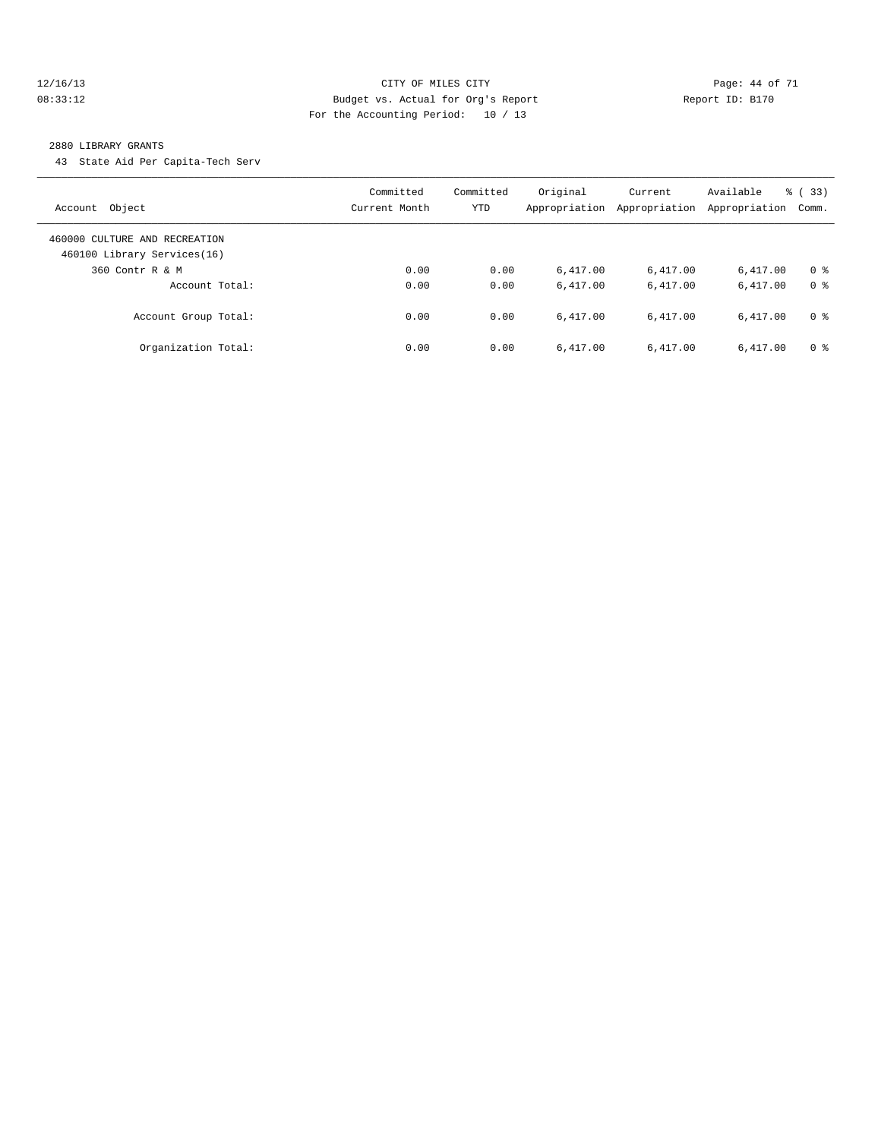#### 12/16/13 Page: 44 of 71 08:33:12 Budget vs. Actual for Org's Report Changer Report ID: B170 For the Accounting Period: 10 / 13

#### 2880 LIBRARY GRANTS

43 State Aid Per Capita-Tech Serv

| Account Object                                               | Committed<br>Current Month | Committed<br>YTD | Original<br>Appropriation | Current<br>Appropriation | Available<br>Appropriation | % (33)<br>Comm. |
|--------------------------------------------------------------|----------------------------|------------------|---------------------------|--------------------------|----------------------------|-----------------|
| 460000 CULTURE AND RECREATION<br>460100 Library Services(16) |                            |                  |                           |                          |                            |                 |
| 360 Contr R & M                                              | 0.00                       | 0.00             | 6.417.00                  | 6,417.00                 | 6.417.00                   | 0 <sup>8</sup>  |
| Account Total:                                               | 0.00                       | 0.00             | 6.417.00                  | 6.417.00                 | 6,417.00                   | 0 <sup>8</sup>  |
| Account Group Total:                                         | 0.00                       | 0.00             | 6.417.00                  | 6.417.00                 | 6.417.00                   | 0 <sup>8</sup>  |
| Organization Total:                                          | 0.00                       | 0.00             | 6.417.00                  | 6,417.00                 | 6.417.00                   | 0 <sup>8</sup>  |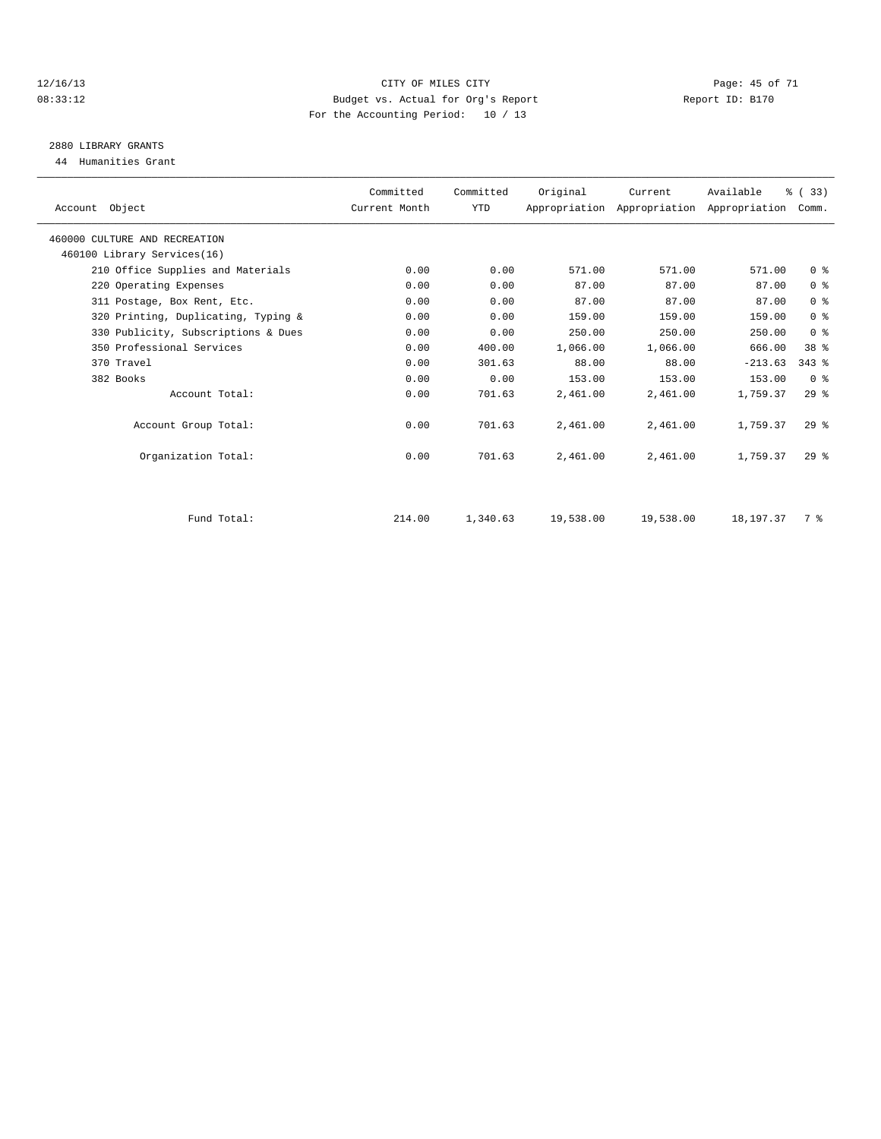#### 12/16/13 Page: 45 of 71 08:33:12 Budget vs. Actual for Org's Report Changer Report ID: B170 For the Accounting Period: 10 / 13

# 2880 LIBRARY GRANTS

44 Humanities Grant

| Account Object                      | Committed<br>Current Month | Committed<br><b>YTD</b> | Original  | Current   | Available<br>Appropriation Appropriation Appropriation | % (33)<br>Comm. |  |
|-------------------------------------|----------------------------|-------------------------|-----------|-----------|--------------------------------------------------------|-----------------|--|
| 460000 CULTURE AND RECREATION       |                            |                         |           |           |                                                        |                 |  |
| 460100 Library Services(16)         |                            |                         |           |           |                                                        |                 |  |
| 210 Office Supplies and Materials   | 0.00                       | 0.00                    | 571.00    | 571.00    | 571.00                                                 | 0 <sup>8</sup>  |  |
| 220 Operating Expenses              | 0.00                       | 0.00                    | 87.00     | 87.00     | 87.00                                                  | 0 <sup>8</sup>  |  |
| 311 Postage, Box Rent, Etc.         | 0.00                       | 0.00                    | 87.00     | 87.00     | 87.00                                                  | 0 <sup>8</sup>  |  |
| 320 Printing, Duplicating, Typing & | 0.00                       | 0.00                    | 159.00    | 159.00    | 159.00                                                 | 0 <sup>8</sup>  |  |
| 330 Publicity, Subscriptions & Dues | 0.00                       | 0.00                    | 250.00    | 250.00    | 250.00                                                 | 0 <sup>8</sup>  |  |
| 350 Professional Services           | 0.00                       | 400.00                  | 1,066.00  | 1,066.00  | 666.00                                                 | 38 <sup>8</sup> |  |
| 370 Travel                          | 0.00                       | 301.63                  | 88.00     | 88.00     | $-213.63$                                              | $343$ $%$       |  |
| 382 Books                           | 0.00                       | 0.00                    | 153.00    | 153.00    | 153.00                                                 | 0 <sup>8</sup>  |  |
| Account Total:                      | 0.00                       | 701.63                  | 2,461.00  | 2,461.00  | 1,759.37                                               | $29*$           |  |
| Account Group Total:                | 0.00                       | 701.63                  | 2,461.00  | 2,461.00  | 1,759.37                                               | $29*$           |  |
| Organization Total:                 | 0.00                       | 701.63                  | 2,461.00  | 2,461.00  | 1,759.37                                               | $29*$           |  |
|                                     |                            |                         |           |           |                                                        |                 |  |
| Fund Total:                         | 214.00                     | 1,340.63                | 19,538.00 | 19,538.00 | 18, 197. 37                                            | 7 %             |  |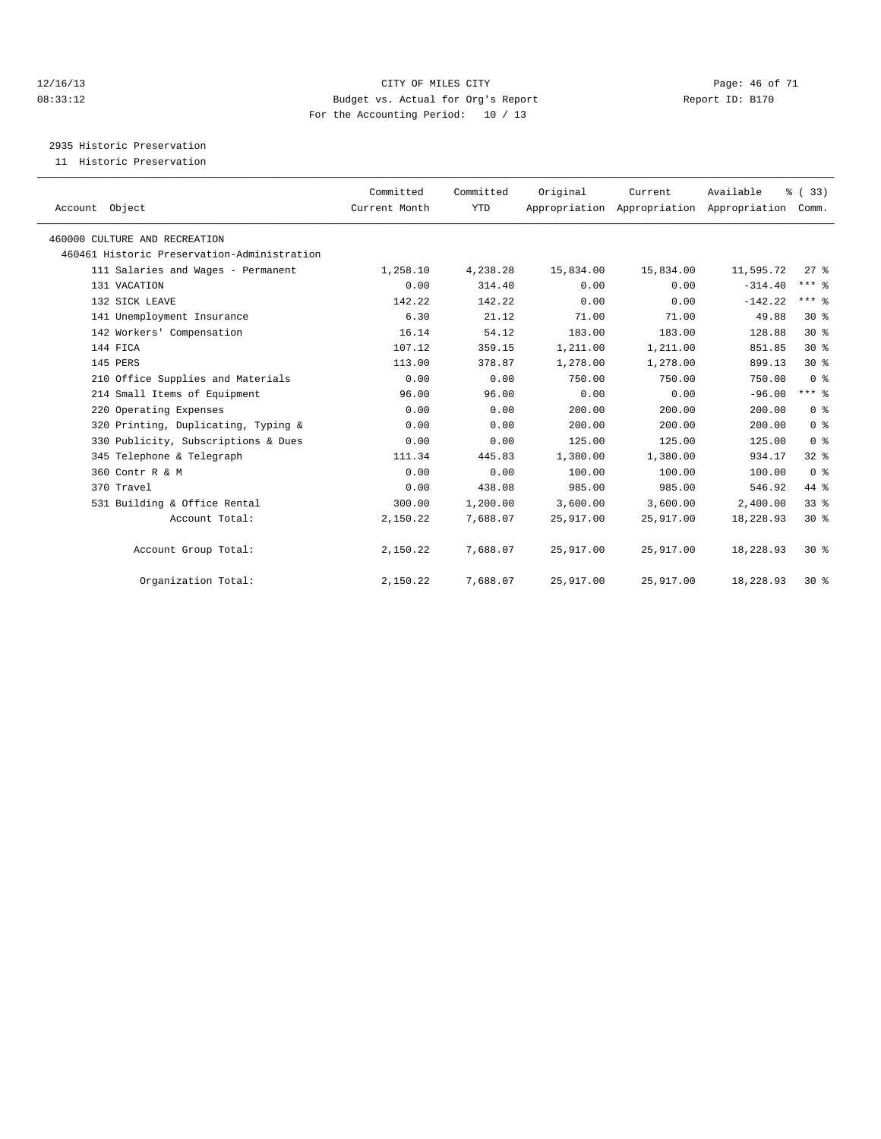#### 12/16/13 Page: 46 of 71 08:33:12 Budget vs. Actual for Org's Report Report ID: B170 For the Accounting Period: 10 / 13

2935 Historic Preservation

11 Historic Preservation

| Account Object                              | Committed<br>Current Month | Committed<br><b>YTD</b> | Original  | Current<br>Appropriation Appropriation Appropriation | Available | % (33)<br>Comm. |  |
|---------------------------------------------|----------------------------|-------------------------|-----------|------------------------------------------------------|-----------|-----------------|--|
| 460000 CULTURE AND RECREATION               |                            |                         |           |                                                      |           |                 |  |
| 460461 Historic Preservation-Administration |                            |                         |           |                                                      |           |                 |  |
| 111 Salaries and Wages - Permanent          | 1,258.10                   | 4,238.28                | 15,834.00 | 15,834.00                                            | 11,595.72 | $27$ %          |  |
| 131 VACATION                                | 0.00                       | 314.40                  | 0.00      | 0.00                                                 | $-314.40$ | $***$ $_{8}$    |  |
| 132 SICK LEAVE                              | 142.22                     | 142.22                  | 0.00      | 0.00                                                 | $-142.22$ | $***$ $%$       |  |
| 141 Unemployment Insurance                  | 6.30                       | 21.12                   | 71.00     | 71.00                                                | 49.88     | $30*$           |  |
| 142 Workers' Compensation                   | 16.14                      | 54.12                   | 183.00    | 183.00                                               | 128.88    | $30*$           |  |
| 144 FICA                                    | 107.12                     | 359.15                  | 1,211.00  | 1,211.00                                             | 851.85    | $30*$           |  |
| 145 PERS                                    | 113.00                     | 378.87                  | 1,278.00  | 1,278.00                                             | 899.13    | $30*$           |  |
| 210 Office Supplies and Materials           | 0.00                       | 0.00                    | 750.00    | 750.00                                               | 750.00    | 0 <sup>8</sup>  |  |
| 214 Small Items of Equipment                | 96.00                      | 96.00                   | 0.00      | 0.00                                                 | $-96.00$  | $***$ $-$       |  |
| 220 Operating Expenses                      | 0.00                       | 0.00                    | 200.00    | 200.00                                               | 200.00    | 0 <sup>8</sup>  |  |
| 320 Printing, Duplicating, Typing &         | 0.00                       | 0.00                    | 200.00    | 200.00                                               | 200.00    | 0 <sup>8</sup>  |  |
| 330 Publicity, Subscriptions & Dues         | 0.00                       | 0.00                    | 125.00    | 125.00                                               | 125.00    | 0 <sup>8</sup>  |  |
| 345 Telephone & Telegraph                   | 111.34                     | 445.83                  | 1,380.00  | 1,380.00                                             | 934.17    | 328             |  |
| 360 Contr R & M                             | 0.00                       | 0.00                    | 100.00    | 100.00                                               | 100.00    | 0 <sup>8</sup>  |  |
| 370 Travel                                  | 0.00                       | 438.08                  | 985.00    | 985.00                                               | 546.92    | 44 %            |  |
| 531 Building & Office Rental                | 300.00                     | 1,200.00                | 3,600.00  | 3,600.00                                             | 2,400.00  | 33%             |  |
| Account Total:                              | 2,150.22                   | 7,688.07                | 25,917.00 | 25,917.00                                            | 18,228.93 | $30*$           |  |
| Account Group Total:                        | 2,150.22                   | 7,688.07                | 25,917.00 | 25,917.00                                            | 18,228.93 | $30*$           |  |
| Organization Total:                         | 2,150.22                   | 7,688.07                | 25,917.00 | 25,917.00                                            | 18,228.93 | $30*$           |  |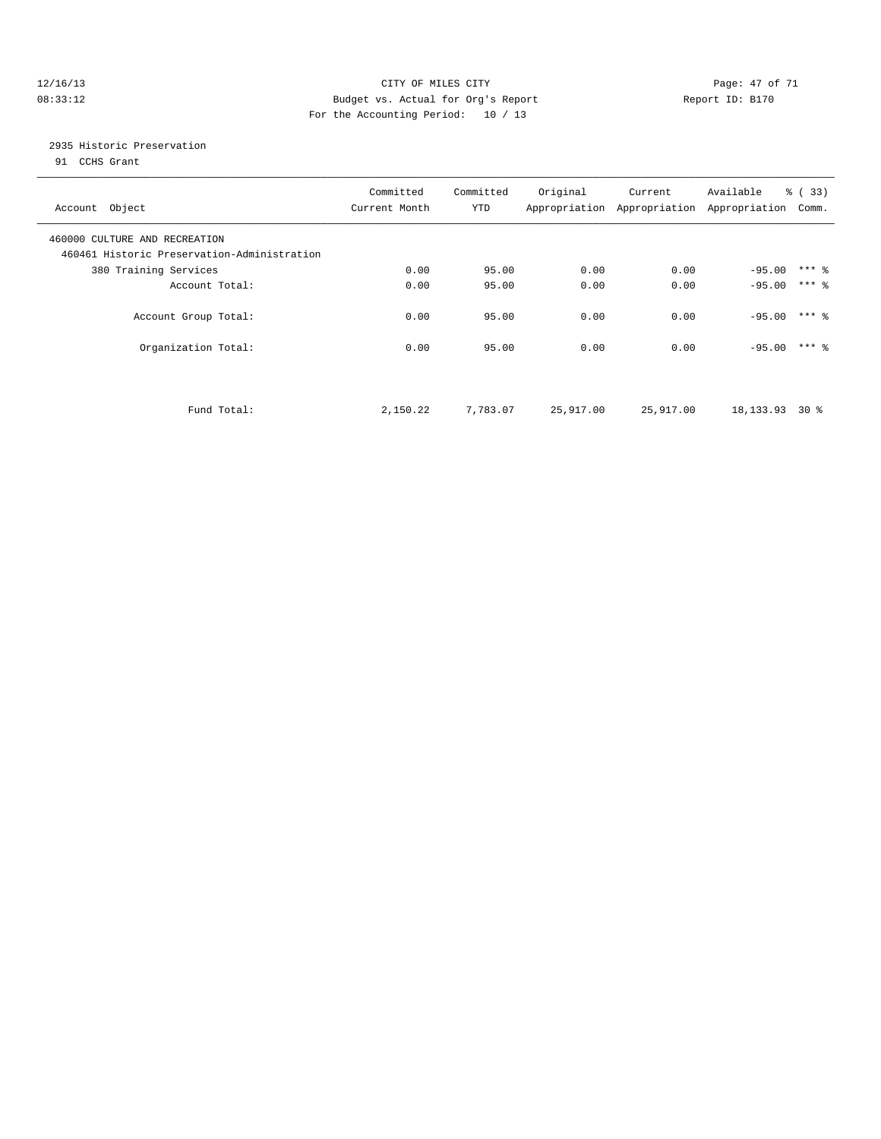#### 12/16/13 Page: 47 of 71 08:33:12 Budget vs. Actual for Org's Report Changer Report ID: B170 For the Accounting Period: 10 / 13

### 2935 Historic Preservation

91 CCHS Grant

| Account Object                                                               | Committed<br>Current Month | Committed<br>YTD | Original  | Current   | Available<br>Appropriation Appropriation Appropriation | $\frac{6}{6}$ (33)<br>Comm. |  |
|------------------------------------------------------------------------------|----------------------------|------------------|-----------|-----------|--------------------------------------------------------|-----------------------------|--|
| 460000 CULTURE AND RECREATION<br>460461 Historic Preservation-Administration |                            |                  |           |           |                                                        |                             |  |
| 380 Training Services                                                        | 0.00                       | 95.00            | 0.00      | 0.00      | $-95.00$                                               | $***$ $\frac{6}{5}$         |  |
| Account Total:                                                               | 0.00                       | 95.00            | 0.00      | 0.00      | $-95.00$                                               | $***$ 2                     |  |
| Account Group Total:                                                         | 0.00                       | 95.00            | 0.00      | 0.00      | $-95.00$                                               | $***$ 2                     |  |
| Organization Total:                                                          | 0.00                       | 95.00            | 0.00      | 0.00      | $-95.00$                                               | $***$ 2                     |  |
| Fund Total:                                                                  | 2,150.22                   | 7,783.07         | 25,917.00 | 25,917.00 | 18, 133. 93 30 %                                       |                             |  |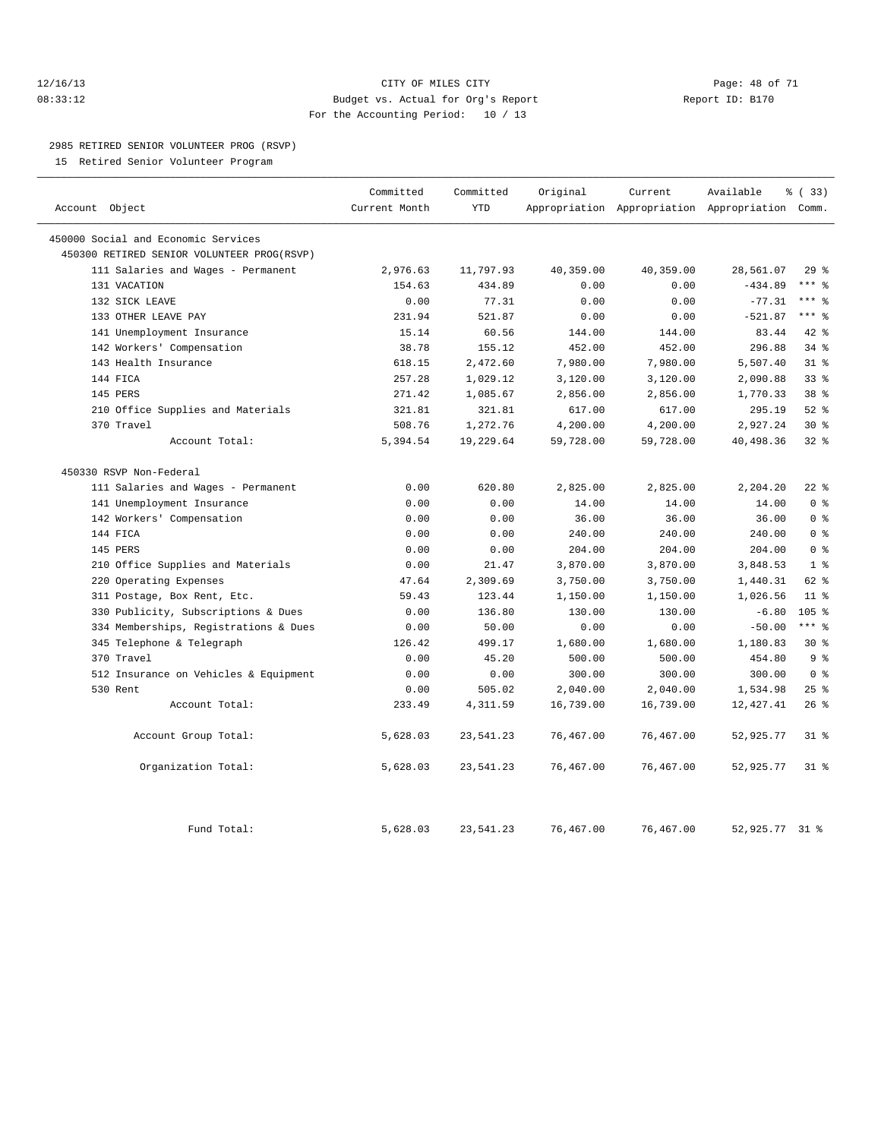#### 12/16/13 Page: 48 of 71 08:33:12 Budget vs. Actual for Org's Report Report ID: B170 For the Accounting Period: 10 / 13

#### 2985 RETIRED SENIOR VOLUNTEER PROG (RSVP)

15 Retired Senior Volunteer Program

|                                            | Committed     | Committed  | Original  | Current   | Available                                       | % (33)           |
|--------------------------------------------|---------------|------------|-----------|-----------|-------------------------------------------------|------------------|
| Account Object                             | Current Month | <b>YTD</b> |           |           | Appropriation Appropriation Appropriation Comm. |                  |
| 450000 Social and Economic Services        |               |            |           |           |                                                 |                  |
| 450300 RETIRED SENIOR VOLUNTEER PROG(RSVP) |               |            |           |           |                                                 |                  |
| 111 Salaries and Wages - Permanent         | 2,976.63      | 11,797.93  | 40,359.00 | 40,359.00 | 28,561.07                                       | 29%              |
| 131 VACATION                               | 154.63        | 434.89     | 0.00      | 0.00      | $-434.89$                                       | $***$ $%$        |
| 132 SICK LEAVE                             | 0.00          | 77.31      | 0.00      | 0.00      | $-77.31$                                        | $***$ $=$        |
| 133 OTHER LEAVE PAY                        | 231.94        | 521.87     | 0.00      | 0.00      | $-521.87$                                       | $***$ 8          |
| 141 Unemployment Insurance                 | 15.14         | 60.56      | 144.00    | 144.00    | 83.44                                           | 42 %             |
| 142 Workers' Compensation                  | 38.78         | 155.12     | 452.00    | 452.00    | 296.88                                          | $34$ $%$         |
| 143 Health Insurance                       | 618.15        | 2,472.60   | 7,980.00  | 7,980.00  | 5,507.40                                        | $31$ %           |
| 144 FICA                                   | 257.28        | 1,029.12   | 3,120.00  | 3,120.00  | 2,090.88                                        | 33 <sup>8</sup>  |
| 145 PERS                                   | 271.42        | 1,085.67   | 2,856.00  | 2,856.00  | 1,770.33                                        | 38 <sup>8</sup>  |
| 210 Office Supplies and Materials          | 321.81        | 321.81     | 617.00    | 617.00    | 295.19                                          | $52$ $%$         |
| 370 Travel                                 | 508.76        | 1,272.76   | 4,200.00  | 4,200.00  | 2,927.24                                        | $30*$            |
| Account Total:                             | 5,394.54      | 19,229.64  | 59,728.00 | 59,728.00 | 40,498.36                                       | 328              |
| 450330 RSVP Non-Federal                    |               |            |           |           |                                                 |                  |
| 111 Salaries and Wages - Permanent         | 0.00          | 620.80     | 2,825.00  | 2,825.00  | 2,204.20                                        | $22$ %           |
| 141 Unemployment Insurance                 | 0.00          | 0.00       | 14.00     | 14.00     | 14.00                                           | 0 <sup>8</sup>   |
| 142 Workers' Compensation                  | 0.00          | 0.00       | 36.00     | 36.00     | 36.00                                           | 0 <sup>8</sup>   |
| 144 FICA                                   | 0.00          | 0.00       | 240.00    | 240.00    | 240.00                                          | 0 <sup>°</sup>   |
| 145 PERS                                   | 0.00          | 0.00       | 204.00    | 204.00    | 204.00                                          | 0 <sup>8</sup>   |
| 210 Office Supplies and Materials          | 0.00          | 21.47      | 3,870.00  | 3,870.00  | 3,848.53                                        | 1 <sup>8</sup>   |
| Operating Expenses<br>220                  | 47.64         | 2,309.69   | 3,750.00  | 3,750.00  | 1,440.31                                        | 62 %             |
| 311 Postage, Box Rent, Etc.                | 59.43         | 123.44     | 1,150.00  | 1,150.00  | 1,026.56                                        | 11 <sup>8</sup>  |
| 330 Publicity, Subscriptions & Dues        | 0.00          | 136.80     | 130.00    | 130.00    | $-6.80$                                         | 105 <sub>8</sub> |
| 334 Memberships, Registrations & Dues      | 0.00          | 50.00      | 0.00      | 0.00      | $-50.00$                                        | $***$ 8          |
| 345 Telephone & Telegraph                  | 126.42        | 499.17     | 1,680.00  | 1,680.00  | 1,180.83                                        | $30*$            |
| 370 Travel                                 | 0.00          | 45.20      | 500.00    | 500.00    | 454.80                                          | 9 <sup>°</sup>   |
| 512 Insurance on Vehicles & Equipment      | 0.00          | 0.00       | 300.00    | 300.00    | 300.00                                          | 0 <sup>8</sup>   |
| 530 Rent                                   | 0.00          | 505.02     | 2,040.00  | 2,040.00  | 1,534.98                                        | 25%              |
| Account Total:                             | 233.49        | 4,311.59   | 16,739.00 | 16,739.00 | 12, 427.41                                      | 26%              |
| Account Group Total:                       | 5,628.03      | 23,541.23  | 76,467.00 | 76,467.00 | 52,925.77                                       | 31.8             |
| Organization Total:                        | 5,628.03      | 23,541.23  | 76,467.00 | 76,467.00 | 52,925.77                                       | 318              |
| Fund Total:                                | 5,628.03      | 23,541.23  | 76,467.00 | 76,467.00 | 52,925.77 31 %                                  |                  |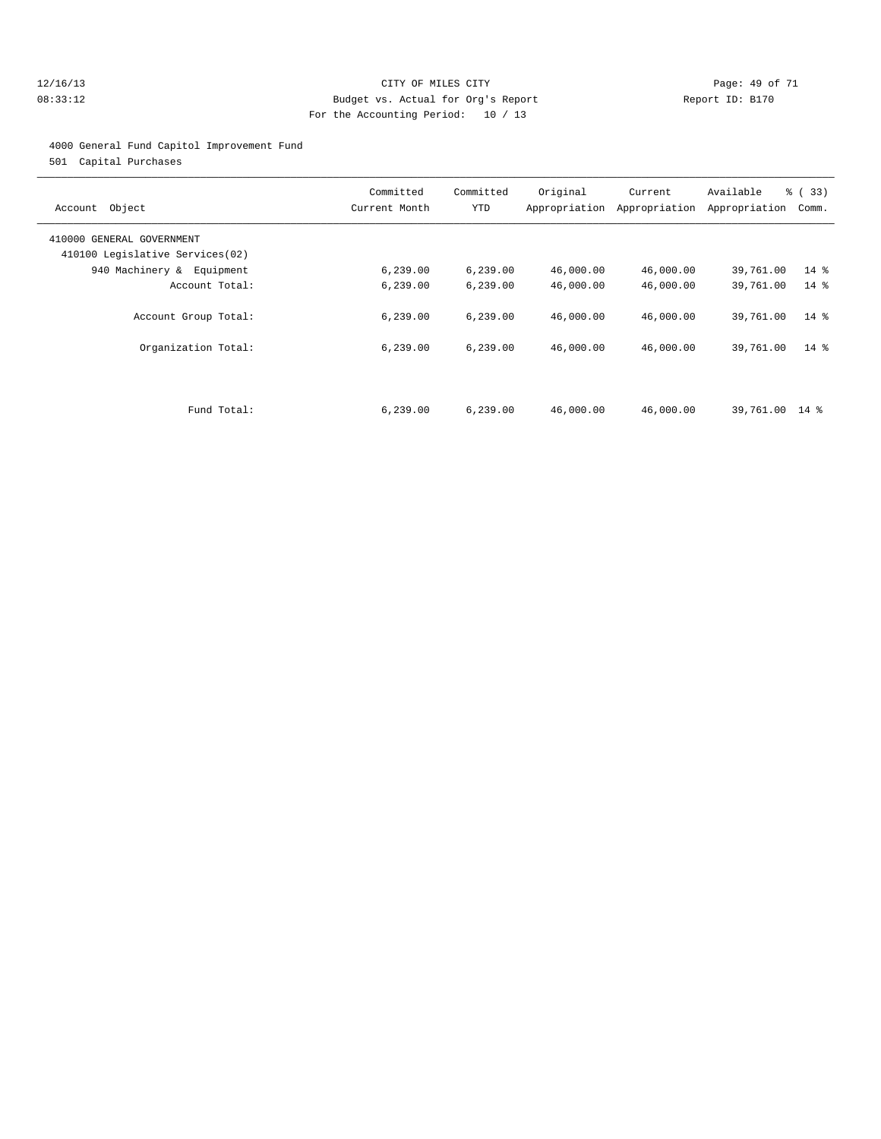#### 12/16/13 Page: 49 of 71 08:33:12 Budget vs. Actual for Org's Report Report ID: B170 For the Accounting Period: 10 / 13

#### 4000 General Fund Capitol Improvement Fund

501 Capital Purchases

| Object<br>Account                                            | Committed<br>Current Month | Committed<br>YTD | Original<br>Appropriation | Current<br>Appropriation | Available<br>Appropriation | % (33)<br>Comm. |
|--------------------------------------------------------------|----------------------------|------------------|---------------------------|--------------------------|----------------------------|-----------------|
| 410000 GENERAL GOVERNMENT<br>410100 Legislative Services(02) |                            |                  |                           |                          |                            |                 |
| 940 Machinery & Equipment                                    | 6, 239.00                  | 6, 239.00        | 46,000.00                 | 46,000.00                | 39,761.00                  | $14*$           |
| Account Total:                                               | 6, 239.00                  | 6, 239.00        | 46,000.00                 | 46,000.00                | 39,761.00                  | $14*$           |
| Account Group Total:                                         | 6, 239.00                  | 6, 239.00        | 46,000.00                 | 46,000.00                | 39,761.00                  | $14*$           |
| Organization Total:                                          | 6, 239.00                  | 6, 239.00        | 46,000.00                 | 46,000.00                | 39,761.00                  | $14*$           |
|                                                              |                            |                  |                           |                          |                            |                 |
| Fund Total:                                                  | 6, 239.00                  | 6, 239.00        | 46,000.00                 | 46,000.00                | 39,761.00 14 %             |                 |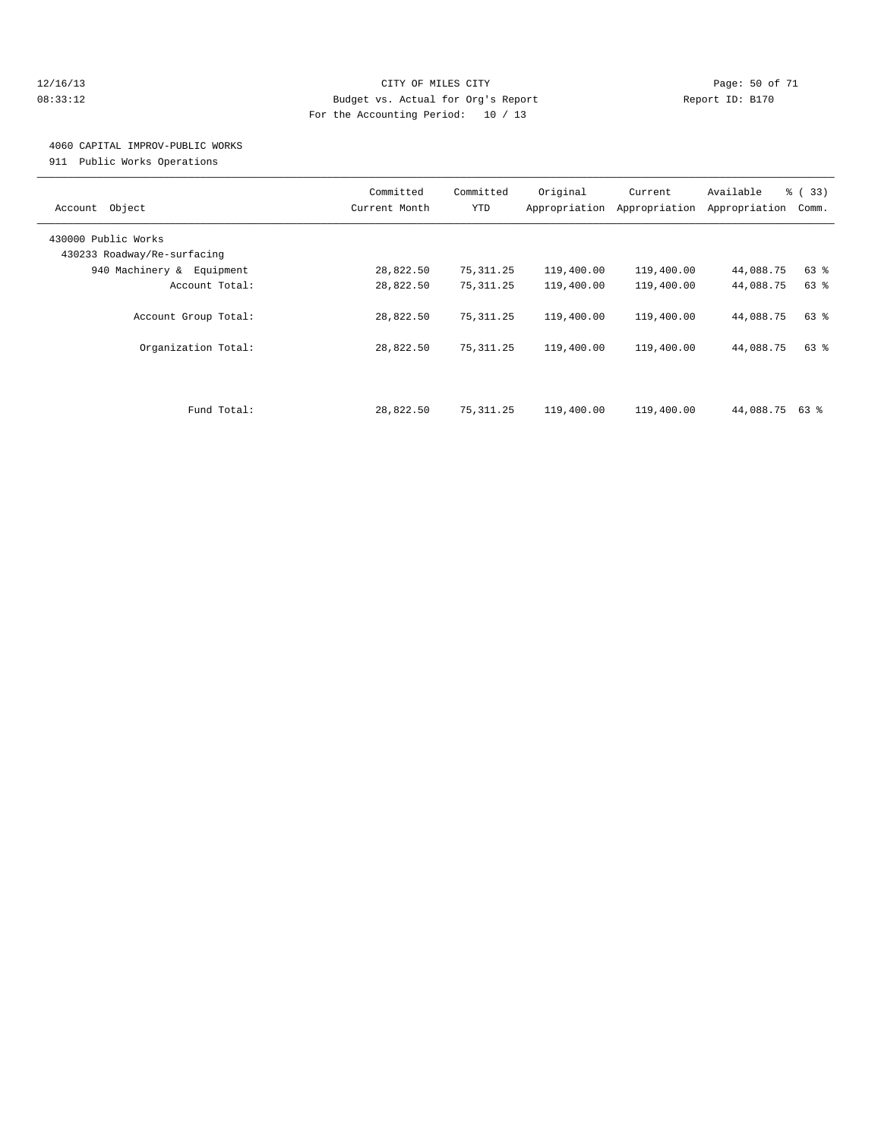#### 12/16/13 Page: 50 of 71 08:33:12 Budget vs. Actual for Org's Report Report ID: B170 For the Accounting Period: 10 / 13

### 4060 CAPITAL IMPROV-PUBLIC WORKS

911 Public Works Operations

| Object<br>Account                                  | Committed<br>Current Month | Committed<br>YTD | Original<br>Appropriation | Current<br>Appropriation | Available<br>Appropriation | % (33)<br>Comm. |
|----------------------------------------------------|----------------------------|------------------|---------------------------|--------------------------|----------------------------|-----------------|
| 430000 Public Works<br>430233 Roadway/Re-surfacing |                            |                  |                           |                          |                            |                 |
| 940 Machinery & Equipment                          | 28,822.50                  | 75,311.25        | 119,400.00                | 119,400.00               | 44,088.75                  | 63 %            |
| Account Total:                                     | 28,822.50                  | 75, 311.25       | 119,400.00                | 119,400.00               | 44,088.75                  | 63 %            |
|                                                    |                            |                  |                           |                          |                            |                 |
| Account Group Total:                               | 28,822.50                  | 75, 311.25       | 119,400.00                | 119,400.00               | 44,088.75                  | 63 %            |
| Organization Total:                                | 28,822.50                  | 75, 311.25       | 119,400.00                | 119,400.00               | 44,088.75                  | 63 %            |
|                                                    |                            |                  |                           |                          |                            |                 |
| Fund Total:                                        | 28,822.50                  | 75, 311.25       | 119,400.00                | 119,400.00               | 44,088.75 63 %             |                 |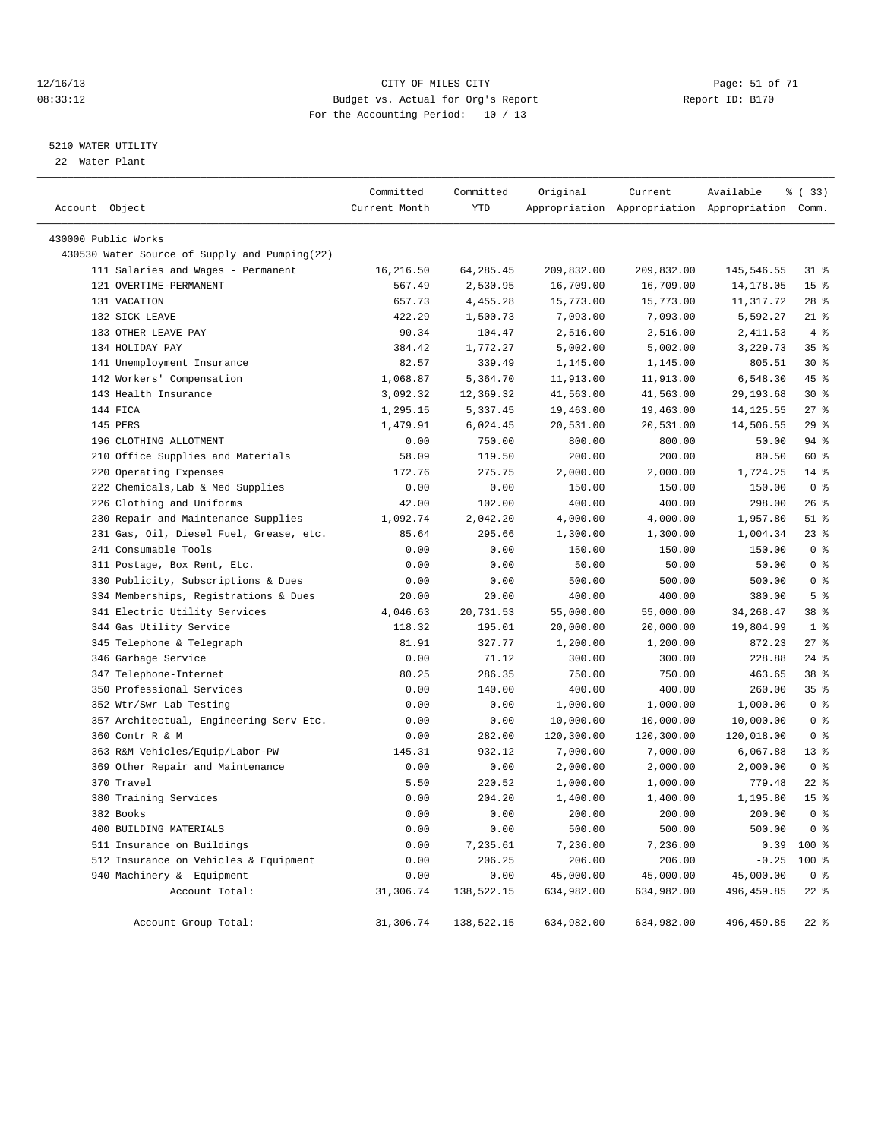#### 12/16/13 Page: 51 of 71 Page: 51 of 71 08:33:12 Budget vs. Actual for Org's Report Changer Report ID: B170 For the Accounting Period: 10 / 13

#### 5210 WATER UTILITY

22 Water Plant

| Account Object |                                               | Committed<br>Current Month | Committed<br>YTD | Original   | Current<br>Appropriation Appropriation Appropriation Comm. | Available   | % (33)          |
|----------------|-----------------------------------------------|----------------------------|------------------|------------|------------------------------------------------------------|-------------|-----------------|
|                |                                               |                            |                  |            |                                                            |             |                 |
|                | 430000 Public Works                           |                            |                  |            |                                                            |             |                 |
|                | 430530 Water Source of Supply and Pumping(22) |                            |                  |            |                                                            |             |                 |
|                | 111 Salaries and Wages - Permanent            | 16,216.50                  | 64, 285.45       | 209,832.00 | 209,832.00                                                 | 145,546.55  | $31$ $%$        |
|                | 121 OVERTIME-PERMANENT                        | 567.49                     | 2,530.95         | 16,709.00  | 16,709.00                                                  | 14,178.05   | 15 <sup>8</sup> |
|                | 131 VACATION                                  | 657.73                     | 4,455.28         | 15,773.00  | 15,773.00                                                  | 11,317.72   | $28$ %          |
|                | 132 SICK LEAVE                                | 422.29                     | 1,500.73         | 7,093.00   | 7,093.00                                                   | 5,592.27    | $21$ %          |
|                | 133 OTHER LEAVE PAY                           | 90.34                      | 104.47           | 2,516.00   | 2,516.00                                                   | 2,411.53    | 4%              |
|                | 134 HOLIDAY PAY                               | 384.42                     | 1,772.27         | 5,002.00   | 5,002.00                                                   | 3,229.73    | 35 <sup>8</sup> |
|                | 141 Unemployment Insurance                    | 82.57                      | 339.49           | 1,145.00   | 1,145.00                                                   | 805.51      | $30*$           |
|                | 142 Workers' Compensation                     | 1,068.87                   | 5,364.70         | 11,913.00  | 11,913.00                                                  | 6,548.30    | 45 %            |
|                | 143 Health Insurance                          | 3,092.32                   | 12,369.32        | 41,563.00  | 41,563.00                                                  | 29, 193.68  | $30*$           |
|                | 144 FICA                                      | 1,295.15                   | 5,337.45         | 19,463.00  | 19,463.00                                                  | 14, 125.55  | $27$ %          |
|                | 145 PERS                                      | 1,479.91                   | 6,024.45         | 20,531.00  | 20,531.00                                                  | 14,506.55   | 29%             |
|                | 196 CLOTHING ALLOTMENT                        | 0.00                       | 750.00           | 800.00     | 800.00                                                     | 50.00       | 94 %            |
|                | 210 Office Supplies and Materials             | 58.09                      | 119.50           | 200.00     | 200.00                                                     | 80.50       | 60 %            |
|                | 220 Operating Expenses                        | 172.76                     | 275.75           | 2,000.00   | 2,000.00                                                   | 1,724.25    | $14$ %          |
|                | 222 Chemicals, Lab & Med Supplies             | 0.00                       | 0.00             | 150.00     | 150.00                                                     | 150.00      | 0 <sup>8</sup>  |
|                | 226 Clothing and Uniforms                     | 42.00                      | 102.00           | 400.00     | 400.00                                                     | 298.00      | $26$ %          |
|                | 230 Repair and Maintenance Supplies           | 1,092.74                   | 2,042.20         | 4,000.00   | 4,000.00                                                   | 1,957.80    | $51$ %          |
|                | 231 Gas, Oil, Diesel Fuel, Grease, etc.       | 85.64                      | 295.66           | 1,300.00   | 1,300.00                                                   | 1,004.34    | $23$ %          |
|                | 241 Consumable Tools                          | 0.00                       | 0.00             | 150.00     | 150.00                                                     | 150.00      | 0 <sup>8</sup>  |
|                | 311 Postage, Box Rent, Etc.                   | 0.00                       | 0.00             | 50.00      | 50.00                                                      | 50.00       | 0 <sup>8</sup>  |
|                | 330 Publicity, Subscriptions & Dues           | 0.00                       | 0.00             | 500.00     | 500.00                                                     | 500.00      | 0 <sup>8</sup>  |
|                | 334 Memberships, Registrations & Dues         | 20.00                      | 20.00            | 400.00     | 400.00                                                     | 380.00      | 5 <sup>°</sup>  |
|                | 341 Electric Utility Services                 | 4,046.63                   | 20,731.53        | 55,000.00  | 55,000.00                                                  | 34, 268.47  | 38 %            |
|                | 344 Gas Utility Service                       | 118.32                     | 195.01           | 20,000.00  | 20,000.00                                                  | 19,804.99   | 1 <sup>8</sup>  |
|                | 345 Telephone & Telegraph                     | 81.91                      | 327.77           | 1,200.00   | 1,200.00                                                   | 872.23      | $27$ %          |
|                | 346 Garbage Service                           | 0.00                       | 71.12            | 300.00     | 300.00                                                     | 228.88      | $24$ %          |
|                | 347 Telephone-Internet                        | 80.25                      | 286.35           | 750.00     | 750.00                                                     | 463.65      | 38 %            |
| 350            | Professional Services                         | 0.00                       | 140.00           | 400.00     | 400.00                                                     | 260.00      | 35%             |
|                | 352 Wtr/Swr Lab Testing                       | 0.00                       | 0.00             | 1,000.00   | 1,000.00                                                   | 1,000.00    | 0 <sup>8</sup>  |
|                | 357 Architectual, Engineering Serv Etc.       | 0.00                       | 0.00             | 10,000.00  | 10,000.00                                                  | 10,000.00   | 0 <sup>8</sup>  |
|                | 360 Contr R & M                               | 0.00                       | 282.00           | 120,300.00 | 120,300.00                                                 | 120,018.00  | 0 <sup>8</sup>  |
|                | 363 R&M Vehicles/Equip/Labor-PW               | 145.31                     | 932.12           | 7,000.00   | 7,000.00                                                   | 6,067.88    | $13*$           |
| 369            | Other Repair and Maintenance                  | 0.00                       | 0.00             | 2,000.00   | 2,000.00                                                   | 2,000.00    | 0 <sup>8</sup>  |
|                | 370 Travel                                    | 5.50                       | 220.52           | 1,000.00   | 1,000.00                                                   | 779.48      | $22$ %          |
|                | 380 Training Services                         | 0.00                       | 204.20           | 1,400.00   | 1,400.00                                                   | 1,195.80    | 15 <sup>°</sup> |
|                | 382 Books                                     | 0.00                       | 0.00             | 200.00     | 200.00                                                     | 200.00      | 0 <sup>8</sup>  |
|                | 400 BUILDING MATERIALS                        | 0.00                       | 0.00             | 500.00     | 500.00                                                     | 500.00      | 0 <sup>8</sup>  |
|                | 511 Insurance on Buildings                    | 0.00                       | 7,235.61         | 7,236.00   | 7,236.00                                                   | 0.39        | 100 %           |
|                | 512 Insurance on Vehicles & Equipment         | 0.00                       | 206.25           | 206.00     | 206.00                                                     | $-0.25$     | 100 %           |
|                | 940 Machinery & Equipment                     | 0.00                       | 0.00             | 45,000.00  | 45,000.00                                                  | 45,000.00   | 0 <sup>8</sup>  |
|                | Account Total:                                | 31,306.74                  | 138,522.15       | 634,982.00 | 634,982.00                                                 | 496, 459.85 | $22$ %          |
|                | Account Group Total:                          | 31,306.74                  | 138,522.15       | 634,982.00 | 634,982.00                                                 | 496, 459.85 | $22$ %          |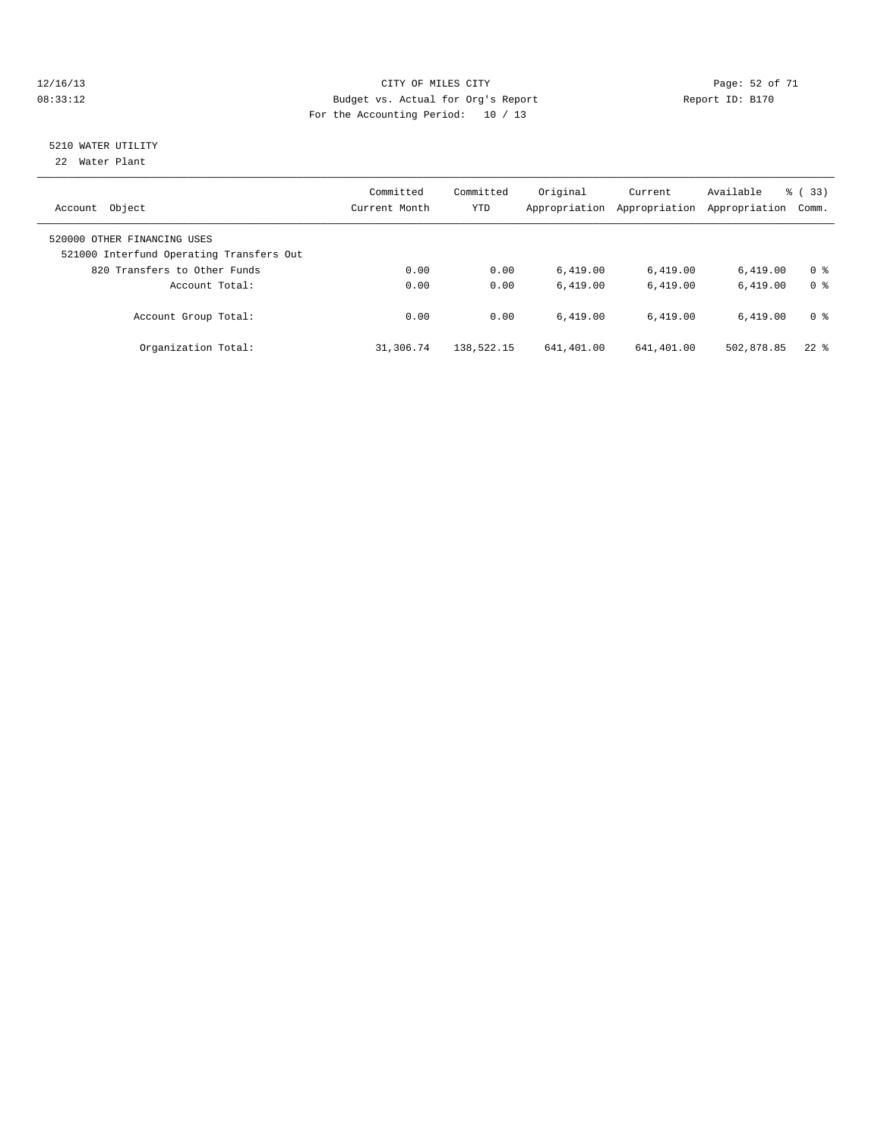#### 12/16/13 Page: 52 of 71 08:33:12 **Budget vs. Actual for Org's Report Report ID: B170** For the Accounting Period: 10 / 13

# 5210 WATER UTILITY

22 Water Plant

| Object<br>Account                                                       | Committed<br>Current Month | Committed<br><b>YTD</b> | Original<br>Appropriation | Current<br>Appropriation | Available<br>Appropriation | % (33)<br>Comm. |
|-------------------------------------------------------------------------|----------------------------|-------------------------|---------------------------|--------------------------|----------------------------|-----------------|
| 520000 OTHER FINANCING USES<br>521000 Interfund Operating Transfers Out |                            |                         |                           |                          |                            |                 |
| 820 Transfers to Other Funds                                            | 0.00                       | 0.00                    | 6.419.00                  | 6,419.00                 | 6.419.00                   | 0 <sup>8</sup>  |
| Account Total:                                                          | 0.00                       | 0.00                    | 6.419.00                  | 6.419.00                 | 6.419.00                   | 0 <sup>8</sup>  |
| Account Group Total:                                                    | 0.00                       | 0.00                    | 6.419.00                  | 6.419.00                 | 6.419.00                   | 0 <sup>8</sup>  |
| Organization Total:                                                     | 31,306.74                  | 138,522.15              | 641,401.00                | 641,401.00               | 502,878.85                 | $22$ $%$        |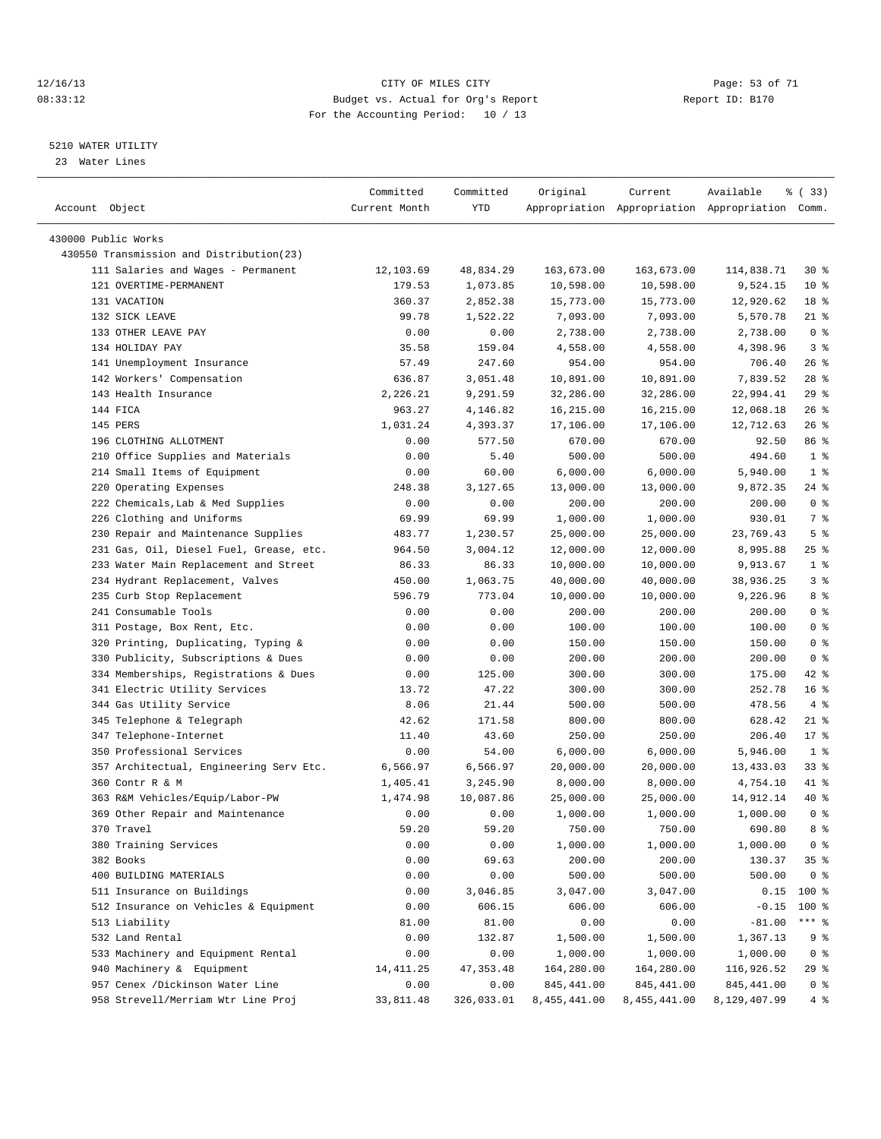#### 12/16/13 Page: 53 of 71 08:33:12 Budget vs. Actual for Org's Report Changer Report ID: B170 For the Accounting Period: 10 / 13

————————————————————————————————————————————————————————————————————————————————————————————————————————————————————————————————————

#### 5210 WATER UTILITY

23 Water Lines

|                                          | Committed     | Committed  | Original     | Current      | Available                                       | % (33)          |
|------------------------------------------|---------------|------------|--------------|--------------|-------------------------------------------------|-----------------|
| Account Object                           | Current Month | YTD        |              |              | Appropriation Appropriation Appropriation Comm. |                 |
|                                          |               |            |              |              |                                                 |                 |
| 430000 Public Works                      |               |            |              |              |                                                 |                 |
| 430550 Transmission and Distribution(23) |               |            |              |              |                                                 |                 |
| 111 Salaries and Wages - Permanent       | 12,103.69     | 48,834.29  | 163,673.00   | 163,673.00   | 114,838.71                                      | $30*$           |
| 121 OVERTIME-PERMANENT                   | 179.53        | 1,073.85   | 10,598.00    | 10,598.00    | 9,524.15                                        | $10*$           |
| 131 VACATION                             | 360.37        | 2,852.38   | 15,773.00    | 15,773.00    | 12,920.62                                       | 18 %            |
| 132 SICK LEAVE                           | 99.78         | 1,522.22   | 7,093.00     | 7,093.00     | 5,570.78                                        | $21$ %          |
| 133 OTHER LEAVE PAY                      | 0.00          | 0.00       | 2,738.00     | 2,738.00     | 2,738.00                                        | 0 <sup>8</sup>  |
| 134 HOLIDAY PAY                          | 35.58         | 159.04     | 4,558.00     | 4,558.00     | 4,398.96                                        | 3%              |
| 141 Unemployment Insurance               | 57.49         | 247.60     | 954.00       | 954.00       | 706.40                                          | 26%             |
| 142 Workers' Compensation                | 636.87        | 3,051.48   | 10,891.00    | 10,891.00    | 7,839.52                                        | $28$ %          |
| 143 Health Insurance                     | 2,226.21      | 9,291.59   | 32,286.00    | 32,286.00    | 22,994.41                                       | 29%             |
| 144 FICA                                 | 963.27        | 4,146.82   | 16,215.00    | 16,215.00    | 12,068.18                                       | $26$ %          |
| 145 PERS                                 | 1,031.24      | 4,393.37   | 17,106.00    | 17,106.00    | 12,712.63                                       | $26$ %          |
| 196 CLOTHING ALLOTMENT                   | 0.00          | 577.50     | 670.00       | 670.00       | 92.50                                           | 86 %            |
| 210 Office Supplies and Materials        | 0.00          | 5.40       | 500.00       | 500.00       | 494.60                                          | 1 <sup>8</sup>  |
| 214 Small Items of Equipment             | 0.00          | 60.00      | 6,000.00     | 6,000.00     | 5,940.00                                        | 1 <sup>°</sup>  |
| 220 Operating Expenses                   | 248.38        | 3,127.65   | 13,000.00    | 13,000.00    | 9,872.35                                        | 24 %            |
| 222 Chemicals, Lab & Med Supplies        | 0.00          | 0.00       | 200.00       | 200.00       | 200.00                                          | 0 <sup>8</sup>  |
| 226 Clothing and Uniforms                | 69.99         | 69.99      | 1,000.00     | 1,000.00     | 930.01                                          | 7 %             |
| 230 Repair and Maintenance Supplies      | 483.77        | 1,230.57   | 25,000.00    | 25,000.00    | 23,769.43                                       | 5 <sup>°</sup>  |
| 231 Gas, Oil, Diesel Fuel, Grease, etc.  | 964.50        | 3,004.12   | 12,000.00    | 12,000.00    | 8,995.88                                        | $25$ %          |
| 233 Water Main Replacement and Street    | 86.33         | 86.33      | 10,000.00    | 10,000.00    | 9,913.67                                        | 1 <sup>8</sup>  |
| 234 Hydrant Replacement, Valves          | 450.00        | 1,063.75   | 40,000.00    | 40,000.00    | 38,936.25                                       | 3%              |
| 235 Curb Stop Replacement                | 596.79        | 773.04     | 10,000.00    | 10,000.00    | 9,226.96                                        | 8 %             |
| 241 Consumable Tools                     | 0.00          | 0.00       | 200.00       | 200.00       | 200.00                                          | 0 <sup>8</sup>  |
| 311 Postage, Box Rent, Etc.              | 0.00          | 0.00       | 100.00       | 100.00       | 100.00                                          | 0 <sup>8</sup>  |
| 320 Printing, Duplicating, Typing &      | 0.00          | 0.00       | 150.00       | 150.00       | 150.00                                          | 0 <sup>8</sup>  |
| 330 Publicity, Subscriptions & Dues      | 0.00          | 0.00       | 200.00       | 200.00       | 200.00                                          | 0 <sup>8</sup>  |
| 334 Memberships, Registrations & Dues    | 0.00          | 125.00     | 300.00       | 300.00       | 175.00                                          | 42 %            |
| 341 Electric Utility Services            | 13.72         | 47.22      | 300.00       | 300.00       | 252.78                                          | 16 <sup>°</sup> |
| 344 Gas Utility Service                  | 8.06          | 21.44      | 500.00       | 500.00       | 478.56                                          | 4%              |
| 345 Telephone & Telegraph                | 42.62         | 171.58     | 800.00       | 800.00       | 628.42                                          | $21$ %          |
| 347 Telephone-Internet                   | 11.40         | 43.60      | 250.00       | 250.00       | 206.40                                          | $17*$           |
| 350 Professional Services                | 0.00          | 54.00      | 6,000.00     | 6,000.00     | 5,946.00                                        | 1 <sup>8</sup>  |
| 357 Architectual, Engineering Serv Etc.  | 6,566.97      | 6,566.97   | 20,000.00    | 20,000.00    | 13,433.03                                       | 33%             |
| 360 Contr R & M                          | 1,405.41      | 3,245.90   | 8,000.00     | 8,000.00     | 4,754.10                                        | 41 %            |
| 363 R&M Vehicles/Equip/Labor-PW          | 1,474.98      | 10,087.86  | 25,000.00    | 25,000.00    | 14,912.14                                       | 40 %            |
| 369 Other Repair and Maintenance         | 0.00          | 0.00       | 1,000.00     | 1,000.00     | 1,000.00                                        | 0 <sup>8</sup>  |
| 370 Travel                               | 59.20         | 59.20      | 750.00       | 750.00       | 690.80                                          | 8 %             |
| 380 Training Services                    | 0.00          | 0.00       | 1,000.00     | 1,000.00     | 1,000.00                                        | 0 <sup>8</sup>  |
| 382 Books                                | 0.00          | 69.63      | 200.00       | 200.00       | 130.37                                          | 35%             |
| 400 BUILDING MATERIALS                   | 0.00          | 0.00       | 500.00       | 500.00       | 500.00                                          | 0 <sup>8</sup>  |
| 511 Insurance on Buildings               | 0.00          | 3,046.85   | 3,047.00     | 3,047.00     | 0.15                                            | 100 %           |
| 512 Insurance on Vehicles & Equipment    | 0.00          | 606.15     | 606.00       | 606.00       | $-0.15$                                         | 100 %           |
| 513 Liability                            | 81.00         | 81.00      | 0.00         | 0.00         | $-81.00$                                        | $***$ $_{8}$    |
| 532 Land Rental                          | 0.00          | 132.87     | 1,500.00     | 1,500.00     | 1,367.13                                        | 9 %             |
| 533 Machinery and Equipment Rental       | 0.00          | 0.00       | 1,000.00     | 1,000.00     | 1,000.00                                        | 0 <sup>8</sup>  |
| 940 Machinery & Equipment                | 14, 411.25    | 47, 353.48 | 164,280.00   | 164,280.00   | 116,926.52                                      | 29 %            |
| 957 Cenex /Dickinson Water Line          | 0.00          | 0.00       | 845, 441.00  | 845, 441.00  | 845, 441.00                                     | $0$ %           |
| 958 Strevell/Merriam Wtr Line Proj       | 33,811.48     | 326,033.01 | 8,455,441.00 | 8,455,441.00 | 8,129,407.99                                    | 4%              |
|                                          |               |            |              |              |                                                 |                 |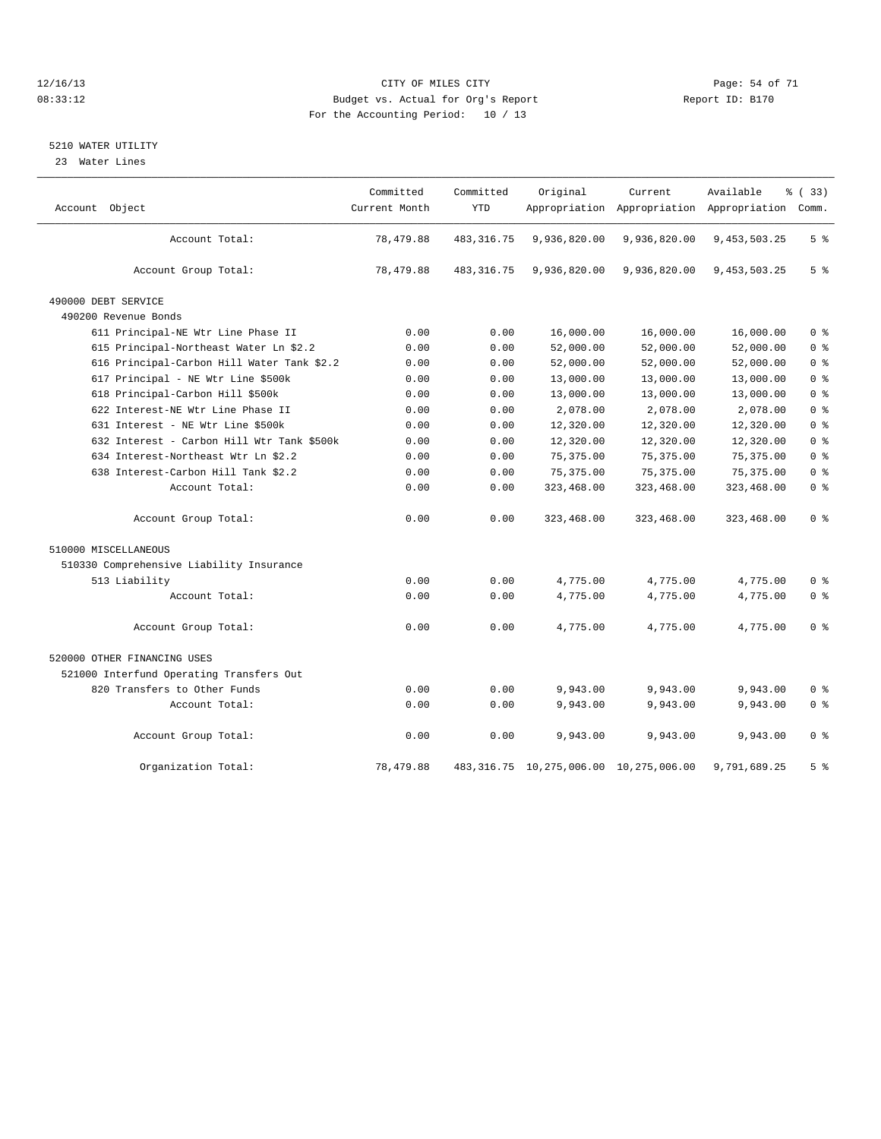#### 12/16/13 Page: 54 of 71 08:33:12 Budget vs. Actual for Org's Report Changer Report ID: B170 For the Accounting Period: 10 / 13

#### 5210 WATER UTILITY

23 Water Lines

|                                            | Committed<br>Current Month | Committed<br><b>YTD</b> | Original                                    | Current      | Available                                       | <sub>ර</sub> ි (33) |
|--------------------------------------------|----------------------------|-------------------------|---------------------------------------------|--------------|-------------------------------------------------|---------------------|
| Account Object                             |                            |                         |                                             |              | Appropriation Appropriation Appropriation Comm. |                     |
| Account Total:                             | 78,479.88                  | 483, 316.75             | 9,936,820.00                                | 9,936,820.00 | 9,453,503.25                                    | 5 <sup>°</sup>      |
| Account Group Total:                       | 78,479.88                  | 483, 316.75             | 9,936,820.00                                | 9,936,820.00 | 9, 453, 503. 25                                 | 5 <sup>8</sup>      |
| 490000 DEBT SERVICE                        |                            |                         |                                             |              |                                                 |                     |
| 490200 Revenue Bonds                       |                            |                         |                                             |              |                                                 |                     |
| 611 Principal-NE Wtr Line Phase II         | 0.00                       | 0.00                    | 16,000.00                                   | 16,000.00    | 16,000.00                                       | 0 <sup>8</sup>      |
| 615 Principal-Northeast Water Ln \$2.2     | 0.00                       | 0.00                    | 52,000.00                                   | 52,000.00    | 52,000.00                                       | 0 <sup>8</sup>      |
| 616 Principal-Carbon Hill Water Tank \$2.2 | 0.00                       | 0.00                    | 52,000.00                                   | 52,000.00    | 52,000.00                                       | 0 <sup>8</sup>      |
| 617 Principal - NE Wtr Line \$500k         | 0.00                       | 0.00                    | 13,000.00                                   | 13,000.00    | 13,000.00                                       | 0 <sup>8</sup>      |
| 618 Principal-Carbon Hill \$500k           | 0.00                       | 0.00                    | 13,000.00                                   | 13,000.00    | 13,000.00                                       | 0 <sup>8</sup>      |
| 622 Interest-NE Wtr Line Phase II          | 0.00                       | 0.00                    | 2,078.00                                    | 2,078.00     | 2,078.00                                        | 0 <sup>8</sup>      |
| 631 Interest - NE Wtr Line \$500k          | 0.00                       | 0.00                    | 12,320.00                                   | 12,320.00    | 12,320.00                                       | 0 <sup>8</sup>      |
| 632 Interest - Carbon Hill Wtr Tank \$500k | 0.00                       | 0.00                    | 12,320.00                                   | 12,320.00    | 12,320.00                                       | 0 <sup>8</sup>      |
| 634 Interest-Northeast Wtr Ln \$2.2        | 0.00                       | 0.00                    | 75, 375.00                                  | 75, 375.00   | 75, 375.00                                      | 0 <sup>8</sup>      |
| 638 Interest-Carbon Hill Tank \$2.2        | 0.00                       | 0.00                    | 75, 375.00                                  | 75, 375.00   | 75, 375.00                                      | 0 <sup>8</sup>      |
| Account Total:                             | 0.00                       | 0.00                    | 323,468.00                                  | 323,468.00   | 323,468.00                                      | 0 <sup>8</sup>      |
| Account Group Total:                       | 0.00                       | 0.00                    | 323,468.00                                  | 323,468.00   | 323,468.00                                      | 0 <sup>8</sup>      |
| 510000 MISCELLANEOUS                       |                            |                         |                                             |              |                                                 |                     |
| 510330 Comprehensive Liability Insurance   |                            |                         |                                             |              |                                                 |                     |
| 513 Liability                              | 0.00                       | 0.00                    | 4,775.00                                    | 4,775.00     | 4,775.00                                        | 0 <sup>8</sup>      |
| Account Total:                             | 0.00                       | 0.00                    | 4,775.00                                    | 4,775.00     | 4,775.00                                        | 0 <sup>8</sup>      |
| Account Group Total:                       | 0.00                       | 0.00                    | 4,775.00                                    | 4,775.00     | 4.775.00                                        | 0 <sup>8</sup>      |
| 520000 OTHER FINANCING USES                |                            |                         |                                             |              |                                                 |                     |
| 521000 Interfund Operating Transfers Out   |                            |                         |                                             |              |                                                 |                     |
| 820 Transfers to Other Funds               | 0.00                       | 0.00                    | 9,943.00                                    | 9,943.00     | 9,943.00                                        | 0 <sup>8</sup>      |
| Account Total:                             | 0.00                       | 0.00                    | 9,943.00                                    | 9,943.00     | 9,943.00                                        | 0 <sup>8</sup>      |
| Account Group Total:                       | 0.00                       | 0.00                    | 9,943.00                                    | 9,943.00     | 9,943.00                                        | 0 <sup>8</sup>      |
| Organization Total:                        | 78,479.88                  |                         | 483, 316.75 10, 275, 006.00 10, 275, 006.00 |              | 9,791,689.25                                    | 5 <sup>8</sup>      |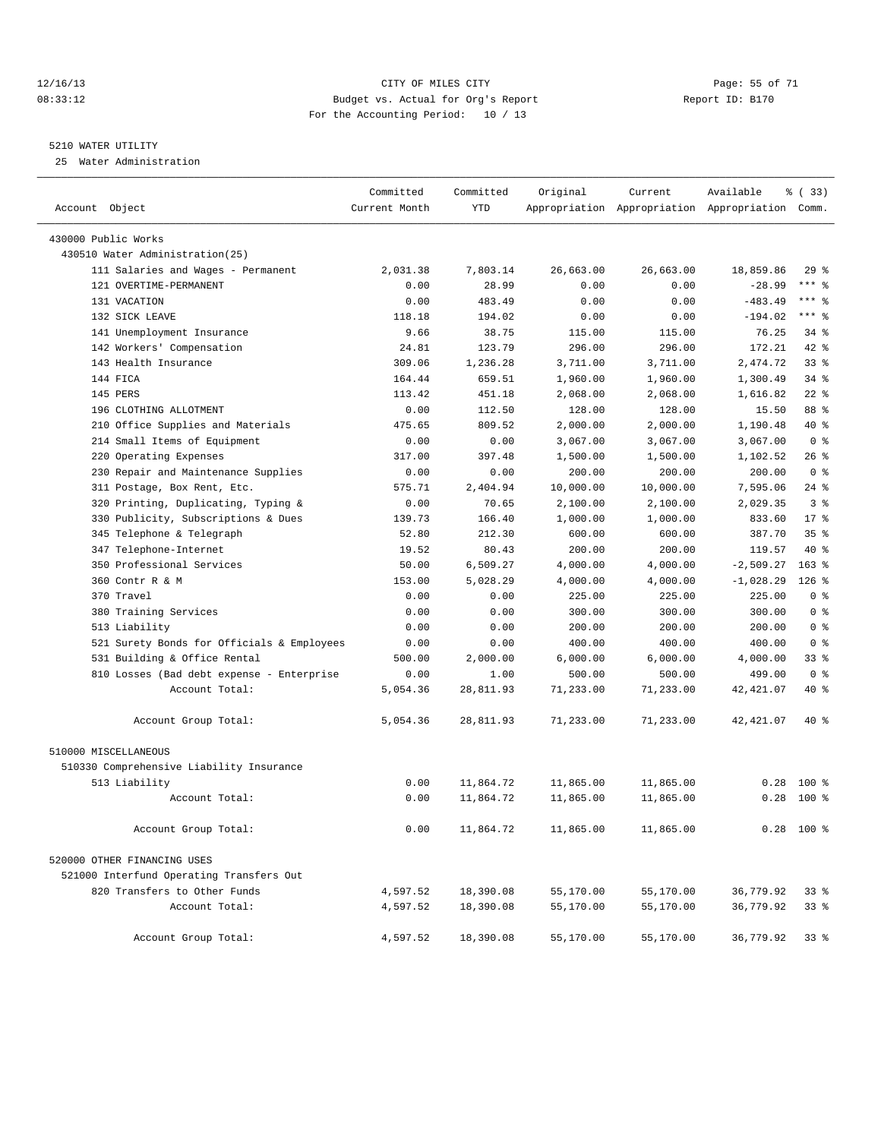#### 12/16/13 Page: 55 of 71 08:33:12 Budget vs. Actual for Org's Report Report ID: B170 For the Accounting Period: 10 / 13

————————————————————————————————————————————————————————————————————————————————————————————————————————————————————————————————————

#### 5210 WATER UTILITY

25 Water Administration

|                                            | Committed     | Committed  | Original  | Current   | Available                                       | % (33)          |
|--------------------------------------------|---------------|------------|-----------|-----------|-------------------------------------------------|-----------------|
| Account Object                             | Current Month | <b>YTD</b> |           |           | Appropriation Appropriation Appropriation Comm. |                 |
| 430000 Public Works                        |               |            |           |           |                                                 |                 |
| 430510 Water Administration(25)            |               |            |           |           |                                                 |                 |
| 111 Salaries and Wages - Permanent         | 2,031.38      | 7,803.14   | 26,663.00 | 26,663.00 | 18,859.86                                       | 29%             |
| 121 OVERTIME-PERMANENT                     | 0.00          | 28.99      | 0.00      | 0.00      | $-28.99$                                        | $***$ $-$       |
| 131 VACATION                               | 0.00          | 483.49     | 0.00      | 0.00      | $-483.49$                                       | $***$ $-$       |
| 132 SICK LEAVE                             | 118.18        | 194.02     | 0.00      | 0.00      | $-194.02$                                       | $***$ $-$       |
| 141 Unemployment Insurance                 | 9.66          | 38.75      | 115.00    | 115.00    | 76.25                                           | 34%             |
| 142 Workers' Compensation                  | 24.81         | 123.79     | 296.00    | 296.00    | 172.21                                          | 42 %            |
| 143 Health Insurance                       | 309.06        | 1,236.28   | 3,711.00  | 3,711.00  | 2,474.72                                        | 33%             |
| 144 FICA                                   | 164.44        | 659.51     | 1,960.00  | 1,960.00  | 1,300.49                                        | $34$ $%$        |
| 145 PERS                                   | 113.42        | 451.18     | 2,068.00  | 2,068.00  | 1,616.82                                        | $22$ %          |
| 196 CLOTHING ALLOTMENT                     | 0.00          | 112.50     | 128.00    | 128.00    | 15.50                                           | 88 %            |
| 210 Office Supplies and Materials          | 475.65        | 809.52     | 2,000.00  | 2,000.00  | 1,190.48                                        | 40 %            |
| 214 Small Items of Equipment               | 0.00          | 0.00       | 3,067.00  | 3,067.00  | 3,067.00                                        | 0 <sup>8</sup>  |
| 220 Operating Expenses                     | 317.00        | 397.48     | 1,500.00  | 1,500.00  | 1,102.52                                        | $26$ %          |
| 230 Repair and Maintenance Supplies        | 0.00          | 0.00       | 200.00    | 200.00    | 200.00                                          | 0 <sup>8</sup>  |
| 311 Postage, Box Rent, Etc.                | 575.71        | 2,404.94   | 10,000.00 | 10,000.00 | 7,595.06                                        | $24$ %          |
| 320 Printing, Duplicating, Typing &        | 0.00          | 70.65      | 2,100.00  | 2,100.00  | 2,029.35                                        | 3 <sup>8</sup>  |
| 330 Publicity, Subscriptions & Dues        | 139.73        | 166.40     | 1,000.00  | 1,000.00  | 833.60                                          | $17$ %          |
| 345 Telephone & Telegraph                  | 52.80         | 212.30     | 600.00    | 600.00    | 387.70                                          | 35 <sup>8</sup> |
| 347 Telephone-Internet                     | 19.52         | 80.43      | 200.00    | 200.00    | 119.57                                          | $40*$           |
| 350 Professional Services                  | 50.00         | 6,509.27   | 4,000.00  | 4,000.00  | $-2,509.27$                                     | $163*$          |
| 360 Contr R & M                            | 153.00        | 5,028.29   | 4,000.00  | 4,000.00  | $-1,028.29$                                     | $126$ %         |
| 370 Travel                                 | 0.00          | 0.00       | 225.00    | 225.00    | 225.00                                          | 0 <sup>8</sup>  |
| 380 Training Services                      | 0.00          | 0.00       | 300.00    | 300.00    | 300.00                                          | 0 <sup>8</sup>  |
| 513 Liability                              | 0.00          | 0.00       | 200.00    | 200.00    | 200.00                                          | 0 <sup>8</sup>  |
| 521 Surety Bonds for Officials & Employees | 0.00          | 0.00       | 400.00    | 400.00    | 400.00                                          | 0 <sup>8</sup>  |
| 531 Building & Office Rental               | 500.00        | 2,000.00   | 6,000.00  | 6,000.00  | 4,000.00                                        | 33%             |
| 810 Losses (Bad debt expense - Enterprise  | 0.00          | 1.00       | 500.00    | 500.00    | 499.00                                          | 0 <sup>8</sup>  |
| Account Total:                             | 5,054.36      | 28,811.93  | 71,233.00 | 71,233.00 | 42, 421.07                                      | 40 %            |
| Account Group Total:                       | 5,054.36      | 28,811.93  | 71,233.00 | 71,233.00 | 42, 421.07                                      | 40 %            |
| 510000 MISCELLANEOUS                       |               |            |           |           |                                                 |                 |
| 510330 Comprehensive Liability Insurance   |               |            |           |           |                                                 |                 |
| 513 Liability                              | 0.00          | 11,864.72  | 11,865.00 | 11,865.00 | 0.28                                            | $100$ %         |
| Account Total:                             | 0.00          | 11,864.72  | 11,865.00 | 11,865.00 |                                                 | $0.28$ 100 %    |
| Account Group Total:                       | 0.00          | 11,864.72  | 11,865.00 | 11,865.00 |                                                 | $0.28$ 100 %    |
| 520000 OTHER FINANCING USES                |               |            |           |           |                                                 |                 |
| 521000 Interfund Operating Transfers Out   |               |            |           |           |                                                 |                 |
| 820 Transfers to Other Funds               | 4,597.52      | 18,390.08  | 55,170.00 | 55,170.00 | 36,779.92                                       | 338             |
| Account Total:                             | 4,597.52      | 18,390.08  | 55,170.00 | 55,170.00 | 36,779.92                                       | $33*$           |
| Account Group Total:                       | 4,597.52      | 18,390.08  | 55,170.00 | 55,170.00 | 36,779.92                                       | 33 <sup>8</sup> |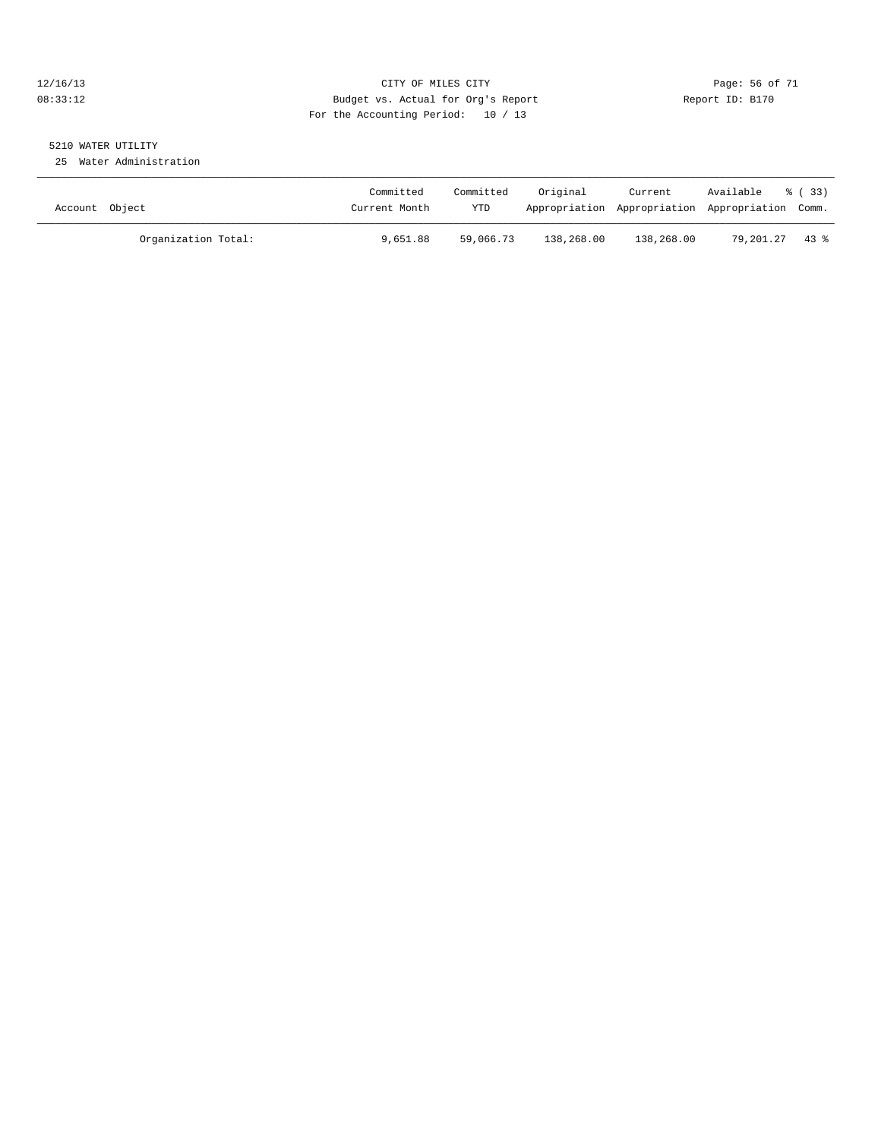#### 12/16/13 Page: 56 of 71 08:33:12 Budget vs. Actual for Org's Report Report ID: B170 For the Accounting Period: 10 / 13

# 5210 WATER UTILITY

25 Water Administration

| Account Object      | Committed<br>Current Month | Committed<br><b>YTD</b> | Original   | Current    | Available<br>Appropriation Appropriation Appropriation Comm. | 8 ( 33 ) |
|---------------------|----------------------------|-------------------------|------------|------------|--------------------------------------------------------------|----------|
| Organization Total: | 9,651.88                   | 59,066.73               | 138,268.00 | 138,268.00 | 79.201.27                                                    | 43 %     |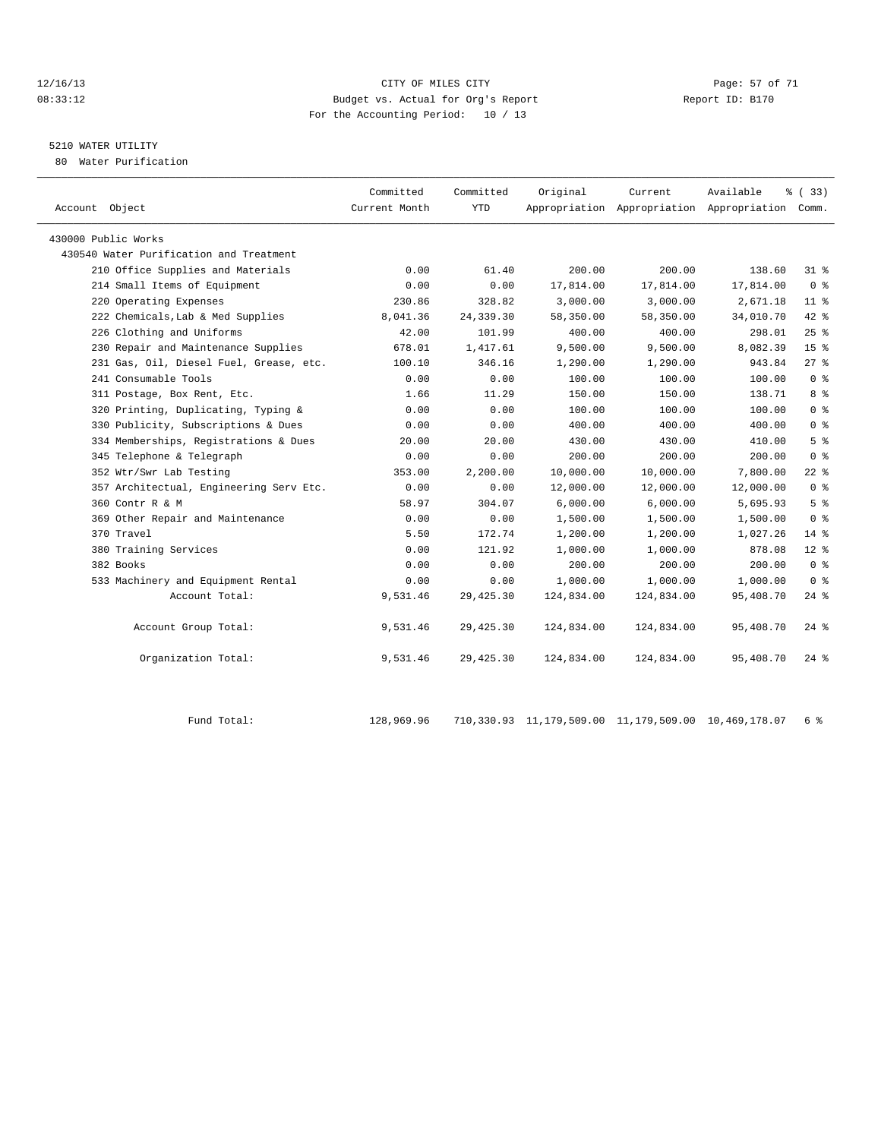#### 12/16/13 Page: 57 of 71 08:33:12 Budget vs. Actual for Org's Report Report ID: B170 For the Accounting Period: 10 / 13

## 5210 WATER UTILITY

80 Water Purification

| Account Object                          | Committed<br>Current Month | Committed<br><b>YTD</b> | Original   | Current    | Available<br>Appropriation Appropriation Appropriation | <sub>8</sub> (33)<br>Comm. |
|-----------------------------------------|----------------------------|-------------------------|------------|------------|--------------------------------------------------------|----------------------------|
| 430000 Public Works                     |                            |                         |            |            |                                                        |                            |
| 430540 Water Purification and Treatment |                            |                         |            |            |                                                        |                            |
| 210 Office Supplies and Materials       | 0.00                       | 61.40                   | 200.00     | 200.00     | 138.60                                                 | $31*$                      |
| 214 Small Items of Equipment            | 0.00                       | 0.00                    | 17,814.00  | 17,814.00  | 17,814.00                                              | 0 <sup>8</sup>             |
| 220 Operating Expenses                  | 230.86                     | 328.82                  | 3,000.00   | 3,000.00   | 2,671.18                                               | 11 <sup>8</sup>            |
| 222 Chemicals, Lab & Med Supplies       | 8,041.36                   | 24,339.30               | 58,350.00  | 58,350.00  | 34,010.70                                              | $42$ %                     |
| 226 Clothing and Uniforms               | 42.00                      | 101.99                  | 400.00     | 400.00     | 298.01                                                 | 25%                        |
| 230 Repair and Maintenance Supplies     | 678.01                     | 1,417.61                | 9,500.00   | 9,500.00   | 8,082.39                                               | 15 <sup>8</sup>            |
| 231 Gas, Oil, Diesel Fuel, Grease, etc. | 100.10                     | 346.16                  | 1,290.00   | 1,290.00   | 943.84                                                 | $27*$                      |
| 241 Consumable Tools                    | 0.00                       | 0.00                    | 100.00     | 100.00     | 100.00                                                 | 0 <sup>8</sup>             |
| 311 Postage, Box Rent, Etc.             | 1.66                       | 11.29                   | 150.00     | 150.00     | 138.71                                                 | 8 <sup>8</sup>             |
| 320 Printing, Duplicating, Typing &     | 0.00                       | 0.00                    | 100.00     | 100.00     | 100.00                                                 | 0 <sup>8</sup>             |
| 330 Publicity, Subscriptions & Dues     | 0.00                       | 0.00                    | 400.00     | 400.00     | 400.00                                                 | 0 <sup>8</sup>             |
| 334 Memberships, Registrations & Dues   | 20.00                      | 20.00                   | 430.00     | 430.00     | 410.00                                                 | 5 <sup>8</sup>             |
| 345 Telephone & Telegraph               | 0.00                       | 0.00                    | 200.00     | 200.00     | 200.00                                                 | 0 <sup>8</sup>             |
| 352 Wtr/Swr Lab Testing                 | 353.00                     | 2,200.00                | 10,000.00  | 10,000.00  | 7,800.00                                               | $22$ %                     |
| 357 Architectual, Engineering Serv Etc. | 0.00                       | 0.00                    | 12,000.00  | 12,000.00  | 12,000.00                                              | 0 <sup>8</sup>             |
| 360 Contr R & M                         | 58.97                      | 304.07                  | 6,000.00   | 6,000.00   | 5,695.93                                               | 5 <sup>8</sup>             |
| 369 Other Repair and Maintenance        | 0.00                       | 0.00                    | 1,500.00   | 1,500.00   | 1,500.00                                               | 0 <sup>8</sup>             |
| 370 Travel                              | 5.50                       | 172.74                  | 1,200.00   | 1,200.00   | 1,027.26                                               | $14*$                      |
| 380 Training Services                   | 0.00                       | 121.92                  | 1,000.00   | 1,000.00   | 878.08                                                 | $12*$                      |
| 382 Books                               | 0.00                       | 0.00                    | 200.00     | 200.00     | 200.00                                                 | 0 <sup>8</sup>             |
| 533 Machinery and Equipment Rental      | 0.00                       | 0.00                    | 1,000.00   | 1,000.00   | 1,000.00                                               | 0 <sup>8</sup>             |
| Account Total:                          | 9,531.46                   | 29, 425.30              | 124,834.00 | 124,834.00 | 95,408.70                                              | $24$ %                     |
| Account Group Total:                    | 9,531.46                   | 29, 425.30              | 124,834.00 | 124,834.00 | 95,408.70                                              | $24$ %                     |
| Organization Total:                     | 9,531.46                   | 29, 425.30              | 124,834.00 | 124,834.00 | 95,408.70                                              | $24$ %                     |
|                                         |                            |                         |            |            |                                                        |                            |

Fund Total: 128,969.96 710,330.93 11,179,509.00 11,179,509.00 10,469,178.07 6 %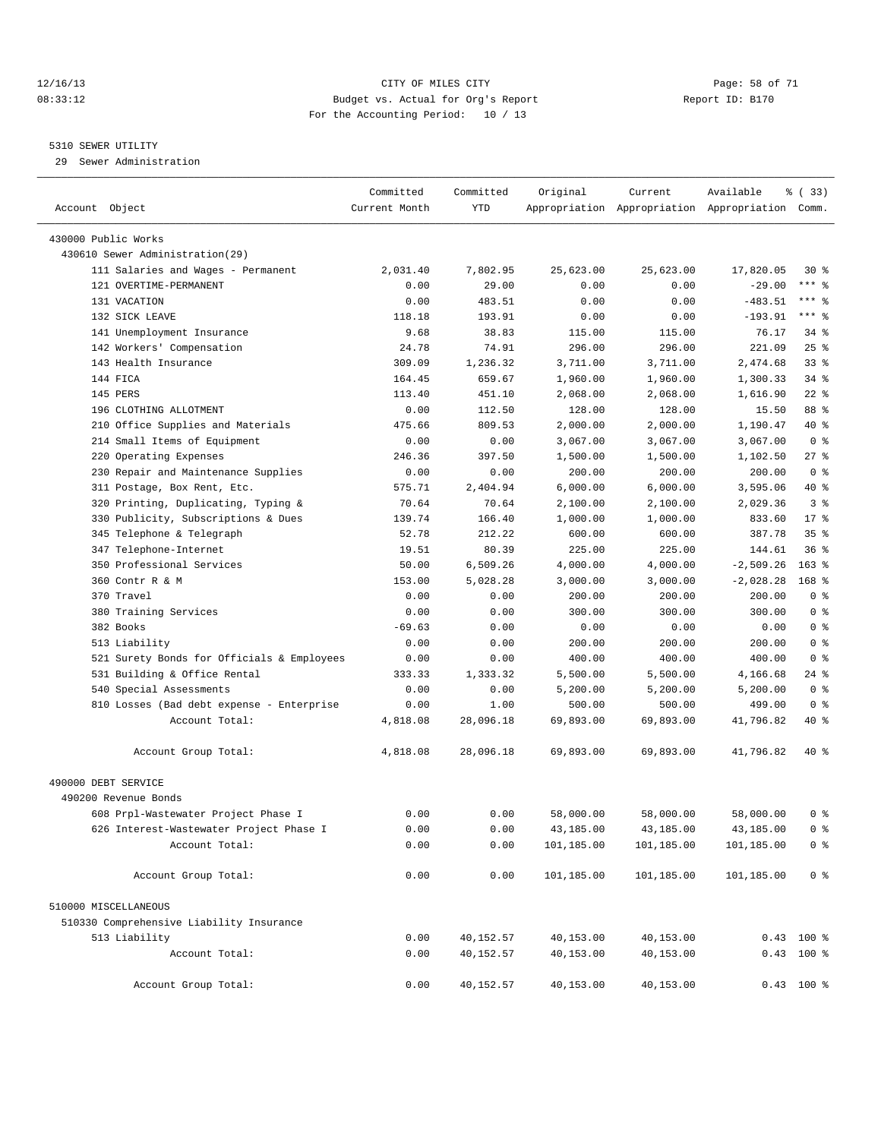#### 12/16/13 Page: 58 of 71 08:33:12 Budget vs. Actual for Org's Report Report ID: B170 For the Accounting Period: 10 / 13

————————————————————————————————————————————————————————————————————————————————————————————————————————————————————————————————————

#### 5310 SEWER UTILITY

29 Sewer Administration

|                                                     | Committed     | Committed       | Original   | Current    | Available                                       | 8 (33)          |
|-----------------------------------------------------|---------------|-----------------|------------|------------|-------------------------------------------------|-----------------|
| Account Object                                      | Current Month | <b>YTD</b>      |            |            | Appropriation Appropriation Appropriation Comm. |                 |
| 430000 Public Works                                 |               |                 |            |            |                                                 |                 |
| 430610 Sewer Administration(29)                     |               |                 |            |            |                                                 |                 |
| 111 Salaries and Wages - Permanent                  | 2,031.40      | 7,802.95        | 25,623.00  | 25,623.00  | 17,820.05                                       | $30*$           |
| 121 OVERTIME-PERMANENT                              | 0.00          | 29.00           | 0.00       | 0.00       | $-29.00$                                        | $***$ $-$       |
| 131 VACATION                                        | 0.00          | 483.51          | 0.00       | 0.00       | $-483.51$                                       | *** 응           |
| 132 SICK LEAVE                                      | 118.18        | 193.91          | 0.00       | 0.00       | $-193.91$                                       | $***$ $-$       |
| 141 Unemployment Insurance                          | 9.68          | 38.83           | 115.00     | 115.00     | 76.17                                           | 34 %            |
| 142 Workers' Compensation                           | 24.78         | 74.91           | 296.00     | 296.00     | 221.09                                          | 25%             |
| 143 Health Insurance                                | 309.09        | 1,236.32        | 3,711.00   | 3,711.00   | 2,474.68                                        | 33%             |
| 144 FICA                                            | 164.45        | 659.67          | 1,960.00   | 1,960.00   | 1,300.33                                        | $34$ $%$        |
| 145 PERS                                            | 113.40        | 451.10          | 2,068.00   | 2,068.00   | 1,616.90                                        | $22$ %          |
| 196 CLOTHING ALLOTMENT                              | 0.00          | 112.50          | 128.00     | 128.00     | 15.50                                           | 88 %            |
| 210 Office Supplies and Materials                   | 475.66        | 809.53          | 2,000.00   | 2,000.00   | 1,190.47                                        | 40 %            |
| 214 Small Items of Equipment                        | 0.00          | 0.00            | 3,067.00   | 3,067.00   | 3,067.00                                        | 0 <sup>8</sup>  |
|                                                     | 246.36        |                 |            |            |                                                 | $27$ %          |
| 220 Operating Expenses                              |               | 397.50          | 1,500.00   | 1,500.00   | 1,102.50<br>200.00                              | 0 <sup>8</sup>  |
| 230 Repair and Maintenance Supplies                 | 0.00          | 0.00            | 200.00     | 200.00     |                                                 | 40 %            |
| 311 Postage, Box Rent, Etc.                         | 575.71        | 2,404.94        | 6,000.00   | 6,000.00   | 3,595.06                                        | 3 <sup>8</sup>  |
| 320 Printing, Duplicating, Typing &                 | 70.64         | 70.64<br>166.40 | 2,100.00   | 2,100.00   | 2,029.36                                        | $17*$           |
| 330 Publicity, Subscriptions & Dues                 | 139.74        |                 | 1,000.00   | 1,000.00   | 833.60                                          |                 |
| 345 Telephone & Telegraph                           | 52.78         | 212.22          | 600.00     | 600.00     | 387.78                                          | 35 <sup>8</sup> |
| 347 Telephone-Internet<br>350 Professional Services | 19.51         | 80.39           | 225.00     | 225.00     | 144.61                                          | 36%             |
| 360 Contr R & M                                     | 50.00         | 6,509.26        | 4,000.00   | 4,000.00   | $-2,509.26$                                     | $163*$          |
|                                                     | 153.00        | 5,028.28        | 3,000.00   | 3,000.00   | $-2,028.28$                                     | 168 %           |
| 370 Travel                                          | 0.00          | 0.00            | 200.00     | 200.00     | 200.00                                          | 0 <sup>8</sup>  |
| 380 Training Services                               | 0.00          | 0.00            | 300.00     | 300.00     | 300.00                                          | 0 <sup>8</sup>  |
| 382 Books                                           | $-69.63$      | 0.00            | 0.00       | 0.00       | 0.00                                            | 0 <sup>8</sup>  |
| 513 Liability                                       | 0.00          | 0.00            | 200.00     | 200.00     | 200.00                                          | 0 <sup>8</sup>  |
| 521 Surety Bonds for Officials & Employees          | 0.00          | 0.00            | 400.00     | 400.00     | 400.00                                          | 0 <sup>8</sup>  |
| 531 Building & Office Rental                        | 333.33        | 1,333.32        | 5,500.00   | 5,500.00   | 4,166.68                                        | 24 %            |
| 540 Special Assessments                             | 0.00          | 0.00            | 5,200.00   | 5,200.00   | 5,200.00                                        | 0 <sup>8</sup>  |
| 810 Losses (Bad debt expense - Enterprise           | 0.00          | 1.00            | 500.00     | 500.00     | 499.00                                          | 0 <sup>8</sup>  |
| Account Total:                                      | 4,818.08      | 28,096.18       | 69,893.00  | 69,893.00  | 41,796.82                                       | 40 %            |
| Account Group Total:                                | 4,818.08      | 28,096.18       | 69,893.00  | 69,893.00  | 41,796.82                                       | 40 %            |
| 490000 DEBT SERVICE                                 |               |                 |            |            |                                                 |                 |
| 490200 Revenue Bonds                                |               |                 |            |            |                                                 |                 |
| 608 Prpl-Wastewater Project Phase I                 | 0.00          | 0.00            | 58,000.00  | 58,000.00  | 58,000.00                                       | 0 %             |
| 626 Interest-Wastewater Project Phase I             | 0.00          | 0.00            | 43,185.00  | 43,185.00  | 43,185.00                                       | 0 <sup>8</sup>  |
| Account Total:                                      | 0.00          | 0.00            | 101,185.00 | 101,185.00 | 101,185.00                                      | 0 <sup>8</sup>  |
| Account Group Total:                                | 0.00          | 0.00            | 101,185.00 | 101,185.00 | 101,185.00                                      | 0 <sup>8</sup>  |
| 510000 MISCELLANEOUS                                |               |                 |            |            |                                                 |                 |
| 510330 Comprehensive Liability Insurance            |               |                 |            |            |                                                 |                 |
| 513 Liability                                       | 0.00          | 40,152.57       | 40,153.00  | 40,153.00  |                                                 | $0.43$ 100 %    |
| Account Total:                                      | 0.00          | 40,152.57       | 40,153.00  | 40,153.00  |                                                 | $0.43$ 100 %    |
|                                                     |               |                 |            |            |                                                 |                 |
| Account Group Total:                                | 0.00          | 40,152.57       | 40,153.00  | 40,153.00  |                                                 | $0.43$ 100 %    |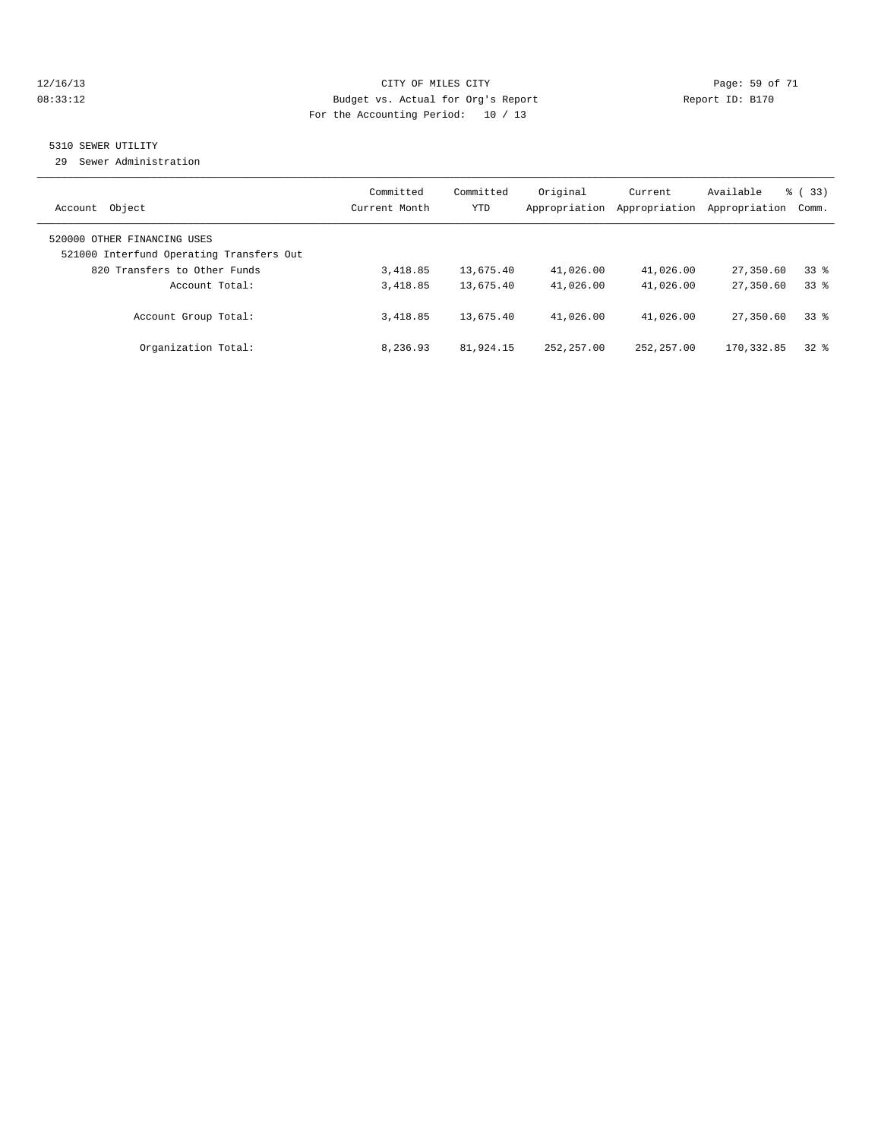#### 12/16/13 Page: 59 of 71 08:33:12 **Budget vs. Actual for Org's Report Report ID: B170** For the Accounting Period: 10 / 13

#### 5310 SEWER UTILITY

29 Sewer Administration

| Object<br>Account                                                                                       | Committed<br>Current Month | Committed<br><b>YTD</b> | Original<br>Appropriation | Current<br>Appropriation | Available<br>Appropriation | % (33)<br>Comm. |
|---------------------------------------------------------------------------------------------------------|----------------------------|-------------------------|---------------------------|--------------------------|----------------------------|-----------------|
| 520000 OTHER FINANCING USES<br>521000 Interfund Operating Transfers Out<br>820 Transfers to Other Funds | 3,418.85                   | 13,675.40               | 41,026.00                 | 41,026.00                | 27,350.60                  | 338             |
| Account Total:                                                                                          | 3,418.85                   | 13,675.40               | 41,026.00                 | 41,026.00                | 27,350.60                  | 338             |
| Account Group Total:                                                                                    | 3,418.85                   | 13,675.40               | 41,026.00                 | 41,026.00                | 27,350.60                  | 338             |
| Organization Total:                                                                                     | 8,236.93                   | 81,924.15               | 252, 257, 00              | 252, 257, 00             | 170, 332.85                | $32*$           |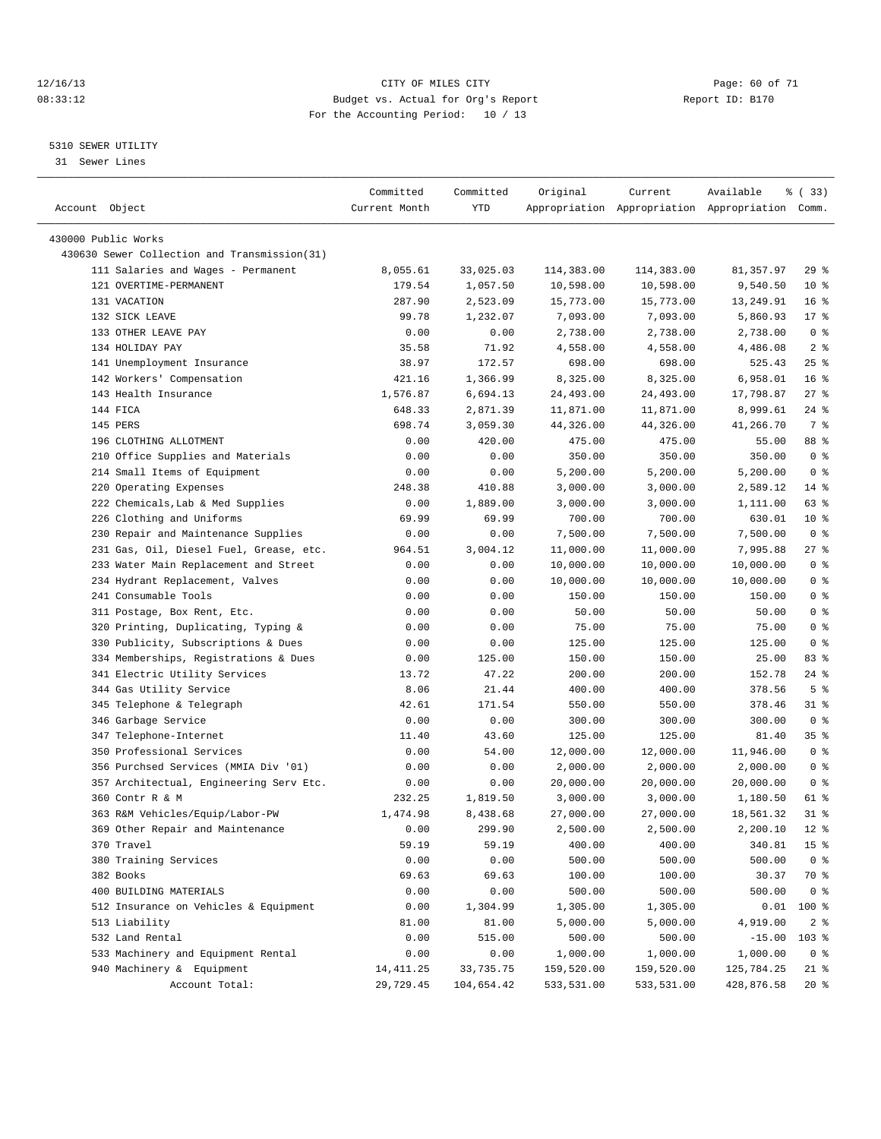#### 12/16/13 Page: 60 of 71 08:33:12 Budget vs. Actual for Org's Report Changer Report ID: B170 For the Accounting Period: 10 / 13

————————————————————————————————————————————————————————————————————————————————————————————————————————————————————————————————————

#### 5310 SEWER UTILITY

31 Sewer Lines

|                                              | Committed     | Committed  | Original   | Current    | Available                                       | % (33)          |
|----------------------------------------------|---------------|------------|------------|------------|-------------------------------------------------|-----------------|
| Account Object                               | Current Month | YTD        |            |            | Appropriation Appropriation Appropriation Comm. |                 |
| 430000 Public Works                          |               |            |            |            |                                                 |                 |
| 430630 Sewer Collection and Transmission(31) |               |            |            |            |                                                 |                 |
| 111 Salaries and Wages - Permanent           | 8,055.61      | 33,025.03  | 114,383.00 | 114,383.00 | 81, 357.97                                      | $29$ $%$        |
| 121 OVERTIME-PERMANENT                       | 179.54        | 1,057.50   | 10,598.00  | 10,598.00  | 9,540.50                                        | $10*$           |
| 131 VACATION                                 | 287.90        | 2,523.09   | 15,773.00  | 15,773.00  | 13,249.91                                       | 16 <sup>8</sup> |
| 132 SICK LEAVE                               | 99.78         | 1,232.07   | 7,093.00   | 7,093.00   | 5,860.93                                        | $17*$           |
| 133 OTHER LEAVE PAY                          | 0.00          | 0.00       | 2,738.00   | 2,738.00   | 2,738.00                                        | 0 <sup>8</sup>  |
| 134 HOLIDAY PAY                              | 35.58         | 71.92      | 4,558.00   | 4,558.00   | 4,486.08                                        | 2 <sub>8</sub>  |
| 141 Unemployment Insurance                   | 38.97         | 172.57     | 698.00     | 698.00     | 525.43                                          | $25$ $%$        |
| 142 Workers' Compensation                    | 421.16        | 1,366.99   | 8,325.00   | 8,325.00   | 6,958.01                                        | $16*$           |
| 143 Health Insurance                         | 1,576.87      | 6,694.13   | 24,493.00  | 24,493.00  | 17,798.87                                       | $27$ %          |
| 144 FICA                                     | 648.33        | 2,871.39   | 11,871.00  | 11,871.00  | 8,999.61                                        | 24 %            |
| 145 PERS                                     | 698.74        | 3,059.30   | 44,326.00  | 44,326.00  | 41,266.70                                       | 7 %             |
| 196 CLOTHING ALLOTMENT                       | 0.00          | 420.00     | 475.00     | 475.00     | 55.00                                           | 88 %            |
| 210 Office Supplies and Materials            | 0.00          | 0.00       | 350.00     | 350.00     | 350.00                                          | 0 <sup>8</sup>  |
| 214 Small Items of Equipment                 | 0.00          | 0.00       | 5,200.00   | 5,200.00   | 5,200.00                                        | 0 <sup>8</sup>  |
| 220 Operating Expenses                       | 248.38        | 410.88     | 3,000.00   | 3,000.00   | 2,589.12                                        | $14$ %          |
| 222 Chemicals, Lab & Med Supplies            | 0.00          | 1,889.00   | 3,000.00   | 3,000.00   | 1,111.00                                        | 63 %            |
| 226 Clothing and Uniforms                    | 69.99         | 69.99      | 700.00     | 700.00     | 630.01                                          | $10*$           |
| 230 Repair and Maintenance Supplies          | 0.00          | 0.00       | 7,500.00   | 7,500.00   | 7,500.00                                        | 0 <sup>8</sup>  |
| 231 Gas, Oil, Diesel Fuel, Grease, etc.      | 964.51        | 3,004.12   | 11,000.00  | 11,000.00  | 7,995.88                                        | $27$ %          |
| 233 Water Main Replacement and Street        | 0.00          | 0.00       | 10,000.00  | 10,000.00  | 10,000.00                                       | 0 <sup>8</sup>  |
| 234 Hydrant Replacement, Valves              | 0.00          | 0.00       | 10,000.00  | 10,000.00  | 10,000.00                                       | 0 <sup>8</sup>  |
| 241 Consumable Tools                         | 0.00          | 0.00       | 150.00     | 150.00     | 150.00                                          | 0 <sup>8</sup>  |
| 311 Postage, Box Rent, Etc.                  | 0.00          | 0.00       | 50.00      | 50.00      | 50.00                                           | 0 <sup>8</sup>  |
| 320 Printing, Duplicating, Typing &          | 0.00          | 0.00       | 75.00      | 75.00      | 75.00                                           | 0 <sup>8</sup>  |
| 330 Publicity, Subscriptions & Dues          | 0.00          | 0.00       | 125.00     | 125.00     | 125.00                                          | 0 <sup>8</sup>  |
| 334 Memberships, Registrations & Dues        | 0.00          | 125.00     | 150.00     | 150.00     | 25.00                                           | 83 %            |
| 341 Electric Utility Services                | 13.72         | 47.22      | 200.00     | 200.00     | 152.78                                          | $24$ %          |
| 344 Gas Utility Service                      | 8.06          | 21.44      | 400.00     | 400.00     | 378.56                                          | 5 <sup>°</sup>  |
| 345 Telephone & Telegraph                    | 42.61         | 171.54     | 550.00     | 550.00     | 378.46                                          | $31$ %          |
| 346 Garbage Service                          | 0.00          | 0.00       | 300.00     | 300.00     | 300.00                                          | 0 <sup>8</sup>  |
| 347 Telephone-Internet                       | 11.40         | 43.60      | 125.00     | 125.00     | 81.40                                           | 35 %            |
| 350 Professional Services                    | 0.00          | 54.00      | 12,000.00  | 12,000.00  | 11,946.00                                       | 0 <sup>8</sup>  |
| 356 Purchsed Services (MMIA Div '01)         | 0.00          | 0.00       | 2,000.00   | 2,000.00   | 2,000.00                                        | 0 <sup>8</sup>  |
| 357 Architectual, Engineering Serv Etc.      | 0.00          | 0.00       | 20,000.00  | 20,000.00  | 20,000.00                                       | 0 <sup>8</sup>  |
| 360 Contr R & M                              | 232.25        | 1,819.50   | 3,000.00   | 3,000.00   | 1,180.50                                        | 61 %            |
| 363 R&M Vehicles/Equip/Labor-PW              | 1,474.98      | 8,438.68   | 27,000.00  | 27,000.00  | 18,561.32                                       | $31$ %          |
| 369 Other Repair and Maintenance             | 0.00          | 299.90     | 2,500.00   | 2,500.00   | 2,200.10                                        | $12*$           |
| 370 Travel                                   | 59.19         | 59.19      | 400.00     | 400.00     | 340.81                                          | 15 <sup>°</sup> |
| 380 Training Services                        | 0.00          | 0.00       | 500.00     | 500.00     | 500.00                                          | 0 <sup>8</sup>  |
| 382 Books                                    | 69.63         | 69.63      | 100.00     | 100.00     | 30.37                                           | 70 %            |
| 400 BUILDING MATERIALS                       | 0.00          | 0.00       | 500.00     | 500.00     | 500.00                                          | 0 <sup>8</sup>  |
| 512 Insurance on Vehicles & Equipment        | 0.00          | 1,304.99   | 1,305.00   | 1,305.00   | 0.01                                            | $100$ %         |
| 513 Liability                                | 81.00         | 81.00      | 5,000.00   | 5,000.00   | 4,919.00                                        | 2 <sup>8</sup>  |
| 532 Land Rental                              | 0.00          | 515.00     | 500.00     | 500.00     | $-15.00$                                        | $103$ %         |
| 533 Machinery and Equipment Rental           | 0.00          | 0.00       | 1,000.00   | 1,000.00   | 1,000.00                                        | 0 <sup>8</sup>  |
| 940 Machinery & Equipment                    | 14, 411.25    | 33,735.75  | 159,520.00 | 159,520.00 | 125,784.25                                      | 21 %            |
| Account Total:                               | 29,729.45     | 104,654.42 | 533,531.00 | 533,531.00 | 428,876.58                                      | $20*$           |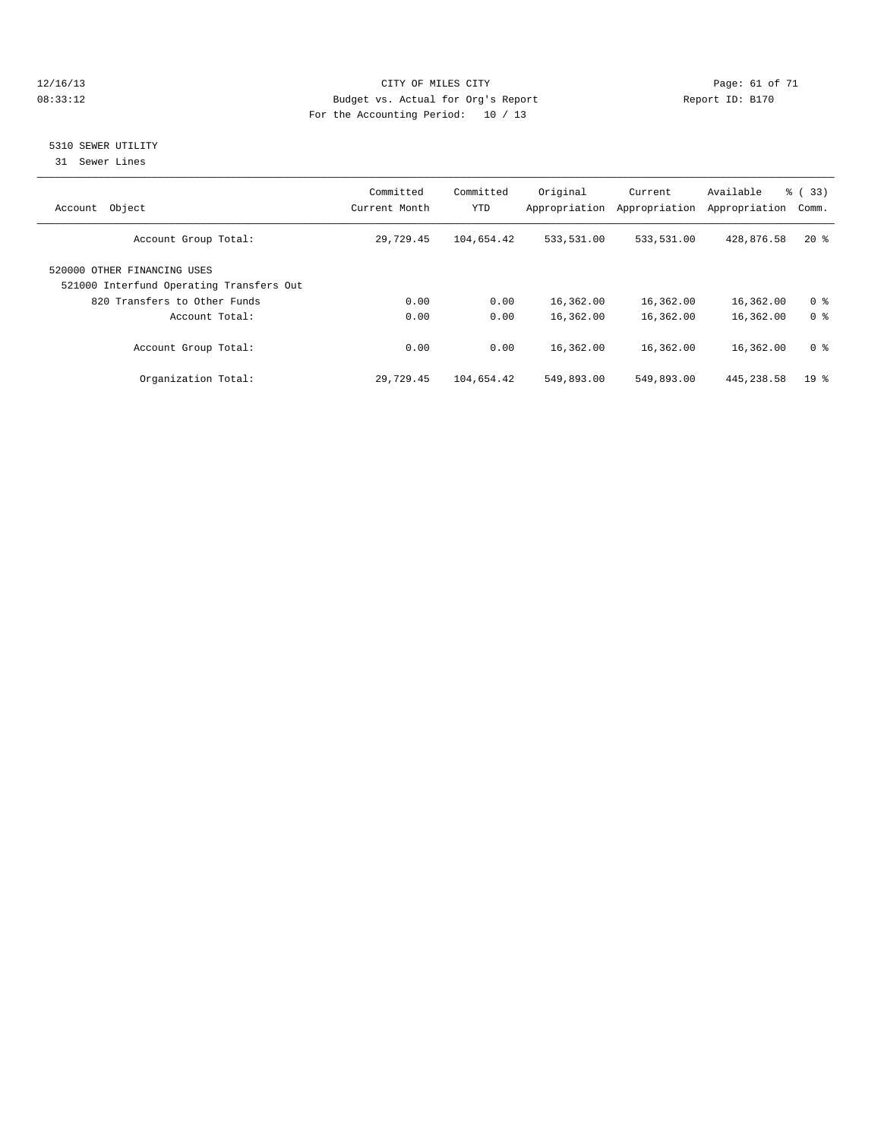#### 12/16/13 Page: 61 of 71 08:33:12 **Budget vs. Actual for Org's Report Report ID: B170** For the Accounting Period: 10 / 13

#### 5310 SEWER UTILITY

31 Sewer Lines

| Object<br>Account                                                       | Committed<br>Current Month | Committed<br><b>YTD</b> | Original<br>Appropriation | Current<br>Appropriation | Available<br>Appropriation | % (33)<br>Comm. |
|-------------------------------------------------------------------------|----------------------------|-------------------------|---------------------------|--------------------------|----------------------------|-----------------|
| Account Group Total:                                                    | 29,729.45                  | 104,654.42              | 533,531.00                | 533,531.00               | 428,876.58                 | $20*$           |
| 520000 OTHER FINANCING USES<br>521000 Interfund Operating Transfers Out |                            |                         |                           |                          |                            |                 |
| 820 Transfers to Other Funds                                            | 0.00                       | 0.00                    | 16,362.00                 | 16,362.00                | 16,362.00                  | 0 <sup>8</sup>  |
| Account Total:                                                          | 0.00                       | 0.00                    | 16,362.00                 | 16,362.00                | 16,362.00                  | 0 <sup>8</sup>  |
| Account Group Total:                                                    | 0.00                       | 0.00                    | 16,362.00                 | 16,362.00                | 16,362.00                  | 0 <sup>8</sup>  |
| Organization Total:                                                     | 29,729.45                  | 104,654.42              | 549,893.00                | 549,893.00               | 445, 238.58                | $19*$           |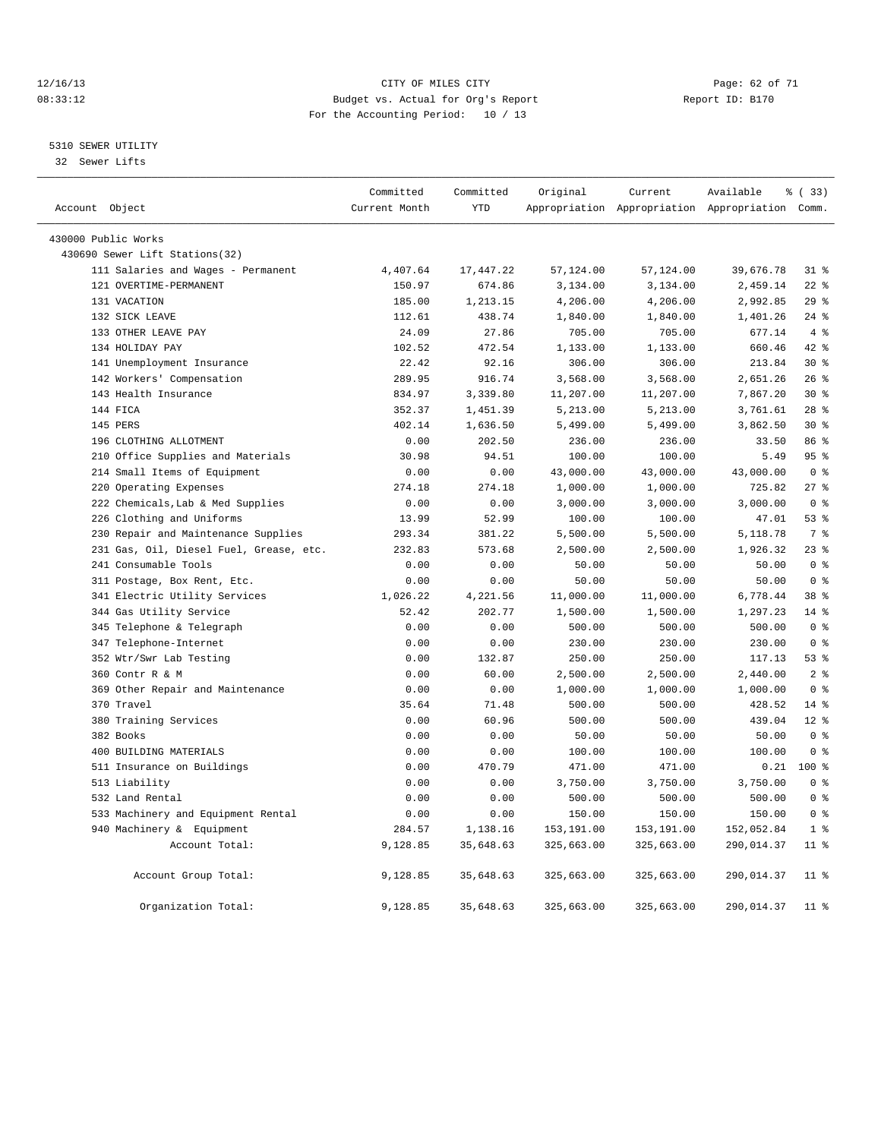#### 12/16/13 Page: 62 of 71 08:33:12 Budget vs. Actual for Org's Report Changer Report ID: B170 For the Accounting Period: 10 / 13

#### 5310 SEWER UTILITY

32 Sewer Lifts

|                                         | Committed     | Committed  | Original   | Current    | Available                                       | % (33)          |
|-----------------------------------------|---------------|------------|------------|------------|-------------------------------------------------|-----------------|
| Account Object                          | Current Month | <b>YTD</b> |            |            | Appropriation Appropriation Appropriation Comm. |                 |
| 430000 Public Works                     |               |            |            |            |                                                 |                 |
| 430690 Sewer Lift Stations(32)          |               |            |            |            |                                                 |                 |
| 111 Salaries and Wages - Permanent      | 4,407.64      | 17,447.22  | 57,124.00  | 57,124.00  | 39,676.78                                       | $31$ %          |
| 121 OVERTIME-PERMANENT                  | 150.97        | 674.86     | 3,134.00   | 3,134.00   | 2,459.14                                        | $22$ %          |
| 131 VACATION                            | 185.00        | 1,213.15   | 4,206.00   | 4,206.00   | 2,992.85                                        | 29%             |
| 132 SICK LEAVE                          | 112.61        | 438.74     | 1,840.00   | 1,840.00   | 1,401.26                                        | $24$ %          |
| 133 OTHER LEAVE PAY                     | 24.09         | 27.86      | 705.00     | 705.00     | 677.14                                          | 4%              |
| 134 HOLIDAY PAY                         | 102.52        | 472.54     | 1,133.00   | 1,133.00   | 660.46                                          | 42 %            |
| 141 Unemployment Insurance              | 22.42         | 92.16      | 306.00     | 306.00     | 213.84                                          | $30*$           |
| 142 Workers' Compensation               | 289.95        | 916.74     | 3,568.00   | 3,568.00   | 2,651.26                                        | 26%             |
| 143 Health Insurance                    | 834.97        | 3,339.80   | 11,207.00  | 11,207.00  | 7,867.20                                        | $30*$           |
| 144 FICA                                | 352.37        | 1,451.39   | 5,213.00   | 5,213.00   | 3,761.61                                        | 28 <sup>8</sup> |
| 145 PERS                                | 402.14        | 1,636.50   | 5,499.00   | 5,499.00   | 3,862.50                                        | $30*$           |
| 196 CLOTHING ALLOTMENT                  | 0.00          | 202.50     | 236.00     | 236.00     | 33.50                                           | 86%             |
| 210 Office Supplies and Materials       | 30.98         | 94.51      | 100.00     | 100.00     | 5.49                                            | 95 <sub>8</sub> |
| 214 Small Items of Equipment            | 0.00          | 0.00       | 43,000.00  | 43,000.00  | 43,000.00                                       | 0 <sup>8</sup>  |
| 220 Operating Expenses                  | 274.18        | 274.18     | 1,000.00   | 1,000.00   | 725.82                                          | $27$ $%$        |
| 222 Chemicals, Lab & Med Supplies       | 0.00          | 0.00       | 3,000.00   | 3,000.00   | 3,000.00                                        | 0 <sup>8</sup>  |
| 226 Clothing and Uniforms               | 13.99         | 52.99      | 100.00     | 100.00     | 47.01                                           | 53%             |
| 230 Repair and Maintenance Supplies     | 293.34        | 381.22     | 5,500.00   | 5,500.00   | 5,118.78                                        | 7 <sup>°</sup>  |
| 231 Gas, Oil, Diesel Fuel, Grease, etc. | 232.83        | 573.68     | 2,500.00   | 2,500.00   | 1,926.32                                        | $23$ $%$        |
| 241 Consumable Tools                    | 0.00          | 0.00       | 50.00      | 50.00      | 50.00                                           | 0 <sup>8</sup>  |
| 311 Postage, Box Rent, Etc.             | 0.00          | 0.00       | 50.00      | 50.00      | 50.00                                           | 0 <sup>8</sup>  |
| 341 Electric Utility Services           | 1,026.22      | 4,221.56   | 11,000.00  | 11,000.00  | 6,778.44                                        | 38 %            |
| 344 Gas Utility Service                 | 52.42         | 202.77     | 1,500.00   | 1,500.00   | 1,297.23                                        | 14 %            |
| 345 Telephone & Telegraph               | 0.00          | 0.00       | 500.00     | 500.00     | 500.00                                          | 0 <sup>8</sup>  |
| 347 Telephone-Internet                  | 0.00          | 0.00       | 230.00     | 230.00     | 230.00                                          | 0 <sup>8</sup>  |
| 352 Wtr/Swr Lab Testing                 | 0.00          | 132.87     | 250.00     | 250.00     | 117.13                                          | 53%             |
| 360 Contr R & M                         | 0.00          | 60.00      | 2,500.00   | 2,500.00   | 2,440.00                                        | 2 <sup>°</sup>  |
| 369 Other Repair and Maintenance        | 0.00          | 0.00       | 1,000.00   | 1,000.00   | 1,000.00                                        | 0 <sup>8</sup>  |
| 370 Travel                              | 35.64         | 71.48      | 500.00     | 500.00     | 428.52                                          | $14$ %          |
| 380 Training Services                   | 0.00          | 60.96      | 500.00     | 500.00     | 439.04                                          | $12*$           |
| 382 Books                               | 0.00          | 0.00       | 50.00      | 50.00      | 50.00                                           | 0 <sup>8</sup>  |
| 400 BUILDING MATERIALS                  | 0.00          | 0.00       | 100.00     | 100.00     | 100.00                                          | 0 <sup>8</sup>  |
| 511 Insurance on Buildings              | 0.00          | 470.79     | 471.00     | 471.00     | 0.21                                            | $100*$          |
| 513 Liability                           | 0.00          | 0.00       | 3,750.00   | 3,750.00   | 3,750.00                                        | 0 <sup>8</sup>  |
| 532 Land Rental                         | 0.00          | 0.00       | 500.00     | 500.00     | 500.00                                          | 0 <sup>8</sup>  |
| 533 Machinery and Equipment Rental      | 0.00          | 0.00       | 150.00     | 150.00     | 150.00                                          | 0 <sup>8</sup>  |
| 940 Machinery & Equipment               | 284.57        | 1,138.16   | 153,191.00 | 153,191.00 | 152,052.84                                      | 1 <sup>8</sup>  |
| Account Total:                          | 9,128.85      | 35,648.63  | 325,663.00 | 325,663.00 | 290,014.37                                      | 11 <sup>8</sup> |
| Account Group Total:                    | 9,128.85      | 35,648.63  | 325,663.00 | 325,663.00 | 290,014.37                                      | $11$ %          |
| Organization Total:                     | 9,128.85      | 35,648.63  | 325,663.00 | 325,663.00 | 290,014.37                                      | $11*$           |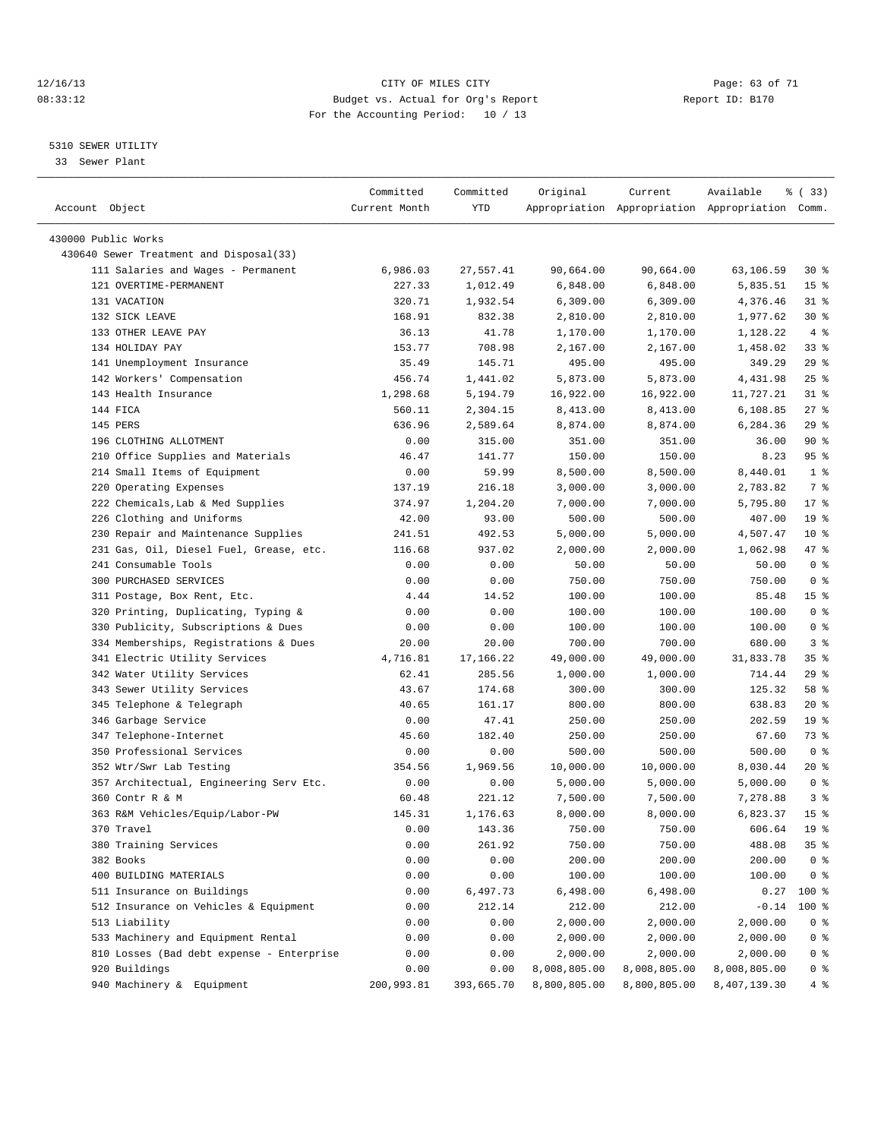#### 12/16/13 Page: 63 of 71 08:33:12 Budget vs. Actual for Org's Report Changer Report ID: B170 For the Accounting Period: 10 / 13

————————————————————————————————————————————————————————————————————————————————————————————————————————————————————————————————————

#### 5310 SEWER UTILITY

33 Sewer Plant

|                                           | Committed     | Committed  | Original     | Current      | Available                                       | १ (33)          |
|-------------------------------------------|---------------|------------|--------------|--------------|-------------------------------------------------|-----------------|
| Account Object                            | Current Month | YTD        |              |              | Appropriation Appropriation Appropriation Comm. |                 |
|                                           |               |            |              |              |                                                 |                 |
| 430000 Public Works                       |               |            |              |              |                                                 |                 |
| 430640 Sewer Treatment and Disposal(33)   |               |            |              |              |                                                 |                 |
| 111 Salaries and Wages - Permanent        | 6,986.03      | 27,557.41  | 90,664.00    | 90,664.00    | 63,106.59                                       | $30*$           |
| 121 OVERTIME-PERMANENT                    | 227.33        | 1,012.49   | 6,848.00     | 6,848.00     | 5,835.51                                        | 15 <sup>8</sup> |
| 131 VACATION                              | 320.71        | 1,932.54   | 6,309.00     | 6,309.00     | 4,376.46                                        | $31$ $8$        |
| 132 SICK LEAVE                            | 168.91        | 832.38     | 2,810.00     | 2,810.00     | 1,977.62                                        | $30*$           |
| 133 OTHER LEAVE PAY                       | 36.13         | 41.78      | 1,170.00     | 1,170.00     | 1,128.22                                        | 4%              |
| 134 HOLIDAY PAY                           | 153.77        | 708.98     | 2,167.00     | 2,167.00     | 1,458.02                                        | 338             |
| 141 Unemployment Insurance                | 35.49         | 145.71     | 495.00       | 495.00       | 349.29                                          | 29%             |
| 142 Workers' Compensation                 | 456.74        | 1,441.02   | 5,873.00     | 5,873.00     | 4,431.98                                        | 25%             |
| 143 Health Insurance                      | 1,298.68      | 5,194.79   | 16,922.00    | 16,922.00    | 11,727.21                                       | $31$ $%$        |
| 144 FICA                                  | 560.11        | 2,304.15   | 8,413.00     | 8,413.00     | 6,108.85                                        | $27$ %          |
| 145 PERS                                  | 636.96        | 2,589.64   | 8,874.00     | 8,874.00     | 6,284.36                                        | 29%             |
| 196 CLOTHING ALLOTMENT                    | 0.00          | 315.00     | 351.00       | 351.00       | 36.00                                           | $90*$           |
| 210 Office Supplies and Materials         | 46.47         | 141.77     | 150.00       | 150.00       | 8.23                                            | 95%             |
| 214 Small Items of Equipment              | 0.00          | 59.99      | 8,500.00     | 8,500.00     | 8,440.01                                        | 1 <sup>8</sup>  |
| 220 Operating Expenses                    | 137.19        | 216.18     | 3,000.00     | 3,000.00     | 2,783.82                                        | 7 %             |
| 222 Chemicals, Lab & Med Supplies         | 374.97        | 1,204.20   | 7,000.00     | 7,000.00     | 5,795.80                                        | $17*$           |
| 226 Clothing and Uniforms                 | 42.00         | 93.00      | 500.00       | 500.00       | 407.00                                          | 19 <sup>°</sup> |
| 230 Repair and Maintenance Supplies       | 241.51        | 492.53     | 5,000.00     | 5,000.00     | 4,507.47                                        | 10 <sup>8</sup> |
| 231 Gas, Oil, Diesel Fuel, Grease, etc.   | 116.68        | 937.02     | 2,000.00     | 2,000.00     | 1,062.98                                        | 47 %            |
| 241 Consumable Tools                      | 0.00          | 0.00       | 50.00        | 50.00        | 50.00                                           | 0 <sup>8</sup>  |
| 300 PURCHASED SERVICES                    | 0.00          | 0.00       | 750.00       | 750.00       | 750.00                                          | 0 <sup>8</sup>  |
| 311 Postage, Box Rent, Etc.               | 4.44          | 14.52      | 100.00       | 100.00       | 85.48                                           | 15 <sup>°</sup> |
| 320 Printing, Duplicating, Typing &       | 0.00          | 0.00       | 100.00       | 100.00       | 100.00                                          | 0 <sup>8</sup>  |
| 330 Publicity, Subscriptions & Dues       | 0.00          | 0.00       | 100.00       | 100.00       | 100.00                                          | 0 <sup>8</sup>  |
| 334 Memberships, Registrations & Dues     | 20.00         | 20.00      | 700.00       | 700.00       | 680.00                                          | 3%              |
| 341 Electric Utility Services             | 4,716.81      | 17,166.22  | 49,000.00    | 49,000.00    | 31,833.78                                       | 35%             |
| 342 Water Utility Services                | 62.41         | 285.56     | 1,000.00     | 1,000.00     | 714.44                                          | 29%             |
| 343 Sewer Utility Services                | 43.67         | 174.68     | 300.00       | 300.00       | 125.32                                          | 58 %            |
| 345 Telephone & Telegraph                 | 40.65         | 161.17     | 800.00       | 800.00       | 638.83                                          | $20*$           |
| 346 Garbage Service                       | 0.00          | 47.41      | 250.00       | 250.00       | 202.59                                          | 19 <sup>°</sup> |
| 347 Telephone-Internet                    | 45.60         | 182.40     | 250.00       | 250.00       | 67.60                                           | 73 %            |
| 350 Professional Services                 | 0.00          | 0.00       | 500.00       | 500.00       | 500.00                                          | 0 <sup>8</sup>  |
| 352 Wtr/Swr Lab Testing                   | 354.56        | 1,969.56   | 10,000.00    | 10,000.00    | 8,030.44                                        | $20*$           |
| 357 Architectual, Engineering Serv Etc.   | 0.00          | 0.00       | 5,000.00     | 5,000.00     | 5,000.00                                        | 0 <sup>8</sup>  |
| 360 Contr R & M                           | 60.48         | 221.12     | 7,500.00     | 7,500.00     | 7,278.88                                        | 3%              |
| 363 R&M Vehicles/Equip/Labor-PW           | 145.31        | 1,176.63   | 8,000.00     | 8,000.00     | 6,823.37                                        | 15 <sup>°</sup> |
| 370 Travel                                | 0.00          | 143.36     | 750.00       | 750.00       | 606.64                                          | 19 <sup>°</sup> |
| 380 Training Services                     | 0.00          | 261.92     | 750.00       | 750.00       | 488.08                                          | 35 <sub>8</sub> |
| 382 Books                                 | 0.00          | 0.00       | 200.00       | 200.00       | 200.00                                          | 0 <sup>8</sup>  |
| 400 BUILDING MATERIALS                    | 0.00          | 0.00       | 100.00       | 100.00       | 100.00                                          | 0 <sup>8</sup>  |
| 511 Insurance on Buildings                | 0.00          | 6,497.73   | 6,498.00     | 6,498.00     | 0.27                                            | 100 %           |
| 512 Insurance on Vehicles & Equipment     | 0.00          | 212.14     | 212.00       | 212.00       | $-0.14$                                         | 100 %           |
| 513 Liability                             | 0.00          | 0.00       | 2,000.00     | 2,000.00     | 2,000.00                                        | 0 <sup>8</sup>  |
| 533 Machinery and Equipment Rental        | 0.00          | 0.00       | 2,000.00     | 2,000.00     | 2,000.00                                        | 0 <sup>8</sup>  |
| 810 Losses (Bad debt expense - Enterprise | 0.00          | 0.00       | 2,000.00     | 2,000.00     | 2,000.00                                        | 0 <sup>8</sup>  |
| 920 Buildings                             | 0.00          | 0.00       | 8,008,805.00 | 8,008,805.00 | 8,008,805.00                                    | 0 %             |
| 940 Machinery & Equipment                 | 200,993.81    | 393,665.70 | 8,800,805.00 | 8,800,805.00 | 8,407,139.30                                    | 4 %             |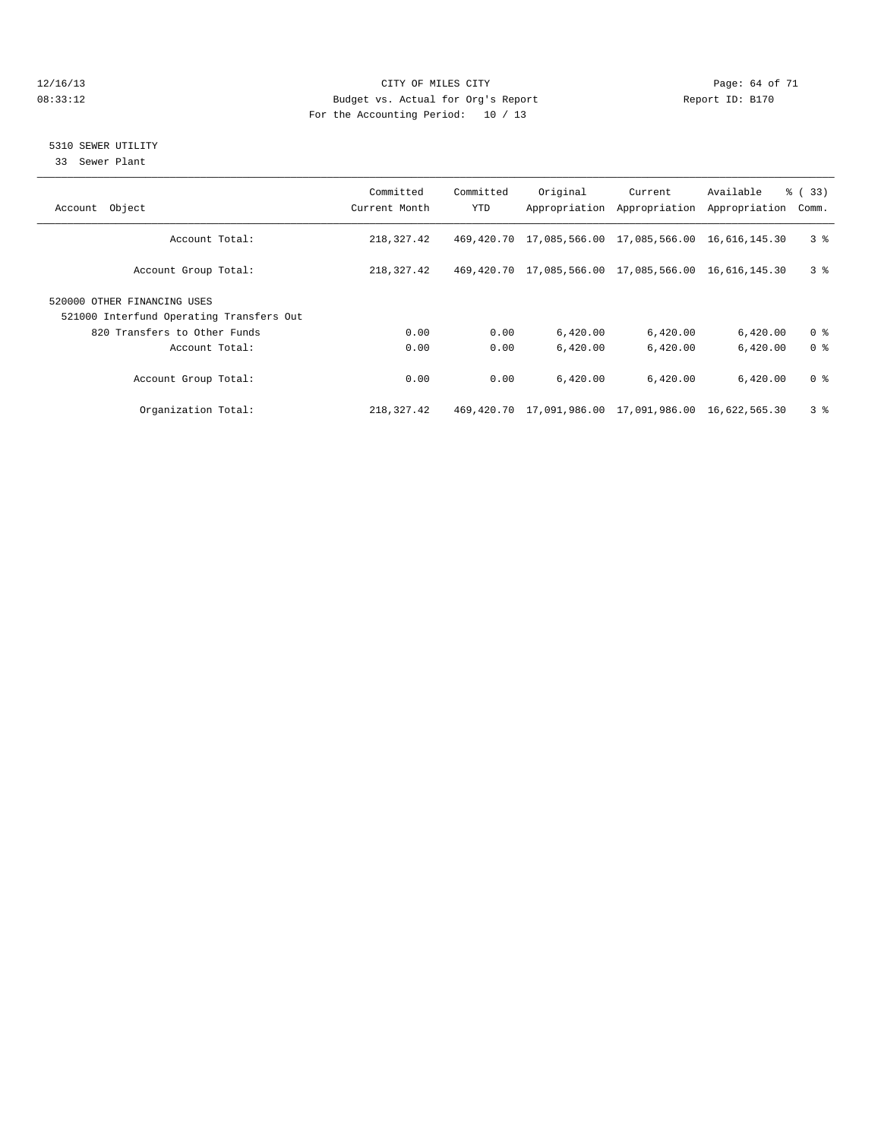#### 12/16/13 Page: 64 of 71 08:33:12 Budget vs. Actual for Org's Report Changer Report ID: B170 For the Accounting Period: 10 / 13

#### 5310 SEWER UTILITY

33 Sewer Plant

| Object<br>Account                                                       | Committed<br>Current Month | Committed<br><b>YTD</b> | Original                                                    | Current<br>Appropriation Appropriation | Available<br>Appropriation | $\frac{6}{6}$ (33)<br>Comm. |
|-------------------------------------------------------------------------|----------------------------|-------------------------|-------------------------------------------------------------|----------------------------------------|----------------------------|-----------------------------|
| Account Total:                                                          | 218,327.42                 | 469,420.70              | 17,085,566.00 17,085,566.00                                 |                                        | 16,616,145.30              | 3 <sup>8</sup>              |
| Account Group Total:                                                    | 218,327.42                 |                         | 469, 420.70 17, 085, 566.00 17, 085, 566.00 16, 616, 145.30 |                                        |                            | 3 <sup>8</sup>              |
| 520000 OTHER FINANCING USES<br>521000 Interfund Operating Transfers Out |                            |                         |                                                             |                                        |                            |                             |
|                                                                         |                            |                         |                                                             |                                        |                            |                             |
| 820 Transfers to Other Funds                                            | 0.00                       | 0.00                    | 6,420.00                                                    | 6,420.00                               | 6,420.00                   | 0 <sup>8</sup>              |
| Account Total:                                                          | 0.00                       | 0.00                    | 6.420.00                                                    | 6.420.00                               | 6,420.00                   | 0 <sup>8</sup>              |
| Account Group Total:                                                    | 0.00                       | 0.00                    | 6,420.00                                                    | 6,420.00                               | 6,420.00                   | 0 <sup>8</sup>              |
| Organization Total:                                                     | 218,327.42                 |                         | 469, 420.70 17, 091, 986.00 17, 091, 986.00 16, 622, 565.30 |                                        |                            | 3 <sup>8</sup>              |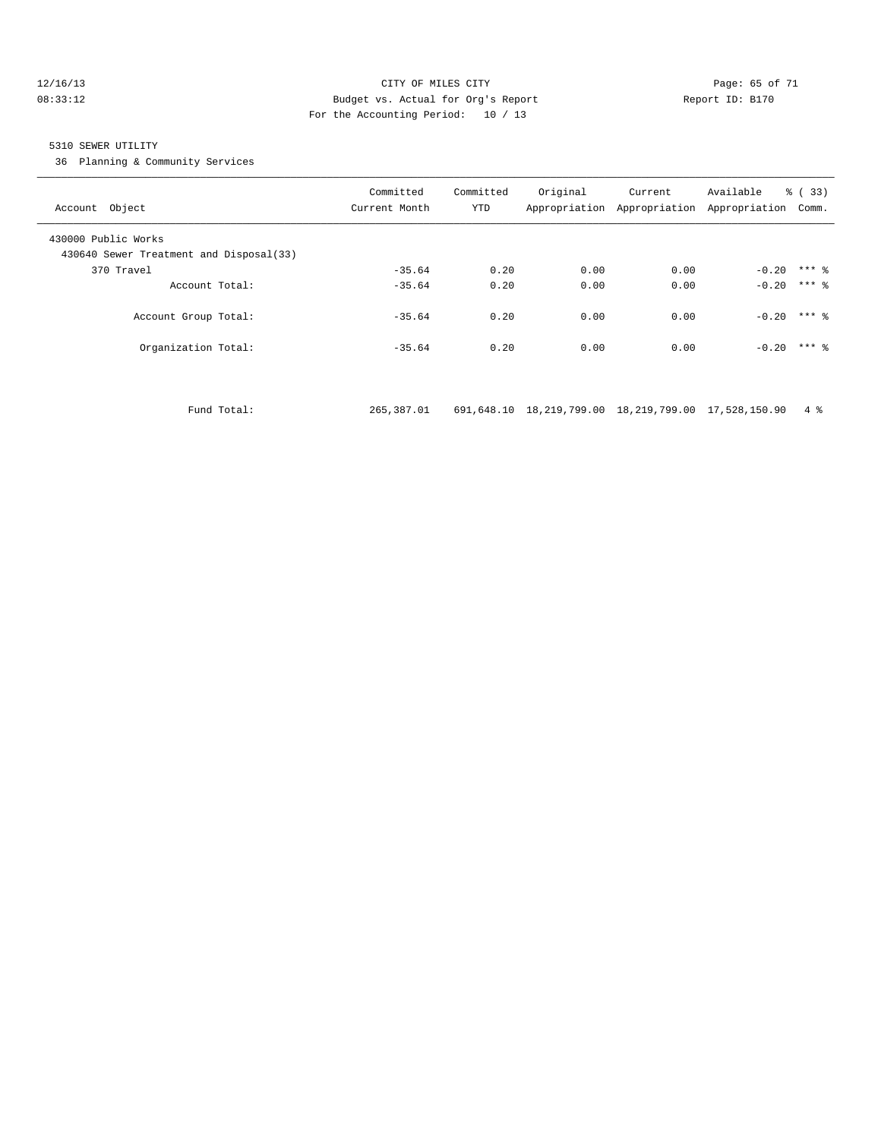#### 12/16/13 Page: 65 of 71 08:33:12 Budget vs. Actual for Org's Report Report ID: B170 For the Accounting Period: 10 / 13

#### 5310 SEWER UTILITY

36 Planning & Community Services

| Account Object                                                 | Committed<br>Current Month | Committed<br>YTD | Original | Current<br>Appropriation Appropriation Appropriation | Available | $\frac{6}{6}$ (33)<br>Comm. |
|----------------------------------------------------------------|----------------------------|------------------|----------|------------------------------------------------------|-----------|-----------------------------|
| 430000 Public Works<br>430640 Sewer Treatment and Disposal(33) |                            |                  |          |                                                      |           |                             |
| 370 Travel                                                     | $-35.64$                   | 0.20             | 0.00     | 0.00                                                 | $-0.20$   | $***$ 2                     |
| Account Total:                                                 | $-35.64$                   | 0.20             | 0.00     | 0.00                                                 |           | $-0.20$ *** $\frac{6}{5}$   |
| Account Group Total:                                           | $-35.64$                   | 0.20             | 0.00     | 0.00                                                 |           | $-0.20$ *** $\frac{6}{5}$   |
| Organization Total:                                            | $-35.64$                   | 0.20             | 0.00     | 0.00                                                 |           | $-0.20$ *** $\frac{6}{5}$   |
|                                                                |                            |                  |          |                                                      |           |                             |

Fund Total: 265,387.01 691,648.10 18,219,799.00 18,219,799.00 17,528,150.90 4 %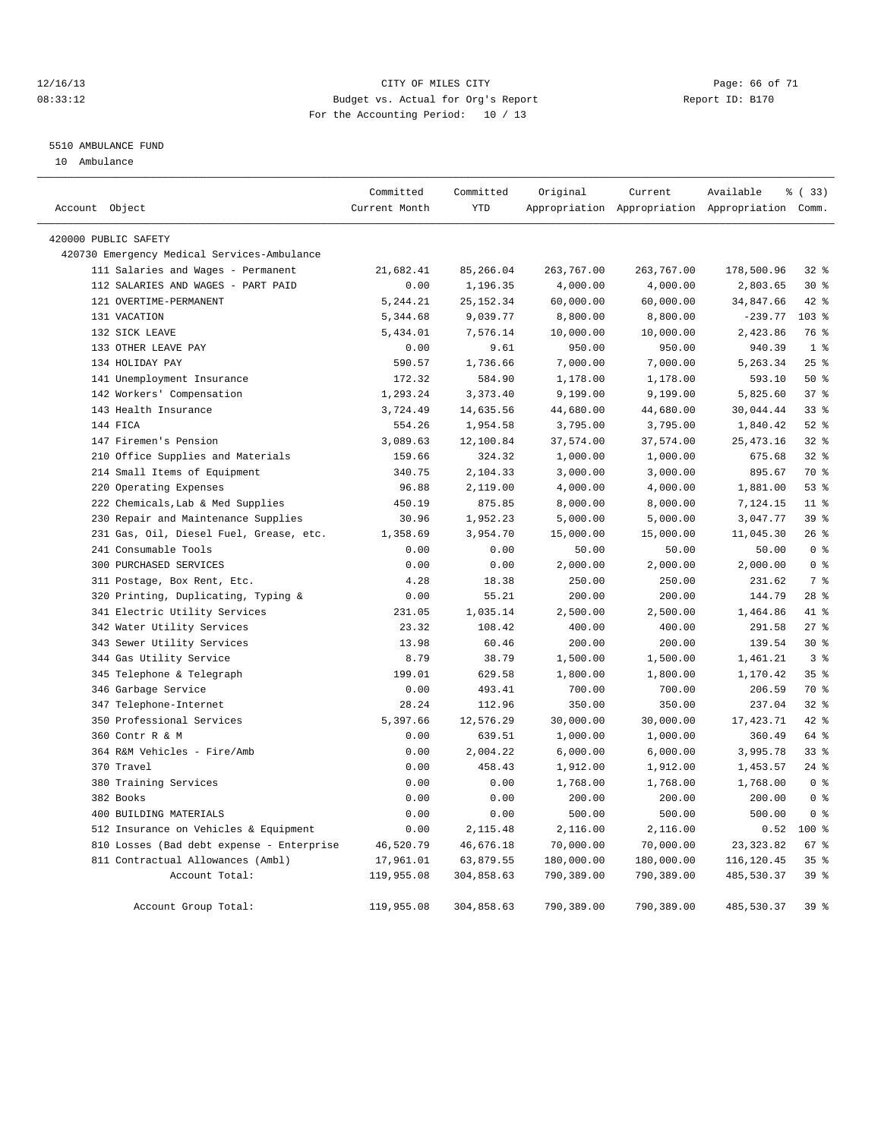#### 12/16/13 Page: 66 of 71 08:33:12 Budget vs. Actual for Org's Report Changer Report ID: B170 For the Accounting Period: 10 / 13

#### 5510 AMBULANCE FUND

10 Ambulance

| Account Object                              | Committed     | Committed<br><b>YTD</b> | Original   | Current    | Available                                       | % (33)          |
|---------------------------------------------|---------------|-------------------------|------------|------------|-------------------------------------------------|-----------------|
|                                             | Current Month |                         |            |            | Appropriation Appropriation Appropriation Comm. |                 |
| 420000 PUBLIC SAFETY                        |               |                         |            |            |                                                 |                 |
| 420730 Emergency Medical Services-Ambulance |               |                         |            |            |                                                 |                 |
| 111 Salaries and Wages - Permanent          | 21,682.41     | 85,266.04               | 263,767.00 | 263,767.00 | 178,500.96                                      | 32%             |
| 112 SALARIES AND WAGES - PART PAID          | 0.00          | 1,196.35                | 4,000.00   | 4,000.00   | 2,803.65                                        | $30*$           |
| 121 OVERTIME-PERMANENT                      | 5,244.21      | 25, 152.34              | 60,000.00  | 60,000.00  | 34,847.66                                       | 42.8            |
| 131 VACATION                                | 5,344.68      | 9,039.77                | 8,800.00   | 8,800.00   | $-239.77$                                       | 103%            |
| 132 SICK LEAVE                              | 5,434.01      | 7,576.14                | 10,000.00  | 10,000.00  | 2,423.86                                        | 76 %            |
| 133 OTHER LEAVE PAY                         | 0.00          | 9.61                    | 950.00     | 950.00     | 940.39                                          | 1 <sup>°</sup>  |
| 134 HOLIDAY PAY                             | 590.57        | 1,736.66                | 7,000.00   | 7,000.00   | 5,263.34                                        | 25%             |
| 141 Unemployment Insurance                  | 172.32        | 584.90                  | 1,178.00   | 1,178.00   | 593.10                                          | 50%             |
| 142 Workers' Compensation                   | 1,293.24      | 3, 373.40               | 9,199.00   | 9,199.00   | 5,825.60                                        | 37 <sup>8</sup> |
| 143 Health Insurance                        | 3,724.49      | 14,635.56               | 44,680.00  | 44,680.00  | 30,044.44                                       | 33 <sup>8</sup> |
| 144 FICA                                    | 554.26        | 1,954.58                | 3,795.00   | 3,795.00   | 1,840.42                                        | $52$ $%$        |
| 147 Firemen's Pension                       | 3,089.63      | 12,100.84               | 37,574.00  | 37,574.00  | 25, 473. 16                                     | $32*$           |
| 210 Office Supplies and Materials           | 159.66        | 324.32                  | 1,000.00   | 1,000.00   | 675.68                                          | $32*$           |
| 214 Small Items of Equipment                | 340.75        | 2,104.33                | 3,000.00   | 3,000.00   | 895.67                                          | 70 %            |
| 220 Operating Expenses                      | 96.88         | 2,119.00                | 4,000.00   | 4,000.00   | 1,881.00                                        | 53%             |
| 222 Chemicals, Lab & Med Supplies           | 450.19        | 875.85                  | 8,000.00   | 8,000.00   | 7,124.15                                        | $11*$           |
| 230 Repair and Maintenance Supplies         | 30.96         | 1,952.23                | 5,000.00   | 5,000.00   | 3,047.77                                        | 39 <sup>8</sup> |
| 231 Gas, Oil, Diesel Fuel, Grease, etc.     | 1,358.69      | 3,954.70                | 15,000.00  | 15,000.00  | 11,045.30                                       | 26%             |
| 241 Consumable Tools                        | 0.00          | 0.00                    | 50.00      | 50.00      | 50.00                                           | 0 <sup>8</sup>  |
| 300 PURCHASED SERVICES                      | 0.00          | 0.00                    | 2,000.00   | 2,000.00   | 2,000.00                                        | 0 <sup>8</sup>  |
| 311 Postage, Box Rent, Etc.                 | 4.28          | 18.38                   | 250.00     | 250.00     | 231.62                                          | 7 %             |
| 320 Printing, Duplicating, Typing &         | 0.00          | 55.21                   | 200.00     | 200.00     | 144.79                                          | 28 <sup>8</sup> |
| 341 Electric Utility Services               | 231.05        | 1,035.14                | 2,500.00   | 2,500.00   | 1,464.86                                        | 41.8            |
| 342 Water Utility Services                  | 23.32         | 108.42                  | 400.00     | 400.00     | 291.58                                          | 27%             |
| 343 Sewer Utility Services                  | 13.98         | 60.46                   | 200.00     | 200.00     | 139.54                                          | $30*$           |
| 344 Gas Utility Service                     | 8.79          | 38.79                   | 1,500.00   | 1,500.00   | 1,461.21                                        | 3 <sup>8</sup>  |
| 345 Telephone & Telegraph                   | 199.01        | 629.58                  | 1,800.00   | 1,800.00   | 1,170.42                                        | 35%             |
| 346 Garbage Service                         | 0.00          | 493.41                  | 700.00     | 700.00     | 206.59                                          | 70 %            |
| 347 Telephone-Internet                      | 28.24         | 112.96                  | 350.00     | 350.00     | 237.04                                          | 32%             |
| 350 Professional Services                   | 5,397.66      | 12,576.29               | 30,000.00  | 30,000.00  | 17, 423.71                                      | 42.8            |
| 360 Contr R & M                             | 0.00          | 639.51                  | 1,000.00   | 1,000.00   | 360.49                                          | 64 %            |
| 364 R&M Vehicles - Fire/Amb                 | 0.00          | 2,004.22                | 6,000.00   | 6,000.00   | 3,995.78                                        | 33%             |
| 370 Travel                                  | 0.00          | 458.43                  | 1,912.00   | 1,912.00   | 1,453.57                                        | $24$ %          |
| 380 Training Services                       | 0.00          | 0.00                    | 1,768.00   | 1,768.00   | 1,768.00                                        | 0 <sup>8</sup>  |
| 382 Books                                   | 0.00          | 0.00                    | 200.00     | 200.00     | 200.00                                          | 0 <sup>8</sup>  |
| 400 BUILDING MATERIALS                      | 0.00          | 0.00                    | 500.00     | 500.00     | 500.00                                          | 0 <sup>8</sup>  |
| 512 Insurance on Vehicles & Equipment       | 0.00          | 2,115.48                | 2,116.00   | 2,116.00   | 0.52                                            | $100*$          |
| 810 Losses (Bad debt expense - Enterprise   | 46,520.79     | 46,676.18               | 70,000.00  | 70,000.00  | 23, 323.82                                      | 67 %            |
| 811 Contractual Allowances (Ambl)           | 17,961.01     | 63,879.55               | 180,000.00 | 180,000.00 | 116,120.45                                      | 35%             |
| Account Total:                              | 119,955.08    | 304,858.63              | 790,389.00 | 790,389.00 | 485,530.37                                      | 39 %            |
|                                             |               |                         |            |            |                                                 |                 |
| Account Group Total:                        | 119,955.08    | 304,858.63              | 790,389.00 | 790,389.00 | 485,530.37                                      | 39 %            |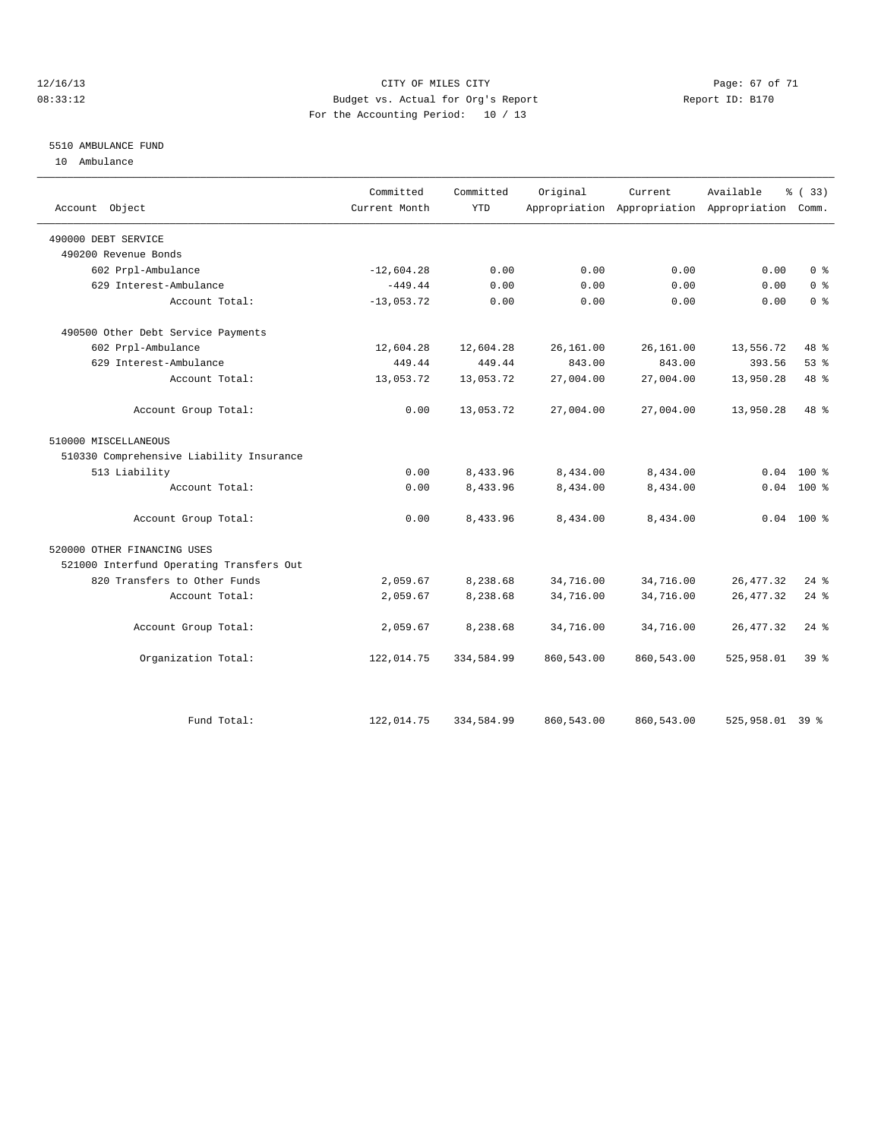#### 12/16/13 Page: 67 of 71 08:33:12 Budget vs. Actual for Org's Report Changer Report ID: B170 For the Accounting Period: 10 / 13

#### 5510 AMBULANCE FUND

10 Ambulance

|                                          | Committed     | Committed  | Original   | Current                                         | Available       | % (33)         |
|------------------------------------------|---------------|------------|------------|-------------------------------------------------|-----------------|----------------|
| Account Object                           | Current Month | <b>YTD</b> |            | Appropriation Appropriation Appropriation Comm. |                 |                |
| 490000 DEBT SERVICE                      |               |            |            |                                                 |                 |                |
| 490200 Revenue Bonds                     |               |            |            |                                                 |                 |                |
| 602 Prpl-Ambulance                       | $-12,604.28$  | 0.00       | 0.00       | 0.00                                            | 0.00            | 0 <sup>8</sup> |
| 629 Interest-Ambulance                   | $-449.44$     | 0.00       | 0.00       | 0.00                                            | 0.00            | 0 <sup>8</sup> |
| Account Total:                           | $-13,053.72$  | 0.00       | 0.00       | 0.00                                            | 0.00            | 0 <sup>8</sup> |
| 490500 Other Debt Service Payments       |               |            |            |                                                 |                 |                |
| 602 Prpl-Ambulance                       | 12,604.28     | 12,604.28  | 26, 161.00 | 26, 161.00                                      | 13,556.72       | 48 %           |
| 629 Interest-Ambulance                   | 449.44        | 449.44     | 843.00     | 843.00                                          | 393.56          | 53%            |
| Account Total:                           | 13,053.72     | 13,053.72  | 27,004.00  | 27,004.00                                       | 13,950.28       | 48 %           |
| Account Group Total:                     | 0.00          | 13,053.72  | 27,004.00  | 27,004.00                                       | 13,950.28       | 48 %           |
| 510000 MISCELLANEOUS                     |               |            |            |                                                 |                 |                |
| 510330 Comprehensive Liability Insurance |               |            |            |                                                 |                 |                |
| 513 Liability                            | 0.00          | 8,433.96   | 8,434.00   | 8,434.00                                        |                 | $0.04$ 100 %   |
| Account Total:                           | 0.00          | 8,433.96   | 8,434.00   | 8,434.00                                        |                 | $0.04$ 100 %   |
| Account Group Total:                     | 0.00          | 8,433.96   | 8,434.00   | 8,434.00                                        |                 | $0.04$ 100 %   |
| 520000 OTHER FINANCING USES              |               |            |            |                                                 |                 |                |
| 521000 Interfund Operating Transfers Out |               |            |            |                                                 |                 |                |
| 820 Transfers to Other Funds             | 2,059.67      | 8,238.68   | 34,716.00  | 34,716.00                                       | 26, 477.32      | $24$ $%$       |
| Account Total:                           | 2,059.67      | 8,238.68   | 34,716.00  | 34,716.00                                       | 26, 477.32      | $24$ $%$       |
| Account Group Total:                     | 2,059.67      | 8,238.68   | 34,716.00  | 34,716.00                                       | 26, 477.32      | $24$ $%$       |
| Organization Total:                      | 122,014.75    | 334,584.99 | 860,543.00 | 860,543.00                                      | 525,958.01      | $39*$          |
|                                          |               |            |            |                                                 |                 |                |
| Fund Total:                              | 122,014.75    | 334,584.99 | 860,543.00 | 860,543.00                                      | 525,958.01 39 % |                |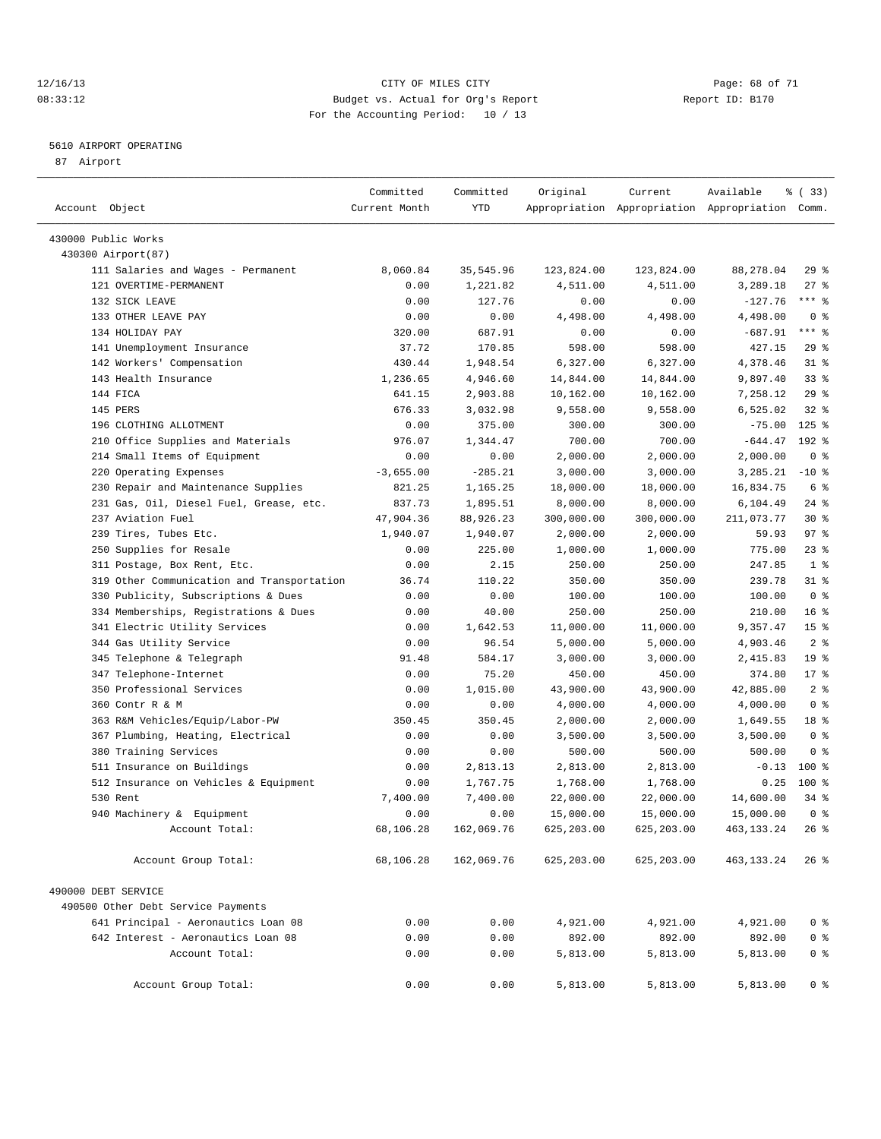#### 12/16/13 Page: 68 of 71 08:33:12 Budget vs. Actual for Org's Report Changer Report ID: B170 For the Accounting Period: 10 / 13

————————————————————————————————————————————————————————————————————————————————————————————————————————————————————————————————————

#### 5610 AIRPORT OPERATING

87 Airport

|                                                              | Committed           | Committed         | Original               | Current                | Available                                       | % (33)              |  |
|--------------------------------------------------------------|---------------------|-------------------|------------------------|------------------------|-------------------------------------------------|---------------------|--|
| Account Object                                               | Current Month       | YTD               |                        |                        | Appropriation Appropriation Appropriation Comm. |                     |  |
|                                                              |                     |                   |                        |                        |                                                 |                     |  |
| 430000 Public Works                                          |                     |                   |                        |                        |                                                 |                     |  |
| 430300 Airport (87)                                          |                     |                   |                        |                        |                                                 |                     |  |
| 111 Salaries and Wages - Permanent<br>121 OVERTIME-PERMANENT | 8,060.84            | 35,545.96         | 123,824.00             | 123,824.00             | 88,278.04                                       | 29%                 |  |
|                                                              | 0.00                | 1,221.82          | 4,511.00               | 4,511.00               | 3,289.18                                        | $27$ %<br>$***$ $%$ |  |
| 132 SICK LEAVE<br>133 OTHER LEAVE PAY                        | 0.00                | 127.76            | 0.00<br>4,498.00       | 0.00                   | $-127.76$                                       | 0 <sup>8</sup>      |  |
| 134 HOLIDAY PAY                                              | 0.00                | 0.00<br>687.91    |                        | 4,498.00               | 4,498.00<br>$-687.91$                           | $***$ $-$           |  |
| 141 Unemployment Insurance                                   | 320.00<br>37.72     | 170.85            | 0.00<br>598.00         | 0.00<br>598.00         | 427.15                                          | 29%                 |  |
| 142 Workers' Compensation                                    | 430.44              | 1,948.54          | 6,327.00               | 6,327.00               | 4,378.46                                        | $31$ %              |  |
| 143 Health Insurance                                         | 1,236.65            | 4,946.60          |                        | 14,844.00              | 9,897.40                                        | $33$ $%$            |  |
| 144 FICA                                                     | 641.15              | 2,903.88          | 14,844.00<br>10,162.00 | 10,162.00              | 7,258.12                                        | 29%                 |  |
| 145 PERS                                                     | 676.33              | 3,032.98          | 9,558.00               | 9,558.00               | 6,525.02                                        | $32$ $%$            |  |
| 196 CLOTHING ALLOTMENT                                       | 0.00                | 375.00            | 300.00                 | 300.00                 | $-75.00$                                        | $125$ %             |  |
| 210 Office Supplies and Materials                            | 976.07              | 1,344.47          | 700.00                 | 700.00                 | $-644.47$                                       | 192 %               |  |
|                                                              |                     |                   | 2,000.00               | 2,000.00               | 2,000.00                                        | 0 <sup>8</sup>      |  |
| 214 Small Items of Equipment<br>220 Operating Expenses       | 0.00<br>$-3,655.00$ | 0.00<br>$-285.21$ | 3,000.00               | 3,000.00               | 3,285.21                                        | $-10$ %             |  |
| 230 Repair and Maintenance Supplies                          | 821.25              | 1,165.25          |                        | 18,000.00              |                                                 | 6 %                 |  |
| 231 Gas, Oil, Diesel Fuel, Grease, etc.                      | 837.73              | 1,895.51          | 18,000.00              |                        | 16,834.75<br>6,104.49                           | $24$ %              |  |
| 237 Aviation Fuel                                            | 47,904.36           | 88,926.23         | 8,000.00               | 8,000.00<br>300,000.00 | 211,073.77                                      | $30*$               |  |
| 239 Tires, Tubes Etc.                                        | 1,940.07            | 1,940.07          | 300,000.00<br>2,000.00 | 2,000.00               | 59.93                                           | 97%                 |  |
| 250 Supplies for Resale                                      | 0.00                | 225.00            | 1,000.00               | 1,000.00               | 775.00                                          | $23$ %              |  |
| 311 Postage, Box Rent, Etc.                                  | 0.00                | 2.15              | 250.00                 | 250.00                 | 247.85                                          | 1 <sup>8</sup>      |  |
| 319 Other Communication and Transportation                   | 36.74               | 110.22            | 350.00                 | 350.00                 | 239.78                                          | $31$ %              |  |
| 330 Publicity, Subscriptions & Dues                          | 0.00                | 0.00              | 100.00                 | 100.00                 | 100.00                                          | 0 <sup>8</sup>      |  |
| 334 Memberships, Registrations & Dues                        | 0.00                | 40.00             | 250.00                 | 250.00                 | 210.00                                          | 16 <sup>°</sup>     |  |
| 341 Electric Utility Services                                | 0.00                | 1,642.53          | 11,000.00              | 11,000.00              | 9,357.47                                        | 15 <sup>°</sup>     |  |
| 344 Gas Utility Service                                      | 0.00                | 96.54             | 5,000.00               | 5,000.00               | 4,903.46                                        | 2 <sup>°</sup>      |  |
| 345 Telephone & Telegraph                                    | 91.48               | 584.17            | 3,000.00               | 3,000.00               | 2,415.83                                        | 19 <sup>°</sup>     |  |
| 347 Telephone-Internet                                       | 0.00                | 75.20             | 450.00                 | 450.00                 | 374.80                                          | $17$ %              |  |
| 350 Professional Services                                    | 0.00                | 1,015.00          | 43,900.00              | 43,900.00              | 42,885.00                                       | 2 <sup>8</sup>      |  |
| 360 Contr R & M                                              | 0.00                | 0.00              | 4,000.00               | 4,000.00               | 4,000.00                                        | 0 <sup>8</sup>      |  |
| 363 R&M Vehicles/Equip/Labor-PW                              | 350.45              | 350.45            | 2,000.00               | 2,000.00               | 1,649.55                                        | 18 %                |  |
| 367 Plumbing, Heating, Electrical                            | 0.00                | 0.00              | 3,500.00               | 3,500.00               | 3,500.00                                        | 0 <sup>8</sup>      |  |
| 380 Training Services                                        | 0.00                | 0.00              | 500.00                 | 500.00                 | 500.00                                          | 0 <sup>8</sup>      |  |
| 511 Insurance on Buildings                                   | 0.00                | 2,813.13          | 2,813.00               | 2,813.00               | $-0.13$                                         | $100*$              |  |
| 512 Insurance on Vehicles & Equipment                        | 0.00                | 1,767.75          | 1,768.00               | 1,768.00               | 0.25                                            | $100*$              |  |
| 530 Rent                                                     | 7,400.00            | 7,400.00          | 22,000.00              | 22,000.00              | 14,600.00                                       | 34 %                |  |
| 940 Machinery & Equipment                                    | 0.00                | 0.00              | 15,000.00              | 15,000.00              | 15,000.00                                       | 0 <sup>8</sup>      |  |
| Account Total:                                               | 68,106.28           | 162,069.76        | 625,203.00             | 625,203.00             | 463, 133. 24                                    | 26%                 |  |
|                                                              |                     |                   |                        |                        |                                                 |                     |  |
| Account Group Total:                                         | 68,106.28           | 162,069.76        | 625,203.00             | 625,203.00             | 463,133.24                                      | $26*$               |  |
| 490000 DEBT SERVICE                                          |                     |                   |                        |                        |                                                 |                     |  |
| 490500 Other Debt Service Payments                           |                     |                   |                        |                        |                                                 |                     |  |
| 641 Principal - Aeronautics Loan 08                          | 0.00                | 0.00              | 4,921.00               | 4,921.00               | 4,921.00                                        | 0 <sup>8</sup>      |  |
| 642 Interest - Aeronautics Loan 08                           | 0.00                | 0.00              | 892.00                 | 892.00                 | 892.00                                          | 0 <sup>8</sup>      |  |
| Account Total:                                               | 0.00                | 0.00              | 5,813.00               | 5,813.00               | 5,813.00                                        | 0 <sup>8</sup>      |  |
|                                                              |                     |                   |                        |                        |                                                 |                     |  |
| Account Group Total:                                         | 0.00                | 0.00              | 5,813.00               | 5,813.00               | 5,813.00                                        | 0 <sup>8</sup>      |  |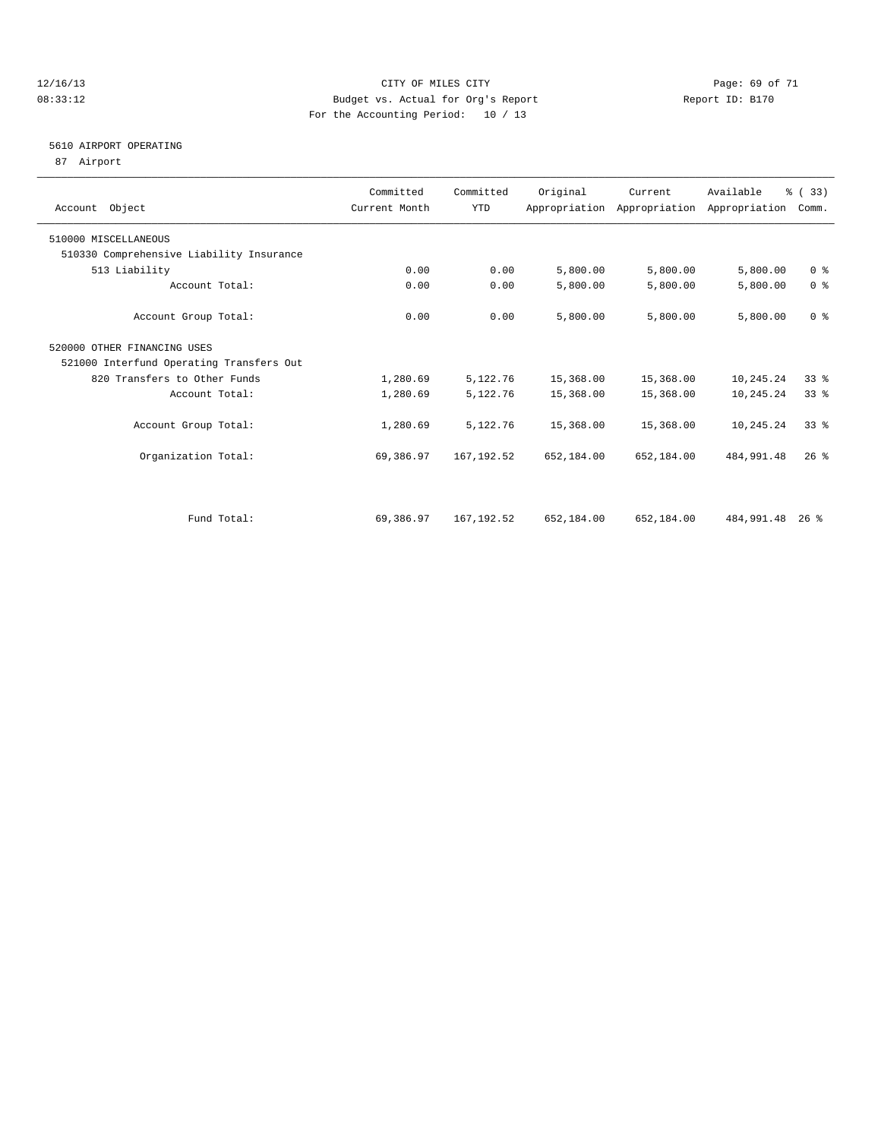#### 12/16/13 Page: 69 of 71 08:33:12 Budget vs. Actual for Org's Report Changer Report ID: B170 For the Accounting Period: 10 / 13

#### 5610 AIRPORT OPERATING

87 Airport

| Account Object                           | Committed<br>Current Month | Committed<br><b>YTD</b> | Original   | Current    | Available<br>Appropriation Appropriation Appropriation | % (33)<br>Comm. |  |
|------------------------------------------|----------------------------|-------------------------|------------|------------|--------------------------------------------------------|-----------------|--|
| 510000 MISCELLANEOUS                     |                            |                         |            |            |                                                        |                 |  |
| 510330 Comprehensive Liability Insurance |                            |                         |            |            |                                                        |                 |  |
| 513 Liability                            | 0.00                       | 0.00                    | 5,800.00   | 5,800.00   | 5,800.00                                               | 0 <sup>8</sup>  |  |
| Account Total:                           | 0.00                       | 0.00                    | 5,800.00   | 5,800.00   | 5,800.00                                               | 0 <sup>8</sup>  |  |
| Account Group Total:                     | 0.00                       | 0.00                    | 5,800.00   | 5,800.00   | 5,800.00                                               | 0 <sup>8</sup>  |  |
| 520000 OTHER FINANCING USES              |                            |                         |            |            |                                                        |                 |  |
| 521000 Interfund Operating Transfers Out |                            |                         |            |            |                                                        |                 |  |
| 820 Transfers to Other Funds             | 1,280.69                   | 5,122.76                | 15,368.00  | 15,368.00  | 10,245.24                                              | 338             |  |
| Account Total:                           | 1,280.69                   | 5,122.76                | 15,368.00  | 15,368.00  | 10,245.24                                              | 33 <sup>8</sup> |  |
| Account Group Total:                     | 1,280.69                   | 5,122.76                | 15,368.00  | 15,368.00  | 10,245.24                                              | $33*$           |  |
| Organization Total:                      | 69,386.97                  | 167, 192.52             | 652,184.00 | 652,184.00 | 484, 991.48                                            | $26$ %          |  |
|                                          |                            |                         |            |            |                                                        |                 |  |
| Fund Total:                              | 69,386.97                  | 167, 192.52             | 652,184.00 | 652,184.00 | 484,991.48                                             | $26$ %          |  |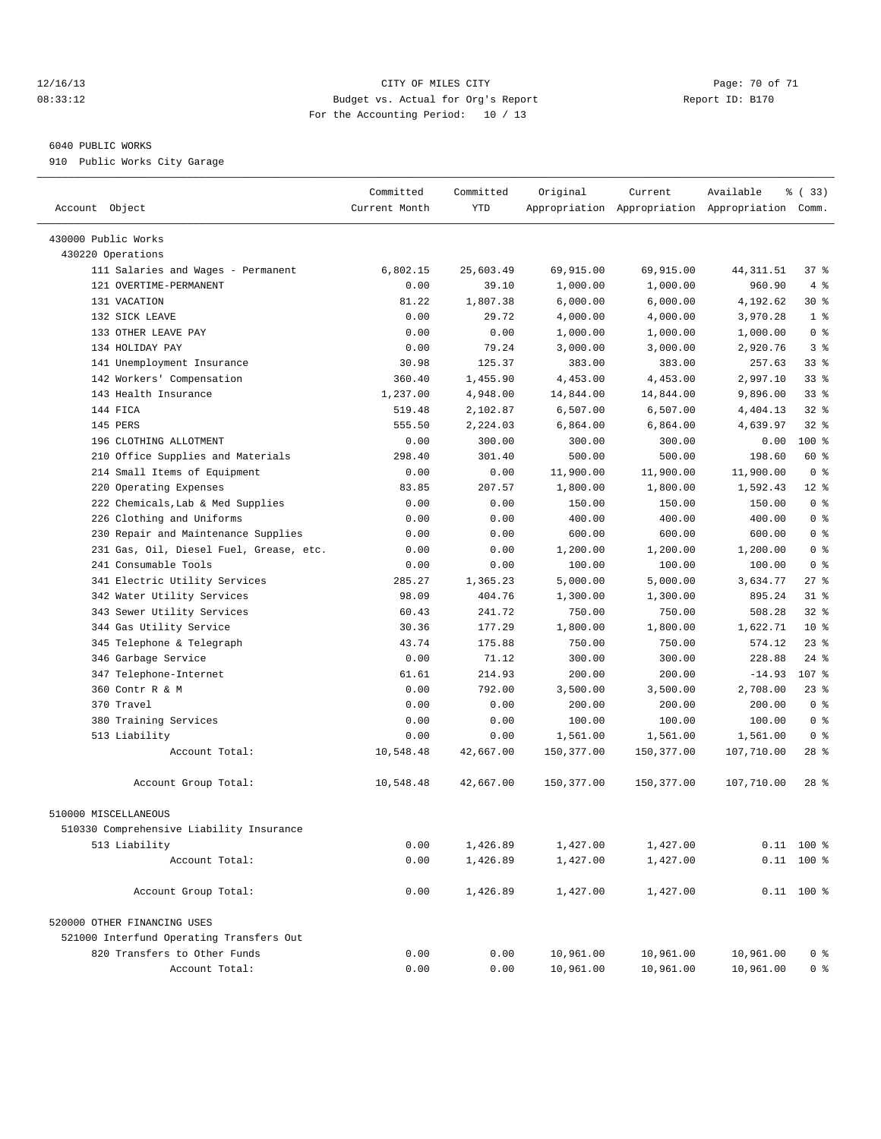#### 12/16/13 Page: 70 of 71 08:33:12 Budget vs. Actual for Org's Report Report ID: B170 For the Accounting Period: 10 / 13

————————————————————————————————————————————————————————————————————————————————————————————————————————————————————————————————————

#### 6040 PUBLIC WORKS

910 Public Works City Garage

|                                          | Committed     | Committed | Original   | Current    | Available                                       | % (33)         |
|------------------------------------------|---------------|-----------|------------|------------|-------------------------------------------------|----------------|
| Account Object                           | Current Month | YTD       |            |            | Appropriation Appropriation Appropriation Comm. |                |
|                                          |               |           |            |            |                                                 |                |
| 430000 Public Works                      |               |           |            |            |                                                 |                |
| 430220 Operations                        |               |           |            |            |                                                 |                |
| 111 Salaries and Wages - Permanent       | 6,802.15      | 25,603.49 | 69,915.00  | 69,915.00  | 44, 311.51                                      | 37 %           |
| 121 OVERTIME-PERMANENT                   | 0.00          | 39.10     | 1,000.00   | 1,000.00   | 960.90                                          | 4%             |
| 131 VACATION                             | 81.22         | 1,807.38  | 6,000.00   | 6,000.00   | 4,192.62                                        | $30*$          |
| 132 SICK LEAVE                           | 0.00          | 29.72     | 4,000.00   | 4,000.00   | 3,970.28                                        | 1 <sup>°</sup> |
| 133 OTHER LEAVE PAY                      | 0.00          | 0.00      | 1,000.00   | 1,000.00   | 1,000.00                                        | 0 <sup>8</sup> |
| 134 HOLIDAY PAY                          | 0.00          | 79.24     | 3,000.00   | 3,000.00   | 2,920.76                                        | 3 <sup>8</sup> |
| 141 Unemployment Insurance               | 30.98         | 125.37    | 383.00     | 383.00     | 257.63                                          | 338            |
| 142 Workers' Compensation                | 360.40        | 1,455.90  | 4,453.00   | 4,453.00   | 2,997.10                                        | 338            |
| 143 Health Insurance                     | 1,237.00      | 4,948.00  | 14,844.00  | 14,844.00  | 9,896.00                                        | $33$ $%$       |
| 144 FICA                                 | 519.48        | 2,102.87  | 6,507.00   | 6,507.00   | 4,404.13                                        | $32$ $%$       |
| 145 PERS                                 | 555.50        | 2,224.03  | 6,864.00   | 6,864.00   | 4,639.97                                        | $32$ $%$       |
| 196 CLOTHING ALLOTMENT                   | 0.00          | 300.00    | 300.00     | 300.00     | 0.00                                            | 100 %          |
| 210 Office Supplies and Materials        | 298.40        | 301.40    | 500.00     | 500.00     | 198.60                                          | 60 %           |
| 214 Small Items of Equipment             | 0.00          | 0.00      | 11,900.00  | 11,900.00  | 11,900.00                                       | 0 <sup>8</sup> |
| 220 Operating Expenses                   | 83.85         | 207.57    | 1,800.00   | 1,800.00   | 1,592.43                                        | $12$ %         |
| 222 Chemicals, Lab & Med Supplies        | 0.00          | 0.00      | 150.00     | 150.00     | 150.00                                          | 0 <sup>8</sup> |
| 226 Clothing and Uniforms                | 0.00          | 0.00      | 400.00     | 400.00     | 400.00                                          | 0 <sup>8</sup> |
| 230 Repair and Maintenance Supplies      | 0.00          | 0.00      | 600.00     | 600.00     | 600.00                                          | 0 <sup>8</sup> |
| 231 Gas, Oil, Diesel Fuel, Grease, etc.  | 0.00          | 0.00      | 1,200.00   | 1,200.00   | 1,200.00                                        | 0 <sup>8</sup> |
| 241 Consumable Tools                     | 0.00          | 0.00      | 100.00     | 100.00     | 100.00                                          | 0 <sup>8</sup> |
| 341 Electric Utility Services            | 285.27        | 1,365.23  | 5,000.00   | 5,000.00   | 3,634.77                                        | $27$ %         |
| 342 Water Utility Services               | 98.09         | 404.76    | 1,300.00   | 1,300.00   | 895.24                                          | $31$ %         |
| 343 Sewer Utility Services               | 60.43         | 241.72    | 750.00     | 750.00     | 508.28                                          | $32$ $%$       |
| 344 Gas Utility Service                  | 30.36         | 177.29    | 1,800.00   | 1,800.00   | 1,622.71                                        | $10*$          |
| 345 Telephone & Telegraph                | 43.74         | 175.88    | 750.00     | 750.00     | 574.12                                          | $23$ $%$       |
| 346 Garbage Service                      | 0.00          | 71.12     | 300.00     | 300.00     | 228.88                                          | $24$ %         |
| 347 Telephone-Internet                   | 61.61         | 214.93    | 200.00     | 200.00     | $-14.93$                                        | 107 %          |
| 360 Contr R & M                          | 0.00          | 792.00    | 3,500.00   | 3,500.00   | 2,708.00                                        | $23$ $%$       |
| 370 Travel                               | 0.00          | 0.00      | 200.00     | 200.00     | 200.00                                          | 0 <sup>8</sup> |
| 380 Training Services                    | 0.00          | 0.00      | 100.00     | 100.00     | 100.00                                          | 0 <sup>8</sup> |
| 513 Liability                            | 0.00          | 0.00      | 1,561.00   | 1,561.00   | 1,561.00                                        | 0 <sup>8</sup> |
| Account Total:                           | 10,548.48     | 42,667.00 | 150,377.00 | 150,377.00 | 107,710.00                                      | $28$ %         |
| Account Group Total:                     | 10,548.48     | 42,667.00 | 150,377.00 | 150,377.00 | 107,710.00                                      | $28$ %         |
| 510000 MISCELLANEOUS                     |               |           |            |            |                                                 |                |
| 510330 Comprehensive Liability Insurance |               |           |            |            |                                                 |                |
| 513 Liability                            | 0.00          | 1,426.89  | 1,427.00   | 1,427.00   |                                                 | $0.11$ 100 %   |
| Account Total:                           | 0.00          | 1,426.89  | 1,427.00   | 1,427.00   |                                                 | $0.11$ 100 %   |
|                                          |               |           |            |            |                                                 |                |
| Account Group Total:                     | 0.00          | 1,426.89  | 1,427.00   | 1,427.00   |                                                 | $0.11$ 100 %   |
| 520000 OTHER FINANCING USES              |               |           |            |            |                                                 |                |
| 521000 Interfund Operating Transfers Out |               |           |            |            |                                                 |                |
| 820 Transfers to Other Funds             | 0.00          | 0.00      | 10,961.00  | 10,961.00  | 10,961.00                                       | 0 %            |
| Account Total:                           | 0.00          | 0.00      | 10,961.00  | 10,961.00  | 10,961.00                                       | 0 <sup>8</sup> |